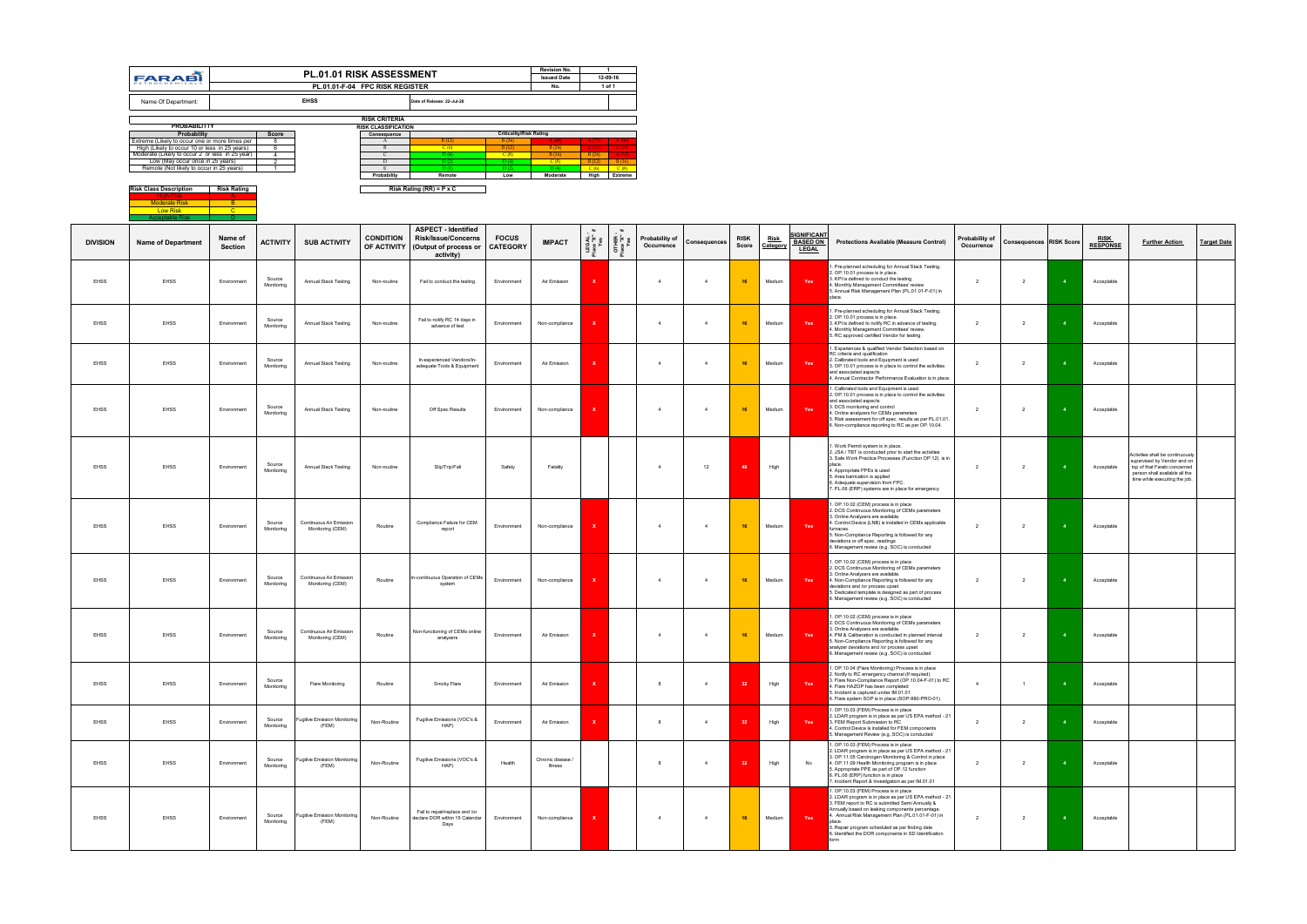|                 | <b>FARABI</b>                                                                                   |                                      |                      | PL.01.01 RISK ASSESSMENT<br>PL.01.01-F-04 FPC RISK REGISTER |                                           |                                                                                                |                                 | <b>Revision No.</b><br><b>Issued Date</b><br>No. |                                  | $\overline{1}$<br>12-09-16<br>1 of 1 |                              |                |                      |                         |                                                       |                                                                                                                                                                                                                                                                                                                                                                                  |                              |                                |                |                                |                                                                                                                                                                    |                    |
|-----------------|-------------------------------------------------------------------------------------------------|--------------------------------------|----------------------|-------------------------------------------------------------|-------------------------------------------|------------------------------------------------------------------------------------------------|---------------------------------|--------------------------------------------------|----------------------------------|--------------------------------------|------------------------------|----------------|----------------------|-------------------------|-------------------------------------------------------|----------------------------------------------------------------------------------------------------------------------------------------------------------------------------------------------------------------------------------------------------------------------------------------------------------------------------------------------------------------------------------|------------------------------|--------------------------------|----------------|--------------------------------|--------------------------------------------------------------------------------------------------------------------------------------------------------------------|--------------------|
|                 | Name Of Department:                                                                             |                                      |                      | <b>EHSS</b>                                                 |                                           | Date of Release: 22-Jul-20                                                                     |                                 |                                                  |                                  |                                      |                              |                |                      |                         |                                                       |                                                                                                                                                                                                                                                                                                                                                                                  |                              |                                |                |                                |                                                                                                                                                                    |                    |
|                 |                                                                                                 |                                      |                      |                                                             | <b>RISK CRITERIA</b>                      |                                                                                                |                                 |                                                  |                                  |                                      |                              |                |                      |                         |                                                       |                                                                                                                                                                                                                                                                                                                                                                                  |                              |                                |                |                                |                                                                                                                                                                    |                    |
|                 | <b>PROBABILITTY</b><br>Probability                                                              |                                      | <b>Score</b>         |                                                             | <b>RISK CLASSIFICATION</b><br>Consequence |                                                                                                | <b>Criticality/Risk Rating</b>  |                                                  |                                  |                                      |                              |                |                      |                         |                                                       |                                                                                                                                                                                                                                                                                                                                                                                  |                              |                                |                |                                |                                                                                                                                                                    |                    |
|                 | Extreme (Likely to occur one or more times per<br>High (Likely to occur 10 or less in 25 years) |                                      | -8                   |                                                             | A<br>B                                    | B(12)<br>C(6)                                                                                  | B(24)<br>B(12)                  | B(24)                                            |                                  |                                      |                              |                |                      |                         |                                                       |                                                                                                                                                                                                                                                                                                                                                                                  |                              |                                |                |                                |                                                                                                                                                                    |                    |
|                 | Moderate (Likely to occur 2 or less in 25 year)<br>Low (May occur once in 25 years)             |                                      | $\overline{4}$       |                                                             | $\mathcal{C}$<br>D                        | D (4)<br>D(2)                                                                                  | C(8)<br>D(4)                    | B(16)<br>C(8)                                    | B(24)                            | $B(12)$ $B(16)$                      |                              |                |                      |                         |                                                       |                                                                                                                                                                                                                                                                                                                                                                                  |                              |                                |                |                                |                                                                                                                                                                    |                    |
|                 | Remote (Not likely to occur in 25 years)                                                        |                                      | $\blacksquare$       |                                                             | - F -                                     | D(1)                                                                                           | D(2)                            | D(4)                                             |                                  | $C(6)$ $C(8)$                        |                              |                |                      |                         |                                                       |                                                                                                                                                                                                                                                                                                                                                                                  |                              |                                |                |                                |                                                                                                                                                                    |                    |
|                 | <b>Risk Class Description</b><br><b>Moderate Risk</b>                                           | <b>Risk Rating</b><br>$\overline{B}$ |                      |                                                             | Probability                               | Remote<br>Risk Rating $(RR) = P \times C$                                                      | Low                             | Moderate                                         |                                  | High Extreme                         |                              |                |                      |                         |                                                       |                                                                                                                                                                                                                                                                                                                                                                                  |                              |                                |                |                                |                                                                                                                                                                    |                    |
|                 | <b>Low Risk</b><br><b>Acceptable Risk</b>                                                       | $-c$<br>D.                           |                      |                                                             |                                           |                                                                                                |                                 |                                                  |                                  |                                      |                              |                |                      |                         |                                                       |                                                                                                                                                                                                                                                                                                                                                                                  |                              |                                |                |                                |                                                                                                                                                                    |                    |
| <b>DIVISION</b> | <b>Name of Department</b>                                                                       | Name of<br>Section                   | <b>ACTIVITY</b>      | <b>SUB ACTIVITY</b>                                         | <b>CONDITION</b><br>OF ACTIVITY           | <b>ASPECT - Identified</b><br><b>Risk/Issue/Concerns</b><br>(Output of process or<br>activity) | <b>FOCUS</b><br><b>CATEGORY</b> | <b>IMPACT</b>                                    | $=$<br>LEGAL<br>Place "X"<br>Yes | - 11<br>OTHER -<br>Place "X"         | Probability of<br>Occurrence | Consequences   | <b>RISK</b><br>Score | <b>Risk</b><br>Category | <b>SIGNIFICANT</b><br><b>BASED ON</b><br><b>LEGAL</b> | <b>Protections Available (Measure Control)</b>                                                                                                                                                                                                                                                                                                                                   | Probability of<br>Occurrence | <b>Consequences RISK Score</b> |                | <b>RISK</b><br><b>RESPONSE</b> | <b>Further Action</b>                                                                                                                                              | <b>Target Date</b> |
| <b>EHSS</b>     | <b>EHSS</b>                                                                                     | Environment                          | Source<br>Monitoring | Annual Stack Testing                                        | Non-routine                               | Fail to conduct the testing                                                                    | Environment                     | Air Emission                                     |                                  |                                      |                              |                | 16                   | Medium                  | Yes                                                   | I. Pre-planned scheduling for Annual Stack Testing.<br>2. OP.10.01 process is in place.<br>3. KPI is defined to conduct the testing<br>4. Monthly Management Committees' review<br>5. Annual Risk Management Plan (PL.01.01-F-01) in                                                                                                                                             | $\overline{2}$               | $\overline{2}$                 |                | Acceptable                     |                                                                                                                                                                    |                    |
| <b>EHSS</b>     | EHSS                                                                                            | Environment                          | Source<br>Monitoring | Annual Stack Testing                                        | Non-routine                               | Fail to notify RC 14 days in<br>advance of test                                                | Environment                     | Non-compliance                                   |                                  |                                      | $\overline{4}$               | $\overline{4}$ | 16                   | Medium                  | Yes                                                   | Pre-planned scheduling for Annual Stack Testing.<br>2. OP.10.01 process is in place.<br>3. KPI is defined to notify RC in advance of testing.<br>4. Monthly Management Committees' review.<br>5. RC approved certified Vendor for testing                                                                                                                                        | 2                            | $\overline{2}$                 |                | Acceptable                     |                                                                                                                                                                    |                    |
| EHSS            | EHSS                                                                                            | Environment                          | Source<br>Monitoring | Annual Stack Testing                                        | Non-routine                               | In-experienced Vendors/In-<br>adequate Tools & Equipment                                       | Environment                     | Air Emission                                     |                                  |                                      | $\overline{4}$               | $\overline{4}$ | 16                   | Medium                  | Yes                                                   | 1. Experiences & qualified Vendor Selection based on<br>RC criteria and qualification<br>2. Calibrated tools and Equipment is used<br>3. OP.10.01 process is in place to control the activities<br>and associated aspects<br>4. Annual Contractor Performance Evaluation is in place.                                                                                            | $\overline{2}$               | $\overline{2}$                 |                | Acceptable                     |                                                                                                                                                                    |                    |
| <b>EHSS</b>     | <b>EHSS</b>                                                                                     | Environment                          | Source<br>Monitoring | Annual Stack Testing                                        | Non-routine                               | Off Spec Results                                                                               | Environment                     | Non-compliance                                   |                                  |                                      | $\overline{4}$               | $\overline{4}$ | 16                   | Medium                  | Yes                                                   | 1. Calibrated tools and Equipment is used.<br>2. OP.10.01 process is in place to control the activities<br>and associated aspects<br>3. DCS monitoring and control<br>4. Online analyzers for CEMs parameters<br>5. Risk assessment for off spec. results as per PL.01.01.<br>6. Non-compliance reporting to RC as per OP.10.04.                                                 | $\overline{2}$               | $\overline{2}$                 | $\overline{4}$ | Acceptable                     |                                                                                                                                                                    |                    |
| <b>EHSS</b>     | <b>EHSS</b>                                                                                     | Environment                          | Source<br>Monitoring | Annual Stack Testing                                        | Non-routine                               | Slip/Trip/Fall                                                                                 | Safety                          | Fatality                                         |                                  |                                      | $\Delta$                     | 12             | 48                   | High                    |                                                       | I. Work Permit system is in place.<br>2. JSA / TBT is conducted prior to start the activities<br>3. Safe Work Practice Processes (Function OP.12) is in<br>place<br>4. Appropriate PPEs is used<br>5. Area barrication is applied<br>6. Adequate supervision from FPC.<br>7. PL.06 (ERP) systems are in place for emergency                                                      | $\overline{2}$               | $\overline{2}$                 |                | Acceptable                     | Activities shall be continuously<br>supervised by Vendor and on<br>top of that Farabi concerned<br>person shall available all the<br>time while executing the job. |                    |
| EHSS            | <b>EHSS</b>                                                                                     | Environment                          | Source<br>Monitoring | Continuous Air Emission<br>Monitoring (CEM)                 | Routine                                   | Compliance Failure for CEM<br>report                                                           | Environment                     | Non-compliance                                   | $\mathbf{x}$                     |                                      | $\overline{4}$               | $\Delta$       | 16                   | Medium                  | Yes                                                   | 1. OP.10.02 (CEM) process is in place<br>2. DCS Continuous Monitoring of CEMs parameters<br>3. Online Analyzers are available.<br>4. Control Device (LNB) is installed in CEMs applicable<br>furnaces.<br>5. Non-Compliance Reporting is followed for any<br>deviations or off spec. readings<br>6. Management review (e.g. SOC) is conducted                                    | $\overline{2}$               | $\overline{2}$                 |                | Acceptable                     |                                                                                                                                                                    |                    |
| EHSS            | EHSS                                                                                            | Environment                          | Source<br>Monitoring | Continuous Air Emission<br>Monitoring (CEM)                 | Routine                                   | In-continuous Operation of CEMs<br>system                                                      | Environment                     | Non-compliance                                   | $\mathbf{x}$                     |                                      | $\overline{4}$               | $\overline{4}$ | 16                   | Medium                  | Yes                                                   | I. OP.10.02 (CEM) process is in place<br>2. DCS Continuous Monitoring of CEMs parameters<br>3. Online Analyzers are available.<br>4. Non-Compliance Reporting is followed for any<br>deviations and /or process upset<br>5. Dedicated template is designed as part of process<br>6. Management review (e.g. SOC) is conducted                                                    | $\overline{2}$               | $\overline{2}$                 | $\overline{4}$ | Acceptable                     |                                                                                                                                                                    |                    |
| <b>EHSS</b>     | <b>EHSS</b>                                                                                     | Environment                          | Source<br>Monitoring | Continuous Air Emission<br>Monitoring (CEM)                 | Routine                                   | Non-functioning of CEMs online<br>analyzers                                                    | Environment                     | Air Emission                                     | $\mathbf{x}$                     |                                      | $\Delta$                     |                | 16                   | Medium                  | Yes                                                   | 1. OP.10.02 (CEM) process is in place<br>2. DCS Continuous Monitoring of CEMs parameters<br>3. Online Analyzers are available.<br>4. PM & Caliberation is conducted in planned interval.<br>5. Non-Compliance Reporting is followed for any<br>analyzer deviations and /or process upset<br>6. Management review (e.g. SOC) is conducted                                         | $\overline{2}$               | $\overline{2}$                 |                | Acceptable                     |                                                                                                                                                                    |                    |
| <b>EHSS</b>     | EHSS                                                                                            | Environment                          | Source<br>Monitoring | <b>Flare Monitoring</b>                                     | Routine                                   | Smoky Flare                                                                                    | Environment                     | Air Emission                                     | x                                |                                      | $\mathbf{R}$                 | $\overline{4}$ | -32                  | High                    | Yes                                                   | 1. OP.10.04 (Flare Monitoring) Process is in place<br>2. Notify to RC emergency channel (If required)<br>3. Flare Non-Compliance Report (OP.10.04-F-01) to RC<br>4. Flare HAZOP has been completed<br>5. Incident is captured under IM.01.01<br>6. Flare system SOP is in place (SOP-880-PRO-01)                                                                                 | $\overline{4}$               | $\overline{1}$                 |                | Acceptable                     |                                                                                                                                                                    |                    |
| <b>EHSS</b>     | <b>EHSS</b>                                                                                     | Environment                          | Source<br>Monitoring | <b>Fugitive Emission Monitoring</b><br>(FEM)                | Non-Routine                               | Fugitive Emissions (VOC's &<br>HAP)                                                            | Environment                     | Air Emission                                     |                                  |                                      |                              | $\overline{4}$ |                      | High                    | Yes                                                   | 1. OP.10.03 (FEM) Process is in place<br>2. LDAR program is in place as per US EPA method - 21<br>3. FEM Report Submission to RC<br>4. Control Device is installed for FEM components<br>5. Management Review (e.g, SOC) is conducted                                                                                                                                            | $\overline{2}$               | $\overline{2}$                 |                | Acceptable                     |                                                                                                                                                                    |                    |
| EHSS            | EHSS                                                                                            | Environment                          | Source<br>Monitoring | <b>Fugitive Emission Monitoring</b><br>(FEM)                | Non-Routine                               | Fugitive Emissions (VOC's &<br>HAP)                                                            | Health                          | Chronic disease /<br>Illness                     |                                  |                                      |                              | $\overline{4}$ | 32                   | High                    | No                                                    | I. OP.10.03 (FEM) Process is in place<br>2. LDAR program is in place as per US EPA method - 21<br>3. OP.11.05 Carcinogen Monitoring & Control in place<br>4. OP.11.09 Health Monitoring program is in place<br>5. Appropriate PPE as part of OP.12 function<br>6. PL.06 (ERP) function is in place<br>7. Incident Report & Investigation as per IM.01.01                         | $\overline{2}$               | $\overline{2}$                 |                | Acceptable                     |                                                                                                                                                                    |                    |
| <b>EHSS</b>     | EHSS                                                                                            | Environment                          | Source<br>Monitoring | <b>Fugitive Emission Monitoring</b><br>(FEM)                | Non-Routine                               | Fail to repair/replace and /or<br>declare DOR within 15 Calendar<br>Days                       | Environment                     | Non-compliance                                   | X                                |                                      | $\overline{4}$               | $\overline{4}$ | 16                   | Medium                  | Yes                                                   | 1. OP.10.03 (FEM) Process is in place<br>2. LDAR program is in place as per US EPA method - 21<br>3. FEM report to RC is submitted Semi Annually &<br>Annually based on leaking components percentage.<br>4. Annual Risk Management Plan (PL.01.01-F-01) in<br>nlace<br>5. Repair program scheduled as per finding date<br>6. Identified the DOR components in SD Identification | $\overline{2}$               | $\overline{2}$                 |                | Acceptable                     |                                                                                                                                                                    |                    |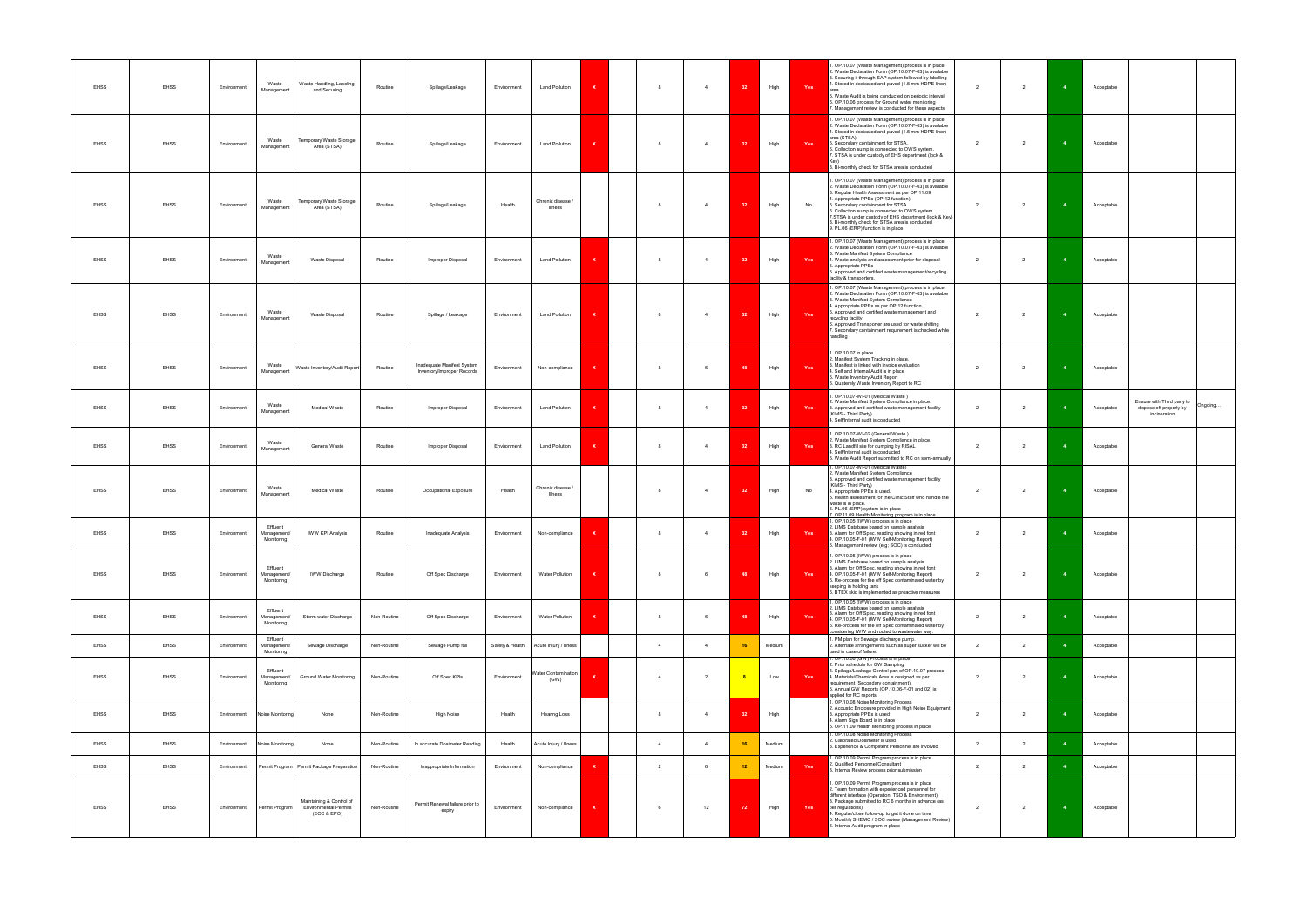| EHSS        | EHSS        | Environment | Waste<br>Management                   | Waste Handling, Labeling<br>and Securing                                | Routine     | Spillage/Leakage                                         | Environment     | <b>Land Pollution</b>        |              | -8             | $\overline{4}$ | -32                     | High   | Yes | . OP.10.07 (Waste Management) process is in place<br>2. Waste Declaration Form (OP.10.07-F-03) is available<br>3. Securing it through SAP system followed by labelling<br>4. Stored in dedicated and paved (1.5 mm HDPE liner)<br>5. Waste Audit is being conducted on periodic interval<br>6. OP.10.06 process for Ground water monitoring<br>7. Management review is conducted for these aspects.                                            | 2              | $\overline{2}$ |      | Acceptable                                                                                   |  |
|-------------|-------------|-------------|---------------------------------------|-------------------------------------------------------------------------|-------------|----------------------------------------------------------|-----------------|------------------------------|--------------|----------------|----------------|-------------------------|--------|-----|------------------------------------------------------------------------------------------------------------------------------------------------------------------------------------------------------------------------------------------------------------------------------------------------------------------------------------------------------------------------------------------------------------------------------------------------|----------------|----------------|------|----------------------------------------------------------------------------------------------|--|
| <b>EHSS</b> | EHSS        | Environment | Waste<br>Management                   | Temporary Waste Storage<br>Area (STSA)                                  | Routine     | Spillage/Leakage                                         | Environment     | <b>Land Pollution</b>        |              | $\mathbf{R}$   | $\overline{4}$ | 32                      | High   | Yes | 1. OP.10.07 (Waste Management) process is in place<br>2. Waste Declaration Form (OP.10.07-F-03) is available<br>4. Stored in dedicated and paved (1.5 mm HDPE liner)<br>area (STSA)<br>5. Secondary containment for STSA.<br>6. Collection sump is connected to OWS system.<br>7. STSA is under custody of EHS department (lock &<br>8. Bi-monthly check for STSA area is conducted                                                            | $\overline{2}$ | $\overline{2}$ |      | Acceptable                                                                                   |  |
| EHSS        | EHSS        | Environment | Waste<br>Management                   | Temporary Waste Storage<br>Area (STSA)                                  | Routine     | Spillage/Leakage                                         | Health          | Chronic disease /<br>Illness |              |                | $\overline{4}$ | 32                      | High   | No  | . OP.10.07 (Waste Management) process is in place<br>2. Waste Declaration Form (OP.10.07-F-03) is available<br>3. Regular Health Assessment as per OP.11.09<br>1. Appropriate PPEs (OP.12 function)<br>5. Secondary containment for STSA.<br>6. Collection sump is connected to OWS system.<br>7.STSA is under custody of EHS department (lock & Key)<br>8. Bi-monthly check for STSA area is conducted<br>9. PL.06 (ERP) function is in place | $\overline{2}$ | $\overline{2}$ |      | Acceptable                                                                                   |  |
| EHSS        | <b>EHSS</b> | Environment | Waste<br>Management                   | Waste Disposal                                                          | Routine     | Improper Disposal                                        | Environment     | <b>Land Pollution</b>        |              |                | $\overline{4}$ | 32                      | High   | Yes | 1. OP.10.07 (Waste Management) process is in place<br>2. Waste Declaration Form (OP.10.07-F-03) is available<br>3. Waste Manifest System Compliance<br>4. Waste analysis and assessment prior for disposal<br>5. Appropriate PPEs<br>5. Approved and certified waste management/recycling<br>facility & transporters.                                                                                                                          | $\overline{2}$ | $\overline{2}$ |      | Acceptable                                                                                   |  |
| EHSS        | <b>EHSS</b> | Environment | Waste<br>Management                   | Waste Disposal                                                          | Routine     | Spillage / Leakage                                       | Environment     | <b>Land Pollution</b>        |              |                | $\overline{4}$ | 32                      | High   | Yes | 1. OP.10.07 (Waste Management) process is in place<br>2. Waste Declaration Form (OP.10.07-F-03) is available<br>3. Waste Manifest System Compliance<br>4. Appropriate PPEs as per OP.12 function<br>5. Approved and certified waste management and<br>recycling facility<br>6. Approved Transporter are used for waste shifting<br>7. Secondary containment requirement is checked while<br>handling                                           | $\overline{2}$ | $\overline{2}$ |      | Acceptable                                                                                   |  |
| <b>EHSS</b> | EHSS        | Environment | Waste<br>Management                   | Waste Inventory/Audit Report                                            | Routine     | Inadequate Manifest System<br>Inventory/Improper Records | Environment     | Non-compliance               |              |                | 6              | <b>AS</b>               | High   | Yes | 1. OP.10.07 in place<br>2. Manifest System Tracking in place.<br>3. Manifest is linked with invoice evaluation<br>1. Self and Internal Audit is in place<br>5. Waste Inventory/Audit Report<br>6. Quaterely Waste Inventory Report to RC                                                                                                                                                                                                       | $\overline{2}$ | $\overline{2}$ |      | Acceptable                                                                                   |  |
| <b>EHSS</b> | EHSS        | Environment | Waste<br>Management                   | Medical Waste                                                           | Routine     | Improper Disposal                                        | Environment     | Land Pollution               |              |                | $\mathbf{A}$   |                         | High   | Yes | 1. OP.10.07-WI-01 (Medical Waste)<br>2. Waste Manifest System Compliance in place.<br>3. Approved and certified waste management facility<br>(KIMS - Third Party)<br>4. Self/Internal audit is conducted                                                                                                                                                                                                                                       | $\overline{2}$ | $\overline{2}$ |      | Ensure with Third party to Ongoing.<br>Acceptable<br>dispose off properly by<br>incineration |  |
| EHSS        | EHSS        | Environment | Waste<br>Management                   | General Waste                                                           | Routine     | Improper Disposal                                        | Environment     | <b>Land Pollution</b>        | x            |                | $\overline{4}$ | -32                     | High   | Yes | . OP.10.07-WI-02 (General Waste)<br>2. Waste Manifest System Compliance in place.<br>3. RC Landfill site for dumping by RISAL<br>4. Self/Internal audit is conducted<br>5. Waste Audit Report submitted to RC on semi-annually                                                                                                                                                                                                                 | $\overline{2}$ | $\overline{2}$ |      | Acceptable                                                                                   |  |
| EHSS        | <b>EHSS</b> | Environment | Waste<br>Management                   | Medical Waste                                                           | Routine     | Occupational Exposure                                    | Health          | Chronic disease /<br>Illness |              |                | $\overline{4}$ | 32                      | High   | No  | . OP.10.07-WI-01 (Medical Waste)<br>2. Waste Manifest System Compliance<br>3. Approved and certified waste management facility<br>(KIMS - Third Party)<br>4. Appropriate PPEs is used.<br>5. Health assessment for the Clinic Staff who handle the<br>waste is in place.<br>6. PL.06 (ERP) system is in place<br>7. OP.11.09 Health Monitoring program is in place                                                                             | 2              | $\overline{2}$ |      | Acceptable                                                                                   |  |
| <b>EHSS</b> | EHSS        | Environment | Effluent<br>Management/<br>Monitoring | <b>IWW KPI Analysis</b>                                                 | Routine     | Inadequate Analysis                                      | Environment     | Non-compliance               |              |                | $\overline{4}$ |                         | High   | Yes | 1. OP.10.05 (IWW) process is in place<br>2. LIMS Database based on sample analysis<br>3. Alarm for Off Spec. reading showing in red font<br>4. OP.10.05-F-01 (IWW Self-Monitoring Report)<br>5. Management review (e.g; SOC) is conducted                                                                                                                                                                                                      | $\overline{2}$ | $\overline{2}$ |      | Acceptable                                                                                   |  |
| EHSS        | EHSS        | Environment | Effluent<br>Management/<br>Monitoring | <b>IWW Discharge</b>                                                    | Routine     | Off Spec Discharge                                       | Environment     | <b>Water Pollution</b>       | $\mathbf{x}$ | 8              | 6              | 48                      | High   | Yes | . OP.10.05 (IWW) process is in place<br>2. LIMS Database based on sample analysis<br>3. Alarm for Off Spec. reading showing in red font<br>4. OP.10.05-F-01 (IWW Self-Monitoring Report)<br>5. Re-process for the off Spec contaminated water by<br>keeping in holding tank<br>6. BTEX skid is implemented as proactive measures                                                                                                               | $\overline{2}$ | $\overline{2}$ | $-4$ | Acceptable                                                                                   |  |
| <b>EHSS</b> | EHSS        | Environment | Effluent<br>Management/<br>Monitoring | Storm water Discharge                                                   | Non-Routine | Off Spec Discharge                                       | Environment     | Water Pollution              |              | $\mathbf{8}$   | 6              | 48                      | High   | Yes | 1. OP.10.05 (IWW) process is in place<br>2. LIMS Database based on sample analysis<br>3. Alarm for Off Spec. reading showing in red font<br>4. OP.10.05-F-01 (IWW Self-Monitoring Report)<br>5. Re-process for the off Spec contaminated water by<br>considering IWW and routed to wastewater way.                                                                                                                                             | $\overline{2}$ | $\overline{2}$ |      | Acceptable                                                                                   |  |
| <b>EHSS</b> | EHSS        | Environment | Effluent<br>Management/<br>Monitoring | Sewage Discharge                                                        | Non-Routine | Sewage Pump fail                                         | Safety & Health | Acute Injury / Illness       |              | $\overline{4}$ | $\overline{4}$ | 16                      | Medium |     | 1. PM plan for Sewage discharge pump.<br>2. Alternate arrangements such as super sucker will be<br>used in case of failure.                                                                                                                                                                                                                                                                                                                    | $\overline{2}$ | $\overline{2}$ |      | Acceptable                                                                                   |  |
| <b>EHSS</b> | <b>EHSS</b> | Environment | Effluent<br>Management/<br>Monitoring | Ground Water Monitoring                                                 | Non-Routine | Off Spec KPIs                                            | Environment     | Water Contamination<br>(GW)  |              |                | $\overline{2}$ | $\overline{\mathbf{8}}$ | Low    | Yes | 1. OP.10.06 (GW) Process is in place<br>2. Prior schedule for GW Sampling<br>3. Spillage/Leakage Control part of OP.10.07 process<br>4. Materials/Chemicals Area is designed as per<br>requirement (Secondary containment)<br>5. Annual GW Reports (OP.10.06-F-01 and 02) is<br>applied for RC reports                                                                                                                                         | $\overline{2}$ | $\overline{2}$ |      | Acceptable                                                                                   |  |
| <b>EHSS</b> | <b>EHSS</b> | Environment | Noise Monitoring                      | None                                                                    | Non-Routine | High Noise                                               | Health          | <b>Hearing Loss</b>          |              |                | $\overline{4}$ | 32                      | High   |     | 1. OP.10.08 Noise Monitoring Process<br>2. Acoustic Enclosure provided in High Noise Equipment<br>3. Appropriate PPEs is used<br>4. Alarm Sign Board is in place<br>5. OP.11.09 Health Monitoring process in place<br>1. OP.10.08 Noise Monitoring Process                                                                                                                                                                                     | 2              | $\overline{2}$ |      | Acceptable                                                                                   |  |
| <b>EHSS</b> | EHSS        | Environment | Noise Monitoring                      | None                                                                    | Non-Routine | In accurate Dosimeter Reading                            | Health          | Acute Injury / Illness       |              | $\mathbf{A}$   | $\overline{4}$ | 16                      | Medium |     | 2. Calibrated Dosimeter is used.<br>3. Experience & Competent Personnel are involved                                                                                                                                                                                                                                                                                                                                                           | $\overline{2}$ | $\overline{2}$ |      | Acceptable                                                                                   |  |
| EHSS        | EHSS        | Environment |                                       | Permit Program   Permit Package Preparation                             | Non-Routine | Inappropriate Information                                | Environment     | Non-compliance               | $\mathbf{x}$ | $\overline{2}$ | 6              | 12                      | Medium | Yes | 1. OP.10.09 Permit Program process is in place<br>2. Qualified Personnel/Consultant<br>3. Internal Review process prior submission                                                                                                                                                                                                                                                                                                             | $\overline{2}$ | $\overline{2}$ |      | Acceptable                                                                                   |  |
| EHSS        | EHSS        | Environment | Permit Program                        | Maintaining & Control of<br><b>Environmental Permits</b><br>(ECC & EPO) | Non-Routine | Permit Renewal failure prior to<br>expiry                | Environment     | Non-compliance               | $\mathbf{x}$ |                | 12             | 72                      | High   | Yes | 1. OP.10.09 Permit Program process is in place<br>2. Team formation with experienced personnel for<br>different interface (Operation, TSD & Environment)<br>3. Package submitted to RC 6 months in advance (as<br>per regulations)<br>4. Regular/close follow-up to get it done on time<br>5. Monthly SHEMC / SOC review (Management Review)<br>6. Internal Audit program in place                                                             | $\overline{2}$ | $\overline{2}$ |      | Acceptable                                                                                   |  |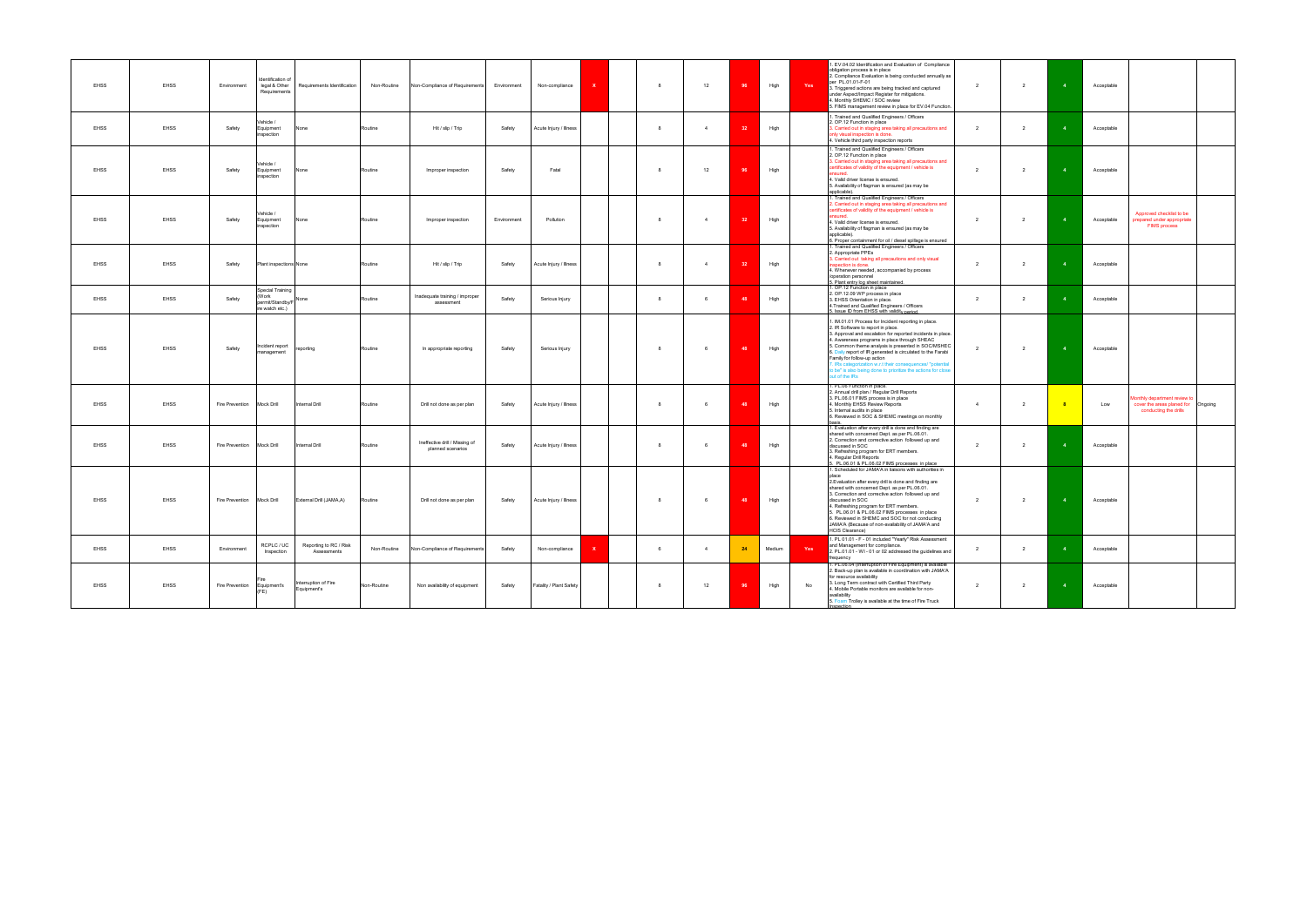| <b>EHSS</b> | EHSS        | Environment                 | Identification of<br>legal & Other<br>Requirements               | Requirements Identification           | Non-Routine | Non-Compliance of Requirements                      | Environment | $\mathbf{x}$<br>Non-compliance | 8  | 12             |     | High   | Yes | 1. EV.04.02 Identification and Evaluation of Compliance<br>obligation process is in place<br>2. Compliance Evaluation is being conducted annually as<br>per PL.01.01-F-01<br>3. Triggered actions are being tracked and captured<br>under Aspect/Impact Register for mitigations.<br>4. Monthly SHEMC / SOC review<br>5. FIMS management review in place for EV.04 Function.                                                                                                                               | $\overline{2}$          | $\overline{2}$ | $\overline{4}$          | Acceptable |                                                                                             |
|-------------|-------------|-----------------------------|------------------------------------------------------------------|---------------------------------------|-------------|-----------------------------------------------------|-------------|--------------------------------|----|----------------|-----|--------|-----|------------------------------------------------------------------------------------------------------------------------------------------------------------------------------------------------------------------------------------------------------------------------------------------------------------------------------------------------------------------------------------------------------------------------------------------------------------------------------------------------------------|-------------------------|----------------|-------------------------|------------|---------------------------------------------------------------------------------------------|
| <b>EHSS</b> | EHSS        | Safety                      | Vehicle /<br>Equipment<br>inspection                             | one                                   | Routine     | Hit / slip / Trip                                   | Safety      | Acute Injury / Illness         | 8  | $\overline{4}$ |     | High   |     | . Trained and Qualified Engineers / Officers<br>2. OP.12 Function in place<br>3. Carried out in staging area taking all precautions and<br>hly visual inspection is done.<br>4. Vehicle third party inspection reports                                                                                                                                                                                                                                                                                     | $\overline{\mathbf{2}}$ | $\overline{2}$ |                         | Acceptable |                                                                                             |
| <b>EHSS</b> | EHSS        | Safety                      | Vehicle /<br>Equipment<br>nspection                              | one                                   | Routine     | Improper inspection                                 | Safety      | Fatal                          | -8 | 12             |     | High   |     | 1. Trained and Qualified Engineers / Officers<br>2. OP.12 Function in place<br>3. Carried out in staging area taking all precautions and<br>certificates of validity of the equipment / vehicle is<br>4. Valid driver license is ensured.<br>5. Availability of flagman is ensured (as may be<br>applicable).                                                                                                                                                                                              | 2                       | $\overline{2}$ |                         | Acceptable |                                                                                             |
| <b>EHSS</b> | EHSS        | Safety                      | Vehicle /<br>Equipment<br>inspection                             | one                                   | Routine     | Improper inspection                                 | Environment | Pollution                      | 8  | $\overline{4}$ |     | High   |     | 1. Trained and Qualified Engineers / Officers<br>. Carried out in staging area taking all precautions and<br>ertificates of validity of the equipment / vehicle is<br>4. Valid driver license is ensured.<br>. Availability of flagman is ensured (as may be<br>applicable).<br>6. Proper containment for oil / diesel spillage is ensured<br>1. Trained and Qualified Engineers / Officers                                                                                                                | $\overline{2}$          | $\overline{2}$ |                         | Acceptable | Approved checklist to be<br>prepared under appropriate<br><b>FIMS process</b>               |
| EHSS        | EHSS        | Safety                      | Plant inspections None                                           |                                       | Routine     | Hit / slip / Trip                                   | Safety      | Acute Injury / Illness         | 8  | $\overline{4}$ | -32 | High   |     | 2. Appropriate PPEs<br>3. Carried out taking all precautions and only visual<br>spection is done.<br>4. Whenever needed, accompanied by process<br>/operation personnel                                                                                                                                                                                                                                                                                                                                    | $\overline{2}$          | $\overline{2}$ |                         | Acceptable |                                                                                             |
| <b>EHSS</b> | EHSS        | Safety                      | Special Training<br>(Work<br>permit/Standby/F<br>ire watch etc.) | None                                  | Routine     | Inadequate training / improper<br>assessment        | Safety      | Serious Injury                 | 8  | 6              |     | High   |     | 5. Plant entry log sheet maintained.<br>1. OP.12 Function in place<br>2. OP.12.09 WP process in place<br>3. EHSS Orientation in place.<br>4. Trained and Qualified Engineers / Officers<br>5. Issue ID from EHSS with validity period.                                                                                                                                                                                                                                                                     | $\overline{2}$          | $\overline{2}$ |                         | Acceptable |                                                                                             |
| <b>EHSS</b> | <b>EHSS</b> | Safety                      | Incident report<br>nanagement                                    | eporting                              | Routine     | In appropriate reporting                            | Safety      | Serious Injury                 | 8  | 6              | 48  | High   |     | 1. IM.01.01 Process for Incident reporting in place.<br>2. IR Software to report in place.<br>3. Approval and escalation for reported incidents in place.<br>4. Awareness programs in place through SHEAC<br>5. Common theme analysis is presented in SOC/MSHEC<br>Daily report of IR generated is circulated to the Farabi<br>Family for follow-up action<br>. IRs categorization w.r.t their consequences/ "potential<br>to be" is also being done to prioritize the actions for close<br>out of the IRs | $\overline{2}$          | $\overline{2}$ | $\overline{a}$          | Acceptable |                                                                                             |
| <b>EHSS</b> | <b>EHSS</b> | Fire Prevention Mock Drill  |                                                                  | <b>Internal Drill</b>                 | Routine     | Drill not done as per plan                          | Safety      | Acute Injury / Illness         | 8  | 6              |     | High   |     | 1. PL.06 Function in place.<br>2. Annual drill plan / Regular Drill Reports<br>3. PL.06.01 FIMS process is in place<br>4. Monthly EHSS Review Reports<br>5. Internal audits in place<br>6. Reviewed in SOC & SHEMC meetings on monthly                                                                                                                                                                                                                                                                     | $\overline{4}$          | $\overline{2}$ | -8                      | Low        | lonthly department review to<br>cover the areas planed for Ongoing<br>conducting the drills |
| <b>EHSS</b> | EHSS        | Fire Prevention Mock Drill  |                                                                  | Internal Drill                        | Routine     | Ineffective drill / Missing of<br>planned scenarios | Safety      | Acute Injury / Illness         | 8  | 6              |     | High   |     | <u>basis.</u><br>1. Evaluation after every drill is done and finding are<br>shared with concerned Dept. as per PL.06.01.<br>2. Correction and corrective action followed up and<br>discussed in SOC<br>3. Refreshing program for ERT members.<br>4. Regular Drill Reports<br>5. PL.06.01 & PL.06.02 FIMS processes in place                                                                                                                                                                                | $\overline{2}$          | $\overline{2}$ |                         | Acceptable |                                                                                             |
| EHSS        | EHSS        | Fire Prevention Mock Drill  |                                                                  | External Drill (JAMA,A)               | Routine     | Drill not done as per plan                          | Safety      | Acute Injury / Illness         | 8  | 6              | 48  | High   |     | 1. Scheduled for JAMA'A in liaisons with authorities in<br>2. Evaluation after every drill is done and finding are<br>shared with concerned Dept. as per PL.06.01.<br>3. Correction and corrective action followed up and<br>discussed in SOC<br>4. Refreshing program for ERT members.<br>5. PL.06.01 & PL.06.02 FIMS processes in place<br>3. Reviewed in SHEMC and SOC for not conducting<br>JAMA'A (Because of non-availability of JAMA'A and<br><b>HCIS Clearance)</b>                                | $\overline{2}$          | $\overline{2}$ |                         | Acceptable |                                                                                             |
| EHSS        | EHSS        | Environment                 | RCPLC / UC<br>Inspection                                         | Reporting to RC / Risk<br>Assessments | Non-Routine | Non-Compliance of Requirements                      | Safety      | Non-compliance<br>x            | 6  | $\overline{4}$ | 24  | Medium | Yes | 1. PL 01.01 - F - 01 included "Yearly" Risk Assessment<br>and Management for compliance.<br>2. PL.01.01 - WI - 01 or 02 addressed the guidelines and<br>frequency                                                                                                                                                                                                                                                                                                                                          | $\overline{2}$          | $\overline{2}$ |                         | Acceptable |                                                                                             |
| <b>EHSS</b> | <b>EHSS</b> | Fire Prevention Equipment's | (FE)                                                             | nterruption of Fire<br>Equipment's    | Non-Routine | Non availability of equipment                       | Safety      | Fatality / Plant Safety        | 8  | 12             | 96  | High   | No  | 1. PL.06.04 (Interruption of Fire Equipment) is available<br>2. Back-up plan is available in coordination with JAMA'A<br>for resource availability<br>3. Long Term contract with Certified Third Party<br>4. Mobile Portable monitors are available for non-<br>availability<br>5. Foam Trolley is available at the time of Fire Truck                                                                                                                                                                     | $\overline{2}$          | $\overline{2}$ | $\overline{\mathbf{4}}$ | Acceptable |                                                                                             |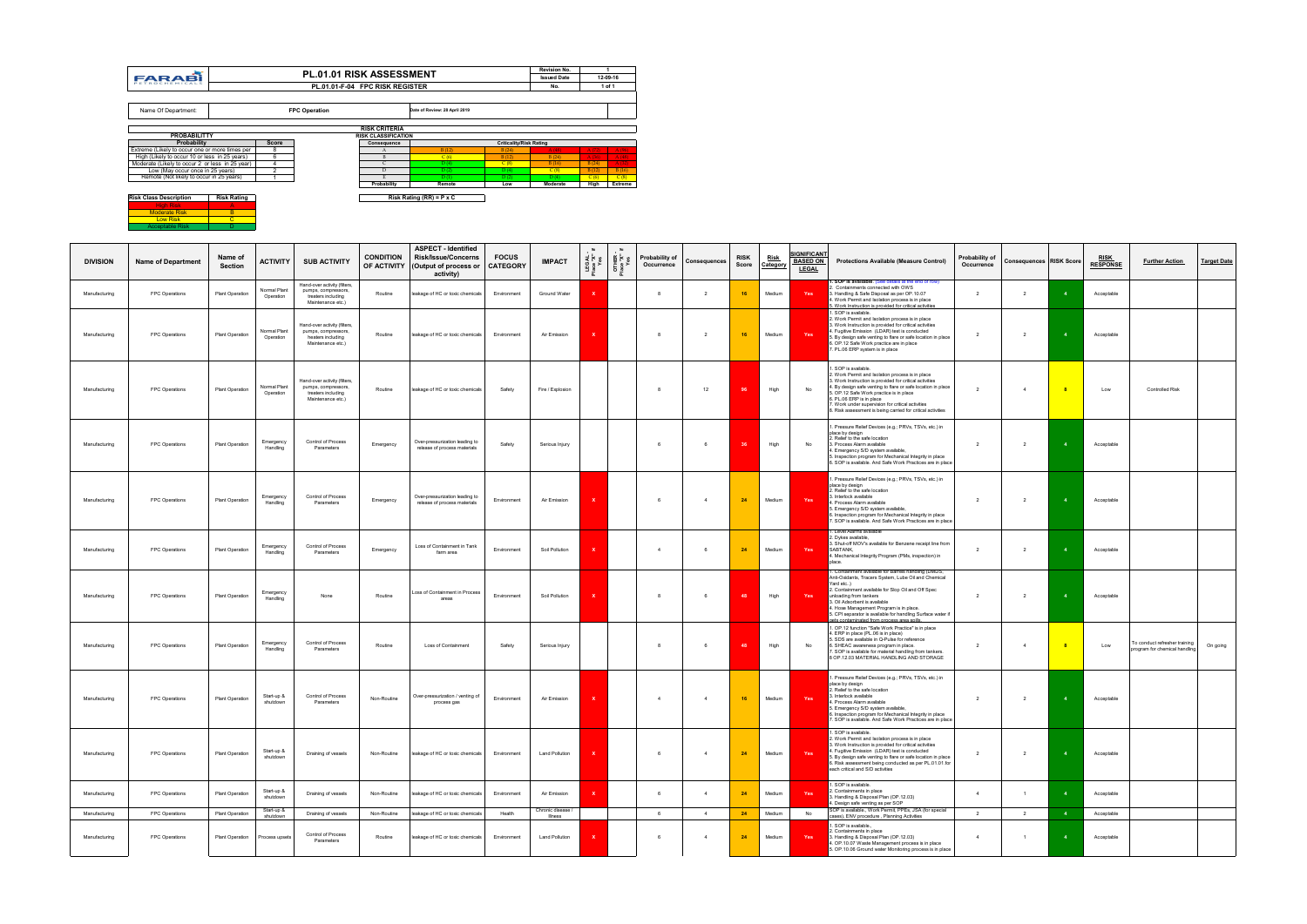| Risk Class Description | <b>Risk Rating</b> |
|------------------------|--------------------|
| High Risk              |                    |
| <b>Moderate Risk</b>   |                    |
| <b>Low Risk</b>        |                    |
| <b>Acceptable Risk</b> |                    |

| <b>DIVISION</b>                | <b>Name of Department</b>        | Name of<br>Section                 | <b>ACTIVITY</b>                      | <b>SUB ACTIVITY</b>                                                                            | <b>CONDITION</b><br>OF ACTIVITY | <b>ASPECT - Identified</b><br><b>Risk/Issue/Concerns</b><br>(Output of process or<br>activity) | <b>FOCUS</b><br><b>CATEGORY</b> | <b>IMPACT</b>                           | そど st        | OTHER<br>Place "X"<br>Yes | <b>Probability of</b><br>Occurrence | Consequences                     | <b>RISK</b><br>Score | <u>Risk</u><br>Category | <u>;IGNIFICANT</u><br><b>BASED ON</b><br><b>LEGAL</b> | <b>Protections Available (Measure Control)</b>                                                                                                                                                                                                                                                                                                                                                      | Probability of<br>Occurrence     | <b>Consequences RISK Score</b>   |                | <b>RISK</b><br><b>RESPONSE</b> | <b>Further Action</b>                                          | <b>Target Date</b> |
|--------------------------------|----------------------------------|------------------------------------|--------------------------------------|------------------------------------------------------------------------------------------------|---------------------------------|------------------------------------------------------------------------------------------------|---------------------------------|-----------------------------------------|--------------|---------------------------|-------------------------------------|----------------------------------|----------------------|-------------------------|-------------------------------------------------------|-----------------------------------------------------------------------------------------------------------------------------------------------------------------------------------------------------------------------------------------------------------------------------------------------------------------------------------------------------------------------------------------------------|----------------------------------|----------------------------------|----------------|--------------------------------|----------------------------------------------------------------|--------------------|
| Manufacturing                  | FPC Operations                   | Plant Operation                    | Normal Plant<br>Operation            | Hand-over activity (filters,<br>pumps, compressors,<br>treaters including<br>Maintenance etc.) | Routine                         | leakage of HC or toxic chemicals                                                               | Environment                     | Ground Water                            |              |                           | 8                                   | $\overline{2}$                   | 16                   | Medium                  | Yes                                                   | 1. SOP is available. (See details at the end of row)<br>2. Containments connected with OWS<br>3. Handling & Safe Disposal as per OP.10.07<br>4. Work Permit and Isolation process is in place<br>5. Work Instruction is provided for critical activities                                                                                                                                            | $\overline{2}$                   | $\overline{2}$                   |                | Acceptable                     |                                                                |                    |
| Manufacturing                  | FPC Operations                   | Plant Operation                    | Normal Plant<br>Operation            | Hand-over activity (filters,<br>pumps, compressors,<br>heaters including<br>Maintenance etc.)  | Routine                         | leakage of HC or toxic chemicals                                                               | Environment                     | Air Emission                            | $\mathbf{x}$ |                           | -8                                  | $\overline{2}$                   | 16                   | Medium                  | Yes                                                   | 1. SOP is available.<br>2. Work Permit and Isolation process is in place<br>3. Work Instruction is provided for critical activities<br>4. Fugitive Emission (LDAR) test is conducted<br>5. By design safe venting to flare or safe location in place<br>6. OP.12 Safe Work practice are in place<br>7. PL.06 ERP system is in place                                                                 | $\overline{2}$                   | $\overline{2}$                   |                | Acceptable                     |                                                                |                    |
| Manufacturing                  | FPC Operations                   | Plant Operation                    | Normal Plant<br>Operation            | Hand-over activity (filters,<br>pumps, compressors.<br>treaters including<br>Maintenance etc.) | Routine                         | leakage of HC or toxic chemicals                                                               | Safety                          | Fire / Explosion                        |              |                           |                                     | 12                               |                      | High                    | No                                                    | . SOP is available.<br>2. Work Permit and Isolation process is in place<br>3. Work Instruction is provided for critical activities<br>4. By design safe venting to flare or safe location in place<br>5. OP.12 Safe Work practice is in place<br>6. PL.06 ERP is in place<br>7. Work under supervision for critical activities<br>8. Risk assessment is being carried for critical activities       | $\overline{2}$                   | $\overline{4}$                   |                | Low                            | Controlled Risk                                                |                    |
| Manufacturing                  | FPC Operations                   | Plant Operation                    | Emergency<br>Handling                | Control of Process<br>Parameters                                                               | Emergency                       | Over-pressurization leading to<br>release of process materials                                 | Safety                          | Serious Injury                          |              |                           | 6                                   | -6                               | -36                  | High                    | No                                                    | . Pressure Relief Devices (e.g.; PRVs, TSVs, etc.) in<br>place by design<br>2. Relief to the safe location<br>3. Process Alarm available<br>4. Emergency S/D system available,<br>5. Inspection program for Mechanical Integrity in place<br>6. SOP is available. And Safe Work Practices are in place                                                                                              | $\overline{2}$                   | $\overline{2}$                   |                | Acceptable                     |                                                                |                    |
| Manufacturing                  | FPC Operations                   | Plant Operation                    | Emergency<br>Handling                | Control of Process<br>Parameters                                                               | Emergency                       | Over-pressurization leading to<br>release of process materials                                 | Environment                     | Air Emission                            | <b>x</b>     |                           | 6                                   | $\overline{4}$                   | 24                   | Medium                  | Yes                                                   | Pressure Relief Devices (e.g.; PRVs, TSVs, etc.) in<br>place by design<br>2. Relief to the safe location<br>3. Interlock available<br>. Process Alarm available<br>5. Emergency S/D system available,<br>6. Inspection program for Mechanical Integrity in place<br>7. SOP is available. And Safe Work Practices are in place                                                                       | $\overline{2}$                   | $\overline{2}$                   |                | Acceptable                     |                                                                |                    |
| Manufacturing                  | FPC Operations                   | Plant Operation                    | Emergency<br>Handling                | Control of Process<br>Parameters                                                               | Emergency                       | Loss of Containment in Tank<br>farm area                                                       | Fnvironment                     | Soil Pollution                          | ×            |                           |                                     |                                  | 24                   | Medium                  | Yes                                                   | 1. Level Alarms available<br>2. Dykes available,<br>3. Shut-off MOV's available for Benzene receipt line from<br>SABTANK,<br>4. Mechanical Integrity Program (PMs, inspection) in<br>place.                                                                                                                                                                                                         | $\overline{2}$                   | $\overline{2}$                   |                | Acceptable                     |                                                                |                    |
| Manufacturing                  | FPC Operations                   | Plant Operation                    | Emergency<br>Handling                | None                                                                                           | Routine                         | Loss of Containment in Process<br>areas                                                        | Environment                     | Soil Pollution                          | <b>x</b>     |                           | -8                                  | 6                                | 48                   | High                    | Yes                                                   | 1. Containment available for Barrels handling (DMDS,<br>Anti-Oxidants, Tracers System, Lube Oil and Chemical<br>Yard etc)<br>2. Containment available for Slop Oil and Off Spec<br>unloading from tankers<br>3. Oil Adsorbent is available<br>4. Hose Management Program is in place.<br>5. CPI separator is available for handling Surface water if<br>gets contaminated from process area spills. | $\overline{2}$                   | $\overline{2}$                   |                | Acceptable                     |                                                                |                    |
| Manufacturing                  | FPC Operations                   | Plant Operation                    | Emergency<br>Handling                | Control of Process<br>Parameters                                                               | Routine                         | Loss of Containment                                                                            | Safety                          | Serious Injury                          |              |                           | 8                                   | 6                                |                      | High                    | No                                                    | 1. OP.12 function "Safe Work Practice" is in place<br>4. ERP in place (PL.06 is in place)<br>5. SDS are available in Q-Pulse for reference<br>6. SHEAC awareness program in place.<br>7. SOP is available for material handling from tankers.<br>8 OP.12.03 MATERIAL HANDLING AND STORAGE                                                                                                           | $\overline{2}$                   | $\overline{4}$                   |                | Low                            | To conduct refresher training<br>program for chemical handling | On going           |
| Manufacturing                  | FPC Operations                   | Plant Operation                    | Start-up &<br>shutdown               | Control of Process<br>Parameters                                                               | Non-Routine                     | Over-pressurization / venting of<br>process gas                                                | Environment                     | Air Emission                            |              |                           | $\overline{4}$                      | $\overline{4}$                   | 16                   | Medium                  | Yes                                                   | Pressure Relief Devices (e.g.; PRVs, TSVs, etc.) in<br>place by design<br>2. Relief to the safe location<br>3. Interlock available<br>4. Process Alarm available<br>5. Emergency S/D system available,<br>3. Inspection program for Mechanical Integrity in place<br>. SOP is available. And Safe Work Practices are in place                                                                       | $\overline{2}$                   | $\overline{2}$                   |                | Acceptable                     |                                                                |                    |
| Manufacturing                  | FPC Operations                   | Plant Operation                    | Start-up &<br>shutdown               | Draining of vessels                                                                            | Non-Routine                     | leakage of HC or toxic chemicals                                                               | Environment                     | <b>Land Pollution</b>                   | $\mathbf{x}$ |                           | 6                                   | $\overline{4}$                   | 24                   | Medium                  | Yes                                                   | 1. SOP is available.<br>2. Work Permit and Isolation process is in place<br>3. Work Instruction is provided for critical activities<br>4. Fugitive Emission (LDAR) test is conducted<br>5. By design safe venting to flare or safe location in place<br>6. Risk assessment being conducted as per PL.01.01.for<br>each critical and S/D activities                                                  | $\overline{2}$                   | $\overline{2}$                   | $\overline{4}$ | Acceptable                     |                                                                |                    |
| Manufacturing                  | FPC Operations                   | Plant Operation                    | Start-up &<br>shutdown<br>Start-up & | Draining of vessels                                                                            | Non-Routine                     | leakage of HC or toxic chemicals                                                               | Environment                     | Air Emission<br>Chronic disease /       | $\mathbf x$  |                           | 6                                   | $\overline{4}$                   | 24                   | Medium                  | Yes                                                   | . SOP is available.<br>2. Containments in place<br>3. Handling & Disposal Plan (OP.12.03)<br>4. Design safe venting as per SOP<br>SOP is available., Work Permit, PPEs, JSA (for special                                                                                                                                                                                                            | $\overline{4}$                   | $\overline{1}$                   |                | Acceptable                     |                                                                |                    |
| Manufacturing<br>Manufacturing | FPC Operations<br>FPC Operations | Plant Operation<br>Plant Operation | shutdown<br>Process upsets           | Draining of vessels<br>Control of Process<br>Parameters                                        | Non-Routine<br>Routine          | leakage of HC or toxic chemicals<br>leakage of HC or toxic chemicals                           | Health<br>Environment           | <b>Illness</b><br><b>Land Pollution</b> | ×            |                           | 6<br>6                              | $\overline{4}$<br>$\overline{4}$ | 24<br>24             | Medium<br>Medium        | No<br>Yes                                             | cases), ENV procedure, Planning Activities<br>SOP is available.,<br>2. Containments in place<br>3. Handling & Disposal Plan (OP.12.03)<br>4. OP.10.07 Waste Management process is in place<br>5. OP.10.06 Ground water Monitoring process is in place                                                                                                                                               | $\overline{2}$<br>$\overline{4}$ | $\overline{2}$<br>$\overline{1}$ |                | Acceptable<br>Acceptable       |                                                                |                    |

|                                                 |                    |              | <b>PL.01.01 RISK ASSESSMENT</b> |                                 |                                 |                                | <b>Revision No.</b> |       |          |
|-------------------------------------------------|--------------------|--------------|---------------------------------|---------------------------------|---------------------------------|--------------------------------|---------------------|-------|----------|
| <b>FARABI</b>                                   |                    |              |                                 |                                 |                                 |                                | <b>Issued Date</b>  |       | 12-09-16 |
| PETROCHEMICALS                                  |                    |              |                                 | PL.01.01-F-04 FPC RISK REGISTER |                                 |                                | No.                 |       | 1 of 1   |
|                                                 |                    |              |                                 |                                 |                                 |                                |                     |       |          |
| Name Of Department:                             |                    |              | <b>FPC Operation</b>            |                                 | Date of Review: 28 April 2019   |                                |                     |       |          |
|                                                 |                    |              |                                 | <b>RISK CRITERIA</b>            |                                 |                                |                     |       |          |
| <b>PROBABILITTY</b>                             |                    |              |                                 | <b>RISK CLASSIFICATION</b>      |                                 |                                |                     |       |          |
| Probability                                     |                    | <b>Score</b> |                                 | Consequence                     |                                 | <b>Criticality/Risk Rating</b> |                     |       |          |
| Extreme (Likely to occur one or more times per  |                    | 8            |                                 | A                               | B(12)                           | B(24)                          | A(48)               | A(72) | A(96)    |
| High (Likely to occur 10 or less in 25 years)   |                    | 6            |                                 | B                               | C(6)                            | B(12)                          | B(24)               | A(36) | A(48)    |
| Moderate (Likely to occur 2 or less in 25 year) |                    |              |                                 | C                               | D(4)                            | C(8)                           | B(16)               | B(24) | A(32)    |
| Low (May occur once in 25 years)                |                    | っ            |                                 | D                               | D(2)                            | D(4)                           | C(8)                | B(12) | B(16)    |
| Remote (Not likely to occur in 25 years)        |                    |              |                                 |                                 | D(1)                            | D(2)                           | D(4)                | C(6)  | C(8)     |
|                                                 |                    |              |                                 | Probability                     | Remote                          | Low                            | Moderate            | High  | Extreme  |
| <b>Risk Class Description</b>                   | <b>Risk Rating</b> |              |                                 |                                 | Risk Rating $(RR) = P \times C$ |                                |                     |       |          |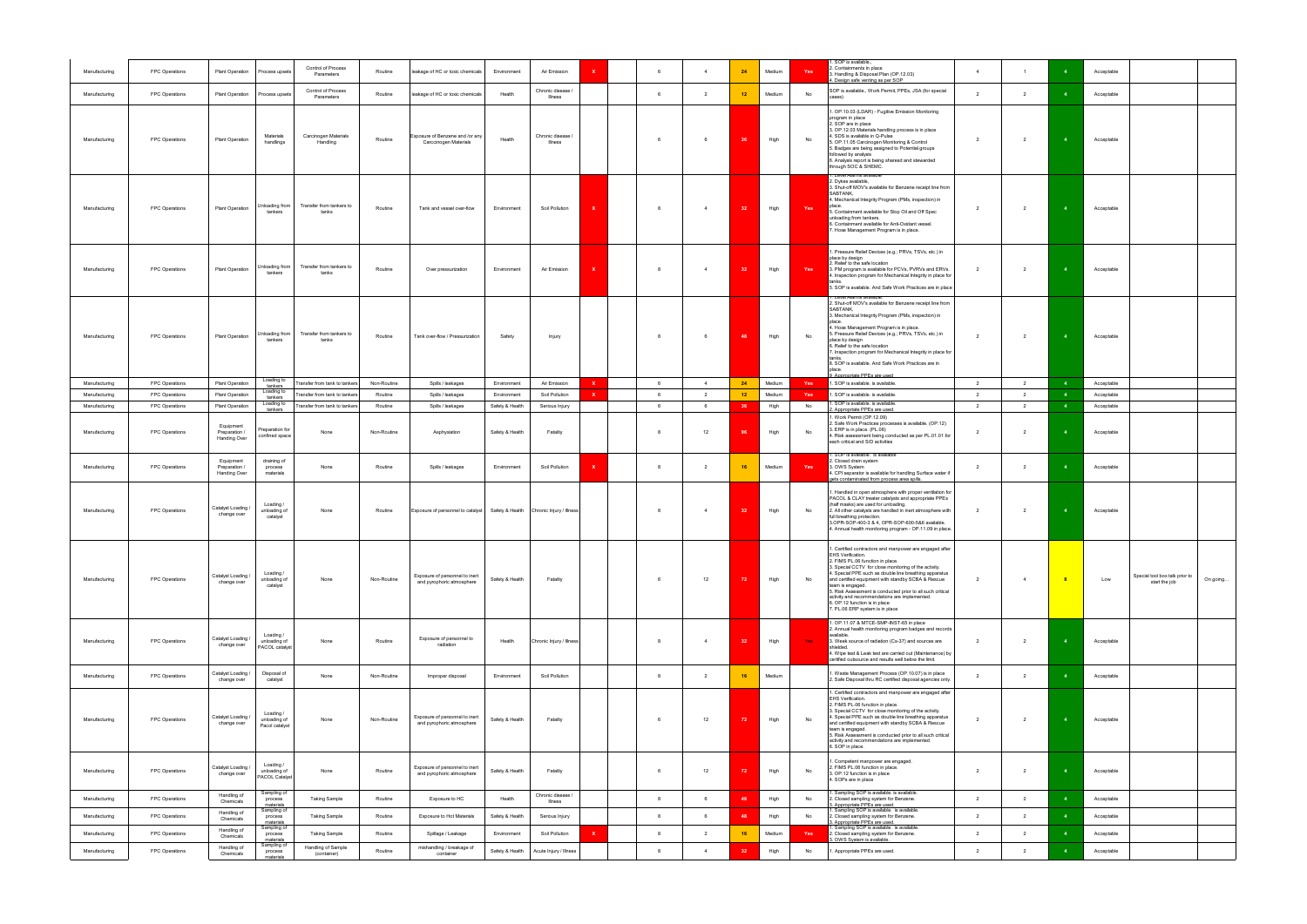| Manufacturing                  | FPC Operations                   | Plant Operation                            | Process upsets                              | Control of Process<br>Parameters                               | Routine                | leakage of HC or toxic chemicals                                           | Environment                | Air Emission<br>x                              | -6     | $\overline{4}$                   | 24              | Medium         | Yes       | . SOP is available.,<br>2. Containments in place<br>3. Handling & Disposal Plan (OP.12.03)                                                                                                                                                                                                                                                                                                                                                                                                      | $\overline{4}$                   | $\overline{1}$                   |                | Acceptable               |                                                 |          |
|--------------------------------|----------------------------------|--------------------------------------------|---------------------------------------------|----------------------------------------------------------------|------------------------|----------------------------------------------------------------------------|----------------------------|------------------------------------------------|--------|----------------------------------|-----------------|----------------|-----------|-------------------------------------------------------------------------------------------------------------------------------------------------------------------------------------------------------------------------------------------------------------------------------------------------------------------------------------------------------------------------------------------------------------------------------------------------------------------------------------------------|----------------------------------|----------------------------------|----------------|--------------------------|-------------------------------------------------|----------|
| Manufacturing                  | FPC Operations                   | Plant Operation                            | Process upsets                              | Control of Process<br>Parameters                               | Routine                | leakage of HC or toxic chemicals                                           | Health                     | Chronic disease /<br><b>Illness</b>            | - 6    | $\overline{2}$                   | 12 <sub>2</sub> | Medium         | No        | 4. Design safe venting as per SOP<br>SOP is available., Work Permit, PPEs, JSA (for special<br>cases)                                                                                                                                                                                                                                                                                                                                                                                           | $\overline{2}$                   | $\overline{2}$                   |                | Acceptable               |                                                 |          |
| Manufacturing                  | FPC Operations                   | Plant Operation                            | Materials<br>handlings                      | Carcinogen Materials<br>Handling                               | Routine                | Exposure of Benzene and /or any<br><b>Carccinogen Materials</b>            | Health                     | Chronic disease /<br>Illness                   |        | 6                                | 36              | High           | No        | 1. OP.10.03 (LDAR) - Fugitive Emission Monitoring<br>program in place<br>2. SOP are in place<br>3. OP.12.03 Materials handling process is in place<br>4. SDS is available in Q-Pulse<br>5. OP.11.05 Carcinogen Monitoring & Control<br>5. Badges are being assigned to Potential groups<br>followed by analysis<br>6. Analysis report is being sharesd and stewarded<br>through SOC & SHEMC.                                                                                                    | $\overline{2}$                   | $\overline{2}$                   |                | Acceptable               |                                                 |          |
| Manufacturing                  | FPC Operations                   | <b>Plant Operation</b>                     | Unloading from<br>tankers                   | Transfer from tankers to<br>tanks                              | Routine                | Tank and vessel over-flow                                                  | Environment                | Soil Pollution                                 |        | $\overline{4}$                   | 32              | High           | Yes       | . Level Alarms available<br>2. Dykes available,<br>3. Shut-off MOV's available for Benzene receipt line from<br>SABTANK,<br>4. Mechanical Integrity Program (PMs, inspection) in<br>place.<br>5. Containment available for Slop Oil and Off Spec<br>unloading from tankers.<br>6. Containment available for Anti-Oxidant vessel.<br>7. Hose Management Program is in place.                                                                                                                     | $\overline{2}$                   | $\overline{2}$                   | $\overline{4}$ | Acceptable               |                                                 |          |
| Manufacturing                  | FPC Operations                   | Plant Operation                            | Unloading from<br>tankers                   | Transfer from tankers to<br>tanks                              | Routine                | Over pressurization                                                        | Environment                | Air Emission<br>x                              | -8     | $\overline{4}$                   | 32              | High           | Yes       | . Pressure Relief Devices (e.g.; PRVs, TSVs, etc.) in<br>place by design<br>2. Relief to the safe location<br>3. PM program is available for PCVs, PVRVs and ERVs.<br>4. Inspection program for Mechanical Integrity in place for<br>tanks.<br>5. SOP is available. And Safe Work Practices are in place                                                                                                                                                                                        | $\overline{2}$                   | $\overline{2}$                   |                | Acceptable               |                                                 |          |
| Manufacturing                  | FPC Operations                   | <b>Plant Operation</b>                     | Unloading from<br>tankers                   | Transfer from tankers to<br>tanks                              | Routine                | Tank over-flow / Pressurization                                            | Safety                     | Injury                                         |        | 6                                | 48              | High           | No        | . Level Alarms available.<br>2. Shut-off MOV's available for Benzene receipt line from<br>SABTANK.<br>3. Mechanical Integrity Program (PMs, inspection) in<br>4. Hose Management Program is in place.<br>5. Pressure Relief Devices (e.g.; PRVs, TSVs, etc.) in<br>place by design<br>6. Relief to the safe location<br>7. Inspection program for Mechanical Integrity in place for<br>tanks<br>8. SOP is available. And Safe Work Practices are in<br>place.<br>9 Annropriate PPFs are used    | $\overline{2}$                   | $\overline{2}$                   |                | Acceptable               |                                                 |          |
| Manufacturing<br>Manufacturing | FPC Operations<br>FPC Operations | Plant Operation<br>Plant Operation         | Loading to<br>tankers<br>Loading to         | Transfer from tank to tankers<br>Transfer from tank to tankers | Non-Routine<br>Routine | Spills / leakages                                                          | Environment<br>Environment | $\mathbf{x}$<br>Air Emission<br>Soil Pollution | 6<br>6 | $\overline{4}$<br>$\overline{2}$ | 24<br>12        | Medium         | Yes       | 1. SOP is available. is available.<br>1. SOP is available. is available.                                                                                                                                                                                                                                                                                                                                                                                                                        | $\overline{2}$<br>$\overline{2}$ | $\overline{2}$<br>$\overline{2}$ | $\overline{4}$ | Acceptable<br>Acceptable |                                                 |          |
| Manufacturing                  | FPC Operations                   | Plant Operation                            | tankers<br>Loading to<br>tankers            | Transfer from tank to tankers                                  | Routine                | Spills / leakages<br>Spills / leakages                                     | Safety & Health            | Serious Injury                                 | 6      | 6                                | 36              | Medium<br>High | Yes<br>No | . SOP is available. is available.<br>. Appropriate PPEs are used.                                                                                                                                                                                                                                                                                                                                                                                                                               | $\overline{2}$                   | $\overline{2}$                   | $\overline{4}$ | Acceptable               |                                                 |          |
| Manufacturing                  | FPC Operations                   | Equipment<br>Preparation /<br>Handing Over | Preparation for<br>confined space           | None                                                           | Non-Routine            | Asphyxiation                                                               | Safety & Health            | Fatality                                       |        | 12                               | 96              | High           | No        | 1. Work Permit (OP.12.09)<br>2. Safe Work Practices processes is available. (OP.12)<br>3. ERP is in place. (PL.06)<br>4. Risk assessment being conducted as per PL.01.01.for<br>each critical and S/D activities                                                                                                                                                                                                                                                                                | $\overline{2}$                   | $\overline{2}$                   |                | Acceptable               |                                                 |          |
| Manufacturing                  | FPC Operations                   | Equipment<br>Preparation /<br>Handing Over | draining of<br>process<br>materials         | None                                                           | Routine                | Spills / leakages                                                          | Environment                | Soil Pollution                                 | -8     | 2                                | <b>16</b>       | Medium         | Yes       | SOP is available. is available<br>2. Closed drain system<br>3. OWS System<br>4. CPI separator is available for handling Surface water if<br>gets contaminated from process area spills.                                                                                                                                                                                                                                                                                                         | $\overline{2}$                   | $\overline{2}$                   |                | Acceptable               |                                                 |          |
| Manufacturing                  | FPC Operations                   | Catalyst Loading /<br>change over          | Loading /<br>unloading of<br>catalyst       | None                                                           | Routine                | Exposure of personnel to catalyst Safety & Health Chronic Injury / Illness |                            |                                                |        | $\overline{4}$                   | 32              | High           | No        | . Handled in open atmosphere with proper ventilation for<br>PACOL & CLAY treater catalysts and appropriate PPEs<br>(half masks) are used for unloading.<br>2. All other catalysts are handled in inert atmosphere with<br>full breathing protection.<br>3.OPR-SOP-400-3 & 4, OPR-SOP-600-5&6 available.<br>4. Annual health monitoring program - OP.11.09 in place.                                                                                                                             | $\overline{2}$                   | $\overline{2}$                   |                | Acceptable               |                                                 |          |
| Manufacturing                  | FPC Operations                   | Catalyst Loading /<br>change over          | Loading /<br>unloading of<br>catalyst       | None                                                           | Non-Routine            | Exposure of personnel to inert<br>and pyrophoric atmosphere                | Safety & Health            | Fatality                                       |        | 12                               | 72              | High           | No        | . Certified contractors and manpower are engaged after<br>EHS Verification.<br>2. FIMS PL.06 function in place.<br>3. Special CCTV for close monitoring of the activity.<br>4. Special PPE such as double line breathing apparatus<br>and certified equipment with standby SCBA & Rescue<br>team is engaged.<br>5. Risk Assessment is conducted prior to all such critical<br>activity and recommendations are implemented.<br>6. OP.12 function is in place<br>7. PL.06 ERP system is in place | $\overline{2}$                   | $\overline{4}$                   | $\sqrt{8}$     | Low                      | Special tool box talk prior to<br>start the job | On going |
| Manufacturing                  | FPC Operations                   | Catalyst Loading /<br>change over          | Loading /<br>unloading of<br>PACOL catalyst | None                                                           | Routine                | Exposure of personnel to<br>radiation                                      | Health                     | Chronic Injury / Illness                       | -8     | $\overline{4}$                   | 32              | High           | Yes:      | 1. OP.11.07 & MTCE-SMP-INST-65 in place<br>2. Annual health monitoring program badges and records<br>available.<br>3. Week source of radiation (Cs-37) and sources are<br>shielded<br>4. Wipe test & Leak test are carried out (Maintenance) by<br>certified outsource and results well below the limit.                                                                                                                                                                                        | $\overline{2}$                   | $\overline{2}$                   |                | Acceptable               |                                                 |          |
| Manufacturing                  | FPC Operations                   | Catalyst Loading /<br>change over          | Disposal of<br>catalyst                     | None                                                           | Non-Routine            | Improper disposal                                                          | Environment                | Soil Pollution                                 | -8     | $\overline{2}$                   | 16              | Medium         |           | . Waste Management Process (OP.10.07) is in place<br>2. Safe Disposal thru RC certified disposal agencies only.                                                                                                                                                                                                                                                                                                                                                                                 | $\overline{2}$                   | $\overline{2}$                   | $\overline{4}$ | Acceptable               |                                                 |          |
| Manufacturing                  | FPC Operations                   | Catalyst Loading /<br>change over          | Loading /<br>unloading of<br>Pacol catalyst | None                                                           | Non-Routine            | Exposure of personnel to inert<br>and pyrophoric atmosphere                | Safety & Health            | Fatality                                       |        | 12                               | 72              | High           | No        | 1. Certified contractors and manpower are engaged after<br>EHS Verification.<br>2. FIMS PL.06 function in place<br>3. Special CCTV for close monitoring of the activity.<br>4. Special PPE such as double line breathing apparatus<br>and certified equipment with standby SCBA & Rescue<br>team is engaged.<br>5. Risk Assessment is conducted prior to all such critical<br>activity and recommendations are implemented.<br>6. SOP in place.                                                 | $\overline{2}$                   | $\overline{2}$                   |                | Acceptable               |                                                 |          |
| Manufacturing                  | FPC Operations                   | Catalyst Loading /<br>change over          | Loading /<br>unloading of<br>PACOL Catalyst | None                                                           | Routine                | Exposure of personnel to inert<br>and pyrophoric atmosphere                | Safety & Health            | Fatality                                       |        | 12                               | 72              | High           | No        | . Competent manpower are engaged.<br>2. FIMS PL.06 function in place.<br>3. OP.12 function is in place<br>4. SOPs are in place                                                                                                                                                                                                                                                                                                                                                                  | $\overline{2}$                   | $\overline{2}$                   |                | Acceptable               |                                                 |          |
| Manufacturing                  | FPC Operations                   | Handling of<br>Chemicals                   | Sampling o<br>process<br>materials          | <b>Taking Sample</b>                                           | Routine                | Exposure to HC                                                             | Health                     | Chronic disease /<br>Illness                   | -8     | 6                                | 48              | High           | No        | Sampling SOP is available. is available.<br>2. Closed sampling system for Benzene.<br>3. Appropriate PPEs are used.                                                                                                                                                                                                                                                                                                                                                                             | $\overline{2}$                   | $\overline{2}$                   |                | Acceptable               |                                                 |          |
| Manufacturing                  | FPC Operations                   | Handling of<br>Chemicals                   | Sampling of<br>process<br>materials         | <b>Taking Sample</b>                                           | Routine                | Exposure to Hot Materials                                                  | Safety & Health            | Serious Injury                                 | 8      | 6                                | 48              | High           | No        | . Sampling SOP is available. is available.<br>2. Closed sampling system for Benzene.                                                                                                                                                                                                                                                                                                                                                                                                            | $\overline{2}$                   | $\overline{2}$                   |                | Acceptable               |                                                 |          |
| Manufacturing                  | FPC Operations                   | Handling of<br>Chemicals                   | Sampling of<br>process<br>materials         | <b>Taking Sample</b>                                           | Routine                | Spillage / Leakage                                                         | Environment                | Soil Pollution                                 |        | $\overline{2}$                   | 16              | Medium         | Yes       | . Appropriate PPEs are used.<br>. Sampling SOP is available. is available.<br>2. Closed sampling system for Benzene.<br>8. OWS System is available.                                                                                                                                                                                                                                                                                                                                             | $\overline{2}$                   | $\overline{2}$                   |                | Acceptable               |                                                 |          |
| Manufacturing                  | FPC Operations                   | Handling of<br>Chemicals                   | Sampling of<br>process<br>materials         | Handling of Sample<br>(container)                              | Routine                | mishandling / breakage of<br>container                                     | Safety & Health            | Acute Injury / Illness                         |        |                                  | 32              | High           | No        | 1. Appropriate PPEs are used.                                                                                                                                                                                                                                                                                                                                                                                                                                                                   | $\overline{2}$                   | $\overline{2}$                   |                | Acceptable               |                                                 |          |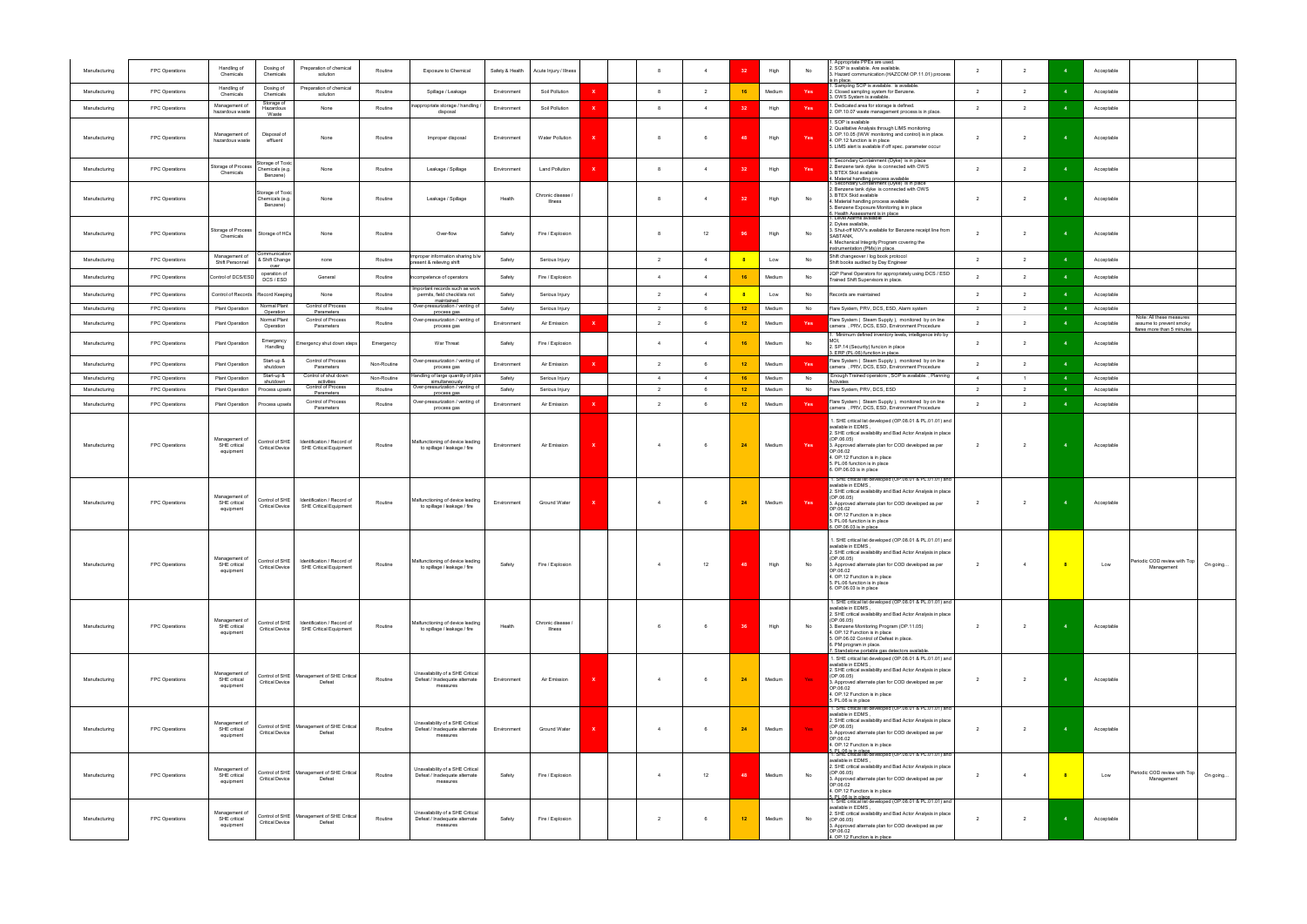| Manufacturing                  | FPC Operations                   | Handling of<br>Chemicals                   | Dosing of<br>Chemicals                          | Preparation of chemical<br>solution                         | Routine                | <b>Exposure to Chemical</b>                                                             | Safety & Health       | Acute Injury / Illness              |              |                                  | $\overline{4}$      | 32                    | High             | No         | Appropriate PPEs are used.<br>. SOP is available. Are available.<br>3. Hazard communication (HAZCOM OP.11.01) process<br>; in place                                                                                                                                                                                                                                                                                         | $\overline{2}$      | $\overline{2}$                   |                            | Acceptable               |                                                                                   |          |
|--------------------------------|----------------------------------|--------------------------------------------|-------------------------------------------------|-------------------------------------------------------------|------------------------|-----------------------------------------------------------------------------------------|-----------------------|-------------------------------------|--------------|----------------------------------|---------------------|-----------------------|------------------|------------|-----------------------------------------------------------------------------------------------------------------------------------------------------------------------------------------------------------------------------------------------------------------------------------------------------------------------------------------------------------------------------------------------------------------------------|---------------------|----------------------------------|----------------------------|--------------------------|-----------------------------------------------------------------------------------|----------|
| Manufacturing                  | FPC Operations                   | Handling of<br>Chemicals                   | Dosing of<br>Chemicals                          | Preparation of chemical<br>solution                         | Routine                | Spillage / Leakage                                                                      | Environment           | Soil Pollution                      |              |                                  | 2                   | 16                    | Medium           | Yes        | Sampling SOP is available. is available.<br>2. Closed sampling system for Benzene.<br>8. OWS System is available.                                                                                                                                                                                                                                                                                                           | $\overline{2}$      | $\overline{2}$                   |                            | Acceptable               |                                                                                   |          |
| Manufacturing                  | FPC Operations                   | Management of<br>hazardous waste           | Storage of<br>Hazardous<br>Waste                | None                                                        | Routine                | appropriate storage / handling.<br>disposal                                             | Environment           | Soil Pollution                      | x            |                                  | $\overline{4}$      | 3 <sup>2</sup>        | High             | Yes        | Dedicated area for storage is defined.<br>2. OP.10.07 waste management process is in place.                                                                                                                                                                                                                                                                                                                                 | $\overline{2}$      | $\overline{2}$                   |                            | Acceptable               |                                                                                   |          |
| Manufacturing                  | FPC Operations                   | Management of<br>hazardous waste           | Disposal of<br>effluent                         | None                                                        | Routine                | Improper disposal                                                                       | Environment           | Water Pollution                     |              |                                  | - 6                 | 48                    | High             | Yes        | SOP is available<br>2. Qualitative Analysis through LIMS monitoring<br>3. OP.10.05 (IWW monitoring and control) is in place.<br>. OP.12 function is in place<br>5. LIMS alert is available if off spec. parameter occur                                                                                                                                                                                                     | $\overline{2}$      | $\overline{2}$                   |                            | Acceptable               |                                                                                   |          |
| Manufacturing                  | FPC Operations                   | torage of Process<br>Chemicals             | torage of Toxic<br>Chemicals (e.g.<br>Benzene)  | None                                                        | Routine                | Leakage / Spillage                                                                      | Environment           | <b>Land Pollution</b>               |              |                                  | $\overline{4}$      | -32                   | High             | Yes        | Secondary Containment (Dyke) is in place<br>. Benzene tank dyke is connected with OWS<br>3. BTEX Skid available<br>Material handling process available                                                                                                                                                                                                                                                                      | $\overline{2}$      | $\overline{2}$                   |                            | Acceptable               |                                                                                   |          |
| Manufacturing                  | FPC Operations                   |                                            | Storage of Toxic<br>Chemicals (e.g.<br>Benzene) | None                                                        | Routine                | Leakage / Spillage                                                                      | Health                | Chronic disease<br><b>Illness</b>   |              |                                  | $\overline{4}$      | -31                   | High             | No         | Secondary Containment (Dyke) is in place<br>. Benzene tank dyke is connected with OWS<br>3. BTEX Skid available<br>. Material handling process available<br>5. Benzene Exposure Monitoring is in place<br>3. Health Assessment is in place                                                                                                                                                                                  | $\overline{2}$      | $\overline{2}$                   |                            | Acceptable               |                                                                                   |          |
| Manufacturing                  | FPC Operations                   | torage of Process<br>Chemicals             | Storage of HCs                                  | None                                                        | Routine                | Over-flow                                                                               | Safety                | Fire / Explosion                    |              |                                  | 12                  |                       | High             | No         | Level Alarms available<br>2. Dykes available,<br>3. Shut-off MOV's available for Benzene receipt line from<br>SABTANK.<br>4. Mechanical Integrity Program covering the<br>instrumentation (PMs) in place.                                                                                                                                                                                                                   | $\overline{2}$      | $\overline{2}$                   |                            | Acceptable               |                                                                                   |          |
| Manufacturing                  | FPC Operations                   | Management of<br>Shift Personnel           | ommunicatior<br>& Shift Change<br>over          | none                                                        | Routine                | proper information sharing b/w<br>present & relieving shift                             | Safety                | Serious Injury                      |              | $\overline{2}$                   | $\overline{4}$      | 8                     | Low              | No         | Shift changeover / log book protocol<br>Shift books audited by Day Engineer                                                                                                                                                                                                                                                                                                                                                 | $\overline{2}$      | $\overline{2}$                   |                            | Acceptable               |                                                                                   |          |
| Manufacturing                  | FPC Operations                   | Control of DCS/ESD                         | operation of<br>DCS / ESD                       | General                                                     | Routine                | competence of operators                                                                 | Safety                | Fire / Explosion                    |              | $\overline{4}$                   | $\overline{4}$      | 16                    | Medium           | No         | JQP Panel Operators for appropriately using DCS / ESD<br>Trained Shift Supervisors in place.                                                                                                                                                                                                                                                                                                                                | $\mathcal{P}$       | $\mathcal{P}$                    |                            | Acceptable               |                                                                                   |          |
| Manufacturing                  | FPC Operations                   | Control of Records                         | <b>Record Keeping</b>                           | None                                                        | Routine                | Important records such as work<br>permits, field checklists not<br>maintained           | Safety                | Serious Injury                      |              | $\overline{2}$                   | $\Delta$            | $\mathbf{8}$          | Low              | No         | Records are maintained                                                                                                                                                                                                                                                                                                                                                                                                      | $\overline{2}$      | $\overline{2}$                   |                            | Acceptable               |                                                                                   |          |
| Manufacturing                  | FPC Operations                   | <b>Plant Operation</b>                     | Normal Plant<br>Operation                       | Control of Process<br>Parameters                            | Routine                | Over-pressurization / venting of<br>process gas                                         | Safety                | Serious Injury                      |              | $\overline{2}$                   | - 6                 | 12 <sub>2</sub>       | Medium           | No         | Flare System, PRV, DCS, ESD, Alarm system                                                                                                                                                                                                                                                                                                                                                                                   | $\overline{2}$      | $\overline{2}$                   | $\overline{\mathbf{4}}$    | Acceptable               |                                                                                   |          |
| Manufacturing                  | FPC Operations                   | <b>Plant Operation</b>                     | Normal Plant<br>Operation                       | <b>Control of Process</b><br>Parameters                     | Routine                | Over-pressurization / venting of<br>process gas                                         | Environment           | Air Emission                        |              |                                  |                     | 12 <sub>2</sub>       | Medium           | <b>Yes</b> | Flare System ( Steam Supply ), monitored by on line<br>camera, PRV, DCS, ESD, Environment Procedure                                                                                                                                                                                                                                                                                                                         | $\overline{2}$      | $\overline{\phantom{a}}$         |                            | Acceptable               | Note: All these measures<br>assume to prevent smoky<br>flares more than 5 minutes |          |
| Manufacturing                  | FPC Operations                   | Plant Operation                            | Emergency<br>Handling                           | mergency shut down steps                                    | Emergency              | War Threat                                                                              | Safety                | Fire / Explosion                    |              |                                  | $\overline{4}$      | 16                    | Medium           | No         | Minimum defined inventory levels, intelligence info by<br>2. SP.14 (Security) funcion in place<br>8. ERP (PL.06) function in place                                                                                                                                                                                                                                                                                          | $\overline{2}$      | $\overline{2}$                   |                            | Acceptable               |                                                                                   |          |
| Manufacturing                  | FPC Operations                   | Plant Operation                            | Start-up &<br>shutdown                          | Control of Process<br>Parameters                            | Non-Routine            | Over-pressurization / venting of<br>process gas                                         | Environment           | Air Emission                        | $\mathbf{x}$ | $\overline{2}$                   |                     | 12                    | Medium           | Yes        | Flare System ( Steam Supply ), monitored by on line<br>camera, PRV, DCS, ESD, Environment Procedure                                                                                                                                                                                                                                                                                                                         | $\overline{2}$      | $\overline{2}$                   |                            | Acceptable               |                                                                                   |          |
| Manufacturing                  | FPC Operations                   | <b>Plant Operation</b>                     | Start-up &<br>shutdown                          | Control of shut down<br>activities<br>Control of Process    | Non-Routine<br>Routine | andling of large quantity of jobs<br>simultaneously<br>Over-pressurization / venting of | Safety                | Serious Injury                      |              | $\overline{4}$<br>$\overline{2}$ | $\overline{4}$<br>6 | 16<br>12 <sub>1</sub> | Medium<br>Medium | No         | Enough Trained operators, SOP is available., Planning<br>Activates<br>Flare System, PRV, DCS, ESD                                                                                                                                                                                                                                                                                                                           | $\overline{4}$<br>2 | $\overline{1}$                   | $\overline{\mathbf{4}}$    | Acceptable               |                                                                                   |          |
| Manufacturing<br>Manufacturing | FPC Operations<br>FPC Operations | <b>Plant Operation</b><br>Plant Operation  | Process upsets<br>Process upsets                | Parameters<br>Control of Process<br>Parameters              | Routine                | process gas<br>Over-pressurization / venting of<br>process gas                          | Safety<br>Environment | Serious Injury<br>Air Emission      |              | $\overline{2}$                   | 6                   | 12 <sub>2</sub>       | Medium           | No<br>Yes  | Flare System ( Steam Supply ), monitored by on line<br>camera, PRV, DCS, ESD, Environment Procedure                                                                                                                                                                                                                                                                                                                         | $\overline{2}$      | $\overline{2}$<br>$\overline{2}$ |                            | Acceptable<br>Acceptable |                                                                                   |          |
| Manufacturing                  | FPC Operations                   | Management of<br>SHE critical<br>equipment | Control of SHE<br><b>Critical Device</b>        | Identification / Record of<br><b>SHE Critical Equipment</b> | Routine                | Malfunctioning of device leading<br>to spillage / leakage / fire                        | Environment           | Air Emission                        |              |                                  |                     | 24                    | Medium           | Yes        | 1. SHE critical list developed (OP.08.01 & PL.01.01) and<br>available in EDMS,<br>2. SHE critical availability and Bad Actor Analysis in place<br>(OP.06.05)<br>3. Approved alternate plan for COD developed as per<br>OP.06.02<br>4. OP.12 Function is in place<br>5. PL.06 function is in place<br>6. OP.06.03 is in place<br>1. SHE critical list developed (OP.08.01 & PL.01.01) and                                    | $\overline{2}$      |                                  | $\overline{4}$             | Acceptable               |                                                                                   |          |
| Manufacturing                  | FPC Operations                   | Management of<br>SHE critical<br>equipment | Control of SHE<br><b>Critical Device</b>        | Identification / Record of<br>SHE Critical Equipment        | Routine                | Malfunctioning of device leading<br>to spillage / leakage / fire                        | Environment           | Ground Water                        |              |                                  | - 6                 | 24                    | Medium           | Yes        | available in EDMS,<br>2. SHE critical availability and Bad Actor Analysis in place<br>(OP.06.05)<br>3. Approved alternate plan for COD developed as per<br>OP.06.02<br>4. OP.12 Function is in place<br>5. PL.06 function is in place<br>$5.$ OP.06.03 is in place                                                                                                                                                          | $\overline{2}$      | $\overline{2}$                   |                            | Acceptable               |                                                                                   |          |
| Manufacturing                  | FPC Operations                   | Management of<br>SHE critical<br>equipment | Control of SHE<br><b>Critical Device</b>        | Identification / Record of<br>SHE Critical Equipment        | Routine                | Malfunctioning of device leading<br>to spillage / leakage / fire                        | Safety                | Fire / Explosion                    |              | $\overline{4}$                   | 12                  | 48                    | High             | No         | 1. SHE critical list developed (OP.08.01 & PL.01.01) and<br>available in EDMS.<br>2. SHE critical availability and Bad Actor Analysis in place<br>(OP.06.05)<br>3. Approved alternate plan for COD developed as per<br>OP.06.02<br>4. OP.12 Function is in place<br>5. PL.06 function is in place<br>6. OP.06.03 is in place                                                                                                | $\overline{2}$      | $\overline{4}$                   | $\overline{\phantom{a}}$ 8 | Low                      | Periodic COD review with Top  <br>Management                                      | On going |
| Manufacturing                  | FPC Operations                   | Management of<br>SHE critical<br>equipment | Control of SHE<br><b>Critical Device</b>        | Identification / Record of<br>SHE Critical Equipment        | Routine                | Malfunctioning of device leading<br>to spillage / leakage / fire                        | Health                | Chronic disease /<br><b>Illness</b> |              |                                  | 6                   | 36                    | High             | No         | 1. SHE critical list developed (OP.08.01 & PL.01.01) and<br>available in EDMS,<br>2. SHE critical availability and Bad Actor Analysis in place<br>(OP.06.05)<br>3. Benzene Monitoring Program (OP.11.05)<br>4. OP.12 Function is in place<br>5. OP.06.02 Control of Defeat in place.<br>6. PM program in place.<br>Standalone portable gas detectors available.<br>1. SHE critical list developed (OP.08.01 & PL.01.01) and | $\overline{2}$      | $\overline{2}$                   | $\overline{\mathbf{4}}$    | Acceptable               |                                                                                   |          |
| Manufacturing                  | FPC Operations                   | Management of<br>SHE critical<br>equipment | <b>Critical Device</b>                          | Control of SHE   Management of SHE Critical<br>Defeat       | Routine                | Unavailability of a SHE Critical<br>Defeat / Inadequate alternate<br>measures           | Environment           | Air Emission                        | x            | $\Delta$                         | - 6                 | 24                    | Medium           | Yes:       | available in EDMS,<br>2. SHE critical availability and Bad Actor Analysis in place<br>(OP.06.05)<br>3. Approved alternate plan for COD developed as per<br>OP.06.02<br>4. OP.12 Function is in place<br>5. PL.06 is in place<br>1. SHE critical list developed (OP.08.01 & PL.01.01) and                                                                                                                                    | $\overline{2}$      | $\overline{2}$                   |                            | Acceptable               |                                                                                   |          |
| Manufacturing                  | FPC Operations                   | Management of<br>SHE critical<br>equipment | <b>Critical Device</b>                          | Control of SHE   Management of SHE Critical<br>Defeat       | Routine                | Unavailability of a SHE Critical<br>Defeat / Inadequate alternate<br>measures           | Environment           | Ground Water                        |              |                                  |                     | 24                    | Medium           | Yes:       | available in EDMS,<br>2. SHE critical availability and Bad Actor Analysis in place<br>(OP.06.05)<br>3. Approved alternate plan for COD developed as per<br>OP.06.02<br>4. OP.12 Function is in place<br>5, PL.06 is in place<br>1. SHE critical list developed (OP.08.01 & PL.01.01) and                                                                                                                                    | $\overline{2}$      | $\overline{2}$                   |                            | Acceptable               |                                                                                   |          |
| Manufacturing                  | FPC Operations                   | Management of<br>SHE critical<br>equipment | <b>Critical Device</b>                          | Control of SHE Management of SHE Critical<br>Defeat         | Routine                | Unavailability of a SHE Critical<br>Defeat / Inadequate alternate<br>measures           | Safety                | Fire / Explosion                    |              |                                  | 12                  | 48                    | Medium           | No         | available in EDMS,<br>2. SHE critical availability and Bad Actor Analysis in place<br>(OP.06.05)<br>3. Approved alternate plan for COD developed as per<br>OP.06.02<br>4. OP.12 Function is in place<br>5, PL.06 is in place<br>1. SHE critical list developed (OP.08.01 & PL.01.01) and                                                                                                                                    | $\overline{2}$      | $\overline{4}$                   |                            | Low                      | Periodic COD review with Top<br>Management                                        | On going |
| Manufacturing                  | FPC Operations                   | Management of<br>SHE critical<br>equipment | Control of SHE<br><b>Critical Device</b>        | Management of SHE Critical<br>Defeat                        | Routine                | Unavailability of a SHE Critical<br>Defeat / Inadequate alternate<br>measures           | Safety                | Fire / Explosion                    |              | $\overline{2}$                   | - 6                 | 12                    | Medium           | No         | available in EDMS.<br>2. SHE critical availability and Bad Actor Analysis in place<br>(OP.06.05)<br>3. Approved alternate plan for COD developed as per<br>OP.06.02<br>4. OP.12 Function is in place                                                                                                                                                                                                                        | $\overline{2}$      | $\overline{2}$                   |                            | Acceptable               |                                                                                   |          |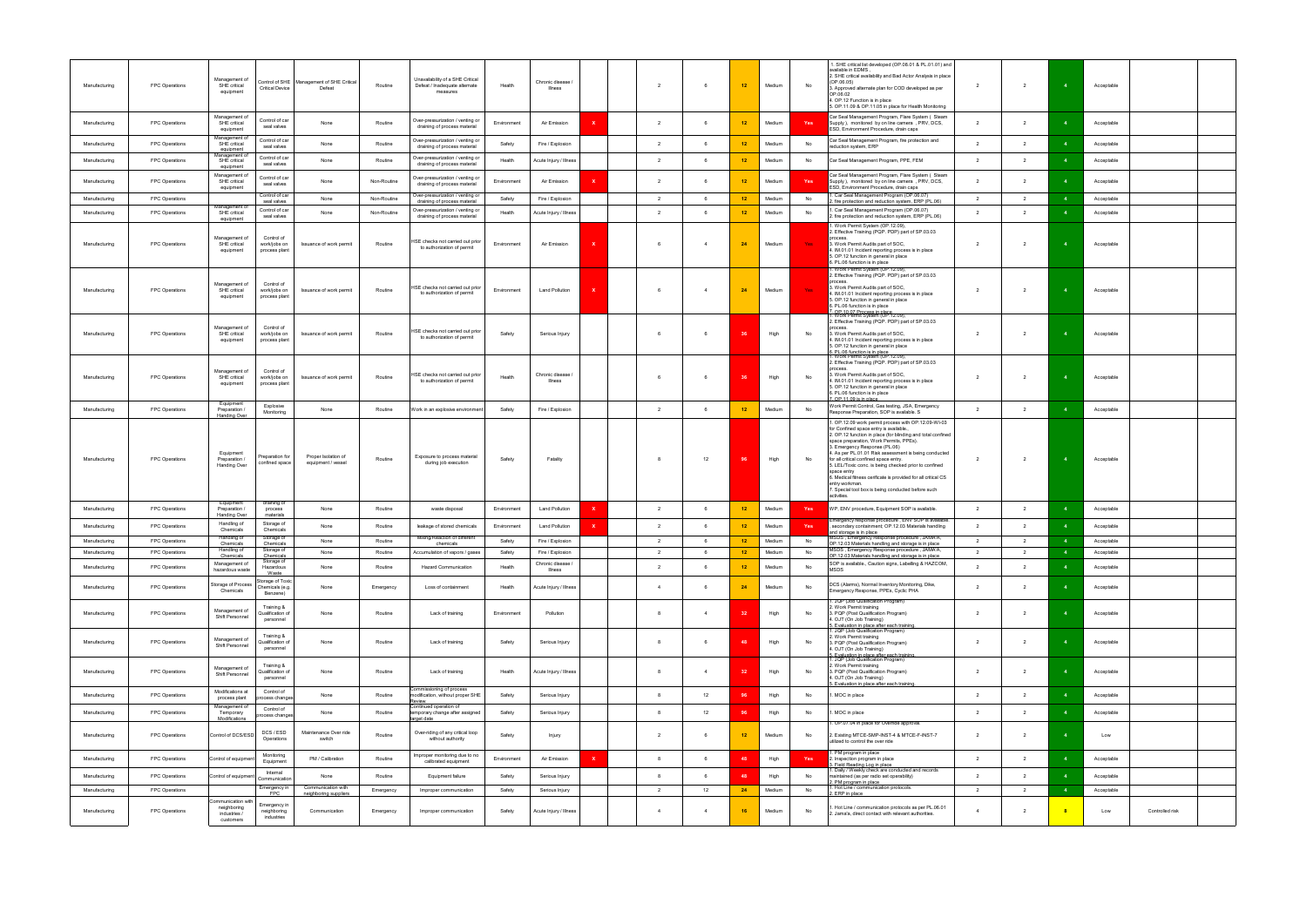| Manufacturing                  | FPC Operations                   | Management of<br>SHE critical<br>equipment         | <b>Critical Device</b>                         | Control of SHE   Management of SHE Critical<br>Defeat | Routine            | Unavailability of a SHE Critical<br>Defeat / Inadequate alternate<br>measures | Health           | Chronic disease /<br>Illness          |              | $\overline{2}$ | 6.             | 12       | Medium           | No       | 1. SHE critical list developed (OP.08.01 & PL.01.01) and<br>available in EDMS,<br>2. SHE critical availability and Bad Actor Analysis in place<br>(OP.06.05)<br>3. Approved alternate plan for COD developed as per<br>OP.06.02<br>4. OP.12 Function is in place<br>5. OP.11.09 & OP.11.05 in place for Health Monitoring                                                                                                                                                                                                                                                    | $\overline{2}$                   | $\overline{2}$                   |                | Acceptable               |                 |  |
|--------------------------------|----------------------------------|----------------------------------------------------|------------------------------------------------|-------------------------------------------------------|--------------------|-------------------------------------------------------------------------------|------------------|---------------------------------------|--------------|----------------|----------------|----------|------------------|----------|------------------------------------------------------------------------------------------------------------------------------------------------------------------------------------------------------------------------------------------------------------------------------------------------------------------------------------------------------------------------------------------------------------------------------------------------------------------------------------------------------------------------------------------------------------------------------|----------------------------------|----------------------------------|----------------|--------------------------|-----------------|--|
| Manufacturing                  | FPC Operations                   | Management of<br>SHE critical<br>equipment         | Control of car<br>seal valves                  | None                                                  | Routine            | Over-pressurization / venting or<br>draining of process material              | Environment      | Air Emission                          | x            | $\overline{2}$ | 6              | 12       | Medium           | Yes      | Car Seal Management Program, Flare System ( Steam<br>Supply), monitored by on line camera, PRV, DCS,<br>ESD, Environment Procedure, drain caps                                                                                                                                                                                                                                                                                                                                                                                                                               | $\overline{2}$                   | $\overline{2}$                   |                | Acceptable               |                 |  |
| Manufacturing                  | FPC Operations                   | vlanagement o<br>SHE critical<br>equipment         | Control of car<br>seal valves                  | None                                                  | Routine            | Over-pressurization / venting or<br>draining of process material              | Safety           | Fire / Explosion                      |              | $\overline{2}$ |                | 12       | Medium           | No       | Car Seal Management Program, fire protection and<br>reduction system, ERP                                                                                                                                                                                                                                                                                                                                                                                                                                                                                                    | $\overline{2}$                   | $\overline{2}$                   |                | Acceptable               |                 |  |
| Manufacturing                  | FPC Operations                   | Aanagement of<br>SHE critical<br>equipment         | Control of car<br>seal valves                  | None                                                  | Routine            | Over-pressurization / venting or<br>draining of process material              | Health           | Acute Injury / Illness                |              | $\overline{2}$ | -6             | 12       | Medium           | No       | Car Seal Management Program, PPE, FEM                                                                                                                                                                                                                                                                                                                                                                                                                                                                                                                                        | 2                                | $\overline{2}$                   |                | Acceptable               |                 |  |
| Manufacturing                  | FPC Operations                   | Management of<br>SHE critical<br>equipment         | Control of car<br>seal valves                  | None                                                  | Non-Routine        | Over-pressurization / venting or<br>draining of process material              | Environment      | Air Emission                          | x            | $\overline{2}$ |                | 12       | Medium           | Yes      | Car Seal Management Program, Flare System (Steam<br>Supply), monitored by on line camera, PRV, DCS,<br>ESD, Environment Procedure, drain caps                                                                                                                                                                                                                                                                                                                                                                                                                                | $\overline{2}$                   | $\overline{2}$                   |                | Acceptable               |                 |  |
| Manufacturing                  | FPC Operations                   | Management o                                       | Control of car<br>seal valves                  | None                                                  | Non-Routine        | Over-pressurization / venting or<br>draining of process material              | Safety           | Fire / Explosion                      |              | $\overline{2}$ | 6              | 12       | Medium           | No       | Car Seal Management Program (OP.06.07)<br>fire protection and reduction system, ERP (PL.06)                                                                                                                                                                                                                                                                                                                                                                                                                                                                                  | $\overline{2}$                   | $\overline{2}$                   |                | Acceptable               |                 |  |
| Manufacturing                  | FPC Operations                   | SHE critical<br>equipment                          | Control of car<br>seal valves                  | None                                                  | Non-Routine        | Over-pressurization / venting or<br>draining of process material              | Health           | Acute Injury / Illness                |              | $\overline{2}$ |                | 12       | Medium           | No       | I. Car Seal Management Program (OP.06.07)<br>2. fire protection and reduction system, ERP (PL.06)                                                                                                                                                                                                                                                                                                                                                                                                                                                                            | $\overline{2}$                   | 2                                |                | Acceptable               |                 |  |
| Manufacturing                  | FPC Operations                   | Management of<br>SHE critical<br>equipment         | Control of<br>work/jobs on<br>process plant    | Issuance of work permit                               | Routine            | HSE checks not carried out prior<br>to authorization of permit                | Environment      | Air Emission                          |              |                |                | 24       | Medium           | Yes      | I. Work Permit System (OP.12.09),<br>2. Effective Training (PQP. PDP) part of SP.03.03<br>process<br>3. Work Permit Audits part of SOC,<br>4. IM.01.01 Incident reporting process is in place<br>5. OP.12 function in general in place<br>6. PL.06 function is in place<br>1. Work Permit System (OP.12.09),                                                                                                                                                                                                                                                                 | $\overline{2}$                   | $\overline{\phantom{a}}$         |                | Acceptable               |                 |  |
| Manufacturing                  | FPC Operations                   | Management of<br>SHE critical<br>equipment         | Control of<br>work/jobs on<br>process plant    | Issuance of work permit                               | Routine            | HSE checks not carried out prior<br>to authorization of permit                | Environment      | <b>Land Pollution</b>                 | x            |                |                | 24       | Medium           | Yes      | 2. Effective Training (PQP. PDP) part of SP.03.03<br>process<br>3. Work Permit Audits part of SOC,<br>4. IM.01.01 Incident reporting process is in place<br>5. OP.12 function in general in place<br>6. PL.06 function is in place<br>7. OP.10.07 Process in place<br>1. Work Permit System (OP.12.09),                                                                                                                                                                                                                                                                      | $\overline{2}$                   | $\overline{2}$                   |                | Acceptable               |                 |  |
| Manufacturing                  | FPC Operations                   | Management of<br>SHE critical<br>equipment         | Control of<br>work/jobs on<br>process plant    | Issuance of work permit                               | Routine            | HSE checks not carried out prior<br>to authorization of permit                | Safety           | Serious Injury                        |              |                | 6              |          | High             | No       | 2. Effective Training (PQP. PDP) part of SP.03.03<br>process<br>3. Work Permit Audits part of SOC,<br>1. IM.01.01 Incident reporting process is in place<br>5. OP.12 function in general in place<br>3. PL.06 function is in place<br>I. Work Permit System (OP.12.09),<br>2. Effective Training (PQP. PDP) part of SP.03.03                                                                                                                                                                                                                                                 | $\overline{2}$                   | $\overline{2}$                   |                | Acceptable               |                 |  |
| Manufacturing                  | FPC Operations                   | Management of<br>SHE critical<br>equipment         | Control of<br>work/jobs on<br>process plant    | Issuance of work permit                               | Routine            | HSE checks not carried out prior<br>to authorization of permit                | Health           | Chronic disease<br>Illness            |              |                |                |          | High             | No       | 3. Work Permit Audits part of SOC,<br>4. IM.01.01 Incident reporting process is in place<br>5. OP.12 function in general in place<br>6. PL.06 function is in place<br>OP.11.09 is in place                                                                                                                                                                                                                                                                                                                                                                                   | $\overline{2}$                   | $\overline{2}$                   |                | Acceptable               |                 |  |
| Manufacturing                  | FPC Operations                   | Equipment<br>Preparation /<br><b>Handing Over</b>  | Explosive<br>Monitoring                        | None                                                  | Routine            | Work in an explosive environment                                              | Safety           | Fire / Explosion                      |              | $\overline{2}$ | 6              | 12       | Medium           | No       | Work Permit Control, Gas testing, JSA, Emergency<br>Response Preparation, SOP is available. S                                                                                                                                                                                                                                                                                                                                                                                                                                                                                | $\overline{2}$                   | $\overline{2}$                   |                | Acceptable               |                 |  |
| Manufacturing                  | FPC Operations                   | Equipment<br>Preparation /<br>Handing Over         | Preparation for<br>confined space              | Proper Isolation of<br>equipment / vessel             | Routine            | Exposure to process material<br>during job execution                          | Safety           | Fatality                              |              |                | 12             |          | High             | No       | I. OP.12.09 work permit process with OP.12.09-WI-03<br>for Confined space entry is available.,<br>2. OP.12 function in place (for blinding and total confined<br>space preparation, Work Permits, PPEs).<br>3. Emergency Response (PL.06)<br>4. As per PL.01.01 Risk assessment is being conducted<br>for all critical confined space entry.<br>5. LEL/Toxic conc. is being checked prior to confined<br>space entry<br>3. Medical fitness cerificate is provided for all critical CS<br>entry workman.<br>7. Special tool box is being conducted before such<br>activities. | $\overline{2}$                   | $\overline{2}$                   |                | Acceptable               |                 |  |
| Manufacturing                  | FPC Operations                   | Equipment<br>Preparation /<br>Handing Over         | draining of<br>process<br>materials            | None                                                  | Routine            | waste disposal                                                                | Environment      | <b>Land Pollution</b>                 |              | $\overline{2}$ |                | 12       | Medium           | Yes      | WP, ENV procedure, Equipment SOP is available.                                                                                                                                                                                                                                                                                                                                                                                                                                                                                                                               | $\overline{2}$                   | $\overline{2}$                   |                | Acceptable               |                 |  |
| Manufacturing                  | FPC Operations                   | Handling of<br>Chemicals                           | Storage of<br>Chemicals                        | None                                                  | Routine            | leakage of stored chemicals                                                   | Environment      | <b>Land Pollution</b>                 | x            | $\overline{2}$ | 6              | 12       | Medium           | Yes      | Emergency response procedure, ENV SOP is available.<br>, secondary containment; OP.12.03 Materials handling<br>and storage is in place                                                                                                                                                                                                                                                                                                                                                                                                                                       | $\overline{2}$                   | $\overline{2}$                   |                | Acceptable               |                 |  |
| Manufacturing                  | FPC Operations                   | Handling of<br>Chemicals                           | Storage of<br><b>Chemicals</b>                 | None                                                  | Routine            | Mixing/Reaction of different<br>chemicals                                     | Safety           | Fire / Explosion                      |              | $\overline{2}$ | 6              | 12       | Medium           | No       | MSDS, Emergency Response procedure, JAMA'A,<br>OP.12.03 Materials handling and storage is in place<br>, Emergency Response procedure , JAMA'A                                                                                                                                                                                                                                                                                                                                                                                                                                | $\overline{2}$                   | $\overline{2}$                   |                | Acceptable               |                 |  |
| Manufacturing<br>Manufacturing | FPC Operations<br>FPC Operations | ianumiy o<br>Chemicals<br>Management of            | norage<br>Chemicals<br>Storage of<br>Hazardous | None<br>None                                          | Routine<br>Routine | Accumulation of vapors / gases<br><b>Hazard Communication</b>                 | Safety<br>Health | Fire / Explosion<br>Chronic disease / |              | $\overline{2}$ | 6              | 12<br>12 | Medium<br>Medium | No<br>No | OP.12.03 Materials handling and storage is in place<br>SOP is available., Caution signs, Labelling & HAZCOM,                                                                                                                                                                                                                                                                                                                                                                                                                                                                 | $\overline{2}$<br>$\overline{2}$ | $\overline{2}$<br>$\overline{2}$ |                | Acceptable<br>Acceptable |                 |  |
|                                |                                  | hazardous waste<br>Storage of Process              | Waste<br>torage of Toxic                       |                                                       |                    |                                                                               |                  | <b>Illness</b>                        |              |                |                |          |                  |          | MSDS<br>DCS (Alarms), Normal Inventory Monitoring, Dike,                                                                                                                                                                                                                                                                                                                                                                                                                                                                                                                     |                                  |                                  |                |                          |                 |  |
| Manufacturing                  | FPC Operations                   | Chemicals                                          | Chemicals (e.g.<br>Benzene)                    | None                                                  | Emergency          | Loss of containment                                                           | Health           | Acute Injury / Illness                |              | $\Delta$       | 6              | 24       | Medium           | No       | Emergency Response, PPEs, Cyclic PHA<br>I. JQP (Job Qualification Program)                                                                                                                                                                                                                                                                                                                                                                                                                                                                                                   | $\overline{2}$                   | $\overline{2}$                   |                | Acceptable               |                 |  |
| Manufacturing                  | FPC Operations                   | Management of<br>Shift Personnel                   | Training &<br>Qualification of<br>personnel    | None                                                  | Routine            | Lack of training                                                              | Environment      | Pollution                             |              |                | $\overline{4}$ |          | High             | No       | 2. Work Permit training<br>3. PQP (Post Qualification Program)<br>4. OJT (On Job Training)<br>5. Evaluation in place after each training.<br>1. JQP (Job Qualification Program)                                                                                                                                                                                                                                                                                                                                                                                              | $\overline{2}$                   | $\overline{2}$                   |                | Acceptable               |                 |  |
| Manufacturing                  | FPC Operations                   | Management of<br>Shift Personnel                   | Training &<br>Qualification of<br>personnel    | None                                                  | Routine            | Lack of training                                                              | Safety           | Serious Injury                        |              |                |                |          | High             | No       | 2. Work Permit training<br>3. PQP (Post Qualification Program)<br>4. OJT (On Job Training)<br>5. Evaluation in place after each training.<br>I. JQP (Job Qualification Program)                                                                                                                                                                                                                                                                                                                                                                                              | $\overline{2}$                   | $\overline{2}$                   |                | Acceptable               |                 |  |
| Manufacturing                  | FPC Operations                   | Management of<br>Shift Personnel                   | Training &<br>Qualification of<br>personnel    | None                                                  | Routine            | Lack of training<br>Commissioning of process                                  | Health           | Acute Injury / Illness                |              |                | 4              |          | High             | No       | 2. Work Permit training<br>3. PQP (Post Qualification Program)<br>4. OJT (On Job Training)<br>5. Evaluation in place after each training.                                                                                                                                                                                                                                                                                                                                                                                                                                    | $\overline{2}$                   | $\overline{2}$                   |                | Acceptable               |                 |  |
| Manufacturing                  | FPC Operations                   | Modifications at<br>process plant<br>vlanagement o | Control of<br>rocess changes                   | None                                                  | Routine            | todification, without proper SHE<br>eview!<br>Continued operation of          | Safety           | Serious Injury                        |              |                | 12             |          | High             | No       | . MOC in place                                                                                                                                                                                                                                                                                                                                                                                                                                                                                                                                                               | $\overline{2}$                   | $\overline{2}$                   | $\overline{4}$ | Acceptable               |                 |  |
| Manufacturing                  | FPC Operations                   | Temporary<br><b>Modifications</b>                  | Control of<br>rocess changes                   | None                                                  | Routine            | temporary change after assigned<br>arget date                                 | Safety           | Serious Injury                        |              |                | 12             | 96       | High             | No       | . MOC in place<br>. OP.07.04 in place for Override approval.                                                                                                                                                                                                                                                                                                                                                                                                                                                                                                                 | $\overline{2}$                   | $\overline{2}$                   |                | Acceptable               |                 |  |
| Manufacturing                  | FPC Operations                   | Control of DCS/ESD                                 | DCS / ESD<br>Operations                        | Maintenance Over ride<br>switch                       | Routine            | Over-riding of any critical loop<br>without authority                         | Safety           | Injury                                |              | $\overline{2}$ | 6              | 12       | Medium           | No       | 2. Existing MTCE-SMP-INST-4 & MTCE-F-INST-7<br>utilized to control the over ride                                                                                                                                                                                                                                                                                                                                                                                                                                                                                             | $\overline{2}$                   | $\overline{2}$                   |                | Low                      |                 |  |
| Manufacturing                  | FPC Operations                   | Control of equipment                               | Monitoring<br>Equipment                        | PM / Calibration                                      | Routine            | Improper monitoring due to no<br>calibrated equipment                         | Environment      | Air Emission                          | $\mathbf{x}$ | 8              | 6              | 48       | High             | Yes      | I. PM program in place<br>2. Inspection program in place<br>3. Field Reading Log in place<br>Daily / Weekly check are conducted and records                                                                                                                                                                                                                                                                                                                                                                                                                                  | $\overline{2}$                   | $\overline{2}$                   |                | Acceptable               |                 |  |
| Manufacturing                  | FPC Operations                   | Control of equipment                               | Internal<br>Communication                      | None<br>Communication with                            | Routine            | Equipment failure                                                             | Safety           | Serious Injury                        |              |                |                | 48       | High             | No       | maintained (as per radio set operability)<br>2. PM program in place                                                                                                                                                                                                                                                                                                                                                                                                                                                                                                          | $\overline{\phantom{a}}$         | $\overline{2}$                   |                | Acceptable               |                 |  |
| Manufacturing                  | FPC Operations                   | Communication with                                 | Emergency in<br><b>FPC</b>                     | neighboring suppliers                                 | Emergency          | Improper communication                                                        | Safety           | Serious Injury                        |              | $\overline{2}$ | 12             | 24       | Medium           | No       | I. Hot Line / communication protocols.<br>ERP in place                                                                                                                                                                                                                                                                                                                                                                                                                                                                                                                       | $\overline{2}$                   | $\overline{2}$                   |                | Acceptable               |                 |  |
| Manufacturing                  | FPC Operations                   | neighboring<br>industries /<br>customers           | Emergency in<br>neighboring<br>industries      | Communication                                         | Emergency          | Improper communication                                                        | Safety           | Acute Injury / Illness                |              |                |                | 16       | Medium           | No       | Hot Line / communication protocols as per PL.06.01<br>2. Jama'a, direct contact with relevant authorities.                                                                                                                                                                                                                                                                                                                                                                                                                                                                   | $\overline{4}$                   | $\overline{2}$                   |                | Low                      | Controlled risk |  |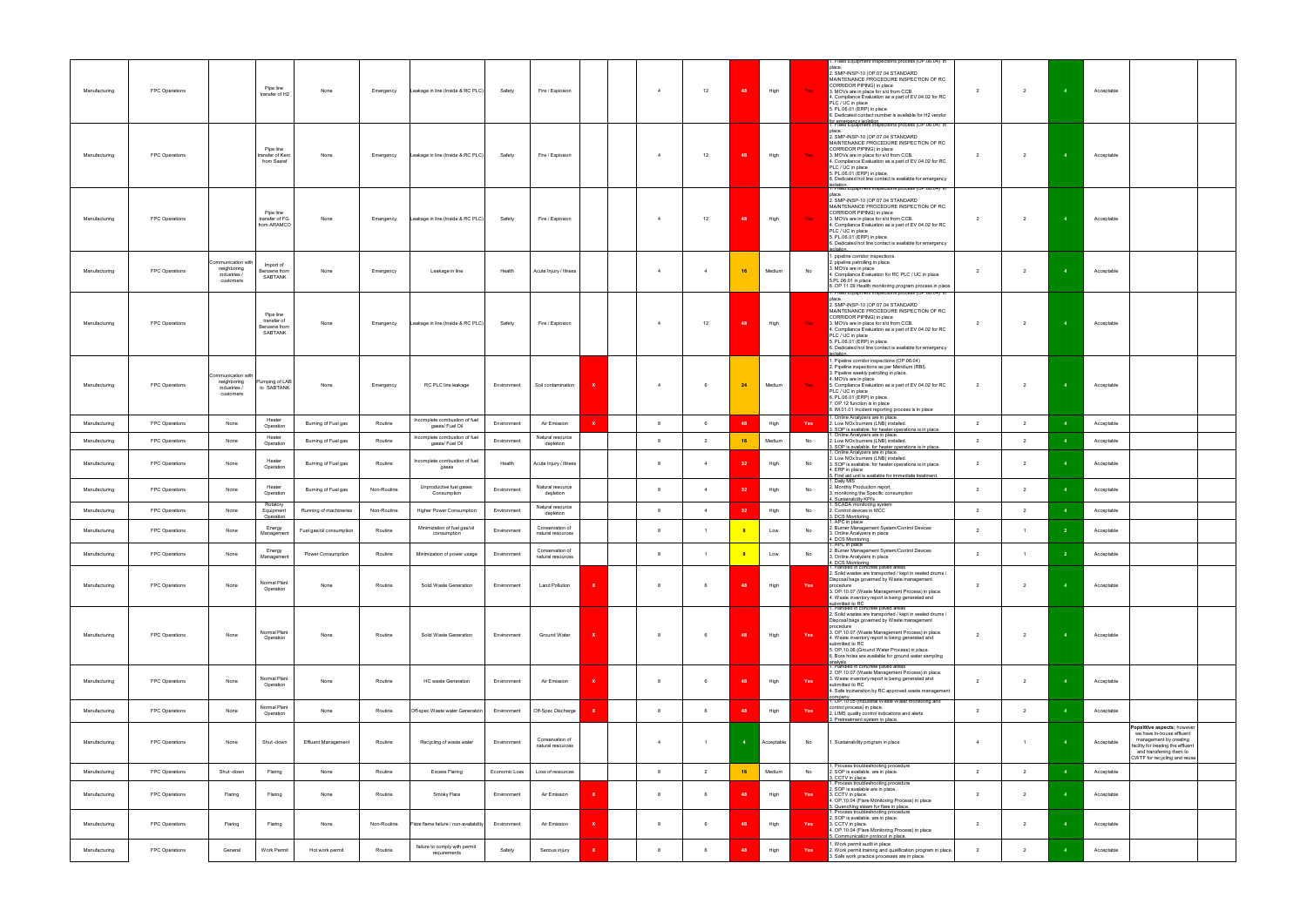|               |                |                                                               |                                                     |                            |             |                                                  |               |                                      |              |                |                |            |            |      | Fixed Equipment Inspections process (OP.06.04) in                                                                                                                                                                                                                                                                                                                                                                            |                |                |            |                                                                                                                                                                                     |
|---------------|----------------|---------------------------------------------------------------|-----------------------------------------------------|----------------------------|-------------|--------------------------------------------------|---------------|--------------------------------------|--------------|----------------|----------------|------------|------------|------|------------------------------------------------------------------------------------------------------------------------------------------------------------------------------------------------------------------------------------------------------------------------------------------------------------------------------------------------------------------------------------------------------------------------------|----------------|----------------|------------|-------------------------------------------------------------------------------------------------------------------------------------------------------------------------------------|
| Manufacturing | FPC Operations |                                                               | Pipe line<br>transfer of H2                         | None                       | Emergency   | Leakage in line (Inside & RC PLC)                | Safety        | Fire / Explosion                     |              | $\overline{4}$ | 12             | 48         | High       | Yes: | place<br>2. SMP-INSP-10 (OP.07.04 STANDARD<br>MAINTENANCE PROCEDURE INSPECTION OF RC<br>CORRIDOR PIPING) in place<br>3. MOVs are in place for s/d from CCB.<br>4. Compliance Evaluation as a part of EV.04.02 for RC<br>PLC / UC in place<br>5. PL.06.01 (ERP) in place.<br>6. Dedicated contact number is available for H2 vendor<br>for emergency isolation<br>1. Fixed Equipment Inspections process (OP.06.04) in        | $\overline{2}$ | $\overline{2}$ | Acceptable |                                                                                                                                                                                     |
| Manufacturing | FPC Operations |                                                               | Pipe line<br>transfer of Kero<br>from Sasref        | None                       | Emergency   | Leakage in line (Inside & RC PLC)                | Safety        | Fire / Explosion                     |              | $\overline{4}$ | 12             | 48         | High       | Yes  | place.<br>2. SMP-INSP-10 (OP.07.04 STANDARD<br>MAINTENANCE PROCEDURE INSPECTION OF RC<br>CORRIDOR PIPING) in place<br>3. MOVs are in place for s/d from CCB.<br>4. Compliance Evaluation as a part of EV.04.02 for RC<br>PLC / UC in place<br>5. PL.06.01 (ERP) in place.<br>6. Dedicated hot line contact is available for emergency                                                                                        | $\overline{2}$ | $\overline{2}$ | Acceptable |                                                                                                                                                                                     |
| Manufacturing | FPC Operations |                                                               | Pipe line<br>transfer of FG<br>from ARAMCO          | None                       | Emergency   | Leakage in line (Inside & RC PLC)                | Safety        | Fire / Explosion                     |              | $\overline{4}$ | 12             | 48         | High       | Yes  | <mark>,</mark> isolation.<br>[1. Fixed Equipment Inspections process (OP.06.04) .in<br>place.<br>2. SMP-INSP-10 (OP.07.04 STANDARD<br>MAINTENANCE PROCEDURE INSPECTION OF RC<br>CORRIDOR PIPING) in place<br>3. MOVs are in place for s/d from CCB.<br>4. Compliance Evaluation as a part of EV.04.02 for RC<br>PLC / UC in place<br>5. PL.06.01 (ERP) in place.<br>6. Dedicated hot line contact is available for emergency | $\overline{2}$ | $\overline{2}$ | Acceptable |                                                                                                                                                                                     |
| Manufacturing | FPC Operations | ommunication with<br>neighboring<br>industries /<br>customers | Import of<br>Benzene from<br>SABTANK                | None                       | Emergency   | Leakage in line                                  | Health        | Acute Injury / Illness               |              |                | $\overline{4}$ | 16         | Medium     | No   | 1. pipeline corridor inspections.<br>2. pipeline patrolling in place.<br>3. MOVs are in place<br>4. Compliance Evaluation for RC PLC / UC in place<br>5.PL.06.01 in place<br>6. OP.11.09 Health monitoring program process in place.                                                                                                                                                                                         | $\overline{2}$ | $\overline{2}$ | Acceptable |                                                                                                                                                                                     |
| Manufacturing | FPC Operations |                                                               | Pipe line<br>transfer of<br>Benzene from<br>SABTANK | None                       | Emergency   | Leakage in line (Inside & RC PLC)                | Safety        | Fire / Explosion                     |              | $\overline{A}$ | 12             | 48         | High       | Yes: | Fixed Equipment Inspections process (OP.06.04)_in<br>place.<br>2. SMP-INSP-10 (OP.07.04 STANDARD<br>MAINTENANCE PROCEDURE INSPECTION OF RC<br>CORRIDOR PIPING) in place<br>3. MOVs are in place for s/d from CCB.<br>4. Compliance Evaluation as a part of EV.04.02 for RC<br>PLC / UC in place<br>5. PL.06.01 (ERP) in place.<br>6. Dedicated hot line contact is available for emergency<br>isolation.                     | $\overline{2}$ | $\overline{2}$ | Acceptable |                                                                                                                                                                                     |
| Manufacturing | FPC Operations | mmunication with<br>neighboring<br>industries /<br>customers  | Pumping of LAB<br>to SABTANK                        | None                       | Emergency   | RC PLC line leakage                              | Environment   | Soil contamination                   |              | $\overline{4}$ | 6              | 24         | Medium     | Yes  | 1. Pipeline corridor inspections (OP.06.04)<br>2. Pipeline inspections as per Meridium (RBI).<br>3. Pipeline weekly patrolling in place.<br>4. MOVs are in place<br>5. Compliance Evaluation as a part of EV.04.02 for RC<br>PLC / UC in place<br>6. PL.06.01 (ERP) in place.<br>7. OP.12 function is in place<br>8. IM.01.01 Incident reporting process is in place                                                         | $\overline{2}$ | $\overline{2}$ | Acceptable |                                                                                                                                                                                     |
| Manufacturing | FPC Operations | None                                                          | Heater<br>Operation                                 | Burning of Fuel gas        | Routine     | Incomplete combustion of fuel<br>gases/ Fuel Oil | Environment   | Air Emission                         | $\mathbf{x}$ | 8              | 6              | 48         | High       | Yes  | 1. Online Analyzers are in place.<br>2. Low NOx burners (LNB) installed.<br>. SOP is available. for heater operations is in place.                                                                                                                                                                                                                                                                                           | $\overline{2}$ | $\overline{2}$ | Acceptable |                                                                                                                                                                                     |
| Manufacturing | FPC Operations | None                                                          | Heater<br>Operation                                 | Burning of Fuel gas        | Routine     | Incomplete combustion of fuel<br>gases/ Fuel Oil | Environment   | Natural resource<br>depletion        |              | 8              | $\overline{2}$ | 16         | Medium     | No   | Online Analyzers are in place.<br>2. Low NOx burners (LNB) installed.                                                                                                                                                                                                                                                                                                                                                        | $\overline{2}$ | $\overline{2}$ | Acceptable |                                                                                                                                                                                     |
| Manufacturing | FPC Operations | None                                                          | Heater<br>Operation                                 | Burning of Fuel gas        | Routine     | Incomplete combustion of fuel<br>gases           | Health        | Acute Injury / Illness               |              | 8              | $\overline{4}$ | 32         | High       | No   | . SOP is available, for heater operations is in place.<br>. Online Analyzers are in place.<br>2. Low NOx burners (LNB) installed.<br>3. SOP is available. for heater operations is in place.<br>4. ERP in place                                                                                                                                                                                                              | $\overline{2}$ | $\overline{2}$ | Acceptable |                                                                                                                                                                                     |
| Manufacturing | FPC Operations | None                                                          | Heater<br>Operation<br>Rotatory                     | Burning of Fuel gas        | Non-Routine | Unproductive fuel gases<br>Consumption           | Environment   | Natural resource<br>depletion        |              | 8              | $\overline{4}$ | 32         | High       | No   | 5. First aid unit is available for immediate treatment.<br>1. Daily MIS<br>2. Monthly Production report<br>3. monitoring the Specific consumption<br>1. Sustainability KPI's<br>1. SCADA monitoring system                                                                                                                                                                                                                   | $\overline{2}$ | $\overline{2}$ | Acceptable |                                                                                                                                                                                     |
| Manufacturing | FPC Operations | None                                                          | Equipment<br>Operation                              | Running of machineries     | Non-Routine | Higher Power Consumption                         | Environment   | Natural resource<br>depletion        |              |                | $\overline{4}$ | 32         | High       | No   | 2. Control devices in MCC<br>3. DCS Monitoring<br>1. APC in place                                                                                                                                                                                                                                                                                                                                                            | $\overline{2}$ | $\overline{2}$ | Acceptable |                                                                                                                                                                                     |
| Manufacturing | FPC Operations | None                                                          | Energy<br>Management                                | Fuel gas/oil consumption   | Routine     | Minimization of fuel gas/oil<br>consumption      | Environment   | Conservation of<br>natural resources |              | -8             |                | $_{\rm 8}$ | Low        | No   | 2. Burner Management System/Control Devices<br>3. Online Analyzers in place<br>4. DCS Monitoring<br>1. APC in place                                                                                                                                                                                                                                                                                                          | $\overline{2}$ | $\overline{1}$ | Acceptable |                                                                                                                                                                                     |
| Manufacturing | FPC Operations | None                                                          | Energy<br>Management                                | Power Consumption          | Routine     | Minimization of power usage                      | Environment   | Conservation of<br>natural resources |              | 8              | $\overline{1}$ | $\sqrt{8}$ | Low        | No   | Burner Management System/Control Devices<br>3. Online Analyzers in place<br>. DCS Monitoring                                                                                                                                                                                                                                                                                                                                 | $\overline{2}$ | $\overline{1}$ | Acceptable |                                                                                                                                                                                     |
| Manufacturing | FPC Operations | None                                                          | Normal Plant<br>Operation                           | None                       | Routine     | Solid Waste Generation                           | Environment   | <b>Land Pollution</b>                | x            | -8             | 6              | 48         | High       | Yes  | Handled in concrete paved areas<br>2. Solid wastes are transported / kept in sealed drums /<br>Disposal bags governed by Waste management<br>procedure<br>3. OP.10.07 (Waste Management Process) in place.                                                                                                                                                                                                                   | $\overline{2}$ | $\overline{2}$ | Acceptable |                                                                                                                                                                                     |
|               |                |                                                               |                                                     |                            |             |                                                  |               |                                      |              |                |                |            |            |      | 4. Waste inventory report is being generated and<br>submitted to RC<br>1. Handled in concrete paved areas<br>2. Solid wastes are transported / kept in sealed drums /                                                                                                                                                                                                                                                        |                |                |            |                                                                                                                                                                                     |
| Manufacturing | FPC Operations | None                                                          | Normal Plant<br>Operation                           | None                       | Routine     | Solid Waste Generation                           | Environment   | Ground Water                         | x            | 8              | 6              | 48         | High       | Yes  | Disposal bags governed by Waste management<br>procedure<br>3. OP.10.07 (Waste Management Process) in place.<br>4. Waste inventory report is being generated and<br>submitted to RC<br>5. OP.10.06 (Ground Water Process) in place.<br>6. Bore holes are available for ground water sampling<br>analysis.<br>1. Handled in concrete paved areas                                                                               | $\overline{2}$ | $\overline{2}$ | Acceptable |                                                                                                                                                                                     |
| Manufacturing | FPC Operations | None                                                          | Normal Plant<br>Operation                           | None                       | Routine     | HC waste Generation                              | Environment   | Air Emission                         |              | 8              | 6              | 48         | High       | Yes  | 2. OP.10.07 (Waste Management Process) in place.<br>3. Waste inventory report is being generated and<br>submitted to RC<br>4. Safe incineration by RC approved waste management                                                                                                                                                                                                                                              | $\overline{2}$ | $\overline{2}$ | Acceptable |                                                                                                                                                                                     |
| Manufacturing | FPC Operations | None                                                          | Normal Plant<br>Operation                           | None                       | Routine     | Off-spec Waste water Generation                  | Environment   | Off-Spec Discharge                   |              | 8              | 6              | 48         | High       | Yes  | company.<br> 1. OP.10.05 (Industrial Waste Water monitoring and<br>control process) in place.<br>2. LIMS quality control indications and alerts<br>3. Pretreatment system in place.                                                                                                                                                                                                                                          | $\overline{2}$ | $\overline{2}$ | Acceptable |                                                                                                                                                                                     |
| Manufacturing | FPC Operations | None                                                          | Shut -down                                          | <b>Effluent Management</b> | Routine     | Recycling of waste water                         | Environment   | Conservation of<br>natural resources |              |                |                |            | Acceptable | No   | . Sustainability program in place                                                                                                                                                                                                                                                                                                                                                                                            | $\overline{4}$ | $\overline{1}$ | Acceptable | opsittive aspects; however<br>we have In-house effluent<br>management by creating<br>facility for treating the effluent<br>and transferring them to<br>CWTF for recycling and reuse |
| Manufacturing | FPC Operations | Shut -down                                                    | Flaring                                             | None                       | Routine     | Excess Flaring                                   | Economic Loss | Loss of resources                    |              | -8             | $\overline{2}$ | 16         | Medium     | No   | Process troubleshooting procedure<br>2. SOP is available. are in place.<br>. CCTV in place.                                                                                                                                                                                                                                                                                                                                  | $\overline{2}$ | $\overline{2}$ | Acceptable |                                                                                                                                                                                     |
| Manufacturing | FPC Operations | Flaring                                                       | Flaring                                             | None                       | Routine     | Smoky Flare                                      | Environment   | Air Emission                         |              | 8              | 6              | 48         | High       | Yes  | Process troubleshooting procedure<br>2. SOP is available are in place.<br>3. CCTV in place.<br>4. OP.10.04 (Flare Monitoring Process) in place<br>5. Quenching steam for flare in place.                                                                                                                                                                                                                                     | $\overline{2}$ | $\overline{2}$ | Acceptable |                                                                                                                                                                                     |
| Manufacturing | FPC Operations | Flaring                                                       | Flaring                                             | None                       | Non-Routine | Flare flame failure / non-availability           | Environment   | Air Emission                         |              | -8             | - 6            | 48         | High       | Yes  | Process troubleshooting procedure<br>2. SOP is available, are in place.<br>3. CCTV in place.<br>I. OP.10.04 (Flare Monitoring Process) in place<br>5. Communication protocol in place.                                                                                                                                                                                                                                       | $\overline{2}$ | $\overline{2}$ | Acceptable |                                                                                                                                                                                     |
| Manufacturing | FPC Operations | General                                                       | Work Permit                                         | Hot work permit            | Routine     | failure to comply with permit<br>requirements    | Safety        | Serious injury                       |              |                |                | 48         | High       | Yes  | . Work permit audit in place<br>2. Work permit training and qualification program in place.<br>3. Safe work practice processes are in place.                                                                                                                                                                                                                                                                                 | $\overline{2}$ | $\overline{2}$ | Acceptable |                                                                                                                                                                                     |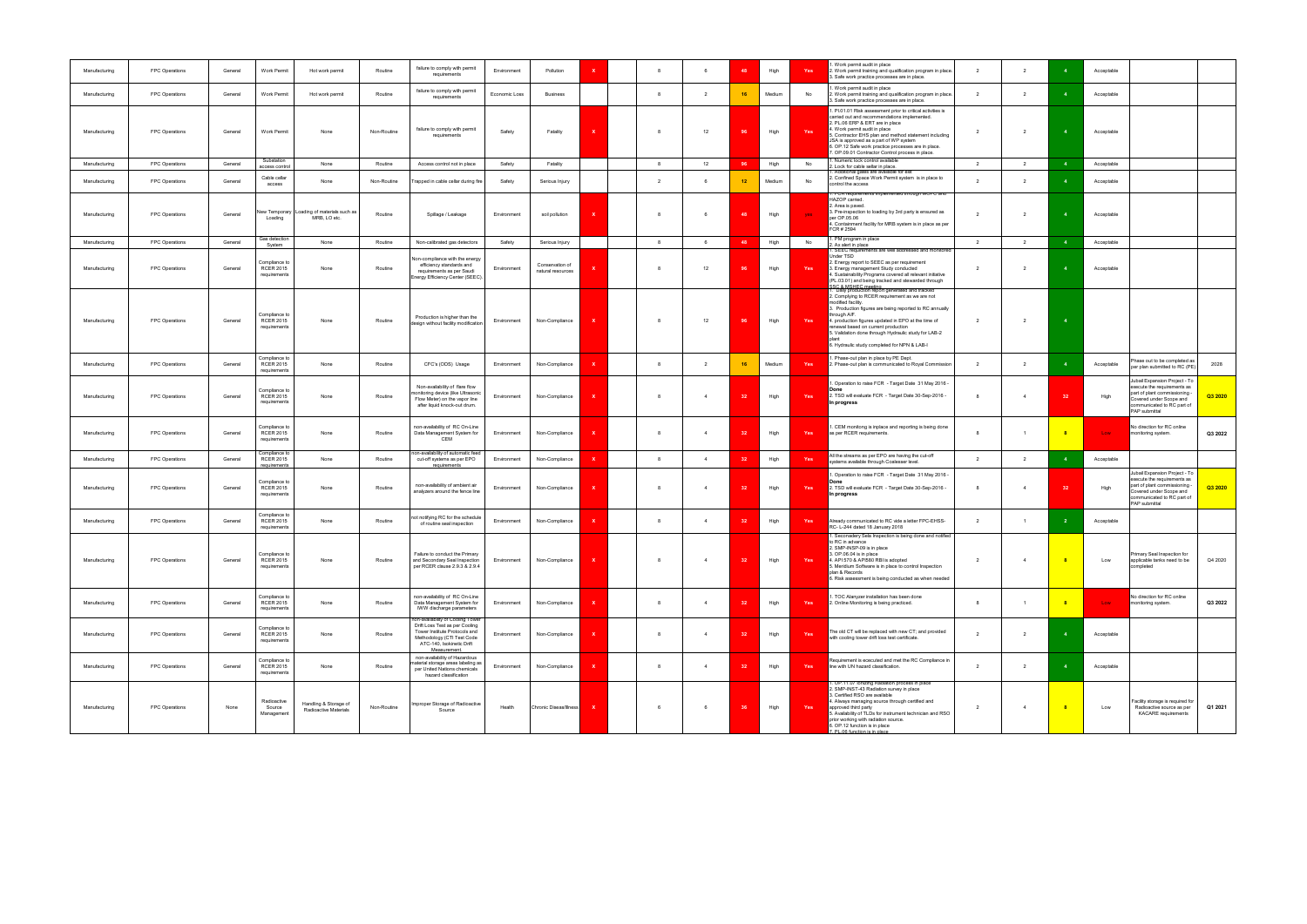| Manufacturing | FPC Operations | General | Work Permit                                       | Hot work permit                                | Routine     | failure to comply with permit<br>requirements                                                                                                                                   | Environment   | Pollution                            |              | -8 |                | 48  | High   | Yes        | . Work permit audit in place<br>2. Work permit training and qualification program in place.<br>Safe work practice processes are in place.                                                                                                                                                                                                                                                                                        | $\overline{2}$ | $\overline{2}$ |                            | Acceptable       |                                                                                                                                                                         |         |
|---------------|----------------|---------|---------------------------------------------------|------------------------------------------------|-------------|---------------------------------------------------------------------------------------------------------------------------------------------------------------------------------|---------------|--------------------------------------|--------------|----|----------------|-----|--------|------------|----------------------------------------------------------------------------------------------------------------------------------------------------------------------------------------------------------------------------------------------------------------------------------------------------------------------------------------------------------------------------------------------------------------------------------|----------------|----------------|----------------------------|------------------|-------------------------------------------------------------------------------------------------------------------------------------------------------------------------|---------|
| Manufacturing | FPC Operations | General | Work Permit                                       | Hot work permit                                | Routine     | failure to comply with permit<br>requirements                                                                                                                                   | Economic Loss | <b>Business</b>                      |              |    | $\overline{2}$ | 16  | Medium | No         | . Work permit audit in place<br>2. Work permit training and qualification program in place.<br>3. Safe work practice processes are in place.                                                                                                                                                                                                                                                                                     | $\overline{2}$ | 2              |                            | Acceptable       |                                                                                                                                                                         |         |
| Manufacturing | FPC Operations | General | Work Permit                                       | None                                           | Non-Routine | failure to comply with permit<br>requirements                                                                                                                                   | Safety        | Fatality                             |              |    | 12             | 96  | High   | Yes        | 1. Pl.01.01 Risk assessment prior to critical activities is<br>carried out and recommendations implemented.<br>2. PL.06 ERP & ERT are in place<br>4. Work permit audit in place<br>. Contractor EHS plan and method statement including<br>JSA is approved as a part of WP system<br>6. OP.12 Safe work practice processes are in place.<br>7. OP.09.01 Contractor Control process in place.                                     | $\overline{2}$ | $\overline{2}$ |                            | Acceptable       |                                                                                                                                                                         |         |
| Manufacturing | FPC Operations | General | Substation<br>access control                      | None                                           | Routine     | Access control not in place                                                                                                                                                     | Safety        | Fatality                             |              | -8 | 12             | 96  | High   | No         | Numeric lock control available<br>Lock for cable sellar in place.                                                                                                                                                                                                                                                                                                                                                                | $\overline{2}$ | $\overline{2}$ |                            | Acceptable       |                                                                                                                                                                         |         |
| Manufacturing | FPC Operations | General | Cable cellar<br>access                            | None                                           | Non-Routine | Trapped in cable cellar during fire                                                                                                                                             | Safety        | Serious Injury                       |              |    |                | 12  | Medium | No         | Additional gates are available for exit<br>2. Confined Space Work Permit system is in place to<br>control the access                                                                                                                                                                                                                                                                                                             | $\overline{2}$ | $\overline{2}$ |                            | Acceptable       |                                                                                                                                                                         |         |
| Manufacturing | FPC Operations | General | ew Temporary<br>Loading                           | Loading of materials such as<br>MRB, LO etc.   | Routine     | Spillage / Leakage                                                                                                                                                              | Environment   | soil pollution                       |              |    |                | 48  | High   | <b>ves</b> | . FUR requirements implemented unough MOFC and<br>HAZOP carried.<br>2. Area is paved.<br>3. Pre-inspection to loading by 3rd party is ensured as<br>per OP.05.06<br>4. Containment facility for MRB system is in place as per<br>FCR # 2594                                                                                                                                                                                      | $\overline{2}$ | $\overline{2}$ |                            | Acceptable       |                                                                                                                                                                         |         |
| Manufacturing | FPC Operations | General | Gas detection<br>System                           | None                                           | Routine     | Non-calibrated gas detectors                                                                                                                                                    | Safety        | Serious Injury                       |              | 8  | 6              | 48  | High   | No         | PM program in place<br>. Ax alert in place                                                                                                                                                                                                                                                                                                                                                                                       | $\overline{2}$ | $\overline{2}$ |                            | Acceptable       |                                                                                                                                                                         |         |
| Manufacturing | FPC Operations | General | Compliance to<br><b>RCER 2015</b><br>requirements | None                                           | Routine     | Non-compliance with the energy<br>efficiency standards and<br>requirements as per Saudi<br>Energy Efficiency Center (SEEC).                                                     | Environment   | Conservation of<br>natural resources |              |    | 12             | 96  | High   | Yes        | SEEC requirements are well addressed and monitored<br>Under TSD<br>2. Energy report to SEEC as per requirement<br>3. Energy management Study conducted<br>4. Sustainability Programs covered all relevant initiative<br>(PL.03.01) and being tracked and stewarded through                                                                                                                                                       | $\overline{2}$ | $\overline{2}$ |                            | Acceptable       |                                                                                                                                                                         |         |
| Manufacturing | FPC Operations | General | Compliance to<br><b>RCER 2015</b><br>requirements | None                                           | Routine     | Production is higher than the<br>design without facility modification                                                                                                           | Environment   | Non-Compliance                       |              |    | 12             | 96  | High   | Yes        | SSC & MSHEC meeting<br>1. Daily production report generated and tracked<br>2. Complying to RCER requirement as we are not<br>modified facility.<br>3. Production figures are being reported to RC annually<br>through AIF.<br>4. production figures updated in EPO at the time of<br>renewal based on current production<br>5. Validation done through Hydraulic study for LAB-2<br>6. Hydraulic study completed for NPN & LAB-I | $\overline{2}$ | $\overline{2}$ | $\overline{4}$             |                  |                                                                                                                                                                         |         |
| Manufacturing | FPC Operations | General | Compliance to<br><b>RCER 2015</b><br>requirements | None                                           | Routine     | CFC's (ODS) Usage                                                                                                                                                               | Environment   | Non-Compliance                       |              |    | $\overline{2}$ | 16  | Medium | Yes        | Phase-out plan in place by PE Dept.<br>2. Phase-out plan is communicated to Royal Commission                                                                                                                                                                                                                                                                                                                                     | $\overline{2}$ | $\overline{2}$ |                            | Acceptable       | hase out to be completed as<br>per plan submitted to RC (PE)                                                                                                            | 2028    |
| Manufacturing | FPC Operations | General | Compliance to<br><b>RCER 2015</b><br>requirements | None                                           | Routine     | Non-availability of flare flow<br>monitoring device (like Ultrasonic<br>Flow Meter) on the vapor line<br>after liquid knock-out drum.                                           | Environment   | Non-Compliance                       | x            |    | $\overline{4}$ | -32 | High   | Yes        | Operation to raise FCR - Target Date 31 May 2016 -<br>2. TSD will evaluate FCR - Target Date 30-Sep-2016 -<br>In progress                                                                                                                                                                                                                                                                                                        | - 8            | $\overline{4}$ | 32                         | High             | Jubail Expansion Project - To<br>execute the requirements as<br>part of plant commissioning -<br>Covered under Scope and<br>communicated to RC part of<br>PAP submittal | Q3 2020 |
| Manufacturing | FPC Operations | General | Compliance to<br><b>RCER 2015</b><br>requirements | None                                           | Routine     | non-availability of RC On-Line<br>Data Management System for<br>CEM                                                                                                             | Environment   | Non-Compliance                       |              |    | $\overline{4}$ | -32 | High   | Yes        | . CEM monitong is inplace and reporting is being done<br>as per RCER requirements.                                                                                                                                                                                                                                                                                                                                               | -8             | $\overline{1}$ |                            | Low <sub>1</sub> | No direction for RC online<br>monitoring system.                                                                                                                        | Q3 2022 |
| Manufacturing | FPC Operations | General | Compliance to<br><b>RCER 2015</b><br>requirements | None                                           | Routine     | non-availability of automatic feed<br>cut-off systems as per EPO<br>requirements                                                                                                | Environment   | Non-Compliance                       | $\mathbf x$  |    | $\overline{4}$ | 32  | High   | Yes        | All the streams as per EPO are having the cut-off<br>systems available through Coalesser level.                                                                                                                                                                                                                                                                                                                                  | $\overline{2}$ | $\overline{2}$ |                            | Acceptable       |                                                                                                                                                                         |         |
| Manufacturing | FPC Operations | General | Compliance to<br><b>RCER 2015</b><br>requirements | None                                           | Routine     | non-availability of ambient air<br>analyzers around the fence line                                                                                                              | Environment   | Non-Compliance                       |              |    |                | -32 | High   | Yes        | . Operation to raise FCR - Target Date 31 May 2016 -<br>Done<br>2. TSD will evaluate FCR - Target Date 30-Sep-2016 -<br>In progress                                                                                                                                                                                                                                                                                              | - 8            | $\overline{4}$ |                            | High             | Jubail Expansion Project - To<br>execute the requirements as<br>part of plant commissioning -<br>Covered under Scope and<br>communicated to RC part of<br>PAP submittal | Q3 2020 |
| Manufacturing | FPC Operations | General | Compliance to<br><b>RCER 2015</b><br>requirements | None                                           | Routine     | not notifying RC for the schedule<br>of routine seal inspection                                                                                                                 | Environment   | Non-Compliance                       |              |    | $\overline{4}$ | -31 | High   | Yes        | Already communicated to RC vide a letter FPC-EHSS-<br>RC-L-244 dated 18 January 2018                                                                                                                                                                                                                                                                                                                                             | $\overline{2}$ | $\overline{1}$ |                            | Acceptable       |                                                                                                                                                                         |         |
| Manufacturing | FPC Operations | General | Compliance to<br><b>RCER 2015</b><br>requirements | None                                           | Routine     | Failure to conduct the Primary<br>and Secondary Seal Inspection<br>per RCER clause 2.9.3 & 2.9.4                                                                                | Environment   | Non-Compliance                       | $\mathbf{x}$ | -8 | $\overline{4}$ | 32  | High   | Yes        | . Seconadery Sela Inspection is being done and notified<br>to RC in advance<br>SMP-INSP-09 is in place<br>3. OP.06.04 is in place<br>4. API 570 & API580 RBI is adopted<br>5. Meridium Software is in place to control Inspection<br>plan & Records<br>6. Risk assessment is being conducted as when needed                                                                                                                      | $\overline{2}$ | $\overline{4}$ | $-8$                       | Low              | Primary Seal Inspection for<br>applicable tanks need to be<br>completed                                                                                                 | Q4 2020 |
| Manufacturing | FPC Operations | General | Compliance to<br><b>RCER 2015</b><br>requirements | None                                           | Routine     | non-availability of RC On-Line<br>Data Management System for<br>IWW discharge parameters                                                                                        | Environment   | Non-Compliance                       |              |    | $\overline{4}$ | 32  | High   | Yes        | . TOC Alanyzer installation has been done<br>2. Online Monitoring is being practiced.                                                                                                                                                                                                                                                                                                                                            | 8              | $\overline{1}$ | $\overline{\phantom{a}}$ 8 | Low <sub>1</sub> | No direction for RC online<br>monitoring system.                                                                                                                        | Q3 2022 |
| Manufacturing | FPC Operations | General | Compliance to<br><b>RCER 2015</b><br>requirements | None                                           | Routine     | non-availability of Cooling Tower<br>Drift Loss Test as per Cooling<br>Tower Institute Protocols and<br>Methodology (CTI Test Code<br>ATC-140. Isokinetic Drift<br>Measurement. | Environment   | Non-Compliance                       |              | -8 | $\overline{4}$ | 32  | High   | Yes        | The old CT will be replaced with new CT; and provided<br>with cooling tower drift loss test certificate.                                                                                                                                                                                                                                                                                                                         | $\overline{2}$ | $\overline{2}$ |                            | Acceptable       |                                                                                                                                                                         |         |
| Manufacturing | FPC Operations | General | Compliance to<br><b>RCER 2015</b><br>requirements | None                                           | Routine     | non-availability of Hazardous<br>naterial storage areas labeling as<br>per United Nations chemicals<br>hazard classification                                                    | Environment   | Non-Compliance                       |              |    | $\overline{4}$ | 32  | High   | Yes        | Requirement is ececuted and met the RC Compliance in<br>line with UN hazard classification.                                                                                                                                                                                                                                                                                                                                      | $\overline{2}$ | $\overline{2}$ |                            | Acceptable       |                                                                                                                                                                         |         |
| Manufacturing | FPC Operations | None    | Radioactive<br>Source<br>Management               | Handling & Storage of<br>Radioactive Materials | Non-Routine | Improper Storage of Radioactive<br>Source                                                                                                                                       | Health        | Chronic Diseas/Illness               | X            |    | 6              | 36  | High   | Yes        | 1. OP.11.07 lonizing Radiation process in place<br>2. SMP-INST-43 Radiation survey in place<br>3. Certified RSO are available<br>4. Always managing source through certified and<br>approved third party<br>5. Availability of TLDs for instrument technician and RSO<br>prior working with radiation source.<br>6. OP.12 function is in place<br>7. PL.06 function is in place                                                  | $\overline{2}$ | $\overline{4}$ | $\overline{\phantom{a}}$ 8 | Low              | acility storage is required for<br>Radioactive source as per<br><b>KACARE</b> requirements                                                                              | Q1 2021 |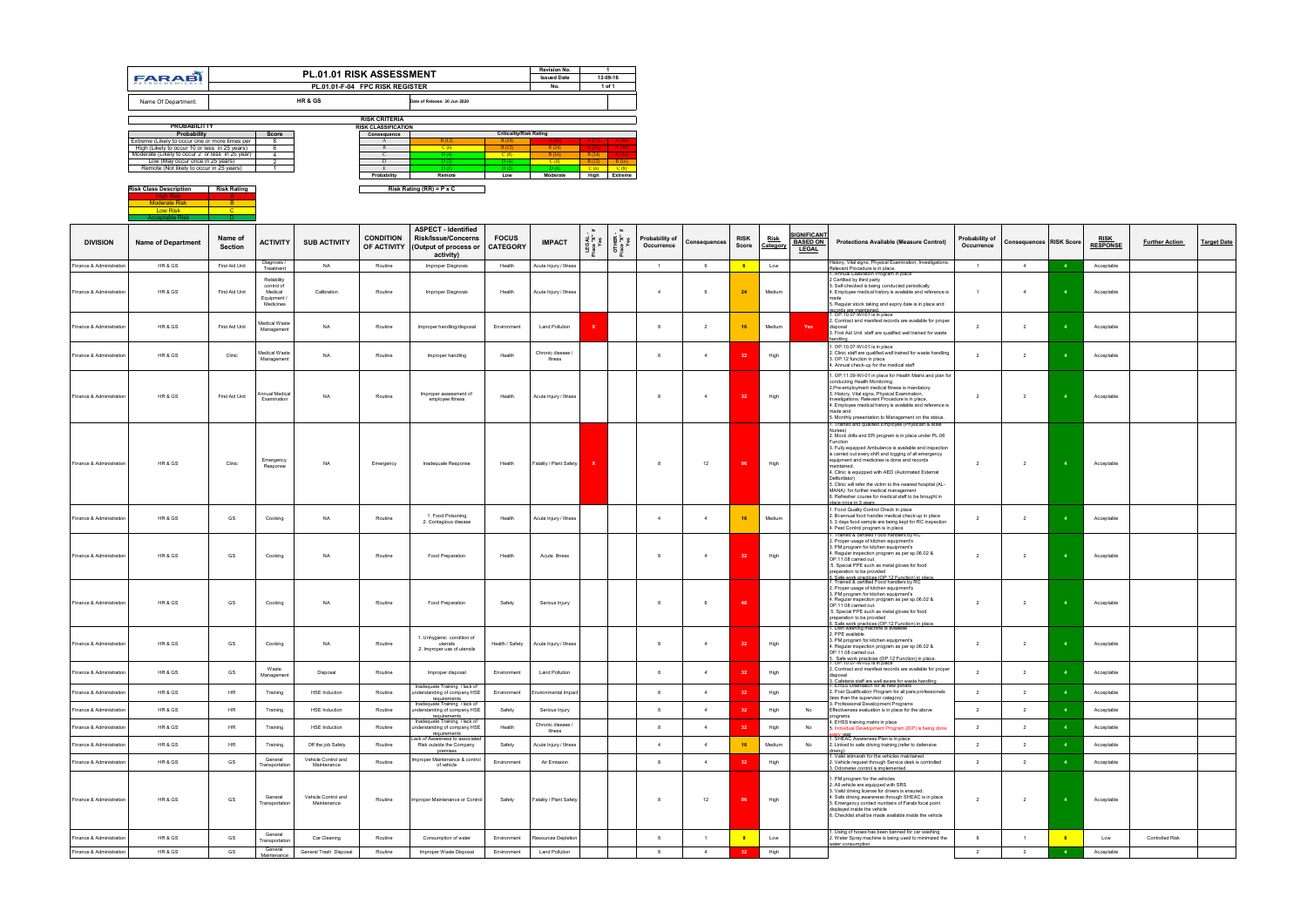|                          | <b>FARABI</b>                                                                                                                                                                                                                                     |                        |                                                                       | <b>PL.01.01 RISK ASSESSMENT</b>    | PL.01.01-F-04 FPC RISK REGISTER                                      |                                                                                                              |                                                                                  | <b>Revision No.</b><br><b>Issued Date</b><br>No. | $\overline{1}$<br>12-09-16<br>1 of 1                     |                           |                              |                |                      |                         |                                                       |                                                                                                                                                                                                                                                                                                                                                                              |                              |                                |                         |                                |                       |                    |
|--------------------------|---------------------------------------------------------------------------------------------------------------------------------------------------------------------------------------------------------------------------------------------------|------------------------|-----------------------------------------------------------------------|------------------------------------|----------------------------------------------------------------------|--------------------------------------------------------------------------------------------------------------|----------------------------------------------------------------------------------|--------------------------------------------------|----------------------------------------------------------|---------------------------|------------------------------|----------------|----------------------|-------------------------|-------------------------------------------------------|------------------------------------------------------------------------------------------------------------------------------------------------------------------------------------------------------------------------------------------------------------------------------------------------------------------------------------------------------------------------------|------------------------------|--------------------------------|-------------------------|--------------------------------|-----------------------|--------------------|
|                          | Name Of Department:                                                                                                                                                                                                                               |                        |                                                                       | HR & GS                            |                                                                      | Date of Release: 30 Jun 2020                                                                                 |                                                                                  |                                                  |                                                          |                           |                              |                |                      |                         |                                                       |                                                                                                                                                                                                                                                                                                                                                                              |                              |                                |                         |                                |                       |                    |
|                          | <b>PROBABILITTY</b>                                                                                                                                                                                                                               |                        |                                                                       |                                    | <b>RISK CRITERIA</b><br><b>RISK CLASSIFICATION</b>                   |                                                                                                              |                                                                                  |                                                  |                                                          |                           |                              |                |                      |                         |                                                       |                                                                                                                                                                                                                                                                                                                                                                              |                              |                                |                         |                                |                       |                    |
|                          | Probability<br>Extreme (Likely to occur one or more times per<br>High (Likely to occur 10 or less in 25 years)<br>Moderate (Likely to occur 2 or less in 25 year)<br>Low (May occur once in 25 years)<br>Remote (Not likely to occur in 25 years) |                        | Score<br>8<br>6<br>$\overline{4}$<br>$\overline{2}$<br>$\overline{1}$ |                                    | Consequence<br>$\mathbf{A}$<br>$\mathbf{B}$<br>D<br>E<br>Probability | B(12)<br>C(6)<br>D(4)<br>D(2)<br>D(1)<br>Remote                                                              | <b>Criticality/Risk Rating</b><br>B (24)<br>B(12)<br>C(8)<br>D(4)<br>D(2)<br>Low | B(24)<br>B(16)<br>C(8)<br>D(4)<br>Moderate       | B(24)<br>$B(12)$ B (16)<br>$C(6)$ $C(8)$<br>High Extreme |                           |                              |                |                      |                         |                                                       |                                                                                                                                                                                                                                                                                                                                                                              |                              |                                |                         |                                |                       |                    |
|                          | <b>Risk Class Description</b>                                                                                                                                                                                                                     | <b>Risk Rating</b>     |                                                                       |                                    |                                                                      | Risk Rating (RR) = P x C                                                                                     |                                                                                  |                                                  |                                                          |                           |                              |                |                      |                         |                                                       |                                                                                                                                                                                                                                                                                                                                                                              |                              |                                |                         |                                |                       |                    |
|                          | <b>Moderate Risk</b><br>Low Risk<br><b>Acceptable Risk</b>                                                                                                                                                                                        | $-B$<br>$\overline{C}$ |                                                                       |                                    |                                                                      |                                                                                                              |                                                                                  |                                                  |                                                          |                           |                              |                |                      |                         |                                                       |                                                                                                                                                                                                                                                                                                                                                                              |                              |                                |                         |                                |                       |                    |
| <b>DIVISION</b>          | <b>Name of Department</b>                                                                                                                                                                                                                         | Name of<br>Section     | <b>ACTIVITY</b>                                                       | <b>SUB ACTIVITY</b>                | <b>CONDITION</b>                                                     | <b>ASPECT - Identified</b><br><b>Risk/Issue/Concerns</b><br>OF ACTIVITY   (Output of process or<br>activity) | <b>FOCUS</b><br><b>CATEGORY</b>                                                  | <b>IMPACT</b>                                    | LEGAL<br>Place "X"<br>Yes                                | OTHER<br>Place "X"<br>Yes | Probability of<br>Occurrence | Consequences   | <b>RISK</b><br>Score | <u>Risk</u><br>Category | <b>SIGNIFICANT</b><br><b>BASED ON</b><br><b>LEGAL</b> | <b>Protections Available (Measure Control)</b>                                                                                                                                                                                                                                                                                                                               | Probability of<br>Occurrence | <b>Consequences RISK Score</b> |                         | <b>RISK</b><br><b>RESPONSE</b> | <b>Further Action</b> | <b>Target Date</b> |
| Finance & Administration | HR & GS                                                                                                                                                                                                                                           | First Aid Unit         | Diagnosis /<br>Treatment                                              | <b>NA</b>                          | Routine                                                              | Improper Diagnosis                                                                                           | Health                                                                           | Acute Injury / Illness                           |                                                          |                           | $\overline{1}$               | 6              | $-6$                 | Low                     |                                                       | History, Vital signs, Physical Examination, Investigations.<br>Relevant Procedure is in place.<br>. Annual Calibration Program in place                                                                                                                                                                                                                                      | $\overline{1}$               | $\overline{4}$                 |                         | Acceptable                     |                       |                    |
| Finance & Administration | HR & GS                                                                                                                                                                                                                                           | First Aid Unit         | Reliability<br>control of<br>Medical<br>Equipment /<br>Medicines      | Calibration                        | Routine                                                              | Improper Diagnosis                                                                                           | Health                                                                           | Acute Injury / Illness                           |                                                          |                           | $\overline{4}$               | - 6            | 24                   | Medium                  |                                                       | 2 Certified by third party<br>3. Self-checked is being conducted periodically<br>4. Employee medical history is available and reference is<br>5. Regular stock taking and expiry date is in place and<br>records are maintained.<br>1. OP.10.07-WI-01 is in place                                                                                                            | $\overline{1}$               | $\overline{4}$                 |                         | Acceptable                     |                       |                    |
| Finance & Administration | HR & GS                                                                                                                                                                                                                                           | First Aid Unit         | Medical Waste<br>Management                                           | <b>NA</b>                          | Routine                                                              | Improper handling/disposal                                                                                   | Environment                                                                      | Land Pollution                                   |                                                          |                           | - 8                          | 2              | 16                   | Medium                  | Yes                                                   | 2. Contract and manifest records are available for proper<br>disposal<br>3. First Aid Unit staff are qualified well trained for waste<br>handling                                                                                                                                                                                                                            | $\overline{2}$               | $\overline{2}$                 |                         | Acceptable                     |                       |                    |
| Finance & Administration | HR & GS                                                                                                                                                                                                                                           | Clinic                 | Medical Waste<br>Management                                           | NA                                 | Routine                                                              | Improper handling                                                                                            | Health                                                                           | Chronic disease<br><b>Illness</b>                |                                                          |                           | - 8                          | $\overline{4}$ | 32                   | High                    |                                                       | I. OP.10.07-WI-01 is in place<br>2. Clinic staff are qualified well trained for waste handling<br>3. OP.12 function in place<br>4. Annual check-up for the medical staff                                                                                                                                                                                                     | $\overline{2}$               | $\overline{2}$                 |                         | Acceptable                     |                       |                    |
| Finance & Administration | HR & GS                                                                                                                                                                                                                                           | First Aid Unit         | nnual Medical<br>Examination                                          | NA                                 | Routine                                                              | Improper assessment of<br>employee fitness                                                                   | Health                                                                           | Acute Injury / Illness                           |                                                          |                           | -8                           | $\overline{4}$ | 32                   | High                    |                                                       | 1. OP.11.09-WI-01 in place for Health Matrix and plan for<br>conducting Health Monitoring.<br>2. Pre-employment medical fitness is mandatory<br>3. History, Vital signs, Physical Examination,<br>Investigations. Relevant Procedure is in place,<br>4. Employee medical history is available and reference is<br>made and                                                   | $\overline{2}$               | $\overline{2}$                 |                         | Acceptable                     |                       |                    |
|                          |                                                                                                                                                                                                                                                   |                        |                                                                       |                                    |                                                                      |                                                                                                              |                                                                                  |                                                  |                                                          |                           |                              |                |                      |                         |                                                       | 5. Monthly presentation to Management on the status.<br>. I rained and qualified Employee (Physician & Male<br>Nurses)<br>2. Mock drills and ER program is in place under PL.06                                                                                                                                                                                              |                              |                                |                         |                                |                       |                    |
| Finance & Administration | HR & GS                                                                                                                                                                                                                                           | Clinic                 | Emergency<br>Response                                                 | NA                                 | Emergency                                                            | Inadequate Response                                                                                          | Health                                                                           | Fatality / Plant Safety                          |                                                          |                           | 8                            | 12             | 96                   | High                    |                                                       | Function<br>3. Fully equipped Ambulance is available and inspection<br>is carried out every shift and logging of all emergency<br>equipment and medicines is done and records<br>maintained.<br>4. Clinic is equipped with AED (Automated External<br>Defibrillator)<br>5. Clinic will refer the victim to the nearest hospital (AL-<br>MANA) for further medical management | $\overline{2}$               | $\overline{2}$                 | $\overline{\mathbf{4}}$ | Acceptable                     |                       |                    |
| Finance & Administration | HR & GS                                                                                                                                                                                                                                           | GS                     | Cooking                                                               | <b>NA</b>                          | Routine                                                              | 1. Food Poisoning<br>2. Contagious disease                                                                   | Health                                                                           | Acute Injury / Illness                           |                                                          |                           | 4                            | $\overline{4}$ | 16                   | Medium                  |                                                       | 6. Refresher course for medical staff to be brought in<br>place once in 3 years.<br>I. Food Quality Control Check in place<br>2. Bi-annual food handler medical check-up in place<br>3. 3 days food sample are being kept for RC inspection<br>4. Pest Control program is in place                                                                                           | $\overline{2}$               | $\overline{2}$                 |                         | Acceptable                     |                       |                    |
| Finance & Administration | HR & GS                                                                                                                                                                                                                                           | GS                     | Cooking                                                               |                                    | Routine                                                              | Food Preparation                                                                                             | Health                                                                           | Acute Illness                                    |                                                          |                           |                              |                |                      | High                    |                                                       | 1. Trained & certified Food handlers by RC<br>2. Proper usage of kitchen equipment's<br>3. PM program for kitchen equipment's<br>4. Regular inspection program as per sp.06.02 &<br>OP.11.08 carried out.<br>5. Special PPE such as metal gloves for food<br>preparation to be provided                                                                                      | $\overline{2}$               | $\overline{2}$                 |                         | Acceptable                     |                       |                    |
| Finance & Administration | HR & GS                                                                                                                                                                                                                                           | GS                     | Cooking                                                               | NA                                 | Routine                                                              | Food Preparation                                                                                             | Safety                                                                           | Serious Injury                                   |                                                          |                           | - 8                          | 6              | 48                   |                         |                                                       | 6. Safe work practices (OP 12 Function) in place.<br>1. Trained & certified Food handlers by RC<br>2. Proper usage of kitchen equipment's<br>3. PM program for kitchen equipment's<br>4. Regular inspection program as per sp.06.02 &<br>OP.11.08 carried out.<br>5. Special PPE such as metal gloves for food<br>preparation to be provided                                 | $\overline{2}$               | $\overline{2}$                 |                         | Acceptable                     |                       |                    |
| Finance & Administration | HR & GS                                                                                                                                                                                                                                           | GS                     | Cooking                                                               | NA                                 | Routine                                                              | 1. Unhygienic condition of<br>utensils<br>2. Improper use of utensils                                        | Health / Safety                                                                  | Acute Injury / Illness                           |                                                          |                           | 8                            | $\overline{4}$ | 32                   | High                    |                                                       | 3. Safe work practices (OP.12 Function) in place.<br>1. Dish washing machine is available<br>2. PPE available<br>3. PM program for kitchen equipment's<br>4. Regular inspection program as per sp.06.02 &<br>OP.11.08 carried out.<br>5. Safe work practices (OP.12 Function) in place.<br>1. OP.10.07-WI-02 is in place                                                     | $\overline{2}$               | $\overline{2}$                 |                         | Acceptable                     |                       |                    |
| Finance & Administration | HR & GS                                                                                                                                                                                                                                           | GS                     | Waste<br>Management                                                   | Disposal                           | Routine                                                              | Improper disposal                                                                                            | Environment                                                                      | <b>Land Pollution</b>                            |                                                          |                           | 8                            | $\overline{4}$ | 32                   | High                    |                                                       | 2. Contract and manifest records are available for proper<br>disposal<br>3. Cafeteria staff are well aware for waste handling<br>1. EHSS Orientation for all new joiners                                                                                                                                                                                                     | $\overline{2}$               | $\overline{2}$                 |                         | Acceptable                     |                       |                    |
| Finance & Administration | HR & GS                                                                                                                                                                                                                                           | <b>HR</b>              | Training                                                              | <b>HSE</b> Induction               | Routine                                                              | Inadequate Training / lack of<br>understanding of company HSE<br>requirements                                | Environment                                                                      | Environmental Impact                             |                                                          |                           | 8                            | $\overline{4}$ | 32                   | High                    |                                                       | 2. Post Qualification Program for all para professionals<br>(less than the supervisor category)                                                                                                                                                                                                                                                                              | $\overline{2}$               | $\overline{\mathbf{2}}$        | $\overline{\mathbf{4}}$ | Acceptable                     |                       |                    |
| Finance & Administration | HR & GS                                                                                                                                                                                                                                           | <b>HR</b>              | Training                                                              | <b>HSE</b> Induction               | Routine                                                              | Inadequate Training / lack of<br>understanding of company HSE<br>requirements                                | Safety                                                                           | Serious Injury                                   |                                                          |                           | 8                            | $\overline{4}$ | 32                   | High                    | No                                                    | 3. Professional Development Programs<br>Effectiveness evaluation is in place for the above<br>programs                                                                                                                                                                                                                                                                       | $\overline{2}$               | $\overline{2}$                 |                         | Acceptable                     |                       |                    |
| Finance & Administration | HR & GS                                                                                                                                                                                                                                           | HR                     | Training                                                              | <b>HSE</b> Induction               | Routine                                                              | Inadequate Training / lack of<br>understanding of company HSE<br>requirements                                | Health                                                                           | Chronic disease /<br>Illness                     |                                                          |                           | 8                            | 4              | 32                   | High                    | No                                                    | 4. EHSS training matrix in place<br>5. Individual Development Program (IDP) is being done                                                                                                                                                                                                                                                                                    | $\overline{2}$               | $\overline{2}$                 |                         | Acceptable                     |                       |                    |
| Finance & Administration | HR & GS                                                                                                                                                                                                                                           | <b>HR</b>              | Training                                                              | Off the job Safety                 | Routine                                                              | Lack of Awareness to associated<br>Risk outside the Company<br>premises                                      | Safety                                                                           | Acute Injury / Illness                           |                                                          |                           | $\overline{4}$               | $\overline{4}$ | 16                   | Medium                  | No                                                    | <u>avery year</u><br>I. SHEAC Awareness Plan is in place<br>2. Linked to safe driving training (refer to defensive<br>driving)                                                                                                                                                                                                                                               | $\overline{2}$               | 2                              |                         | Acceptable                     |                       |                    |
| Finance & Administration | HR & GS                                                                                                                                                                                                                                           | GS                     | General<br>Transportation                                             | Vehicle Control and<br>Maintenance | Routine                                                              | Improper Maintenance & control<br>of vehicle                                                                 | Environment                                                                      | Air Emission                                     |                                                          |                           | 8                            | 4              | 32                   | High                    |                                                       | . Valid istimarah for the vehicles maintained<br>2. Vehicle request through Service desk is controlled<br>3. Odometer control is implemented                                                                                                                                                                                                                                 | $\overline{2}$               | $\overline{2}$                 |                         | Acceptable                     |                       |                    |
| Finance & Administration | HR & GS                                                                                                                                                                                                                                           | GS                     | General<br>Transportation                                             | Vehicle Control and<br>Maintenance | Routine                                                              | Improper Maintenance or Control                                                                              | Safety                                                                           | Fatality / Plant Safety                          |                                                          |                           | 8                            | 12             | 96                   | High                    |                                                       | 1. PM program for the vehicles<br>2. All vehicle are equipped with SRS<br>3. Valid driving license for drivers is ensured.<br>4. Safe driving awareness through SHEAC is in place<br>5. Emergency contact numbers of Farabi focal point<br>displayed inside the vehicle<br>6. Checklist shall be made available inside the vehicle                                           | $\overline{2}$               | $\overline{2}$                 |                         | Acceptable                     |                       |                    |
| Finance & Administration | HR & GS                                                                                                                                                                                                                                           | GS                     | General<br>Transportation                                             | Car Cleaning                       | Routine                                                              | Consumption of water                                                                                         | Environment                                                                      | Resources Depletion                              |                                                          |                           | 8                            | $\overline{1}$ | $\frac{8}{3}$        | Low                     |                                                       | . Using of hoses has been banned for car washing<br>2. Water Spray machine is being used to minimized the                                                                                                                                                                                                                                                                    | 8                            | $\overline{1}$                 | $\frac{1}{8}$           | Low                            | Controlled Risk       |                    |
| Finance & Administration | HR & GS                                                                                                                                                                                                                                           | GS                     | General<br>Maintenance                                                | General Trash Disposal             | Routine                                                              | Improper Waste Disposal                                                                                      | Environment                                                                      | <b>Land Pollution</b>                            |                                                          |                           | 8                            | $\overline{4}$ | 32                   | High                    |                                                       | water consumption                                                                                                                                                                                                                                                                                                                                                            | $\overline{\mathbf{2}}$      | $\overline{2}$                 | $\overline{\mathbf{4}}$ | Acceptable                     |                       |                    |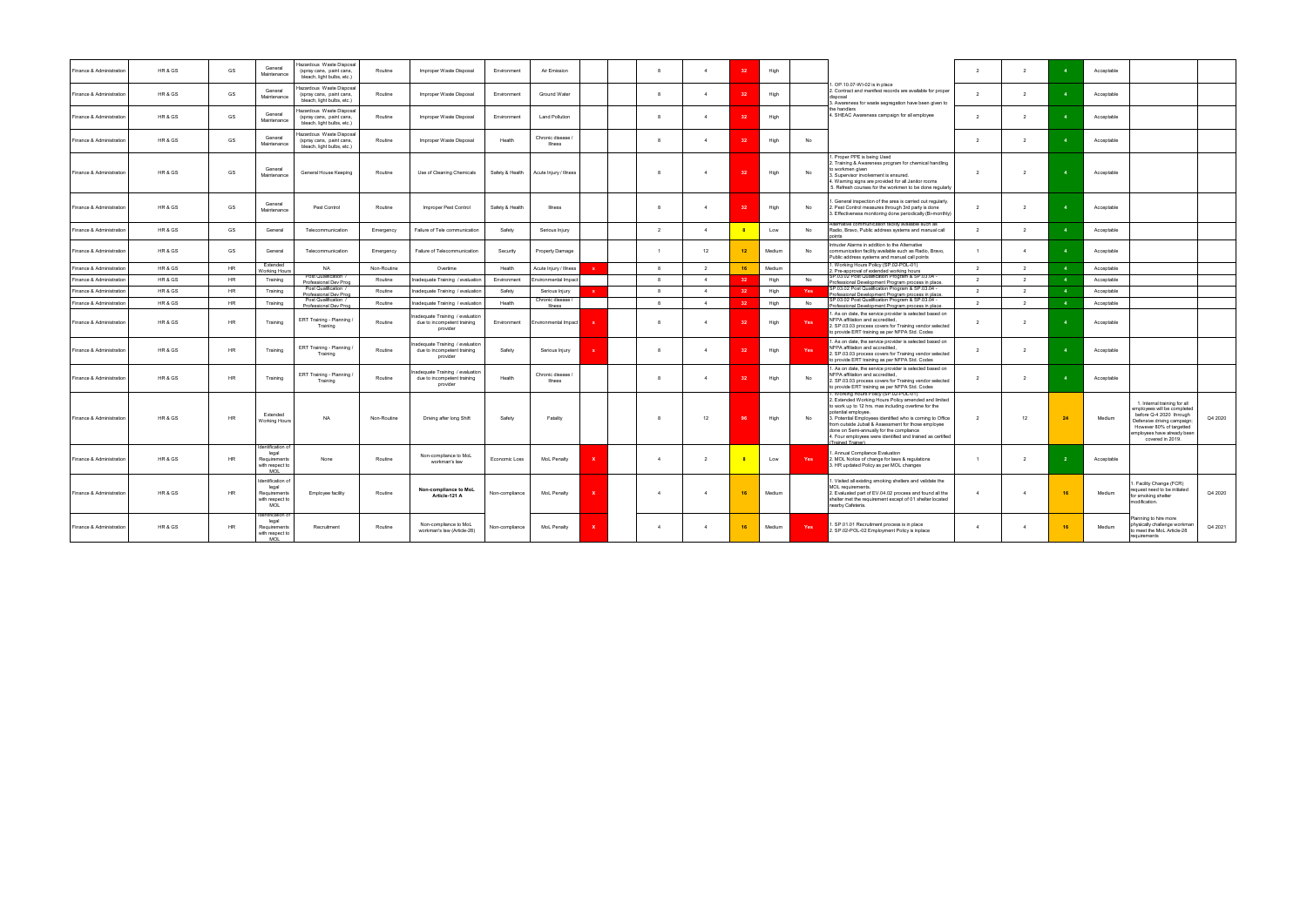| Finance & Administration | HR & GS | GS        | General<br>Maintenance                                               | Hazardous Waste Disposal<br>(spray cans, paint cans,<br>bleach, light bulbs, etc.) | Routine     | Improper Waste Disposal                                                    | Environment     | Air Emission                        |              | -8             |                | 32                      | High   |     |                                                                                                                                                                                                                                                                                                                                                                                                                                 | $\overline{2}$ | $\overline{2}$           |     | Acceptable |                                                                                                                                                                                                    |         |
|--------------------------|---------|-----------|----------------------------------------------------------------------|------------------------------------------------------------------------------------|-------------|----------------------------------------------------------------------------|-----------------|-------------------------------------|--------------|----------------|----------------|-------------------------|--------|-----|---------------------------------------------------------------------------------------------------------------------------------------------------------------------------------------------------------------------------------------------------------------------------------------------------------------------------------------------------------------------------------------------------------------------------------|----------------|--------------------------|-----|------------|----------------------------------------------------------------------------------------------------------------------------------------------------------------------------------------------------|---------|
| Finance & Administration | HR & GS | GS        | General<br>Maintenance                                               | lazardous Waste Disposal<br>(spray cans, paint cans,<br>bleach, light bulbs, etc.) | Routine     | Improper Waste Disposal                                                    | Fnvironment     | Ground Water                        |              | $\mathbf{R}$   | $\mathbf{A}$   | 32                      | High   |     | 1. OP.10.07-WI-02 is in place<br>2. Contract and manifest records are available for proper<br>disposa<br>3. Awareness for waste segregation have been given to                                                                                                                                                                                                                                                                  | $\overline{2}$ | $\overline{2}$           |     | Acceptable |                                                                                                                                                                                                    |         |
| Finance & Administration | HR & GS | GS        | General<br>Maintenance                                               | lazardous Waste Disposal<br>(spray cans, paint cans,<br>bleach, light bulbs, etc.) | Routine     | Improper Waste Disposal                                                    | Environment     | <b>Land Pollution</b>               |              | -8             | $\overline{4}$ | 32                      | High   |     | the handlers<br>4. SHEAC Awareness campaign for all employee                                                                                                                                                                                                                                                                                                                                                                    | 2              | $\overline{2}$           |     | Acceptable |                                                                                                                                                                                                    |         |
| Finance & Administration | HR & GS | GS        | General<br>Maintenance                                               | lazardous Waste Disposal<br>(spray cans, paint cans,<br>bleach, light bulbs, etc.) | Routine     | Improper Waste Disposal                                                    | Health          | Chronic disease /<br>Illness        |              | -8             | $\overline{4}$ | 32                      | High   | No  |                                                                                                                                                                                                                                                                                                                                                                                                                                 | $\overline{2}$ | $\overline{\phantom{a}}$ |     | Acceptable |                                                                                                                                                                                                    |         |
| Finance & Administration | HR & GS | GS        | General<br>Maintenance                                               | General House Keeping                                                              | Routine     | Use of Cleaning Chemicals                                                  | Safety & Health | Acute Injury / Illness              |              | $\mathbf{R}$   | $\mathbf{A}$   | 32                      | High   | No  | Proper PPE is being Used<br>2. Training & Awareness program for chemical handling<br>to workmen given<br>3. Supervisor involvement is ensured.<br>4. Warning signs are provided for all Janitor rooms<br>5. Refresh courses for the workmen to be done regularly                                                                                                                                                                | $\overline{2}$ | $\overline{2}$           |     | Acceptable |                                                                                                                                                                                                    |         |
| Finance & Administration | HR & GS | GS        | General<br>Maintenance                                               | Pest Control                                                                       | Routine     | Improper Pest Control                                                      | Safety & Health | Illness                             |              | - 8            |                | -32                     | High   | No  | . General inspection of the area is carried out regularly.<br>2. Pest Control measures through 3rd party is done<br>3. Effectiveness monitoring done periodically (Bi-monthly)                                                                                                                                                                                                                                                  | $\overline{2}$ | $\overline{\phantom{a}}$ |     | Acceptable |                                                                                                                                                                                                    |         |
| Finance & Administration | HR & GS | GS        | General                                                              | Telecommunication                                                                  | Emergency   | Failure of Tele communication                                              | Safety          | Serious Injury                      |              | $\overline{2}$ | $\overline{4}$ | $\overline{\mathbf{8}}$ | Low    | No  | Alternative communication facility available such as<br>Radio, Bravo, Public address systems and manual call                                                                                                                                                                                                                                                                                                                    | $\overline{2}$ | $\overline{2}$           |     | Acceptable |                                                                                                                                                                                                    |         |
| Finance & Administration | HR & GS | GS        | General                                                              | Telecommunication                                                                  | Emergency   | Failure of Telecommunication                                               | Security        | Property Damage                     |              |                | 12             | 12                      | Medium | No  | ntruder Alarms in addition to the Alternative<br>communication facility available such as Radio, Bravo,<br>Public address systems and manual call points                                                                                                                                                                                                                                                                        | $\overline{1}$ | $\overline{4}$           |     | Acceptable |                                                                                                                                                                                                    |         |
| Finance & Administration | HR & GS | <b>HR</b> | <b>Fxtended</b><br><b>Vorking Hours</b>                              | <b>NA</b>                                                                          | Non-Routine | Overtime                                                                   | Health          | Acute Injury / Illness              | $\mathbf{x}$ | -8             | $\overline{2}$ | 16                      | Medium |     | . Working Hours Policy (SP.02-POL-01)<br>2. Pre-approval of extended working hours                                                                                                                                                                                                                                                                                                                                              | $\overline{2}$ | $\overline{2}$           |     | Acceptable |                                                                                                                                                                                                    |         |
| Finance & Administration | HR & GS | <b>HR</b> | Training                                                             | Post Qualification /<br>Professional Dev Prog                                      | Routine     | Inadequate Training / evaluation                                           | Fnvironment     | Environmental Impact                |              | -8             | $\overline{4}$ | 32                      | High   | No  | SP.03.02 Post Qualification Program & SP.03.04 -<br>Professional Development Program process in place.                                                                                                                                                                                                                                                                                                                          | $\overline{2}$ | $\overline{2}$           |     | Acceptable |                                                                                                                                                                                                    |         |
| Finance & Administration | HR & GS | <b>HR</b> | Training                                                             | Post Qualification /                                                               | Routine     | Inadequate Training / evaluation                                           | Safety          | Serious Injury                      |              | $\mathbf{R}$   | $\mathbf{A}$   | 32                      | High   | Yes | SP.03.02 Post Qualification Program & SP.03.04 -                                                                                                                                                                                                                                                                                                                                                                                | $\overline{2}$ | $\overline{2}$           |     | Acceptable |                                                                                                                                                                                                    |         |
| Finance & Administration | HR & GS | <b>HR</b> | Training                                                             | Professional Dev Prog<br>Post Qualification /                                      | Routine     | Inadequate Training / evaluation                                           | Health          | Chronic disease /                   |              | 8              | $\overline{4}$ | 32                      | High   | No  | Professional Development Program process in place.<br>SP.03.02 Post Qualification Program & SP.03.04 -                                                                                                                                                                                                                                                                                                                          | $\overline{2}$ | $\overline{2}$           |     | Acceptable |                                                                                                                                                                                                    |         |
|                          |         |           |                                                                      | Professional Dev Prog                                                              |             |                                                                            |                 | Illness                             |              |                |                |                         |        |     | Professional Development Program process in place.<br>. As on date, the service provider is selected based on                                                                                                                                                                                                                                                                                                                   |                |                          |     |            |                                                                                                                                                                                                    |         |
| Finance & Administration | HR & GS | <b>HR</b> | Training                                                             | ERT Training - Planning<br>Training                                                | Routine     | nadequate Training / evaluation<br>due to incompetent training<br>provider | Environment     | Environmental Impact                |              |                | $\overline{4}$ | 32                      | High   | Yes | NFPA affiliation and accredited,<br>2. SP.03.03 process covers for Training vendor selected<br>to provide ERT training as per NFPA Std. Codes                                                                                                                                                                                                                                                                                   | $\overline{2}$ | $\mathcal{P}$            |     | Acceptable |                                                                                                                                                                                                    |         |
| Finance & Administration | HR & GS | <b>HR</b> | Training                                                             | ERT Training - Planning /<br>Training                                              | Routine     | nadequate Training / evaluation<br>due to incompetent training<br>provider | Safety          | Serious Injury                      |              | - 8            | $\overline{4}$ | 32                      | High   | Yes | . As on date, the service provider is selected based on<br>NFPA affiliation and accredited,<br>2. SP.03.03 process covers for Training vendor selected<br>to provide ERT training as per NFPA Std. Codes                                                                                                                                                                                                                        | 2              | $\overline{2}$           |     | Acceptable |                                                                                                                                                                                                    |         |
| Finance & Administration | HR & GS | <b>HR</b> | Training                                                             | ERT Training - Planning /<br>Training                                              | Routine     | nadequate Training / evaluation<br>due to incompetent training<br>provider | Health          | Chronic disease /<br><b>Illness</b> |              | $\mathbf{R}$   | $\overline{4}$ | 32                      | High   | No  | . As on date, the service provider is selected based on<br>NFPA affiliation and accredited,<br>2. SP.03.03 process covers for Training vendor selected<br>to provide ERT training as per NFPA Std. Codes                                                                                                                                                                                                                        | $\overline{2}$ | $\overline{2}$           |     | Acceptable |                                                                                                                                                                                                    |         |
| Finance & Administration | HR & GS | HR        | Extended<br>Working Hours                                            | <b>NA</b>                                                                          | Non-Routine | Driving after long Shift                                                   | Safety          | Fatality                            |              | - 8            | 12             | 96                      | High   | No  | 1. Working Hours Policy (SP.02-POL-01)<br>2. Extended Working Hours Policy amended and limited<br>to work up to 12 hrs. max including overtime for the<br>potential employee.<br>3. Potential Employees identified who is coming to Office<br>from outside Jubail & Assessment for those employee<br>done on Semi-annually for the compliance<br>4. Four employees were identified and trained as certified<br>Trained Trainer) | $\overline{2}$ | 12                       |     | Medium     | 1. Internal training for all<br>employees will be completed<br>before Q-4 2020 through<br>Defensive driving campaign;<br>However 80% of targetted<br>ployees have already been<br>covered in 2019. | Q4 2020 |
| Finance & Administration | HR & GS | <b>HR</b> | dentification of<br>legal<br>Requirements<br>with respect to<br>MOL  | None                                                                               | Routine     | Non-compliance to MoL<br>workman's law                                     | Economic Loss   | MoL Penalty                         |              | $\overline{4}$ | $\overline{2}$ | $_{\rm 8}$              | Low    | Yes | Annual Compliance Evaluation<br>2. MOL Notice of change for laws & regulations<br>HR updated Policy as per MOL changes                                                                                                                                                                                                                                                                                                          | $\overline{1}$ | $\overline{2}$           |     | Acceptable |                                                                                                                                                                                                    |         |
| Finance & Administration | HR & GS | <b>HR</b> | Identification of<br>legal<br>Requirements<br>with respect to<br>MOL | <b>Employee facility</b>                                                           | Routine     | Non-compliance to MoL<br>Article-121 A                                     | Non-compliance  | MoL Penalty                         |              | $\overline{A}$ | $\overline{4}$ | 16                      | Medium |     | . Visited all existing smoking shelters and validate the<br>MOL requirements.<br>2. Evaluated part of EV.04.02 process and found all the<br>shelter met the requirement except of 01 shelter located<br>nearby Cafeteria.                                                                                                                                                                                                       | $\overline{4}$ | $\overline{4}$           | -16 | Medium     | Facility Change (FCR)<br>equest need to be initiated<br>for smoking shelter<br>modification.                                                                                                       | Q4 2020 |
| Finance & Administration | HR & GS | <b>HR</b> | Identification o<br>legal<br>Requirements<br>with respect to<br>MOI  | Recruitment                                                                        | Routine     | Non-compliance to MoL<br>workman's law (Article-28)                        | Non-compliance  | MoL Penalty                         |              | $\overline{4}$ | $\overline{4}$ | 16                      | Medium | Yes | . SP.01.01 Recruitment process is in place<br>2. SP.02-POL-02 Employment Policy is inplace                                                                                                                                                                                                                                                                                                                                      | $\overline{4}$ | $\overline{4}$           |     | Medium     | lanning to hire more<br>physically challenge workman<br>to meet the MoL Article-28<br>requirements                                                                                                 | Q4 2021 |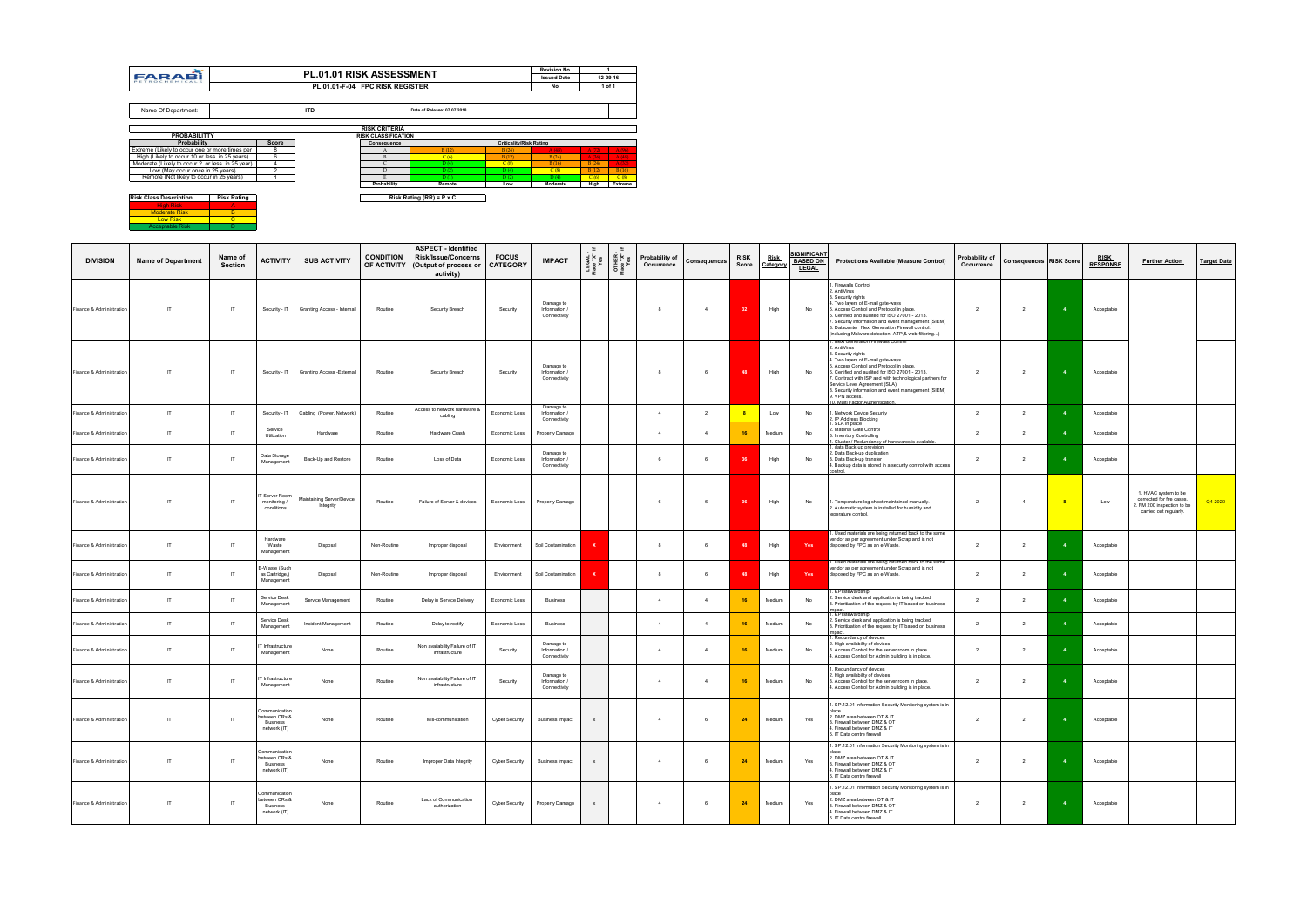| <b>Risk Class Description</b> | <b>Risk Rating</b> |
|-------------------------------|--------------------|
| <b>High Risk</b>              |                    |
| <b>Moderate Risk</b>          |                    |
| <b>Low Risk</b>               |                    |
| <b>Acceptable Risk</b>        |                    |

|                                                 |                |                                 |                            |                             |                                | Revision No.       |       |          |
|-------------------------------------------------|----------------|---------------------------------|----------------------------|-----------------------------|--------------------------------|--------------------|-------|----------|
| <b>FARABI</b><br>PETROCHEMICALS                 |                | <b>PL.01.01 RISK ASSESSMENT</b> |                            |                             |                                | <b>Issued Date</b> |       | 12-09-16 |
|                                                 |                | PL.01.01-F-04 FPC RISK REGISTER |                            |                             |                                | No.                |       | 1 of 1   |
|                                                 |                |                                 |                            |                             |                                |                    |       |          |
| Name Of Department:                             |                | <b>ITD</b>                      |                            | Date of Release: 07.07.2018 |                                |                    |       |          |
|                                                 |                |                                 |                            |                             |                                |                    |       |          |
|                                                 |                |                                 | <b>RISK CRITERIA</b>       |                             |                                |                    |       |          |
| <b>PROBABILITTY</b>                             |                |                                 | <b>RISK CLASSIFICATION</b> |                             |                                |                    |       |          |
| Probability                                     | <b>Score</b>   |                                 | Consequence                |                             | <b>Criticality/Risk Rating</b> |                    |       |          |
| Extreme (Likely to occur one or more times per  | 8              |                                 | A                          | B(12)                       | B(24)                          | A(48)              | A(72) | A(96)    |
| High (Likely to occur 10 or less in 25 years)   | 6              |                                 | $\mathbf{B}$               | C(6)                        | B(12)                          | B(24)              | A(36) | A(48)    |
| Moderate (Likely to occur 2 or less in 25 year) | 4              |                                 | C                          | D(4)                        | C(8)                           | B(16)              | B(24) | A(32)    |
| Low (May occur once in 25 years)                | $\overline{2}$ |                                 | D                          | D(2)                        | D(4)                           | C(8)               | B(12) | B(16)    |
| Remote (Not likely to occur in 25 years)        |                |                                 | E                          | D(1)                        | D(2)                           | D(4)               | C(6)  | C(8)     |
|                                                 |                |                                 | Probability                | Remote                      | Low                            | Moderate           | High  | Extreme  |

| <b>DIVISION</b>          | <b>Name of Department</b> | Name of<br><b>Section</b> | <b>ACTIVITY</b>                                                   | <b>SUB ACTIVITY</b>                    | <b>CONDITION</b> | <b>ASPECT - Identified</b><br><b>Risk/Issue/Concerns</b><br>OF ACTIVITY   (Output of process or<br>activity) | <b>FOCUS</b><br><b>CATEGORY</b> | <b>IMPACT</b>                              | LEGAL<br>Place "X"<br>Yes | ea<br>"X" evel<br>Diace | Probability of<br>Occurrence | Consequences   | <b>RISK</b><br>Score | <b>Risk</b><br>Category | <u>IGNIFICANT</u><br><b>BASED ON</b><br><b>LEGAL</b> | <b>Protections Available (Measure Control)</b>                                                                                                                                                                                                                                                                                                                                                                        | Probability of<br>Occurrence | <b>Consequences RISK Score</b> |                         | <b>RISK</b><br><b>RESPONSE</b> | <b>Further Action</b>                                                                                     | <b>Target Date</b> |
|--------------------------|---------------------------|---------------------------|-------------------------------------------------------------------|----------------------------------------|------------------|--------------------------------------------------------------------------------------------------------------|---------------------------------|--------------------------------------------|---------------------------|-------------------------|------------------------------|----------------|----------------------|-------------------------|------------------------------------------------------|-----------------------------------------------------------------------------------------------------------------------------------------------------------------------------------------------------------------------------------------------------------------------------------------------------------------------------------------------------------------------------------------------------------------------|------------------------------|--------------------------------|-------------------------|--------------------------------|-----------------------------------------------------------------------------------------------------------|--------------------|
| Finance & Administration | $\mathsf{I}$              | $\mathsf{I}$              | Security - IT                                                     | Granting Access - Internal             | Routine          | Security Breach                                                                                              | Security                        | Damage to<br>Information /<br>Connectivity |                           |                         | 8                            | $\overline{4}$ | 32 <sub>2</sub>      | High                    | No                                                   | I. Firewalls Control<br>2. AntiVirus<br>3. Security rights<br>4. Two layers of E-mail gate-ways<br>5. Access Control and Protocol in place.<br>3. Certified and audited for ISO 27001 - 2013.<br>7. Security information and event management (SIEM)<br>8. Datacenter Next Generation Firewall control.<br>(including Malware detection, ATP,& web-filtering)                                                         | 2                            | $\overline{2}$                 | $\overline{\mathbf{4}}$ | Acceptable                     |                                                                                                           |                    |
| Finance & Administration | $\mathsf{I}$              | $\mathsf{I}$              | Security - IT                                                     | <b>Granting Access - External</b>      | Routine          | Security Breach                                                                                              | Security                        | Damage to<br>Information /<br>Connectivity |                           |                         | 8                            | 6              | 48                   | High                    | No                                                   | 1. Next Generation Firewalls Control<br>2. AntiVirus<br>3. Security rights<br>4. Two layers of E-mail gate-ways<br>. Access Control and Protocol in place.<br>6. Certified and audited for ISO 27001 - 2013.<br>. Contract with ISP and with technological partners for<br>Service Level Agreement (SLA)<br>8. Security information and event management (SIEM)<br>9. VPN access.<br>10. Multi Factor Authentication. | $\overline{2}$               | $\overline{2}$                 | $\overline{4}$          | Acceptable                     |                                                                                                           |                    |
| Finance & Administration | $\mathsf{I}$              | IT                        | Security - IT                                                     | Cabling (Power, Network)               | Routine          | Access to network hardware 8<br>cabling                                                                      | Economic Loss                   | Damage to<br>Information /<br>Connectivity |                           |                         | $\overline{4}$               | $\overline{2}$ | $-8$                 | Low                     | No                                                   | . Network Device Security<br>IP Address Blocking                                                                                                                                                                                                                                                                                                                                                                      | $\overline{2}$               | $\overline{2}$                 |                         | Acceptable                     |                                                                                                           |                    |
| Finance & Administration | $\mathsf{I}$              | $\mathsf{I}$              | Service<br>Utilization                                            | Hardware                               | Routine          | Hardware Crash                                                                                               | Economic Loss                   | Property Damage                            |                           |                         | $\overline{4}$               | $\overline{4}$ | 16                   | Medium                  | No                                                   | . SLA in place<br>. Material Gate Control<br>3. Inventory Controlling<br>1. Cluster / Redundancy of hardwares is available.                                                                                                                                                                                                                                                                                           | $\overline{2}$               | $\overline{2}$                 |                         | Acceptable                     |                                                                                                           |                    |
| Finance & Administration | $\mathsf{I}$              | $\mathsf{I}$              | Data Storage<br>Management                                        | Back-Up and Restore                    | Routine          | Loss of Data                                                                                                 | Economic Loss                   | Damage to<br>Information /<br>Connectivity |                           |                         | 6                            | 6              |                      | High                    | No                                                   | I. data Back-up provision<br>2. Data Back-up duplication<br>3. Data Back-up transfer<br>4. Backup data is stored in a security control with access<br>control.                                                                                                                                                                                                                                                        | $\overline{2}$               | $\overline{2}$                 | $-4$                    | Acceptable                     |                                                                                                           |                    |
| Finance & Administration | IT                        | $\mathsf{I}$              | T Server Room<br>monitoring /<br>conditions                       | Maintaining Server/Device<br>Integrity | Routine          | Failure of Server & devices                                                                                  | Economic Loss                   | Property Damage                            |                           |                         | 6                            | 6              |                      | High                    | No                                                   | . Temperature log sheet maintained manually.<br>2. Automatic system is installed for humidity and<br>teperature control.                                                                                                                                                                                                                                                                                              | $\overline{2}$               | $\overline{4}$                 |                         | Low                            | 1. HVAC system to be<br>corrected for fire cases.<br>2. FM 200 inspection to be<br>carried out regularly. | Q4 2020            |
| Finance & Administration | $\mathsf{I}$              | $\mathsf{I}$              | Hardware<br>Waste<br>Management                                   | Disposal                               | Non-Routine      | Improper disposal                                                                                            | Environment                     | Soil Contamination                         | ×                         |                         | 8                            | 6              |                      | High                    | Yes                                                  | . Used materials are being returned back to the same<br>vendor as per agreement under Scrap and is not<br>disposed by FPC as an e-Waste.                                                                                                                                                                                                                                                                              | $\overline{2}$               | $\overline{2}$                 |                         | Acceptable                     |                                                                                                           |                    |
| Finance & Administration | $\mathsf{I}\mathsf{T}$    | $\mathsf{I}$              | E-Waste (Such<br>as Cartridge,)<br>Management                     | Disposal                               | Non-Routine      | Improper disposal                                                                                            | Environment                     | Soil Contamination                         |                           |                         | 8                            | 6              |                      | High                    | Yes                                                  | I. Used materials are being returned back to the same<br>vendor as per agreement under Scrap and is not<br>disposed by FPC as an e-Waste.                                                                                                                                                                                                                                                                             | $\overline{2}$               | $\overline{2}$                 |                         | Acceptable                     |                                                                                                           |                    |
| Finance & Administration | $\mathsf{I}\mathsf{T}$    | $\mathsf{I}$              | Service Desk<br>Management                                        | Service Management                     | Routine          | Delay in Service Delivery                                                                                    | Economic Loss                   | <b>Business</b>                            |                           |                         | $\overline{4}$               | $\overline{4}$ | 16                   | Medium                  | No                                                   | . KPI stewardship<br>. Service desk and application is being tracked<br>3. Prioritization of the request by IT based on business                                                                                                                                                                                                                                                                                      | $\overline{2}$               | $\overline{2}$                 |                         | Acceptable                     |                                                                                                           |                    |
| Finance & Administration | $\mathsf{I}\mathsf{T}$    | IT                        | Service Desk<br>Management                                        | Incident Management                    | Routine          | Delay to rectify                                                                                             | Economic Loss                   | <b>Business</b>                            |                           |                         | $\overline{4}$               | $\overline{4}$ | 16                   | Medium                  | No                                                   | impact.<br>1. KPI stewardship<br>2. Service desk and application is being tracked<br>3. Prioritization of the request by IT based on business                                                                                                                                                                                                                                                                         | $\overline{2}$               | $\overline{2}$                 |                         | Acceptable                     |                                                                                                           |                    |
| Finance & Administration | $\mathsf{I}$              | IT                        | hfrastructure<br>Management                                       | None                                   | Routine          | Non availability/Failure of IT<br>infrastructure                                                             | Security                        | Damage to<br>Information /<br>Connectivity |                           |                         | $\overline{4}$               | $\overline{4}$ | 16                   | Medium                  | No                                                   | mpact.<br>I .Redundancy of devices<br>2. High availability of devices<br>3. Access Control for the server room in place.<br>1. Access Control for Admin building is in place.                                                                                                                                                                                                                                         | $\overline{2}$               | $\overline{2}$                 |                         | Acceptable                     |                                                                                                           |                    |
| Finance & Administration | $\mathsf{I}$              | $\mathsf{I}$              | Infrastructure<br>Management                                      | None                                   | Routine          | Non availability/Failure of IT<br>infrastructure                                                             | Security                        | Damage to<br>Information /<br>Connectivity |                           |                         | $\overline{4}$               | $\overline{4}$ | 16                   | Medium                  | No                                                   | . Redundancy of devices<br>High availability of devices<br>3. Access Control for the server room in place.<br>1. Access Control for Admin building is in place.                                                                                                                                                                                                                                                       | $\overline{2}$               | $\overline{2}$                 |                         | Acceptable                     |                                                                                                           |                    |
| Finance & Administration | $\mathsf{I}$              | $\mathsf{I}$              | Communication<br>between CRs &<br><b>Business</b><br>network (IT) | None                                   | Routine          | Mis-communication                                                                                            | Cyber Security                  | <b>Business Impact</b>                     | $\mathbf{x}$              |                         | $\overline{4}$               | 6              | 24                   | Medium                  | Yes                                                  | . SP.12.01 Information Security Monitoring system is in<br>.<br>2. DMZ area between OT & IT<br>3. Firewall between DMZ & OT<br>4. Firewall between DMZ & IT<br>15. IT Data centre firewall                                                                                                                                                                                                                            | 2                            | $\overline{2}$                 |                         | Acceptable                     |                                                                                                           |                    |
| Finance & Administration | $\mathsf{I}$              | $\mathsf{I}$              | Communication<br>between CRs &<br>Business<br>network (IT)        | None                                   | Routine          | Improper Data Integrity                                                                                      | Cyber Security                  | <b>Business Impact</b>                     | $\mathsf{x}$              |                         | $\overline{4}$               | 6              | 24                   | Medium                  | Yes                                                  | 1. SP.12.01 Information Security Monitoring system is in<br>2. DMZ area between OT & IT<br>3. Firewall between DMZ & OT<br>4. Firewall between DMZ & IT<br>5. IT Data centre firewall                                                                                                                                                                                                                                 | $\overline{\mathbf{2}}$      | $\overline{2}$                 | $\overline{4}$          | Acceptable                     |                                                                                                           |                    |
| Finance & Administration | $\mathsf{I}\mathsf{T}$    | $\mathsf{I}$              | Communication<br>etween CRs &<br>Business<br>network (IT)         | None                                   | Routine          | Lack of Communication<br>authorization                                                                       | <b>Cyber Security</b>           | Property Damage                            | $\boldsymbol{\mathsf{x}}$ |                         | $\overline{4}$               | 6              | 24                   | Medium                  | Yes                                                  | 1. SP.12.01 Information Security Monitoring system is in<br>2. DMZ area between OT & IT<br>3. Firewall between DMZ & OT<br>4. Firewall between DMZ & IT<br>5. IT Data centre firewall                                                                                                                                                                                                                                 | $\overline{2}$               | $\overline{2}$                 | $\mathbf{A}$            | Acceptable                     |                                                                                                           |                    |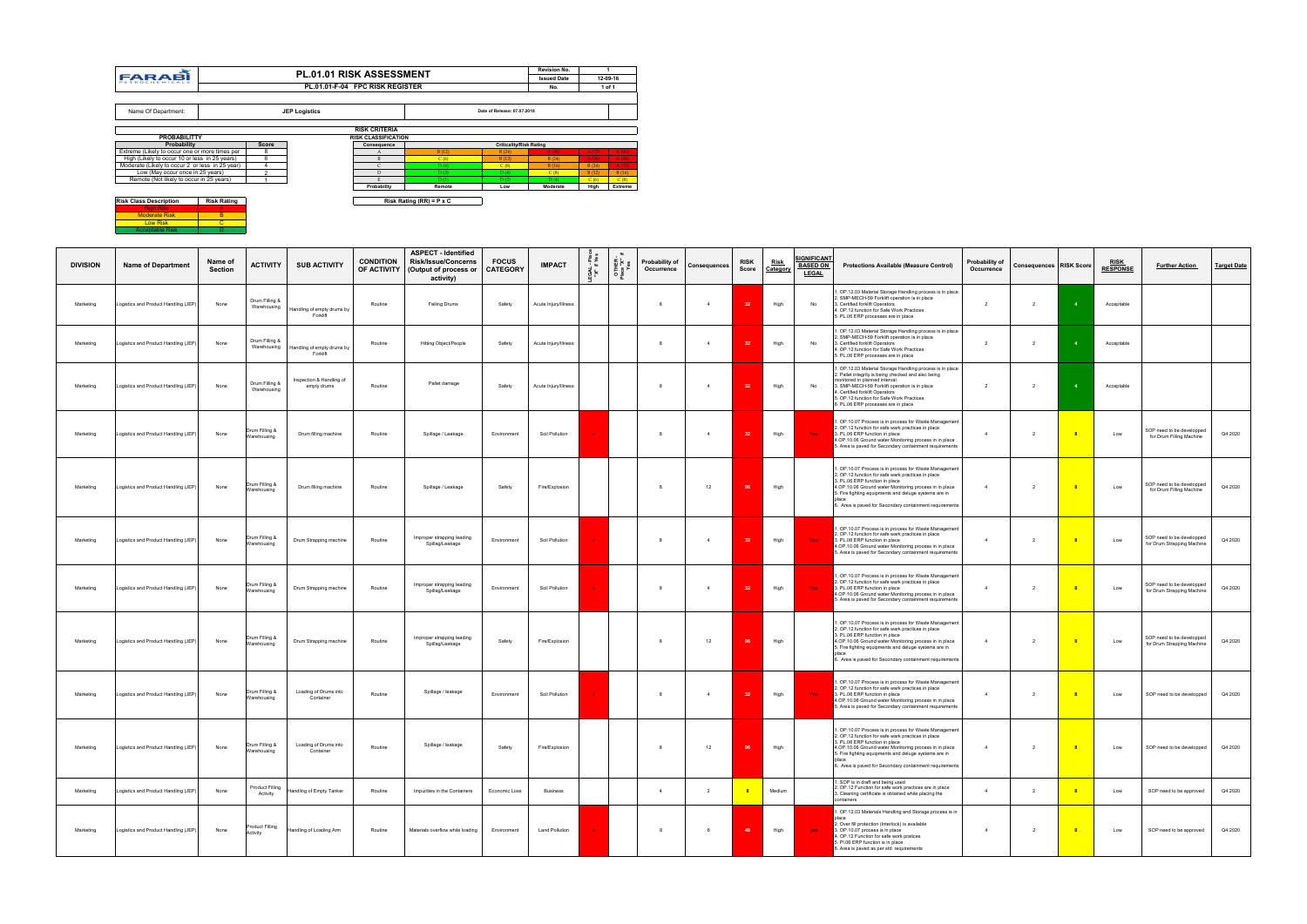| <b>DIVISION</b> | <b>Name of Department</b>            | Name of<br>Section | <b>ACTIVITY</b>               | <b>SUB ACTIVITY</b>                                | <b>CONDITION</b><br>OF ACTIVITY | <b>ASPECT - Identified</b><br><b>Risk/Issue/Concerns</b><br>(Output of process or<br>activity) | <b>FOCUS</b><br><b>CATEGORY</b> | <b>IMPACT</b>         | ᅐᅔ<br>' ⊭<br>$\frac{1}{2}$ | 뜨 노 | Probability of<br>Occurrence | Consequences   | <b>RISK</b><br>Score | <u>Risk</u><br>Category | SIGNIFICANT<br><b>BASED ON</b><br><b>LEGAL</b> | <b>Protections Available (Measure Control)</b>                                                                                                                                                                                                                                                                               | Probability of<br>Occurrence | <b>Consequences RISK Score</b> |                | <b>RISK</b><br><b>RESPONSE</b> | <b>Further Action</b>                                   | <b>Target Date</b> |
|-----------------|--------------------------------------|--------------------|-------------------------------|----------------------------------------------------|---------------------------------|------------------------------------------------------------------------------------------------|---------------------------------|-----------------------|----------------------------|-----|------------------------------|----------------|----------------------|-------------------------|------------------------------------------------|------------------------------------------------------------------------------------------------------------------------------------------------------------------------------------------------------------------------------------------------------------------------------------------------------------------------------|------------------------------|--------------------------------|----------------|--------------------------------|---------------------------------------------------------|--------------------|
| Marketing       | ogistics and Product Handling (JEP)  | None               | Drum Filling &<br>Warehousing | Handling of empty drums by<br>Forklift             | Routine                         | Falling Drums                                                                                  | Safety                          | Acute Injury/Illness  |                            |     |                              | $\overline{4}$ |                      | High                    | No                                             | . OP.12.03 Material Storage Handling process is in place<br>2. SMP-MECH-59 Forklift operation is in place<br>3. Certified forklift Operators<br>4. OP.12 function for Safe Work Practices<br>5. PL.06 ERP processes are in place                                                                                             | 2                            | $\overline{2}$                 | $\overline{4}$ | Acceptable                     |                                                         |                    |
| Marketing       | Logistics and Product Handling (JEP) | None               | Drum Filling &                | Warehousing Handling of empty drums by<br>Forklift | Routine                         | Hitting Object/People                                                                          | Safety                          | Acute Injury/Illness  |                            |     | 8                            | $\overline{4}$ |                      | High                    | No                                             | 1. OP.12.03 Material Storage Handling process is in place<br>2. SMP-MECH-59 Forklift operation is in place<br>3. Certified forklift Operators<br>4. OP.12 function for Safe Work Practices<br>5. PL.06 ERP processes are in place                                                                                            | 2                            | 2                              |                | Acceptable                     |                                                         |                    |
| Marketing       | Logistics and Product Handling (JEP) | None               | Drum Filling &<br>Warehousing | Inspection & Handling of<br>empty drums            | Routine                         | Pallet damage                                                                                  | Safety                          | Acute Injury/Illness  |                            |     | 8                            | $\overline{4}$ | 32                   | High                    | No                                             | . OP.12.03 Material Storage Handling process is in place<br>2. Pallet integrity is being checked and also being<br>monitored in planned interval.<br>3. SMP-MECH-59 Forklift operation is in place<br>. Certified forklift Operators<br>5. OP.12 function for Safe Work Practices<br>3. PL.06 ERP processes are in place     | $\overline{2}$               | $\overline{2}$                 |                | Acceptable                     |                                                         |                    |
| Marketing       | Logistics and Product Handling (JEP) | None               | rum Filling &<br>Varehousing  | Drum filling machine                               | Routine                         | Spillage / Leakage                                                                             | Environment                     | Soil Pollution        |                            |     | 8                            | $\overline{4}$ | 32                   | High                    | Yes                                            | OP.10.07 Process is in process for Waste Management<br>OP.12 function for safe wark practices in place<br>3. PL.06 ERP function in place<br>1.OP.10.06 Ground water Monitoring process in in place<br>5. Area is paved for Secondary containment requirements                                                                |                              | $\overline{2}$                 |                | Low                            | SOP need to be developped<br>for Drum Filling Machine   | Q4 2020            |
| Marketing       | Logistics and Product Handling (JEP) | None               | Irum Filling &<br>Warehousing | Drum filling machine                               | Routine                         | Spillage / Leakage                                                                             | Safety                          | Fire/Explosion        |                            |     | -8                           | 12             | 96                   | High                    |                                                | 1. OP.10.07 Process is in process for Waste Management<br>2. OP.12 function for safe wark practices in place<br>3. PL.06 ERP function in place<br>4.OP.10.06 Ground water Monitoring process in in place<br>5. Fire fighting equipments and deluge systems are in<br>6. Area is paved for Secondary containment requirements | $\overline{4}$               | $\overline{2}$                 |                | Low                            | SOP need to be developped<br>for Drum Filling Machine   | Q4 2020            |
| Marketing       | Logistics and Product Handling (JEP) | None               | Irum Filling &<br>Warehousing | Drum Strapping machine                             | Routine                         | Improper strapping leading<br>Spillag/Leakage                                                  | Environment                     | Soil Pollution        |                            |     | 8                            | $\overline{4}$ | 32                   | High                    | <b>Yes</b>                                     | . OP.10.07 Process is in process for Waste Management<br>2. OP.12 function for safe wark practices in place<br>3. PL.06 ERP function in place<br>.OP.10.06 Ground water Monitoring process in in place<br>5. Area is paved for Secondary containment requirements                                                            | $\overline{4}$               | 2                              |                | Low                            | SOP need to be developped<br>for Drum Strapping Machine | Q4 2020            |
| Marketing       | Logistics and Product Handling (JEP) | None               | )rum Filling &<br>Narehousing | Drum Strapping machine                             | Routine                         | Improper strapping leading<br>Spillag/Leakage                                                  | Environment                     | Soil Pollution        |                            |     | - 8                          | $\overline{4}$ | 32                   | High                    | <b>Yes</b>                                     | OP.10.07 Process is in process for Waste Management<br>2. OP.12 function for safe wark practices in place<br>3. PL.06 ERP function in place<br>1.OP.10.06 Ground water Monitoring process in in place<br>5. Area is paved for Secondary containment requirements                                                             | $\overline{4}$               | $\overline{2}$                 |                | Low                            | SOP need to be developped<br>for Drum Strapping Machine | Q4 2020            |
| Marketing       | Logistics and Product Handling (JEP) | None               | Irum Filling &<br>Narehousing | Drum Strapping machine                             | Routine                         | Improper strapping leading<br>Spillag/Leakage                                                  | Safety                          | Fire/Explosion        |                            |     | 8                            | 12             | 96                   | High                    |                                                | . OP.10.07 Process is in process for Waste Management<br>2. OP.12 function for safe wark practices in place<br>3. PL.06 ERP function in place<br>4.OP.10.06 Ground water Monitoring process in in place<br>5. Fire fighting equipments and deluge systems are in<br>6. Area is paved for Secondary containment requirements  | $\overline{4}$               | $\overline{2}$                 |                | Low                            | SOP need to be developped<br>for Drum Strapping Machine | Q4 2020            |
| Marketing       | Logistics and Product Handling (JEP) | None               | )rum Filling &<br>Warehousing | Loading of Drums into<br>Container                 | Routine                         | Spillage / leakage                                                                             | Environment                     | Soil Pollution        |                            |     | 8                            | $\overline{4}$ | 32 <sup>2</sup>      | High                    | <b>Yes</b>                                     | . OP.10.07 Process is in process for Waste Management<br>2. OP.12 function for safe wark practices in place<br>3. PL.06 ERP function in place<br>.OP.10.06 Ground water Monitoring process in in place<br>5. Area is paved for Secondary containment requirements                                                            | $\overline{4}$               | $\overline{2}$                 |                | Low                            | SOP need to be developped                               | Q4 2020            |
| Marketing       | Logistics and Product Handling (JEP) | None               | Drum Filling &<br>Warehousing | Loading of Drums into<br>Container                 | Routine                         | Spillage / leakage                                                                             | Safety                          | Fire/Explosion        |                            |     | 8                            | 12             | 96                   | High                    |                                                | 1. OP.10.07 Process is in process for Waste Management<br>OP.12 function for safe wark practices in plac<br>3. PL.06 ERP function in place<br>4.OP.10.06 Ground water Monitoring process in in place<br>5. Fire fighting equipments and deluge systems are in<br>6. Area is paved for Secondary containment requirements     | $\overline{4}$               | $\overline{2}$                 | $^{\circ}$ 8   | Low                            | SOP need to be developped                               | Q4 2020            |
| Marketing       | Logistics and Product Handling (JEP) | None               | Product Filling<br>Activity   | Handling of Empty Tanker                           | Routine                         | Impurities in the Containers                                                                   | Economic Loss                   | <b>Business</b>       |                            |     | 4                            | $\overline{2}$ |                      | Medium                  |                                                | 1. SOP is in draft and being used<br>2. OP.12 Function for safe work practices are in place<br>3. Cleaning certificate is obtained while placing the<br>containers                                                                                                                                                           | $\overline{4}$               | $\overline{2}$                 |                | Low                            | SOP need to be approved                                 | Q4 2020            |
| Marketing       | Logistics and Product Handling (JEP) | None               | Product Filling<br>Activity   | Handling of Loading Arm                            | Routine                         | Materials overflow while loading                                                               | Environment                     | <b>Land Pollution</b> |                            |     | 8                            | 6              | 48                   | High                    | yes.                                           | . OP.12.03 Materials Handling and Storage process is in<br>place<br>2. Over fill protection (Interlock) is available<br>3. OP.10.07 process is in place<br>. OP.12 Function for safe work pratices<br>PI.06 ERP function is in place<br>. Area is paved as per std. requirements                                             | $\overline{4}$               | $\overline{2}$                 |                | Low                            | SOP need to be approved                                 | Q4 2020            |

|                                                 |                    |                         |                      | <b>PL.01.01 RISK ASSESSMENT</b> |                                 |                                | <b>Revision No.</b> |       |                |
|-------------------------------------------------|--------------------|-------------------------|----------------------|---------------------------------|---------------------------------|--------------------------------|---------------------|-------|----------------|
| <b>FARABI</b><br>PETROCHEMICALS                 |                    |                         |                      |                                 |                                 |                                | <b>Issued Date</b>  |       | 12-09-16       |
|                                                 |                    |                         |                      | PL.01.01-F-04 FPC RISK REGISTER |                                 |                                | No.                 |       | 1 of 1         |
|                                                 |                    |                         |                      |                                 |                                 |                                |                     |       |                |
| Name Of Department:                             |                    |                         | <b>JEP Logistics</b> |                                 |                                 | Date of Release: 07.07.2018    |                     |       |                |
|                                                 |                    |                         |                      | <b>RISK CRITERIA</b>            |                                 |                                |                     |       |                |
| <b>PROBABILITTY</b>                             |                    |                         |                      | <b>RISK CLASSIFICATION</b>      |                                 |                                |                     |       |                |
| <b>Probability</b>                              |                    | <b>Score</b>            |                      | Consequence                     |                                 | <b>Criticality/Risk Rating</b> |                     |       |                |
| Extreme (Likely to occur one or more times per  |                    | 8                       |                      | A                               | B(12)                           | B(24)                          | A(48)               | A(72) | A(96)          |
| High (Likely to occur 10 or less in 25 years)   |                    | 6                       |                      | B                               | C(6)                            | B(12)                          | B(24)               | A(36) | A(48)          |
| Moderate (Likely to occur 2 or less in 25 year) |                    | 4                       |                      | $\mathsf{C}$                    | D(4)                            | C(8)                           | B(16)               | B(24) | A(32)          |
| Low (May occur once in 25 years)                |                    | $\overline{\mathbf{c}}$ |                      | D                               | D(2)                            | D(4)                           | C(8)                | B(12) | B(16)          |
| Remote (Not likely to occur in 25 years)        |                    |                         |                      | E.                              | D(1)                            | D(2)                           | D(4)                | C(6)  | C(8)           |
|                                                 |                    |                         |                      | Probability                     | Remote                          | Low                            | Moderate            | High  | <b>Extreme</b> |
|                                                 |                    |                         |                      |                                 |                                 |                                |                     |       |                |
| <b>Risk Class Description</b>                   | <b>Risk Rating</b> |                         |                      |                                 | Risk Rating (RR) = $P \times C$ |                                |                     |       |                |
| <b>High Risk</b>                                | A                  |                         |                      |                                 |                                 |                                |                     |       |                |
| <b>Moderate Risk</b>                            | B                  |                         |                      |                                 |                                 |                                |                     |       |                |
| <b>Low Risk</b>                                 | C                  |                         |                      |                                 |                                 |                                |                     |       |                |
| <b>Acceptable Risk</b>                          |                    |                         |                      |                                 |                                 |                                |                     |       |                |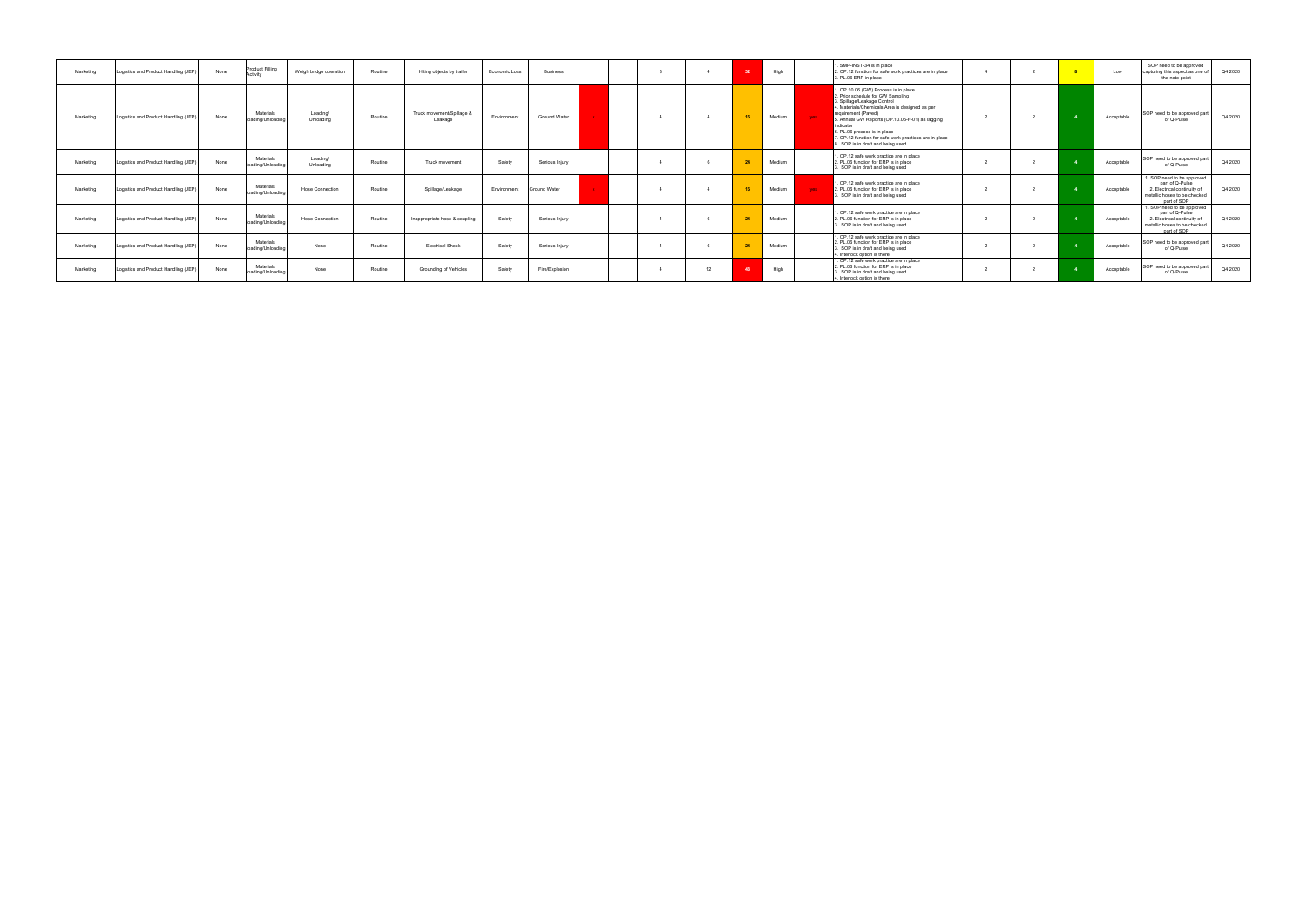| Marketing | Logistics and Product Handling (JEP  | None | <b>Product Filling</b><br>ctivity | Weigh bridge operation | Routine | Hiting objects by trailer            | Economic Loss | <b>Business</b> |  |    | 22    | High   |      | . SMP-INST-34 is in place<br>2. OP.12 function for safe work practices are in place<br>3. PL.06 ERP in place                                                                                                                                                                                                                                                                 |  | Low        | SOP need to be approved<br>capturing this aspect as one of<br>the note point                                                | Q4 2020 |
|-----------|--------------------------------------|------|-----------------------------------|------------------------|---------|--------------------------------------|---------------|-----------------|--|----|-------|--------|------|------------------------------------------------------------------------------------------------------------------------------------------------------------------------------------------------------------------------------------------------------------------------------------------------------------------------------------------------------------------------------|--|------------|-----------------------------------------------------------------------------------------------------------------------------|---------|
| Marketing | Logistics and Product Handling (JEP  | None | Materials<br>loading/Unloading    | Loading/<br>Unloading  | Routine | Truck movement/Spillage &<br>Leakage | Environment   | Ground Water    |  |    | 16    | Medium | ves. | . OP.10.06 (GW) Process is in place<br>2. Prior schedule for GW Sampling<br>3. Spillage/Leakage Control<br>4. Materials/Chemicals Area is designed as per<br>requirement (Paved)<br>5. Annual GW Reports (OP.10.06-F-01) as lagging<br>indicator<br>6. PL.06 process is in place<br>7. OP.12 function for safe work practices are in place<br>SOP is in draft and being used |  | Acceptable | SOP need to be approved par<br>of Q-Pulse                                                                                   | Q4 2020 |
| Marketing | Logistics and Product Handling (JEP  | None | Materials<br>oading/Unloading     | Loading/<br>Unloading  | Routine | Truck movement                       | Safety        | Serious Injury  |  |    | 24    | Medium |      | I. OP.12 safe work practice are in place<br>2. PL.06 function for ERP is in place<br>3. SOP is in draft and being used                                                                                                                                                                                                                                                       |  | Acceptable | SOP need to be approved par<br>of Q-Pulse                                                                                   | Q4 2020 |
| Marketing | Logistics and Product Handling (JEP  | None | Materials<br>loading/Unloading    | Hose Connection        | Routine | Spillage/Leakage                     | Environment   | Ground Water    |  |    | $-16$ | Medium | ves. | . OP.12 safe work practice are in place<br>2. PL.06 function for ERP is in place<br>. SOP is in draft and being used                                                                                                                                                                                                                                                         |  | Acceptable | 1. SOP need to be approved<br>part of Q-Pulse<br>2. Electrical continuity of<br>metallic hoses to be checked<br>part of SOP | Q4 2020 |
| Marketing | Logistics and Product Handling (JEP) | None | Materials<br>oading/Unloading     | <b>Hose Connection</b> | Routine | Inappropriate hose & coupling        | Safety        | Serious Injury  |  |    | 24    | Medium |      | I. OP.12 safe work practice are in place<br>2. PL.06 function for ERP is in place<br>3. SOP is in draft and being used                                                                                                                                                                                                                                                       |  | Acceptable | 1. SOP need to be approved<br>part of Q-Pulse<br>2. Electrical continuity of<br>metallic hoses to be checked<br>part of SOP | Q4 2020 |
| Marketing | Logistics and Product Handling (JEP  | None | Materials<br>loading/Unloadin     | None                   | Routine | <b>Electrical Shock</b>              | Safety        | Serious Injury  |  |    | 24    | Medium |      | I. OP.12 safe work practice are in place<br>2. PL.06 function for ERP is in place<br>3. SOP is in draft and being used<br>4. Interlock option is there                                                                                                                                                                                                                       |  | Acceptable | SOP need to be approved part<br>of Q-Pulse                                                                                  | Q4 2020 |
| Marketing | Logistics and Product Handling (JEP  | None | Materials<br>loading/Unloading    | None                   | Routine | Grounding of Vehicles                | Safety        | Fire/Explosion  |  | 12 |       | High   |      | I. OP.12 safe work practice are in place<br>2. PL.06 function for ERP is in place<br>3. SOP is in draft and being used<br>4. Interlock option is there                                                                                                                                                                                                                       |  | Acceptable | SOP need to be approved part<br>of Q-Pulse                                                                                  | Q4 2020 |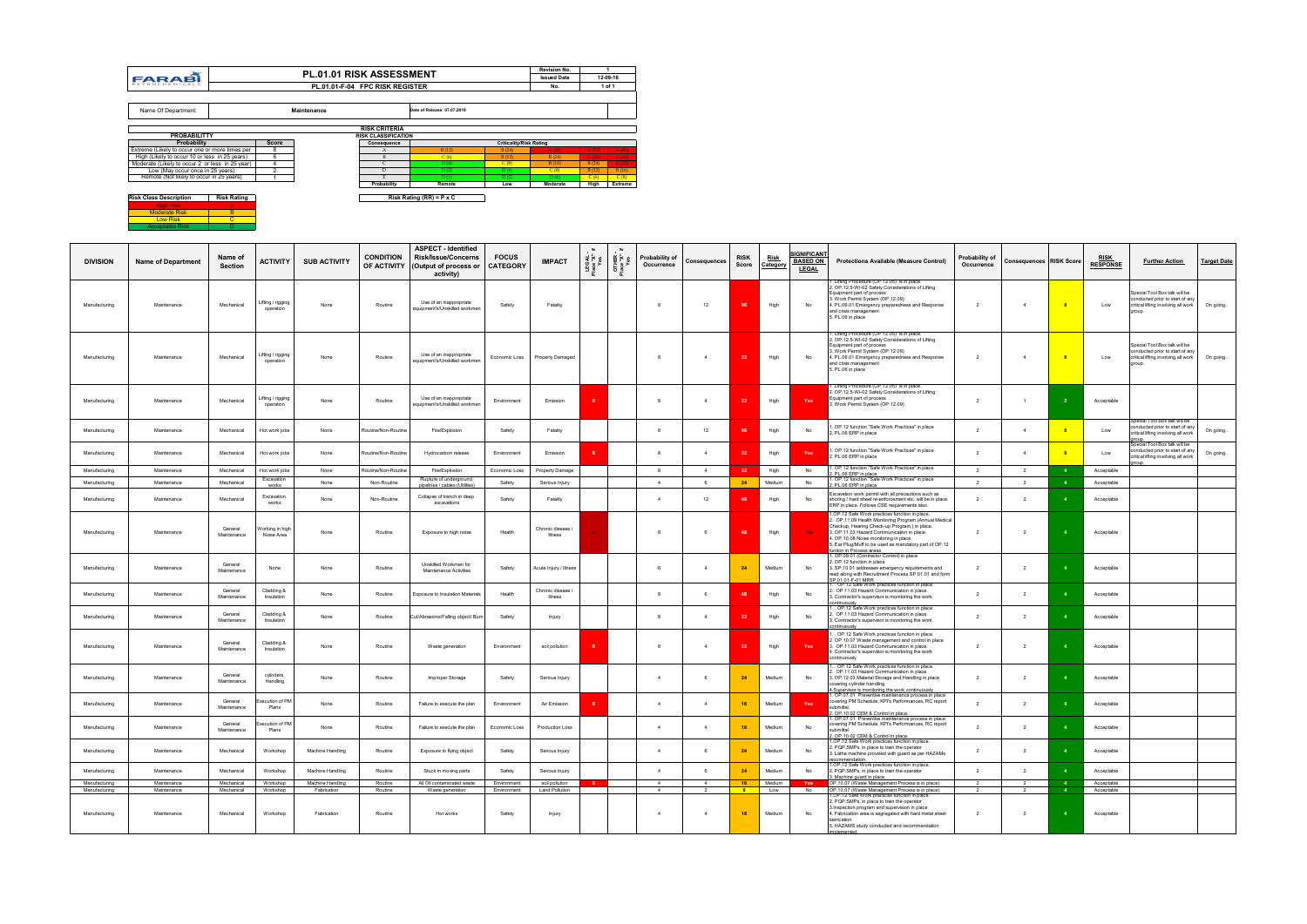**Risk Class Description Risk Rating** High Risk A Moderate Risk B Low Risk C Acceptable Risk D

| <b>DIVISION</b>                | <b>Name of Department</b>  | Name of<br><b>Section</b> | <b>ACTIVITY</b>                | <b>SUB ACTIVITY</b>        | <b>CONDITION</b><br>OF ACTIVITY | <b>ASPECT - Identified</b><br><b>Risk/Issue/Concerns</b><br>(Output of process or<br>activity) | <b>FOCUS</b><br><b>CATEGORY</b> | <b>IMPACT</b>                   | OTHER<br>Place "X"<br>Yos | Probability of<br>Occurrence | <b>Consequences</b>              | <b>RISK</b><br>Score | Risk<br>Category | <u>IGNIFICANT</u><br><b>BASED ON</b><br><b>LEGAL</b> | <b>Protections Available (Measure Control)</b>                                                                                                                                                                                                                                                                                        | Probability of<br>Occurrence | <b>Consequences RISK Score</b>   |              | <b>RISK</b><br><b>RESPONSE</b> | <b>Further Action</b>                                                                                   | <b>Target Date</b> |
|--------------------------------|----------------------------|---------------------------|--------------------------------|----------------------------|---------------------------------|------------------------------------------------------------------------------------------------|---------------------------------|---------------------------------|---------------------------|------------------------------|----------------------------------|----------------------|------------------|------------------------------------------------------|---------------------------------------------------------------------------------------------------------------------------------------------------------------------------------------------------------------------------------------------------------------------------------------------------------------------------------------|------------------------------|----------------------------------|--------------|--------------------------------|---------------------------------------------------------------------------------------------------------|--------------------|
| Manufacturing                  | Maintenance                | Mechanical                | Lifting / rigging<br>operation | None                       | Routine                         | Use of an inappropriate<br>equipment's/Unskilled workmen                                       | Safety                          | Fatality                        |                           | 8                            | 12                               | 96                   | High             | No                                                   | . Lifting Procedure (OP.12.05) is in place.<br>2. OP.12.5-WI-02 Safety Considerations of Lifting<br>Equipment part of process<br>3. Work Permit System (OP.12.09)<br>4. PL.06.01 Emergency preparedness and Response<br>and crisis management<br>5. PL.06 in place                                                                    | $\overline{2}$               | $\overline{4}$                   |              | Low                            | Special Tool Box talk will be<br>conducted prior to start of any<br>critical lifting involving all work | On going           |
| Manufacturing                  | Maintenance                | Mechanical                | Lifting / rigging<br>operation | None                       | Routine                         | Use of an inappropriate<br>equipment's/Unskilled workmen                                       | Economic Loss                   | Property Damaged                |                           | 8                            | $\overline{4}$                   |                      | High             | No                                                   | 1. Lifting Procedure (OP.12.05) is in place.<br>2. OP.12.5-WI-02 Safety Considerations of Lifting<br>Equipment part of process<br>3. Work Permit System (OP.12.09)<br>4. PL.06.01 Emergency preparedness and Response<br>and crisis management<br>5. PL.06 in place                                                                   | $\overline{2}$               | $\overline{4}$                   |              | Low                            | Special Tool Box talk will be<br>conducted prior to start of any<br>critical lifting involving all work | On going           |
| Manufacturing                  | Maintenance                | Mechanical                | Lifting / rigging<br>operation | None                       | Routine                         | Use of an inappropriate<br>equipment's/Unskilled workmen                                       | Environment                     | Emission                        |                           | 8                            | $\overline{4}$                   |                      | High             | Yes                                                  | . Lifting Procedure (OP.12.05) is in place.<br>2. OP.12.5-WI-02 Safety Considerations of Lifting<br>Equipment part of process<br>3. Work Permit System (OP.12.09)                                                                                                                                                                     | $\overline{2}$               | $\overline{1}$                   |              | Acceptable                     |                                                                                                         |                    |
| Manufacturing                  | Maintenance                | Mechanical                | Hot work jobs                  | None                       | Routine/Non-Routine             | Fire/Explosion                                                                                 | Safety                          | Fatality                        |                           | 8                            | 12                               |                      | High             | No                                                   | . OP.12 function "Safe Work Practices" in place<br>2. PL.06 ERP in place                                                                                                                                                                                                                                                              | $\overline{2}$               | $\overline{4}$                   |              | Low                            | Special Tool Box talk will be<br>conducted prior to start of any<br>critical lifting involving all work | On going           |
| Manufacturing                  | Maintenance                | Mechanical                | Hot work jobs                  | None                       | Routine/Non-Routine             | Hydrocarbon release                                                                            | Environment                     | Emission                        |                           | 8                            | $\overline{4}$                   | 32                   | High             | Yes                                                  | . OP.12 function "Safe Work Practices" in place<br>2. PL.06 ERP in place                                                                                                                                                                                                                                                              | $\overline{2}$               | $\overline{4}$                   |              | Low                            | Special Tool Box talk will be<br>conducted prior to start of any<br>critical lifting involving all work | On going           |
| Manufacturing                  | Maintenance                | Mechanical                | Hot work jobs                  | None                       | Routine/Non-Routine             | Fire/Explosion                                                                                 | Economic Loss                   | Property Damage                 |                           | 8                            | $\overline{4}$                   | -32                  | High             | No                                                   | OP.12 function "Safe Work Practices" in place                                                                                                                                                                                                                                                                                         | $\overline{2}$               | $\overline{2}$                   |              | Acceptable                     |                                                                                                         |                    |
| Manufacturing                  | Maintenance                | Mechanical                | Excavation<br>works            | None                       | Non-Routine                     | Rupture of underground<br>pipelines / cables (Utilities)                                       | Safety                          | Serious Injury                  |                           | 4                            | 6                                | 24                   | Medium           | No                                                   | 2. PL.06 ERP in place<br>1. OP.12 function "Safe Work Practices" in place<br>2. PL.06 ERP in place                                                                                                                                                                                                                                    | 2                            | $\overline{2}$                   |              | Acceptable                     |                                                                                                         |                    |
| Manufacturing                  | Maintenance                | Mechanical                | Excavation<br>works            | None                       | Non-Routine                     | Collapse of trench in deep<br>excavations                                                      | Safety                          | Fatality                        |                           | $\overline{4}$               | 12                               | 48                   | High             | No                                                   | Excavation work permit with all precautions such as<br>shoring / hard sheet re-enforcement etc. will be in place.<br>ERP in place. Follows CSE requirements also.                                                                                                                                                                     | $\overline{2}$               | $\overline{2}$                   |              | Acceptable                     |                                                                                                         |                    |
| Manufacturing                  | Maintenance                | General<br>Maintenance    | Working in high<br>Noise Area  | None                       | Routine                         | Exposure to high noise                                                                         | Health                          | Chronic disease /<br>Illness    |                           | 8                            | 6                                |                      | High             | <b>Yes</b>                                           | 1.OP.12 Safe Work practices function in place.<br>2. OP.11.09 Health Monitoring Program (Annual Medical<br>Checkup, Hearing Check-up Program,) in place.<br>3. OP.11.03 Hazard Communication in place.<br>4. OP.10.08 Noise monitoring in place<br>5. Ear Plug/Muff to be used as mandatory part of OP.12<br>funtion in Process areas | $\overline{2}$               | $\overline{2}$                   |              | Acceptable                     |                                                                                                         |                    |
| Manufacturing                  | Maintenance                | General<br>Maintenance    | None                           | None                       | Routine                         | Unskilled Workmen for<br><b>Maintenance Activities</b>                                         | Safety                          | Acute Injury / Illness          |                           | 6                            | $\overline{4}$                   | 24                   | Medium           | No                                                   | . OP.09.01 (Contractor Control) in place<br>2. OP.12 function in place<br>3. SP.10.01 addresses emergency requirements and<br>read along with Recruitment Process SP.01.01 and form<br>SP.01.01-F-01 MRR<br>1. . OP.12 Safe Work practices function in place.                                                                         | $\overline{2}$               | $\overline{2}$                   |              | Acceptable                     |                                                                                                         |                    |
| Manufacturing                  | Maintenance                | General<br>Maintenance    | Cladding &<br>Insulation       | None                       | Routine                         | Exposure to Insulation Materials                                                               | Health                          | Chronic disease /<br>Illness    |                           | 8                            | 6.                               |                      | High             | No                                                   | 2. OP.11.03 Hazard Communication in place.<br>3. Contractor's supervisor is monitoring the work                                                                                                                                                                                                                                       | $\overline{2}$               | $\overline{2}$                   |              | Acceptable                     |                                                                                                         |                    |
| Manufacturing                  | Maintenance                | General<br>Maintenance    | Cladding &<br>Insulation       | None                       | Routine                         | Cut/Abrasions/Falling object/ Burn                                                             | Safety                          | Injury                          |                           | 8                            | $\overline{4}$                   | 32                   | High             | No                                                   | 1OP.12 Safe Work practices function in place.<br>. OP.11.03 Hazard Communication in place.<br>3. Contractor's supervisor is monitoring the work<br>ontinuously                                                                                                                                                                        | $\overline{2}$               | $\overline{2}$                   |              | Acceptable                     |                                                                                                         |                    |
| Manufacturing                  | Maintenance                | General<br>Maintenance    | Cladding &<br>Insulation       | None                       | Routine                         | Waste generation                                                                               | Environment                     | soil pollution                  |                           | 8                            | $\overline{4}$                   | -32                  | High             | Yes                                                  | . OP.12 Safe Work practices function in place.<br>2. OP.10.07 Waste management and control in place<br>3. OP.11.03 Hazard Communication in place.<br>4. Contractor's supervisor is monitoring the work<br>continuously                                                                                                                | $\overline{2}$               | $\overline{2}$                   |              | Acceptable                     |                                                                                                         |                    |
| Manufacturing                  | Maintenance                | General<br>Maintenance    | cylinders<br>Handling          | None                       | Routine                         | Improper Storage                                                                               | Safety                          | Serious Injury                  |                           | $\overline{4}$               | 6                                | 24                   | Medium           | No                                                   | . OP.12 Safe Work practices function in place.<br>. OP.11.03 Hazard Communication in place.<br>3. OP.12.03 Material Storage and Handling in place<br>covering cylinder handling.                                                                                                                                                      | $\overline{2}$               | $\overline{2}$                   |              | Acceptable                     |                                                                                                         |                    |
| Manufacturing                  | Maintenance                | General<br>Maintenance    | ecution of PM<br>Plans         | None                       | Routine                         | Failure to execute the plan                                                                    | Environment                     | Air Emission                    |                           | $\overline{4}$               | $\overline{4}$                   | 16                   | Medium           | Yes                                                  | <u>4.Supervisor is monitoring the work continuously</u><br>1. OP.07.01 Preventive maintenance process in place<br>covering PM Schedule, KPI's Performances, RC report<br>submittal.<br>2. OP.10.02 CEM & Control in place.                                                                                                            | $\overline{2}$               | $\overline{2}$                   |              | Acceptable                     |                                                                                                         |                    |
| Manufacturing                  | Maintenance                | General<br>Maintenance    | xecution of PM<br>Plans        | None                       | Routine                         | Failure to execute the plan                                                                    | Economic Loss                   | Production Loss                 |                           | $\overline{4}$               | $\overline{4}$                   | 16                   | Medium           | No                                                   | 1. OP.07.01 Preventive maintenance process in place<br>covering PM Schedule, KPI's Performances, RC report<br>submittal.<br>2. OP.10.02 CEM & Control in place.<br>1.OP.12 Safe Work practices function in place.                                                                                                                     | $\overline{2}$               | $\overline{2}$                   |              | Acceptable                     |                                                                                                         |                    |
| Manufacturing                  | Maintenance                | Mechanical                | Workshop                       | Machine Handling           | Routine                         | Exposure to flying object                                                                      | Safety                          | Serious Injury                  |                           | $\overline{4}$               | 6                                | 24                   | Medium           | No                                                   | 2. PQP, SMPs, in place to train the operator<br>3. Lathe machine provided with guard as per HAZAMs<br>recommendation.                                                                                                                                                                                                                 | $\overline{2}$               | $\overline{2}$                   |              | Acceptable                     |                                                                                                         |                    |
| Manufacturing                  | Maintenance                | Mechanical                | Workshop                       | Machine Handling           | Routine                         | Stuck in moving parts                                                                          | Safety                          | Serious Injury                  |                           | $\overline{4}$               | 6                                | 24                   | Medium           | No                                                   | 1.OP.12 Safe Work practices function in place.<br>2. PQP, SMPs, in place to train the operator<br>3. Machine guard in place.                                                                                                                                                                                                          | $\overline{2}$               | $\overline{2}$                   |              | Acceptable                     |                                                                                                         |                    |
| Manufacturing                  | Maintenance                | Mechanical                | Workshop                       | Machine Handling           | Routine                         | All Oil contaminated waste                                                                     | Environment                     | soil pollution                  |                           | $\overline{4}$               | $\Delta$                         | 16                   | Medium           | Yes                                                  | OP.10.07 (Waste Management Process is in place)                                                                                                                                                                                                                                                                                       | $\mathcal{P}$                |                                  |              | Acceptable                     |                                                                                                         |                    |
| Manufacturing<br>Manufacturing | Maintenance<br>Maintenance | Mechanical<br>Mechanical  | Workshop<br>Workshop           | Fabrication<br>Fabrication | Routine<br>Routine              | Waste generation<br>Hot works                                                                  | Environment<br>Safety           | <b>Land Pollution</b><br>Injury |                           | 4<br>$\overline{4}$          | $\overline{2}$<br>$\overline{4}$ | 8 <sup>2</sup><br>16 | Low<br>Medium    | No<br>No                                             | OP.10.07 (Waste Management Process is in place)<br>.OP.12 Safe Work practices function in place.<br>2. PQP, SMPs, in place to train the operator<br>3. Inspection program and supervision in place<br>4. Fabrication area is segregated with hard metal sheet<br>barrication.<br>5. HAZAMS study conducted and recommendation         | 2<br>$\overline{2}$          | $\overline{2}$<br>$\overline{2}$ | $\mathbf{A}$ | Acceptable<br>Acceptable       |                                                                                                         |                    |
|                                |                            |                           |                                |                            |                                 |                                                                                                |                                 |                                 |                           |                              |                                  |                      |                  |                                                      | implemented                                                                                                                                                                                                                                                                                                                           |                              |                                  |              |                                |                                                                                                         |                    |

|                                                 |                    |              | <b>PL.01.01 RISK ASSESSMENT</b> |                                 |                                 |                                | Revision No.       |       |          |
|-------------------------------------------------|--------------------|--------------|---------------------------------|---------------------------------|---------------------------------|--------------------------------|--------------------|-------|----------|
| <b>FARABI</b>                                   |                    |              |                                 |                                 |                                 |                                | <b>Issued Date</b> |       | 12-09-16 |
| PETROCHEMICALS                                  |                    |              |                                 | PL.01.01-F-04 FPC RISK REGISTER |                                 |                                | No.                |       | 1 of 1   |
|                                                 |                    |              |                                 |                                 |                                 |                                |                    |       |          |
| Name Of Department:                             |                    |              | Maintenance                     |                                 | Date of Release: 07.07.2018     |                                |                    |       |          |
|                                                 |                    |              |                                 |                                 |                                 |                                |                    |       |          |
|                                                 |                    |              |                                 | <b>RISK CRITERIA</b>            |                                 |                                |                    |       |          |
| <b>PROBABILITTY</b>                             |                    |              |                                 | <b>RISK CLASSIFICATION</b>      |                                 |                                |                    |       |          |
| <b>Probability</b>                              |                    | <b>Score</b> |                                 | Consequence                     |                                 | <b>Criticality/Risk Rating</b> |                    |       |          |
| Extreme (Likely to occur one or more times per  |                    | 8            |                                 | A                               | B(12)                           | B(24)                          | A(48)              | A(72) | A(96)    |
| High (Likely to occur 10 or less in 25 years)   |                    | 6            |                                 | B                               | C(6)                            | B(12)                          | B(24)              | A(36) | A(48)    |
| Moderate (Likely to occur 2 or less in 25 year) |                    |              |                                 | C                               | D(4)                            | C(8)                           | B(16)              | B(24) | A(32)    |
| Low (May occur once in 25 years)                |                    | 2            |                                 | D                               | D(2)                            | D(4)                           | C(8)               | B(12) | B(16)    |
| Remote (Not likely to occur in 25 years)        |                    |              |                                 | E                               | D(1)                            | D(2)                           | D(4)               | C(6)  | C(8)     |
|                                                 |                    |              |                                 | Probability                     | Remote                          | Low                            | Moderate           | High  | Extreme  |
| <b>Risk Class Description</b>                   | <b>Risk Rating</b> |              |                                 |                                 | Risk Rating (RR) = $P \times C$ |                                |                    |       |          |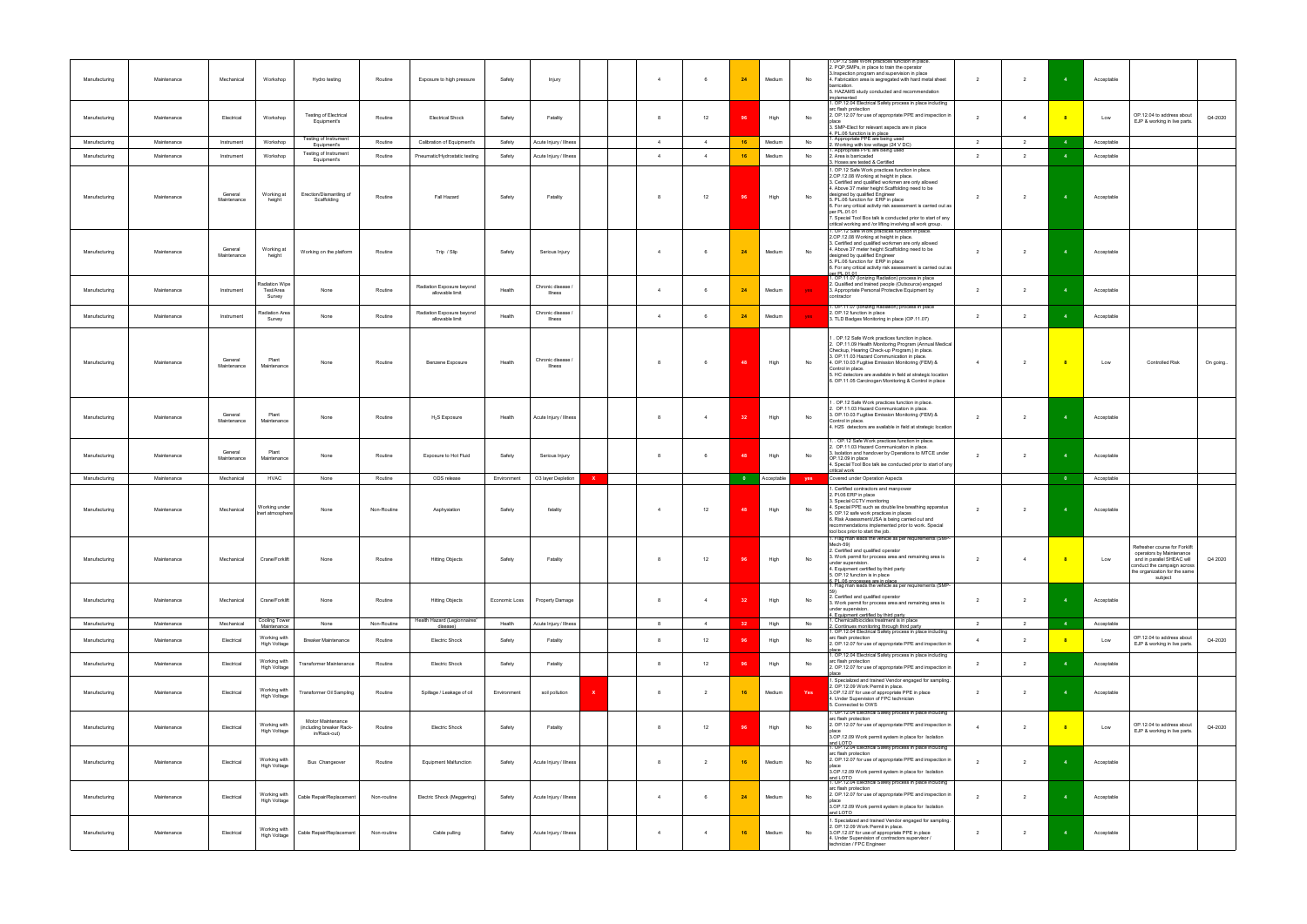| Manufacturing | Maintenance | Mechanical             | Workshop                              | Hydro testing                                                 | Routine     | Exposure to high pressure                    | Safety        | Injury                             | $\overline{4}$ | 6              | 24        | Medium     | No  | .OP.12 Safe Work practices function in place.<br>2. PQP, SMPs, in place to train the operator<br>3. Inspection program and supervision in place<br>4. Fabrication area is segregated with hard metal sheet<br>barrication.<br>5. HAZAMS study conducted and recommendation<br>nplemented                                                                                                                                                                                                                                                                                                                                   | $\overline{2}$ | $\overline{2}$ |                | Acceptable |                                                                                                                                                                    |          |
|---------------|-------------|------------------------|---------------------------------------|---------------------------------------------------------------|-------------|----------------------------------------------|---------------|------------------------------------|----------------|----------------|-----------|------------|-----|----------------------------------------------------------------------------------------------------------------------------------------------------------------------------------------------------------------------------------------------------------------------------------------------------------------------------------------------------------------------------------------------------------------------------------------------------------------------------------------------------------------------------------------------------------------------------------------------------------------------------|----------------|----------------|----------------|------------|--------------------------------------------------------------------------------------------------------------------------------------------------------------------|----------|
| Manufacturing | Maintenance | Electrical             | Workshop                              | <b>Testing of Electrical</b><br>Equipment's                   | Routine     | <b>Electrical Shock</b>                      | Safety        | Fatality                           | -8             | 12             | 96        | High       | No  | . OP.12.04 Electrical Safety process in place including<br>arc flash protection<br>2. OP.12.07 for use of appropriate PPE and inspection in<br>place<br>3. SMP-Elect for relevant aspects are in place<br>4. PL.06 function is in place                                                                                                                                                                                                                                                                                                                                                                                    | $\overline{2}$ | $\overline{4}$ |                | Low        | OP.12.04 to address about<br>EJP & working in live parts.                                                                                                          | Q4-2020  |
| Manufacturing | Maintenance | Instrument             | Workshop                              | Testing of Instrument<br>Equipment's                          | Routine     | Calibration of Equipment's                   | Safety        | Acute Injury / Illness             | $\overline{4}$ | $\overline{4}$ | 16        | Medium     | No  | Appropriate PPE are being used<br>. Working with low voltage (24 V DC)                                                                                                                                                                                                                                                                                                                                                                                                                                                                                                                                                     | $\overline{2}$ | $\overline{2}$ | $\overline{4}$ | Acceptable |                                                                                                                                                                    |          |
| Manufacturing | Maintenance | Instrument             | Workshop                              | Testing of Instrument<br>Equipment's                          | Routine     | Pneumatic/Hydrostatic testing                | Safety        | Acute Injury / Illness             | $\overline{4}$ | $\overline{4}$ | 16        | Medium     | No  | Appropriate PPE are being used<br>2. Area is barricaded                                                                                                                                                                                                                                                                                                                                                                                                                                                                                                                                                                    | $\overline{2}$ | $\overline{2}$ |                | Acceptable |                                                                                                                                                                    |          |
| Manufacturing | Maintenance | General<br>Maintenance | Working at<br>height                  | Erection/Dismantling of<br>Scaffolding                        | Routine     | Fall Hazard                                  | Safety        | Fatality                           | 8              | 12             | 96        | High       | No  | 3. Hoses are tested & Certified<br>1. OP.12 Safe Work practices function in place.<br>2.OP.12.08 Working at height in place.<br>3. Certified and qualified workmen are only allowed<br>4. Above 37 meter height Scaffolding need to be<br>designed by qualified Engineer<br>5. PL.06 function for ERP in place<br>6. For any critical activity risk assessment is carried out as<br>per PL.01.01<br>7. Special Tool Box talk is conducted prior to start of any<br>critical working and /or lifting involving all work group.<br>1. OP.12 Safe Work practices function in place.<br>2.OP.12.08 Working at height in place. | $\overline{2}$ | $\overline{2}$ |                | Acceptable |                                                                                                                                                                    |          |
| Manufacturing | Maintenance | General<br>Maintenance | Working at<br>height                  | Working on the platform                                       | Routine     | Trip / Slip                                  | Safety        | Serious Injury                     | $\overline{4}$ | 6              | 24        | Medium     | No  | 3. Certified and qualified workmen are only allowed<br>4. Above 37 meter height Scaffolding need to be<br>designed by qualified Engineer<br>5. PL.06 function for ERP in place<br>6. For any critical activity risk assessment is carried out as<br>er PL 01.01<br>. OP.11.07 (lonizing Radiation) process in place                                                                                                                                                                                                                                                                                                        | $\overline{2}$ | $\overline{2}$ |                | Acceptable |                                                                                                                                                                    |          |
| Manufacturing | Maintenance | Instrument             | Radiation Wipe<br>Test/Area<br>Survey | None                                                          | Routine     | Radiation Exposure beyond<br>allowable limit | Health        | Chronic disease /<br>Illness       | $\overline{4}$ | 6              | 24        | Medium     | yes | 2. Qualified and trained people (Outsource) engaged<br>3. Appropriate Personal Protective Equipment by<br>contractor<br>1. OP.11.07 (lonizing Radiation) process in place                                                                                                                                                                                                                                                                                                                                                                                                                                                  | 2              | $\overline{2}$ |                | Acceptable |                                                                                                                                                                    |          |
| Manufacturing | Maintenance | Instrument             | <b>Radiation Area</b><br>Survey       | None                                                          | Routine     | Radiation Exposure beyond<br>allowable limit | Health        | Chronic disease /<br>Illness       | $\overline{4}$ | 6              | 24        | Medium     | yes | 2. OP.12 function in place<br>3. TLD Badges Monitoring in place (OP.11.07)                                                                                                                                                                                                                                                                                                                                                                                                                                                                                                                                                 | $\overline{2}$ | $\overline{2}$ |                | Acceptable |                                                                                                                                                                    |          |
| Manufacturing | Maintenance | General<br>Maintenance | Plant<br>Maintenance                  | None                                                          | Routine     | Benzene Exposure                             | Health        | Chronic disease /<br>Illness       | 8              | 6              | 48        | High       | No  | . OP.12 Safe Work practices function in place.<br>2. OP.11.09 Health Monitoring Program (Annual Medical<br>Checkup, Hearing Check-up Program,) in place.<br>3. OP.11.03 Hazard Communication in place.<br>4. OP.10.03 Fugitive Emission Monitoring (FEM) &<br>Control in place.<br>5. HC detectors are available in field at strategic location<br>6. OP.11.05 Carcinogen Monitoring & Control in place                                                                                                                                                                                                                    | $\overline{4}$ | $\overline{2}$ |                | Low        | <b>Controlled Risk</b>                                                                                                                                             | On going |
| Manufacturing | Maintenance | General<br>Maintenance | Plant<br>Maintenance                  | None                                                          | Routine     | $H_2S$ Exposure                              | Health        | Acute Injury / Illness             | -8             | $\overline{4}$ | 32        | High       | No  | . OP.12 Safe Work practices function in place.<br>. OP.11.03 Hazard Communication in place.<br>3. OP.10.03 Fugitive Emission Monitoring (FEM) &<br>Control in place.<br>4. H2S detectors are available in field at strategic location                                                                                                                                                                                                                                                                                                                                                                                      | $\overline{2}$ | $\overline{2}$ |                | Acceptable |                                                                                                                                                                    |          |
| Manufacturing | Maintenance | General<br>Maintenance | Plant<br>Maintenance                  | None                                                          | Routine     | Exposure to Hot Fluid                        | Safety        | Serious Injury                     | -8             | - 6            | 48        | High       | No  | . OP.12 Safe Work practices function in place.<br>. OP.11.03 Hazard Communication in place.<br>3. Isolation and handover by Operations to MTCE under<br>OP.12.09 in place<br>4. Special Tool Box talk ise conducted prior to start of any<br>critical work                                                                                                                                                                                                                                                                                                                                                                 | $\overline{2}$ | $\overline{2}$ |                | Acceptable |                                                                                                                                                                    |          |
| Manufacturing | Maintenance | Mechanical             | <b>HVAC</b>                           | None                                                          | Routine     | ODS release                                  | Environment   | O3 layer Depletion<br>$\mathbf{x}$ |                |                | $\bullet$ | Acceptable | yes | Covered under Operation Aspects                                                                                                                                                                                                                                                                                                                                                                                                                                                                                                                                                                                            |                |                | - 0            | Acceptable |                                                                                                                                                                    |          |
| Manufacturing | Maintenance | Mechanical             | Working under<br>Inert atmosphere     | None                                                          | Non-Routine | Asphyxiation                                 | Safety        | fatality                           | $\overline{4}$ | 12             | 48        | High       | No  | 1. Certified contractors and manpower<br>2. PI.06 ERP in place<br>3. Special CCTV monitoring<br>4. Special PPE such as double line breathing apparatus<br>5. OP.12 safe work practices in places<br>6. Risk Assessment/JSA is being carried out and<br>recommendations implemented prior to work. Special<br>tool box prior to start the job.                                                                                                                                                                                                                                                                              | $\overline{2}$ | $\overline{2}$ |                | Acceptable |                                                                                                                                                                    |          |
| Manufacturing | Maintenance | Mechanical             | Crane/Forklift                        | None                                                          | Routine     | <b>Hitting Objects</b>                       | Safety        | Fatality                           | -8             | 12             | 96        | High       | No  | 1. Flag man leads the vehicle as per requirements (SMP-<br>Mech-59)<br>2. Certified and qualified operator<br>3. Work permit for process area and remaining area is<br>under supervision.<br>4. Equipment certified by third party<br>5. OP.12 function is in place<br>. PL.06 processes are in place                                                                                                                                                                                                                                                                                                                      | $\overline{2}$ | $\overline{4}$ |                | Low        | Refresher course for Forklift<br>operators by Maintenance<br>and in parallel SHEAC will<br>conduct the campaign across<br>the organization for the same<br>subject | Q4 2020  |
| Manufacturing | Maintenance | Mechanical             | Crane/Forklift                        | None                                                          | Routine     | <b>Hitting Objects</b>                       | Economic Loss | Property Damage                    | -8             | $\overline{4}$ | 32        | High       | No  | Flag man leads the vehicle as per requirements (SMP-<br>2. Certified and qualified operator<br>3. Work permit for process area and remaining area is<br>under supervision.                                                                                                                                                                                                                                                                                                                                                                                                                                                 | $\overline{2}$ | $\overline{2}$ |                | Acceptable |                                                                                                                                                                    |          |
| Manufacturing | Maintenance | Mechanical             | Cooling Tower<br>Maintenance          | None                                                          | Non-Routine | Health Hazard (Legionnaires'<br>disease)     | Health        | Acute Injury / Illness             | 8              | $\overline{4}$ | 32        | High       | No  | 4. Equipment certified by third party<br>. Chemical/biocides treatment is in place<br>. Continues monitoring through third party<br>1. OP.12.04 Electrical Safety process in place including                                                                                                                                                                                                                                                                                                                                                                                                                               | $\overline{2}$ | $\overline{2}$ | $\overline{4}$ | Acceptable |                                                                                                                                                                    |          |
| Manufacturing | Maintenance | Electrical             | Working with<br>High Voltage          | Breaker Maintenance                                           | Routine     | <b>Electric Shock</b>                        | Safety        | Fatality                           | - 8            | 12             | 96        | High       | No  | arc flash protection<br>2. OP.12.07 for use of appropriate PPE and inspection in                                                                                                                                                                                                                                                                                                                                                                                                                                                                                                                                           | $\overline{4}$ | $\overline{2}$ |                | Low        | OP.12.04 to address about<br>EJP & working in live parts.                                                                                                          | Q4-2020  |
| Manufacturing | Maintenance | Electrical             | Working with<br>High Voltage          | Transformer Maintenance                                       | Routine     | <b>Electric Shock</b>                        | Safety        | Fatality                           | 8              | 12             | 96        | High       | No  | 1. OP.12.04 Electrical Safety process in place including<br>arc flash protection<br>2. OP.12.07 for use of appropriate PPE and inspection in                                                                                                                                                                                                                                                                                                                                                                                                                                                                               | $\overline{2}$ | $\overline{2}$ |                | Acceptable |                                                                                                                                                                    |          |
| Manufacturing | Maintenance | Electrical             | Working with<br>High Voltage          | Transformer Oil Sampling                                      | Routine     | Spillage / Leakage of oil                    | Environment   | soil pollution<br>$\mathbf{x}$     | 8              | $\overline{2}$ | 16        | Medium     | Yes | . Specialized and trained Vendor engaged for sampling.<br>. OP.12.09 Work Permit in place.<br>3.OP.12.07 for use of appropriate PPE in place<br>4. Under Supervision of FPC technician<br>5. Connected to OWS                                                                                                                                                                                                                                                                                                                                                                                                              | $\overline{2}$ | $\overline{2}$ |                | Acceptable |                                                                                                                                                                    |          |
| Manufacturing | Maintenance | Electrical             | Working with<br>High Voltage          | Motor Maintenance<br>(including breaker Rack-<br>in/Rack-out) | Routine     | <b>Electric Shock</b>                        | Safety        | Fatality                           | 8              | 12             | 96        | High       | No  | 1. OP.12.04 Electrical Safety process in place including<br>arc flash protection<br>2. OP.12.07 for use of appropriate PPE and inspection in<br>3.OP.12.09 Work permit system in place for Isolation<br>and LOTO<br>1. OP.12.04 Electrical Safety process in place including                                                                                                                                                                                                                                                                                                                                               | $\overline{4}$ | $\overline{2}$ | - 8            | Low        | OP.12.04 to address about<br>EJP & working in live parts.                                                                                                          | Q4-2020  |
| Manufacturing | Maintenance | Electrical             | Working with<br>High Voltage          | <b>Bus Changeover</b>                                         | Routine     | <b>Equipment Malfunction</b>                 | Safety        | Acute Injury / Illness             | 8              | 2              | 16        | Medium     | No  | arc flash protection<br>2. OP.12.07 for use of appropriate PPE and inspection in<br>3.OP.12.09 Work permit system in place for Isolation<br>and LOTO<br>1. OP.12.04 Electrical Safety process in place including                                                                                                                                                                                                                                                                                                                                                                                                           | $\overline{2}$ | $\overline{2}$ |                | Acceptable |                                                                                                                                                                    |          |
| Manufacturing | Maintenance | Electrical             | Working with<br>High Voltage          | Cable Repair/Replacement                                      | Non-routine | Electric Shock (Meggering)                   | Safety        | Acute Injury / Illness             | $\overline{4}$ | - 6            | 24        | Medium     | No  | arc flash protection<br>2. OP.12.07 for use of appropriate PPE and inspection in<br>3.OP.12.09 Work permit system in place for Isolation<br><u>and LOTO</u>                                                                                                                                                                                                                                                                                                                                                                                                                                                                | $\overline{2}$ | $\overline{2}$ |                | Acceptable |                                                                                                                                                                    |          |
| Manufacturing | Maintenance | Electrical             | Working with<br>High Voltage          | Cable Repair/Replacement                                      | Non-routine | Cable pulling                                | Safety        | Acute Injury / Illness             | $\overline{4}$ | $\overline{4}$ | 16        | Medium     | No  | Specialized and trained Vendor engaged for sampling.<br>2. OP.12.09 Work Permit in place.<br>3.OP.12.07 for use of appropriate PPE in place<br>4. Under Supervision of contractors supervisor /<br>technician / FPC Engineer                                                                                                                                                                                                                                                                                                                                                                                               | $\overline{2}$ | $\overline{2}$ |                | Acceptable |                                                                                                                                                                    |          |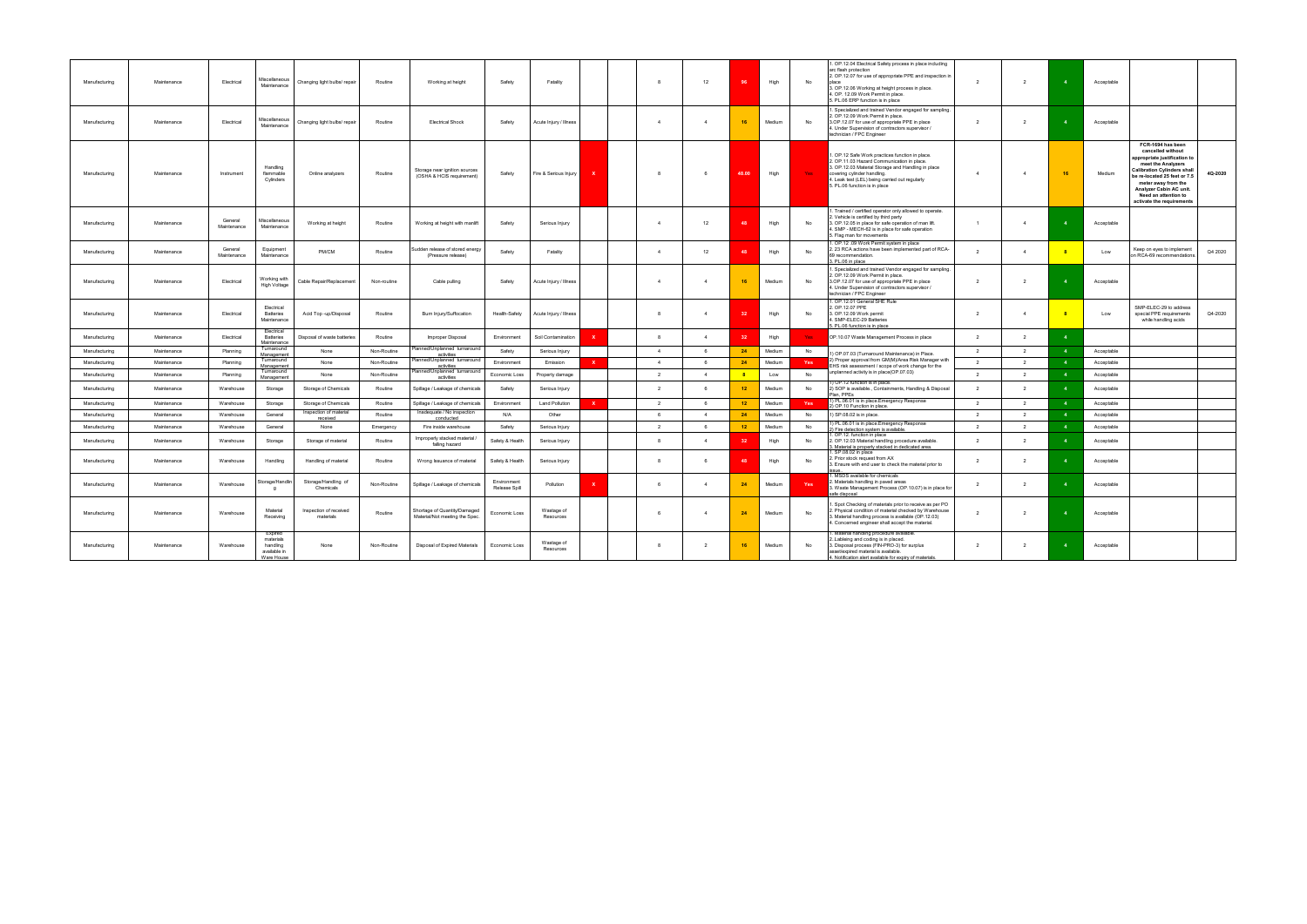| Manufacturing | Maintenance | Electrical             | Miscellaneous<br>Maintenance                                   | Changing light bulbs/repair         | Routine     | Working at height                                              | Safety                       | Fatality                |              | $\mathbf{R}$   | 12             | 96              | High   | No         | 1. OP.12.04 Electrical Safety process in place including<br>arc flash protection<br>2. OP.12.07 for use of appropriate PPE and inspection in<br>3. OP.12.06 Working at height process in place.<br>4. OP. 12.09 Work Permit in place.<br>5. PL.06 ERP function is in place | $\overline{2}$ | $\overline{\phantom{a}}$ |              | Acceptable |                                                                                                                                                                                                                                                                             |
|---------------|-------------|------------------------|----------------------------------------------------------------|-------------------------------------|-------------|----------------------------------------------------------------|------------------------------|-------------------------|--------------|----------------|----------------|-----------------|--------|------------|----------------------------------------------------------------------------------------------------------------------------------------------------------------------------------------------------------------------------------------------------------------------------|----------------|--------------------------|--------------|------------|-----------------------------------------------------------------------------------------------------------------------------------------------------------------------------------------------------------------------------------------------------------------------------|
| Manufacturing | Maintenance | Electrical             | Miscellaneous<br>Maintenance                                   | Changing light bulbs/repair         | Routine     | <b>Electrical Shock</b>                                        | Safety                       | Acute Injury / Illness  |              | $\overline{4}$ | $\overline{4}$ | 16              | Medium | No         | . Specialized and trained Vendor engaged for sampling.<br>2. OP.12.09 Work Permit in place.<br>3.OP.12.07 for use of appropriate PPE in place<br>4. Under Supervision of contractors supervisor /<br>technician / FPC Engineer                                             | $\overline{2}$ | $\overline{2}$           |              | Acceptable |                                                                                                                                                                                                                                                                             |
| Manufacturing | Maintenance | Instrument             | Handling<br>flammable<br>Cylinders                             | Online analyzers                    | Routine     | Storage near ignition sources<br>(OSHA & HCIS requirement)     | Safety                       | Fire & Serious Injury   | $\mathbf{x}$ | 8              | 6              | 48.00           | High   | Yes        | . OP.12 Safe Work practices function in place.<br>2. OP.11.03 Hazard Communication in place.<br>3. OP.12.03 Material Storage and Handling in place<br>covering cylinder handling.<br>4. Leak test (LEL) being carried out regularly<br>5. PL.06 function is in place       | $\overline{4}$ | $\overline{4}$           |              | Medium     | FCR-1694 has been<br>cancelled without<br>opropriate justification to<br>meet the Analyzers<br>Calibration Cylinders shall<br>4Q-2020<br>e re-located 25 feet or 7.5<br>meter away from the<br>Analyzer Cabin AC unit.<br>Need an attention to<br>activate the requirements |
| Manufacturing | Maintenance | General<br>Maintenance | Miscellaneous<br>Maintenance                                   | Working at height                   | Routine     | Working at height with manlift                                 | Safety                       | Serious Injury          |              |                | 12             | A.              | High   | No         | Trained / certified operator only allowed to operate.<br>. Vehicle is certified by third party<br>3. OP.12.05 in place for safe operation of man lift.<br>I. SMP - MECH-62 is in place for safe operation<br>5. Flag man for movements                                     | $\overline{1}$ | $\Delta$                 |              | Acceptable |                                                                                                                                                                                                                                                                             |
| Manufacturing | Maintenance | General<br>Maintenance | Equipment<br>Maintenance                                       | PM/CM                               | Routine     | Sudden release of stored energy<br>(Pressure release)          | Safety                       | Fatality                |              | $\Delta$       | 12             | -48             | High   | No         | 1. OP.12 .09 Work Permit system in place<br>2. 23 RCA actions have been implemented part of RCA-<br>69 recommendation.<br>3. PL.06 in place                                                                                                                                | 2              | $\overline{4}$           |              | Low        | Keep on eyes to implement<br>Q4 2020<br>on RCA-69 recommendations.                                                                                                                                                                                                          |
| Manufacturing | Maintenance | Electrical             | Working with<br>High Voltage                                   | Cable Repair/Replacement            | Non-routine | Cable pulling                                                  | Safety                       | Acute Injury / Illness  |              | $\overline{4}$ | $\overline{4}$ | 16              | Medium | No         | . Specialized and trained Vendor engaged for sampling.<br>2. OP.12.09 Work Permit in place.<br>3.OP.12.07 for use of appropriate PPE in place<br>4. Under Supervision of contractors supervisor /<br>technician / FPC Engineer                                             | $\overline{2}$ | $\overline{2}$           |              | Acceptable |                                                                                                                                                                                                                                                                             |
| Manufacturing | Maintenance | Electrical             | Electrical<br><b>Batteries</b><br>Maintenance                  | Acid Top -up/Disposal               | Routine     | Burn Injury/Suffocation                                        | Health-Safety                | Acute Injury / Illness  |              | $\mathbf{8}$   | $\overline{4}$ | 32              | High   | No         | . OP.12.01 General SHE Rule<br>2. OP.12.07 PPE<br>3. OP.12.09 Work permit<br>4. SMP-ELEC-29 Batteries<br>5. PL.06 function is in place                                                                                                                                     | 2              | 4                        | $-8$         | Low        | SMP-ELEC-29 to address<br>Q4-2020<br>special PPE requirements<br>while handling acids                                                                                                                                                                                       |
| Manufacturing | Maintenance | Electrical             | Electrical<br><b>Batteries</b><br>Maintenance                  | Disposal of waste batteries         | Routine     | Improper Disposal                                              | Environment                  | Soil Contamination      |              | 8              | $\overline{4}$ | 32              | High   | Yes:       | OP.10.07 Waste Management Process in place                                                                                                                                                                                                                                 | 2              | $\overline{2}$           | $\mathbf{A}$ |            |                                                                                                                                                                                                                                                                             |
| Manufacturing | Maintenance | Planning               | Turnaround<br>Managemen                                        | None                                | Non-Routine | Planned/Unplanned turnaround<br>activities                     | Safety                       | Serious Injury          |              | $\overline{4}$ | 6              | 24              | Medium | No         | 1) OP.07.03 (Turnaround Maintenance) in Place.                                                                                                                                                                                                                             | $\overline{2}$ | 2                        |              | Acceptable |                                                                                                                                                                                                                                                                             |
| Manufacturing | Maintenance | Planning               | Turnaround<br>Management                                       | None                                | Non-Routine | Planned/Unplanned turnaround<br>activities                     | Environment                  | Emission                | $\mathbf{x}$ | $\overline{4}$ | 6              | 24              | Medium | <b>Yes</b> | ) Proper approval from GM(M)/Area Risk Manager with<br>EHS risk assessment / scope of work change for the                                                                                                                                                                  | $\overline{2}$ | $\overline{2}$           |              | Acceptable |                                                                                                                                                                                                                                                                             |
| Manufacturing | Maintenance | Planning               | Turnaround<br>Management                                       | None                                | Non-Routine | Planned/Unplanned turnaround<br>activities                     | Economic Loss                | Property damage         |              | $\overline{2}$ | $\overline{4}$ | 8               | Low    | No         | unplanned activity is in place(OP.07.03)                                                                                                                                                                                                                                   | $\overline{2}$ | $\overline{2}$           |              | Acceptable |                                                                                                                                                                                                                                                                             |
| Manufacturing | Maintenance | Warehouse              | Storage                                                        | Storage of Chemicals                | Routine     | Spillage / Leakage of chemicals                                | Safety                       | Serious Injury          |              | $\overline{2}$ | - 6            | 12 <sub>2</sub> | Medium | No         | 1) OP.12 function is in place.<br>2) SOP is available., Containments, Handling & Disposal<br>lan, PPEs                                                                                                                                                                     | $\overline{2}$ | 2                        |              | Acceptable |                                                                                                                                                                                                                                                                             |
| Manufacturing | Maintenance | Warehouse              | Storage                                                        | Storage of Chemicals                | Routine     | Spillage / Leakage of chemicals                                | Environment                  | <b>Land Pollution</b>   | $\mathbf{x}$ | $\overline{2}$ | 6              | 12              | Medium | Yes        | ) PL.06.01 is in place.Emergency Response<br>2) OP.10 Function in place.                                                                                                                                                                                                   | $\overline{2}$ | $\overline{2}$           |              | Acceptable |                                                                                                                                                                                                                                                                             |
| Manufacturing | Maintenance | Warehouse              | General                                                        | Inspection of material<br>received  | Routine     | Inadequate / No inspection<br>conducted                        | N/A                          | Other                   |              | 6              | $\overline{4}$ | 24              | Medium | No         | 1) SP.08.02 is in place.                                                                                                                                                                                                                                                   | $\overline{2}$ | 2                        |              | Acceptable |                                                                                                                                                                                                                                                                             |
| Manufacturing | Maintenance | Warehouse              | General                                                        | None                                | Emergency   | Fire inside warehouse                                          | Safety                       | Serious Injury          |              | $\overline{2}$ | 6              | 12              | Medium | No         | 1) PL.06.01 is in place.Emergency Response<br>?) Fire detection system is available.                                                                                                                                                                                       | $\overline{2}$ | $\overline{2}$           |              | Acceptable |                                                                                                                                                                                                                                                                             |
| Manufacturing | Maintenance | Warehouse              | Storage                                                        | Storage of material                 | Routine     | Improperly stacked material /<br>falling hazard                | Safety & Health              | Serious Injury          |              | 8              | $\overline{4}$ | 32              | High   | No         | 1. OP.12. function in place<br>2. OP.12.03 Material handling procedure available.<br>3. Material is properly stacked in dedicated area.                                                                                                                                    | 2              | 2                        |              | Acceptable |                                                                                                                                                                                                                                                                             |
| Manufacturing | Maintenance | Warehouse              | Handling                                                       | Handling of material                | Routine     | Wrong Issuance of material                                     | Safety & Health              | Serious Injury          |              | $\mathbf{R}$   |                | $\overline{AB}$ | High   | No         | . SP.08.02 in place<br>2. Prior stock request from AX<br>3. Ensure with end user to check the material prior to                                                                                                                                                            | $\overline{2}$ | $\overline{2}$           |              | Acceptable |                                                                                                                                                                                                                                                                             |
| Manufacturing | Maintenance | Warehouse              | Storage/Handlin<br>g                                           | Storage/Handling of<br>Chemicals    | Non-Routine | Spillage / Leakage of chemicals                                | Environment<br>Release Spill | Pollution               | ×            | 6              | $\overline{4}$ | 24              | Medium | Yes        | MSDS available for chemicals<br>2. Materials handling in paved areas<br>3. Waste Management Process (OP.10.07) is in place for<br>afe disposal                                                                                                                             | 2              | $\overline{2}$           |              | Acceptable |                                                                                                                                                                                                                                                                             |
| Manufacturing | Maintenance | Warehouse              | Material<br>Receiving                                          | Inspection of received<br>materials | Routine     | Shortage of Quantity/Damaged<br>Material/Not meeting the Spec. | Economic Loss                | Wastage of<br>Resources |              | -6             | $\overline{4}$ | 24              | Medium | No         | Spot Checking of materials prior to receive as per PO<br>. Physical condition of material checked by Warehouse<br>3. Material handling process is available (OP.12.03)<br>4. Concerned engineer shall accept the material.                                                 | $\overline{2}$ | $\overline{2}$           |              | Acceptable |                                                                                                                                                                                                                                                                             |
| Manufacturing | Maintenance | Warehouse              | Expired<br>materials<br>handling<br>available in<br>Ware House | None                                | Non-Routine | Disposal of Expired Materials                                  | Economic Loss                | Wastage of<br>Resources |              | $\mathbf{8}$   | 2              | 16              | Medium | No         | Material handling procedure available.<br>2. Lableing and coding is in placed.<br>3. Disposal process (FIN-PRO-3) for surplus<br>asset/expired material is available.<br>4. Notification alert available for expiry of materials.                                          | 2              | $\overline{2}$           |              | Acceptable |                                                                                                                                                                                                                                                                             |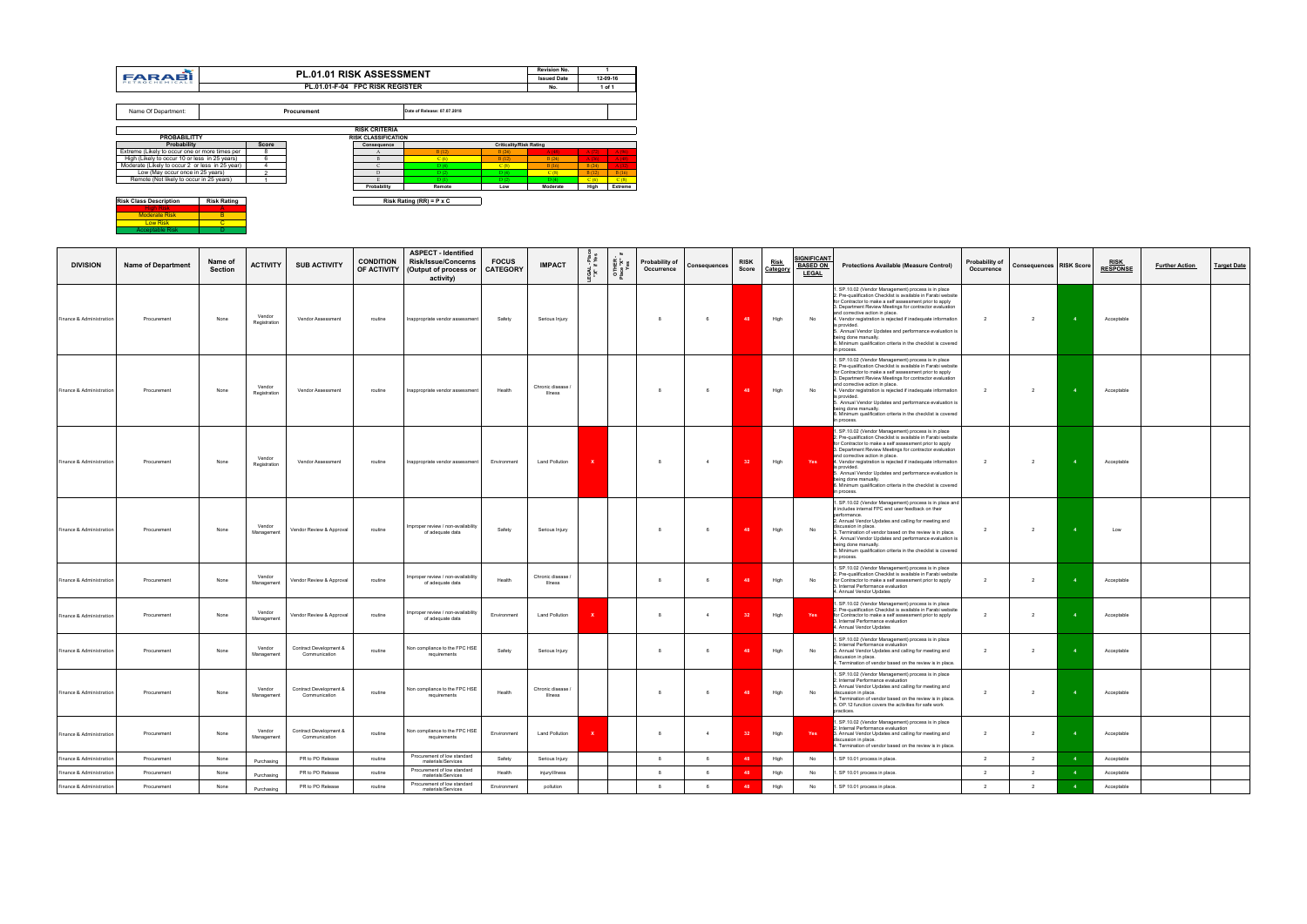|                          |                           |                           |                        |                                         |                                 | <b>ASPECT - Identified</b>                                       |                                 |                            |           |                    |                              |                |                      |                         |                                                |                                                                                                                                                                                                                                                                                                                                                                                                                                                                                                                             |                              |                                |                |                                |                       |                    |
|--------------------------|---------------------------|---------------------------|------------------------|-----------------------------------------|---------------------------------|------------------------------------------------------------------|---------------------------------|----------------------------|-----------|--------------------|------------------------------|----------------|----------------------|-------------------------|------------------------------------------------|-----------------------------------------------------------------------------------------------------------------------------------------------------------------------------------------------------------------------------------------------------------------------------------------------------------------------------------------------------------------------------------------------------------------------------------------------------------------------------------------------------------------------------|------------------------------|--------------------------------|----------------|--------------------------------|-----------------------|--------------------|
| <b>DIVISION</b>          | <b>Name of Department</b> | Name of<br><b>Section</b> | <b>ACTIVITY</b>        | <b>SUB ACTIVITY</b>                     | <b>CONDITION</b><br>OF ACTIVITY | <b>Risk/Issue/Concerns</b><br>(Output of process or<br>activity) | <b>FOCUS</b><br><b>CATEGORY</b> | <b>IMPACT</b>              | isal<br>X | OTHER<br>Place "X" | Probability of<br>Occurrence | Consequences   | <b>RISK</b><br>Score | <u>Risk</u><br>Category | SIGNIFICANT<br><b>BASED ON</b><br><b>LEGAL</b> | <b>Protections Available (Measure Control)</b>                                                                                                                                                                                                                                                                                                                                                                                                                                                                              | Probability of<br>Occurrence | <b>Consequences RISK Score</b> |                | <b>RISK</b><br><b>RESPONSE</b> | <b>Further Action</b> | <b>Target Date</b> |
| Finance & Administration | Procurement               | None                      | Vendor<br>Registration | Vendor Assessment                       | routine                         | Inappropriate vendor assessment                                  | Safety                          | Serious Injury             |           |                    |                              | 6              | 48                   | High                    | No                                             | SP.10.02 (Vendor Management) process is in place<br>. Pre-qualification Checklist is available in Farabi website<br>for Contractor to make a self assessment prior to apply<br>3. Department Review Meetings for contractor evaluation<br>and corrective action in place.<br>1. Vendor registration is rejected if inadequate information<br>s provided.<br>5. Annual Vendor Updates and performance evaluation is<br>eing done manually.<br>6. Minimum qualification criteria in the checklist is covered<br>n process.    | 2                            | $\overline{2}$                 |                | Acceptable                     |                       |                    |
| Finance & Administration | Procurement               | None                      | Vendor<br>Registration | Vendor Assessment                       | routine                         | Inappropriate vendor assessmen                                   | Health                          | Chronic disease<br>Illness |           |                    |                              | 6              |                      | High                    | No                                             | SP.10.02 (Vendor Management) process is in place<br>2. Pre-qualification Checklist is available in Farabi website<br>for Contractor to make a self assessment prior to apply<br>3. Department Review Meetings for contractor evaluation<br>and corrective action in place.<br>4. Vendor registration is rejected if inadequate information<br>s provided.<br>5. Annual Vendor Updates and performance evaluation is<br>being done manually.<br>3. Minimum qualification criteria in the checklist is covered<br>in process. | $\overline{2}$               | $\overline{2}$                 |                | Acceptable                     |                       |                    |
| Finance & Administration | Procurement               | None                      | Vendor<br>Registration | Vendor Assessment                       | routine                         | Inappropriate vendor assessmen                                   | Fnvironment                     | <b>Land Pollution</b>      |           |                    | $\mathbf{R}$                 | $\overline{4}$ | 32                   | High                    | Yes                                            | SP.10.02 (Vendor Management) process is in place<br>2. Pre-qualification Checklist is available in Farabi website<br>for Contractor to make a self assessment prior to apply<br>. Department Review Meetings for contractor evaluation<br>and corrective action in place.<br>4. Vendor registration is rejected if inadequate information<br>s provided.<br>6. Annual Vendor Updates and performance evaluation is<br>being done manually.<br>6. Minimum qualification criteria in the checklist is covered<br>in process   | $\overline{2}$               | $\overline{2}$                 | $\mathbf{A}$   | Acceptable                     |                       |                    |
| Finance & Administration | Procurement               | None                      | Vendor<br>Management   | Vendor Review & Approval                | routine                         | mproper review / non-availability<br>of adequate data            | Safety                          | Serious Injury             |           |                    |                              | 6              |                      | High                    | No                                             | SP.10.02 (Vendor Management) process is in place and<br>it includes internal FPC end user feedback on their<br>performance.<br>2. Annual Vendor Updates and calling for meeting and<br>discussion in place.<br>3. Termination of vendor based on the review is in place.<br>. Annual Vendor Updates and performance evaluation is<br>being done manually.<br>. Minimum qualification criteria in the checklist is covered<br>n process.                                                                                     | $\overline{2}$               | 2                              |                | Low                            |                       |                    |
| Finance & Administration | Procurement               | None                      | Vendor<br>Management   | Vendor Review & Approval                | routine                         | mproper review / non-availability<br>of adequate data            | Health                          | Chronic disease<br>Illness |           |                    | $\mathbf{g}$                 | 6              |                      | High                    | No                                             | 1. SP.10.02 (Vendor Management) process is in place<br>. Pre-qualification Checklist is available in Farabi website<br>for Contractor to make a self assessment prior to apply<br>3. Internal Performance evaluation<br>Annual Vendor Updates                                                                                                                                                                                                                                                                               | 2                            | 2                              |                | Acceptable                     |                       |                    |
| Finance & Administration | Procurement               | None                      | Vendor<br>Management   | Vendor Review & Approval                | routine                         | mproper review / non-availability<br>of adequate data            | Environment                     | <b>Land Pollution</b>      |           |                    |                              | $\overline{4}$ | -32                  | High                    | Yes                                            | SP.10.02 (Vendor Management) process is in place<br>Pre-qualification Checklist is available in Farabi website<br>for Contractor to make a self assessment prior to apply<br>. Internal Performance evaluation<br>. Annual Vendor Updates                                                                                                                                                                                                                                                                                   | $\overline{2}$               | $\overline{2}$                 |                | Acceptable                     |                       |                    |
| Finance & Administration | Procurement               | None                      | Vendor<br>Management   | Contract Development &<br>Communication | routine                         | Non compliance to the FPC HSE<br>requirements                    | Safety                          | Serious Injury             |           |                    |                              | $\mathbf{f}$   |                      | High                    | No                                             | . SP.10.02 (Vendor Management) process is in place<br>Internal Performance evaluation<br>Annual Vendor Updates and calling for meeting and<br>discussion in place.<br>4. Termination of vendor based on the review is in place.                                                                                                                                                                                                                                                                                             | $\overline{2}$               | $\overline{2}$                 |                | Acceptable                     |                       |                    |
| Finance & Administration | Procurement               | None                      | Vendor<br>Management   | Contract Development &<br>Communication | routine                         | Non compliance to the FPC HSE<br>requirements                    | Health                          | Chronic disease<br>Illness |           |                    |                              | 6              |                      | High                    | No                                             | . SP.10.02 (Vendor Management) process is in place<br>Internal Performance evaluation<br>3. Annual Vendor Updates and calling for meeting and<br>discussion in place.<br>4. Termination of vendor based on the review is in place.<br>5. OP.12 function covers the activities for safe work<br>practices.                                                                                                                                                                                                                   | 2                            | $\overline{2}$                 |                | Acceptable                     |                       |                    |
| Finance & Administration | Procurement               | None                      | Vendor<br>Management   | Contract Development &<br>Communication | routine                         | Non compliance to the FPC HSE<br>requirements                    | Environment                     | <b>Land Pollution</b>      |           |                    |                              | $\overline{4}$ |                      | High                    | Yes                                            | SP.10.02 (Vendor Management) process is in place<br>Internal Performance evaluation<br>3. Annual Vendor Updates and calling for meeting and<br>discussion in place.<br>4. Termination of vendor based on the review is in place.                                                                                                                                                                                                                                                                                            | $\overline{2}$               | $\overline{2}$                 |                | Acceptable                     |                       |                    |
| Finance & Administratio  | Procurement               | None                      | Purchasing             | PR to PO Release                        | routine                         | Procurement of low standard<br>materials/Services                | Safety                          | Serious Injury             |           |                    | $_{\rm 8}$                   | 6              |                      | High                    | No                                             | SP 10.01 process in place.                                                                                                                                                                                                                                                                                                                                                                                                                                                                                                  | 2                            | 2                              | $\overline{4}$ | Acceptable                     |                       |                    |
| Finance & Administratio  | Procurement               | None                      | Purchasing             | PR to PO Release                        | routine                         | Procurement of low standard<br>materials/Services                | Health                          | injury/illness             |           |                    | $\mathbf{R}$                 | 6              | 48                   | High                    | No                                             | . SP 10.01 process in place.                                                                                                                                                                                                                                                                                                                                                                                                                                                                                                | $\overline{2}$               | $\overline{2}$                 | $\overline{4}$ | Acceptable                     |                       |                    |
| Finance & Administration | Procurement               | None                      | Purchasing             | PR to PO Release                        | routine                         | Procurement of low standard<br>materials/Services                | Environment                     | pollution                  |           |                    | $\mathbf{8}$                 | 6              | 48                   | High                    | No                                             | . SP 10.01 process in place.                                                                                                                                                                                                                                                                                                                                                                                                                                                                                                | $\overline{2}$               | $\overline{2}$                 |                | Acceptable                     |                       |                    |

|                                                 |                    |                         | <b>PL.01.01 RISK ASSESSMENT</b> |                            |                                 |                                | <b>Revision No.</b> |       |          |
|-------------------------------------------------|--------------------|-------------------------|---------------------------------|----------------------------|---------------------------------|--------------------------------|---------------------|-------|----------|
| <b>FARABI</b><br><b>PETROCHEMICALS</b>          |                    |                         |                                 |                            |                                 |                                | <b>Issued Date</b>  |       | 12-09-16 |
|                                                 |                    |                         | PL.01.01-F-04 FPC RISK REGISTER |                            |                                 |                                | No.                 |       | 1 of 1   |
|                                                 |                    |                         |                                 |                            |                                 |                                |                     |       |          |
| Name Of Department:                             |                    |                         | Procurement                     |                            | Date of Release: 07.07.2018     |                                |                     |       |          |
|                                                 |                    |                         |                                 | <b>RISK CRITERIA</b>       |                                 |                                |                     |       |          |
| <b>PROBABILITTY</b>                             |                    |                         |                                 | <b>RISK CLASSIFICATION</b> |                                 |                                |                     |       |          |
| Probability                                     |                    | <b>Score</b>            |                                 | Consequence                |                                 | <b>Criticality/Risk Rating</b> |                     |       |          |
| Extreme (Likely to occur one or more times per  |                    | 8                       |                                 | A                          | B(12)                           | B(24)                          | A(48)               | A(72) | A(96)    |
| High (Likely to occur 10 or less in 25 years)   |                    | 6                       |                                 | B                          | C(6)                            | B(12)                          | B(24)               | A(36) | A(48)    |
| Moderate (Likely to occur 2 or less in 25 year) |                    | $\overline{\mathbf{4}}$ |                                 | $\mathsf{C}$               | D(4)                            | C(8)                           | B(16)               | B(24) | A(32)    |
| Low (May occur once in 25 years)                |                    | $\overline{2}$          |                                 | D                          | D(2)                            | D(4)                           | C(8)                | B(12) | B(16)    |
| Remote (Not likely to occur in 25 years)        |                    |                         |                                 | E.                         | D(1)                            | D(2)                           | D(4)                | C(6)  | C(8)     |
|                                                 |                    |                         |                                 | Probability                | Remote                          | Low                            | Moderate            | High  | Extreme  |
|                                                 |                    |                         |                                 |                            |                                 |                                |                     |       |          |
| <b>Risk Class Description</b>                   | <b>Risk Rating</b> |                         |                                 |                            | Risk Rating (RR) = $P \times C$ |                                |                     |       |          |
| <b>High Risk</b>                                | А                  |                         |                                 |                            |                                 |                                |                     |       |          |
| <b>Moderate Risk</b>                            | B                  |                         |                                 |                            |                                 |                                |                     |       |          |
| Low Risk                                        | $\mathbf{C}$       |                         |                                 |                            |                                 |                                |                     |       |          |
| <b>Acceptable Risk</b>                          | D                  |                         |                                 |                            |                                 |                                |                     |       |          |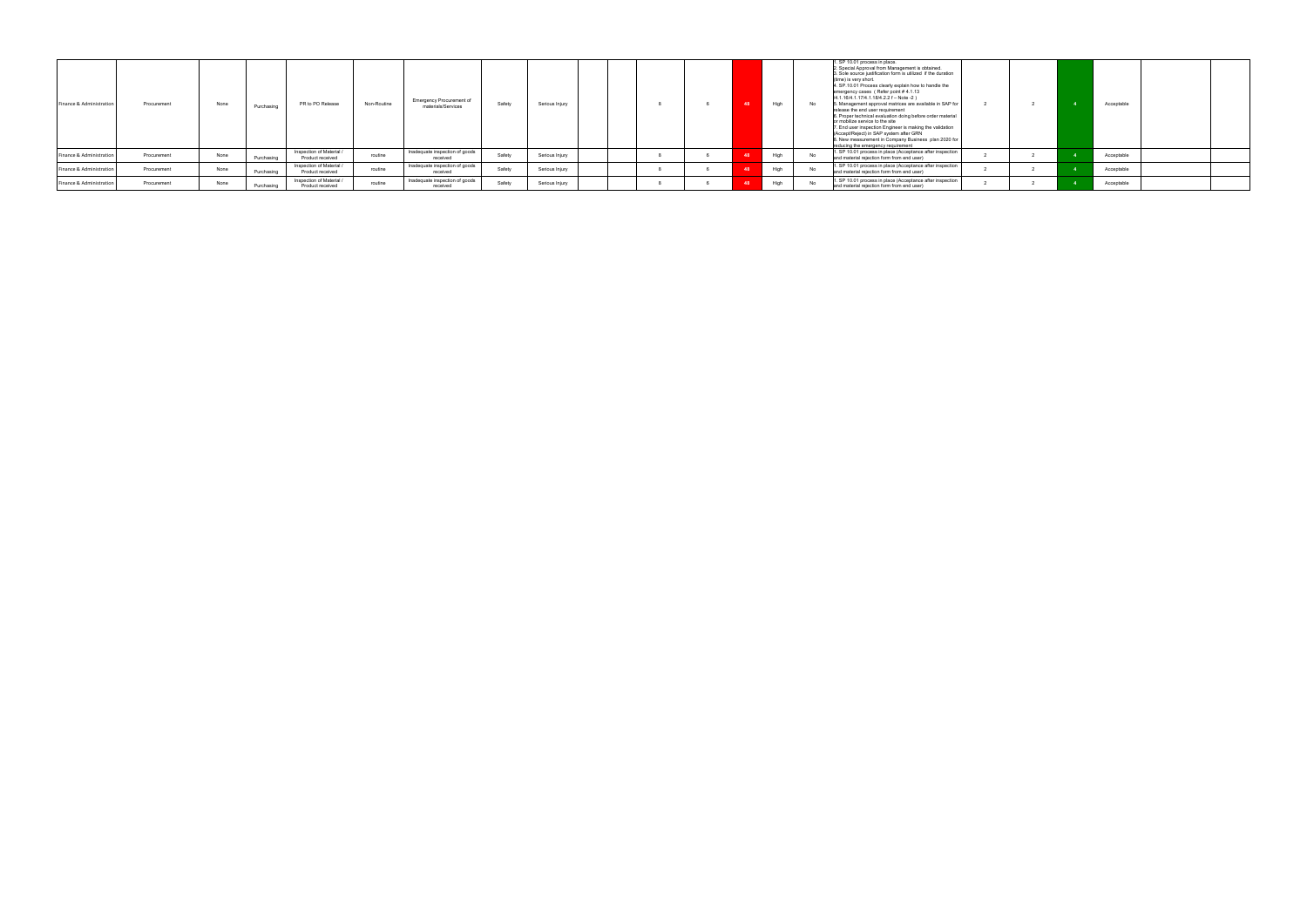| Finance & Administration | Procurement | None | Purchasing | PR to PO Release                             | Non-Routine | Emergency Procurement of<br>materials/Services | Safety | Serious Iniury |  |  | High | No | 1. SP 10.01 process in place.<br>2. Special Approval from Management is obtained.<br>3. Sole source justification form is utilized if the duration<br>(time) is very short.<br>4. SP.10.01 Process clearly explain how to handle the<br>emergency cases (Refer point #4.1.13<br>/4.1.16/4.1.17/4.1.18/4.2.2 f - Note -2)<br>5. Management approval matrices are available in SAP for<br>release the end user requirement<br>6. Proper technical evaluation doing before order material<br>or mobilize service to the site<br>7. End user inspection Engineer is making the validation<br>(Accept/Reiect) in SAP system after GRN<br>8. New measurement in Company Business plan 2020 for<br>reducing the emergency requirement |  | Acceptable |  |
|--------------------------|-------------|------|------------|----------------------------------------------|-------------|------------------------------------------------|--------|----------------|--|--|------|----|--------------------------------------------------------------------------------------------------------------------------------------------------------------------------------------------------------------------------------------------------------------------------------------------------------------------------------------------------------------------------------------------------------------------------------------------------------------------------------------------------------------------------------------------------------------------------------------------------------------------------------------------------------------------------------------------------------------------------------|--|------------|--|
| Finance & Administration | Procurement | None | Purchasing | Inspection of Material /<br>Product received | routine     | Inadequate inspection of goods<br>received     | Safety | Serious Injury |  |  | High |    | 1. SP 10.01 process in place (Acceptance after inspection<br>and material rejection form from end user)                                                                                                                                                                                                                                                                                                                                                                                                                                                                                                                                                                                                                        |  | Acceptable |  |
| Finance & Administration | Procurement | None | Purchasing | Inspection of Material /<br>Product received | routine     | Inadequate inspection of goods<br>received     | Safety | Serious Injury |  |  | High |    | 1. SP 10.01 process in place (Acceptance after inspection<br>and material rejection form from end user)                                                                                                                                                                                                                                                                                                                                                                                                                                                                                                                                                                                                                        |  | Acceptable |  |
| Finance & Administration | Procurement | None | Purchasing | Inspection of Material /<br>Product received | routine     | Inadequate inspection of goods<br>received     | Safety | Serious Injury |  |  | High |    | 1. SP 10.01 process in place (Acceptance after inspection<br>and material rejection form from end user)                                                                                                                                                                                                                                                                                                                                                                                                                                                                                                                                                                                                                        |  | Acceptable |  |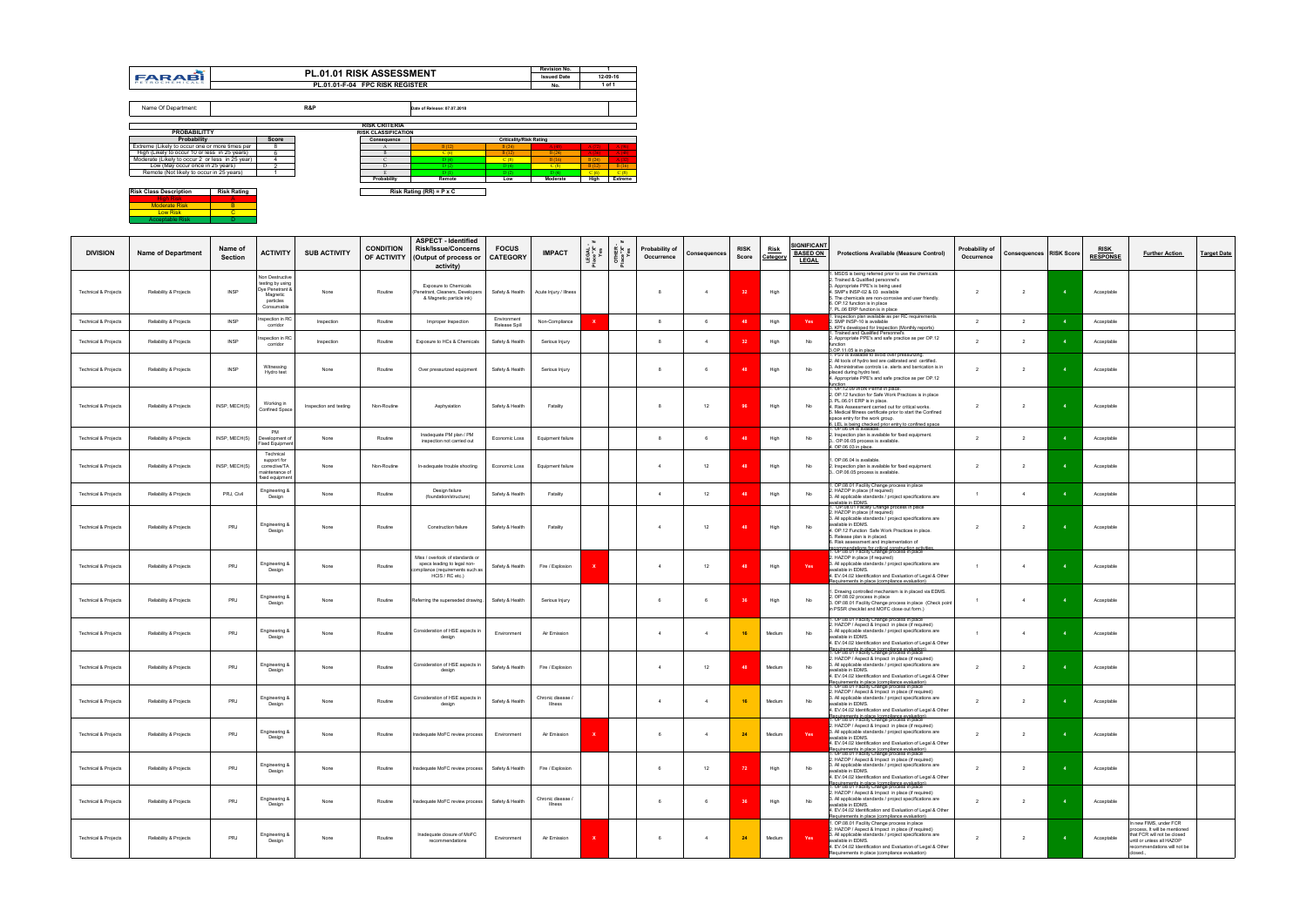|                                                 |                    |                |     |                                 |                                 |                                | <b>Revision No.</b> |       |          |
|-------------------------------------------------|--------------------|----------------|-----|---------------------------------|---------------------------------|--------------------------------|---------------------|-------|----------|
| <b>FARABI</b>                                   |                    |                |     | <b>PL.01.01 RISK ASSESSMENT</b> |                                 |                                | <b>Issued Date</b>  |       | 12-09-16 |
| PETROCHEMICALS                                  |                    |                |     | PL.01.01 F-04 FPC RISK REGISTER |                                 |                                | No.                 |       | 1 of 1   |
|                                                 |                    |                |     |                                 |                                 |                                |                     |       |          |
| Name Of Department:                             |                    |                | R&P |                                 | Date of Release: 07.07.2018     |                                |                     |       |          |
|                                                 |                    |                |     | <b>RISK CRITERIA</b>            |                                 |                                |                     |       |          |
| <b>PROBABILITTY</b>                             |                    |                |     | <b>RISK CLASSIFICATION</b>      |                                 |                                |                     |       |          |
| <b>Probability</b>                              |                    | <b>Score</b>   |     | Consequence                     |                                 | <b>Criticality/Risk Rating</b> |                     |       |          |
| Extreme (Likely to occur one or more times per  |                    | 8              |     | A                               | B(12)                           | B(24)                          | A(48)               | A(72) | A(96)    |
| High (Likely to occur 10 or less in 25 years)   |                    | 6              |     | B                               | C(6)                            | B(12)                          | B(24)               | A(36) | A(48)    |
| Moderate (Likely to occur 2 or less in 25 year) |                    | 4              |     | C                               | D(4)                            | C(8)                           | B(16)               | B(24) | A(32)    |
| Low (May occur once in 25 years)                |                    | $\overline{2}$ |     | D                               | D(2)                            | D(4)                           | C(8)                | B(12) | B(16)    |
| Remote (Not likely to occur in 25 years)        |                    |                |     | E                               | D(1)                            | D(2)                           | D(4)                | C(6)  | C(8)     |
|                                                 |                    |                |     | Probability                     | Remote                          | Low                            | Moderate            | High  | Extreme  |
| <b>Risk Class Description</b>                   | <b>Risk Rating</b> |                |     |                                 | Risk Rating (RR) = $P \times C$ |                                |                     |       |          |
| <b>High Risk</b>                                | A                  |                |     |                                 |                                 |                                |                     |       |          |
| <b>Moderate Risk</b>                            | B                  |                |     |                                 |                                 |                                |                     |       |          |
| <b>Low Risk</b>                                 | $\overline{c}$     |                |     |                                 |                                 |                                |                     |       |          |
| <b>Acceptable Risk</b>                          | Ð                  |                |     |                                 |                                 |                                |                     |       |          |

|                                 |                           |                    |                                                                                               |                        |                  | <b>ASPECT</b> - Identified                                                                                          |                                 |                              |                           |                           |                              |                     |                      |                         | <b>IGNIFICANT</b>               |                                                                                                                                                                                                                                                                                                                                                                          |                              |                                |                |                                |                                                                                                                                                                |                    |
|---------------------------------|---------------------------|--------------------|-----------------------------------------------------------------------------------------------|------------------------|------------------|---------------------------------------------------------------------------------------------------------------------|---------------------------------|------------------------------|---------------------------|---------------------------|------------------------------|---------------------|----------------------|-------------------------|---------------------------------|--------------------------------------------------------------------------------------------------------------------------------------------------------------------------------------------------------------------------------------------------------------------------------------------------------------------------------------------------------------------------|------------------------------|--------------------------------|----------------|--------------------------------|----------------------------------------------------------------------------------------------------------------------------------------------------------------|--------------------|
| <b>DIVISION</b>                 | <b>Name of Department</b> | Name of<br>Section | <b>ACTIVITY</b>                                                                               | <b>SUB ACTIVITY</b>    | <b>CONDITION</b> | <b>Risk/Issue/Concerns</b><br>OF ACTIVITY (Output of process or<br>activity)                                        | <b>FOCUS</b><br><b>CATEGORY</b> | <b>IMPACT</b>                | EGAL<br>Yes               | OTHER<br>Place "X"<br>Yes | Probability of<br>Occurrence | <b>Consequences</b> | <b>RISK</b><br>Score | <b>Risk</b><br>Category | <b>BASED ON</b><br><b>LEGAL</b> | <b>Protections Available (Measure Control)</b>                                                                                                                                                                                                                                                                                                                           | Probability of<br>Occurrence | <b>Consequences RISK Score</b> |                | <u>risk</u><br><b>RESPONSE</b> | <b>Further Action</b>                                                                                                                                          | <b>Target Date</b> |
| <b>Technical &amp; Projects</b> | Reliability & Projects    | <b>INSP</b>        | Non Destructive<br>testing by using<br>Oye Penetrant &<br>Magnetic<br>particles<br>Consumable | None                   | Routine          | Exposure to Chemicals<br>Penetrant, Cleaners, Developers<br>& Magnetic particle ink)                                | Safety & Health                 | Acute Injury / Illness       |                           |                           |                              | $\overline{4}$      |                      | High                    |                                 | . MSDS is being referred prior to use the chemicals<br>. Trained & Qualified personnel's<br>3. Appropriate PPE's is being used<br>4. SMP's INSP-02 & 03 available<br>5. The chemicals are non-corrosive and user friendly.<br>6. OP.12 function is in place<br>7. PL.06 ERP function is in place                                                                         | $\overline{2}$               |                                |                | Acceptable                     |                                                                                                                                                                |                    |
| Technical & Projects            | Reliability & Projects    | <b>INSP</b>        | nspection in RC<br>corridor                                                                   | Inspection             | Routine          | Improper Inspection                                                                                                 | Environment<br>Release Spill    | Non-Compliance               | $\mathbf{x}$              |                           | 8                            | 6                   | 48                   | High                    | Yes                             | . Inspection plan available as per RC requirements<br>2. SMP INSP-10 is available                                                                                                                                                                                                                                                                                        | $\overline{2}$               | $\overline{2}$                 |                | Acceptable                     |                                                                                                                                                                |                    |
| <b>Technical &amp; Projects</b> | Reliability & Projects    | <b>INSP</b>        | ispection in RC<br>corridor                                                                   | Inspection             | Routine          | Exposure to HCs & Chemicals                                                                                         | Safety & Health                 | Serious Injury               |                           |                           | 8                            | $\overline{4}$      |                      | High                    | No                              | 3. KPI's developed for Inspection (Monthly reports)<br>Trained and Qualified Personnel's<br>. Appropriate PPE's and safe practice as per OP.12<br>unction                                                                                                                                                                                                                | 2                            | $\overline{2}$                 |                | Acceptable                     |                                                                                                                                                                |                    |
|                                 |                           |                    |                                                                                               |                        |                  |                                                                                                                     |                                 |                              |                           |                           |                              |                     |                      |                         |                                 | 3.OP.11.05 is in place<br>1. PSV is available to avoid over pressurizing.                                                                                                                                                                                                                                                                                                |                              |                                |                |                                |                                                                                                                                                                |                    |
| <b>Technical &amp; Projects</b> | Reliability & Projects    | <b>INSP</b>        | Witnessing<br>Hydro test                                                                      | None                   | Routine          | Over pressurized equipment                                                                                          | Safety & Health                 | Serious Injury               |                           |                           |                              |                     |                      | High                    | No                              | . All tools of hydro test are calibrated and certified.<br>3. Administrative controls i.e. alerts and barrication is in<br>placed during hydro test.<br>4. Appropriate PPE's and safe practice as per OP.12<br>tunction                                                                                                                                                  | 2                            | $\overline{2}$                 |                | Acceptable                     |                                                                                                                                                                |                    |
| <b>Technical &amp; Projects</b> | Reliability & Projects    | INSP, MECH(S)      | Working in<br>Confined Space                                                                  | Inspection and testing | Non-Routine      | Asphyxiation                                                                                                        | Safety & Health                 | Fatality                     |                           |                           | 8                            | 12                  | 96                   | High                    | No                              | 1. OP.12.09 Work Permit in place.<br>2. OP.12 function for Safe Work Practices is in place<br>3. PL.06.01 ERP is in place.<br>4. Risk Assessment carried out for critical works.<br>5. Medical filtness certificate prior to start the Confined<br>space entry for the work group.<br>6. LEL is being checked prior entry to confined space<br>1. OP.06.04 is available. | $\overline{2}$               | $\overline{2}$                 |                | Acceptable                     |                                                                                                                                                                |                    |
| <b>Technical &amp; Projects</b> | Reliability & Projects    | INSP, MECH(S)      | PM<br>Development of<br>Fixed Equipment                                                       | None                   | Routine          | Inadequate PM plan / PM<br>inspection not carried out                                                               | Economic Loss                   | Equipment failure            |                           |                           | 8                            | 6                   |                      | High                    | No                              | . Inspection plan is available for fixed equipment.<br>OP.06.05 process is available.<br>1. OP.06.03 in place.                                                                                                                                                                                                                                                           | $\overline{2}$               | $\overline{2}$                 |                | Acceptable                     |                                                                                                                                                                |                    |
| <b>Technical &amp; Projects</b> | Reliability & Projects    | INSP, MECH(S)      | Technical<br>support for<br>corrective/TA<br>naintenance oʻ<br>fixed equipment                | None                   | Non-Routine      | In-adequate trouble shooting                                                                                        | Economic Loss                   | Equipment failure            |                           |                           | $\overline{4}$               | 12                  |                      | High                    | No                              | . OP.06.04 is available.<br>. Inspection plan is available for fixed equipment.<br>1. OP.06.05 process is available.                                                                                                                                                                                                                                                     | 2                            | $\overline{2}$                 |                | Acceptable                     |                                                                                                                                                                |                    |
| <b>Technical &amp; Projects</b> | Reliability & Projects    | PRJ, Civil         | Engineering &<br>Design                                                                       | None                   | Routine          | Design failure<br>(foundation/structure)                                                                            | Safety & Health                 | Fatality                     |                           |                           | $\overline{4}$               | 12                  |                      | High                    | No                              | . OP.08.01 Facility Change process in place<br>. HAZOP in place (if required)<br>3. All applicable standards / project specifications are                                                                                                                                                                                                                                | $\overline{1}$               | $\overline{4}$                 |                | Acceptable                     |                                                                                                                                                                |                    |
| <b>Technical &amp; Projects</b> | Reliability & Projects    | PRJ                | Engineering &<br>Design                                                                       | None                   | Routine          | Construction failure                                                                                                | Safety & Health                 | Fatality                     |                           |                           |                              | 12                  |                      | High                    | No                              | wailable in EDMS.<br>I OP 08:01 Facility Change process in place<br>2. HAZOP in place (if required)<br>3. All applicable standards / project specifications are<br>available in EDMS.<br>4. OP.12 Function Safe Work Practices in place.<br>5. Release plan is in placed.<br>6. Risk assessment and implementation of                                                    | $\overline{2}$               | $\overline{2}$                 |                | Acceptable                     |                                                                                                                                                                |                    |
| <b>Technical &amp; Projects</b> | Reliability & Projects    | PRJ                | Engineering &<br>Design                                                                       | None                   | Routine          | Miss / overlook of standards or<br>specs leading to legal non-<br>mpliance (requirements such as<br>HCIS / RC etc.) | Safety & Health                 | Fire / Explosion             |                           |                           | $\overline{4}$               | 12                  |                      | High                    | Yes                             | ecommendations for critical construction activities.<br>. OP.08.01 Facility Change process in place<br>2. HAZOP in place (if required)<br>3. All applicable standards / project specifications are<br>available in EDMS.<br>4. EV.04.02 Identification and Evaluation of Legal & Other<br>Requirements in place (compliance evaluation)                                  | $\overline{1}$               | $\overline{4}$                 |                | Acceptable                     |                                                                                                                                                                |                    |
| <b>Technical &amp; Projects</b> | Reliability & Projects    | PRJ                | Engineering &<br>Design                                                                       | None                   | Routine          | Referring the superseded drawing.                                                                                   | Safety & Health                 | Serious Injury               |                           |                           | 6                            | 6                   |                      | High                    | No                              | . Drawing controlled mechanism is in placed via EDMS.<br>2. OP.08.02 process in place<br>3. OP.08.01 Facility Change process in place (Check point<br>in PSSR checklist and MOFC close out form.)                                                                                                                                                                        | $\overline{1}$               | $\overline{4}$                 |                | Acceptable                     |                                                                                                                                                                |                    |
| <b>Technical &amp; Projects</b> | Reliability & Projects    | PRJ                | Engineering &<br>Design                                                                       | None                   | Routine          | Consideration of HSE aspects in<br>design                                                                           | Environment                     | Air Emission                 |                           |                           | $\overline{4}$               | $\overline{4}$      | 16                   | Medium                  | No                              | . OP.08.01 Facility Change process in place<br>. HAZOP / Aspect & Impact in place (if required)<br>3. All applicable standards / project specifications are<br>available in EDMS.<br>4. EV.04.02 Identification and Evaluation of Legal & Other<br>Requirements in place (compliance evaluation)<br>1. OP.08.01 Facility Change process in place                         | $\overline{1}$               | $\overline{4}$                 |                | Acceptable                     |                                                                                                                                                                |                    |
| <b>Technical &amp; Projects</b> | Reliability & Projects    | PRJ                | Engineering &<br>Design                                                                       | None                   | Routine          | Consideration of HSE aspects in<br>design                                                                           | Safety & Health                 | Fire / Explosion             |                           |                           |                              | 12                  |                      | Medium                  | No                              | 2. HAZOP / Aspect & Impact in place (if required)<br>3. All applicable standards / project specifications are<br>available in EDMS.<br>4. EV.04.02 Identification and Evaluation of Legal & Other<br>Requirements in place (compliance evaluation)<br>1. OP.08.01 Facility Change process in place                                                                       | $\overline{2}$               | $\overline{2}$                 |                | Acceptable                     |                                                                                                                                                                |                    |
| <b>Technical &amp; Projects</b> | Reliability & Projects    | PRJ                | Engineering &<br>Design                                                                       | None                   | Routine          | Consideration of HSE aspects in<br>design                                                                           | Safety & Health                 | Chronic disease /<br>Illness |                           |                           | $\Delta$                     | $\overline{4}$      | 16                   | Medium                  | No                              | 2. HAZOP / Aspect & Impact in place (if required)<br>3. All applicable standards / project specifications are<br>available in EDMS.<br>4. EV.04.02 Identification and Evaluation of Legal & Other<br>Requirements in place (compliance evaluation)<br>1. OP.08.01 Facility Change process in place                                                                       | $\overline{2}$               | $\overline{2}$                 | $\overline{4}$ | Acceptable                     |                                                                                                                                                                |                    |
| <b>Technical &amp; Projects</b> | Reliability & Projects    | PRJ                | Engineering &<br>Design                                                                       | None                   | Routine          | Inadequate MoFC review process                                                                                      | Environment                     | Air Emission                 |                           |                           | 6                            | $\overline{4}$      | 24                   | Medium                  | Yes                             | . HAZOP / Aspect & Impact in place (if require<br>3. All applicable standards / project specifications are<br>available in EDMS.<br>4. EV.04.02 Identification and Evaluation of Legal & Other<br>Requirements in place (compliance evaluation)<br>1. OP.08.01 Facility Change process in place                                                                          | 2                            | $\overline{2}$                 |                | Acceptable                     |                                                                                                                                                                |                    |
| <b>Technical &amp; Projects</b> | Reliability & Projects    | PRJ                | Engineering &<br>Design                                                                       | None                   | Routine          | Inadequate MoFC review process                                                                                      | Safety & Health                 | Fire / Explosion             |                           |                           | 6                            | 12                  | 72                   | High                    | No                              | 2. HAZOP / Aspect & Impact in place (if required)<br>3. All applicable standards / project specifications are<br>available in EDMS.<br>4. EV.04.02 Identification and Evaluation of Legal & Other<br>Requirements in place (compliance evaluation)<br>1. OP.08.01 Facility Change process in place                                                                       | 2                            | $\overline{2}$                 |                | Acceptable                     |                                                                                                                                                                |                    |
| <b>Technical &amp; Projects</b> | Reliability & Projects    | PRJ                | Engineering &<br>Design                                                                       | None                   | Routine          | Inadequate MoFC review process                                                                                      | Safety & Health                 | Chronic disease /<br>Illness |                           |                           | 6                            | 6                   | 36                   | High                    | No                              | 2. HAZOP / Aspect & Impact in place (if required)<br>3. All applicable standards / project specifications are<br>available in EDMS.<br>4. EV.04.02 Identification and Evaluation of Legal & Other<br>equirements in place (compliance evaluation)                                                                                                                        | $\overline{2}$               | $\overline{2}$                 |                | Acceptable                     |                                                                                                                                                                |                    |
| <b>Technical &amp; Projects</b> | Reliability & Projects    | PRJ                | Engineering &<br>Design                                                                       | None                   | Routine          | Inadequate closure of MoFC<br>recommendations                                                                       | Environment                     | Air Emission                 | $\boldsymbol{\mathsf{x}}$ |                           | 6                            | $\overline{4}$      | 24                   | Medium                  | Yes                             | 1. OP.08.01 Facility Change process in place<br>2. HAZOP / Aspect & Impact in place (if required)<br>3. All applicable standards / project specifications are<br>available in EDMS.<br>4. EV.04.02 Identification and Evaluation of Legal & Other<br>Requirements in place (compliance evaluation)                                                                       | 2                            | $\overline{2}$                 |                | Acceptable                     | In new FIMS, under FCR<br>process, It will be mentioned<br>that FCR will not be closed<br>until or unless all HAZOP<br>recommendations will not be<br>closed., |                    |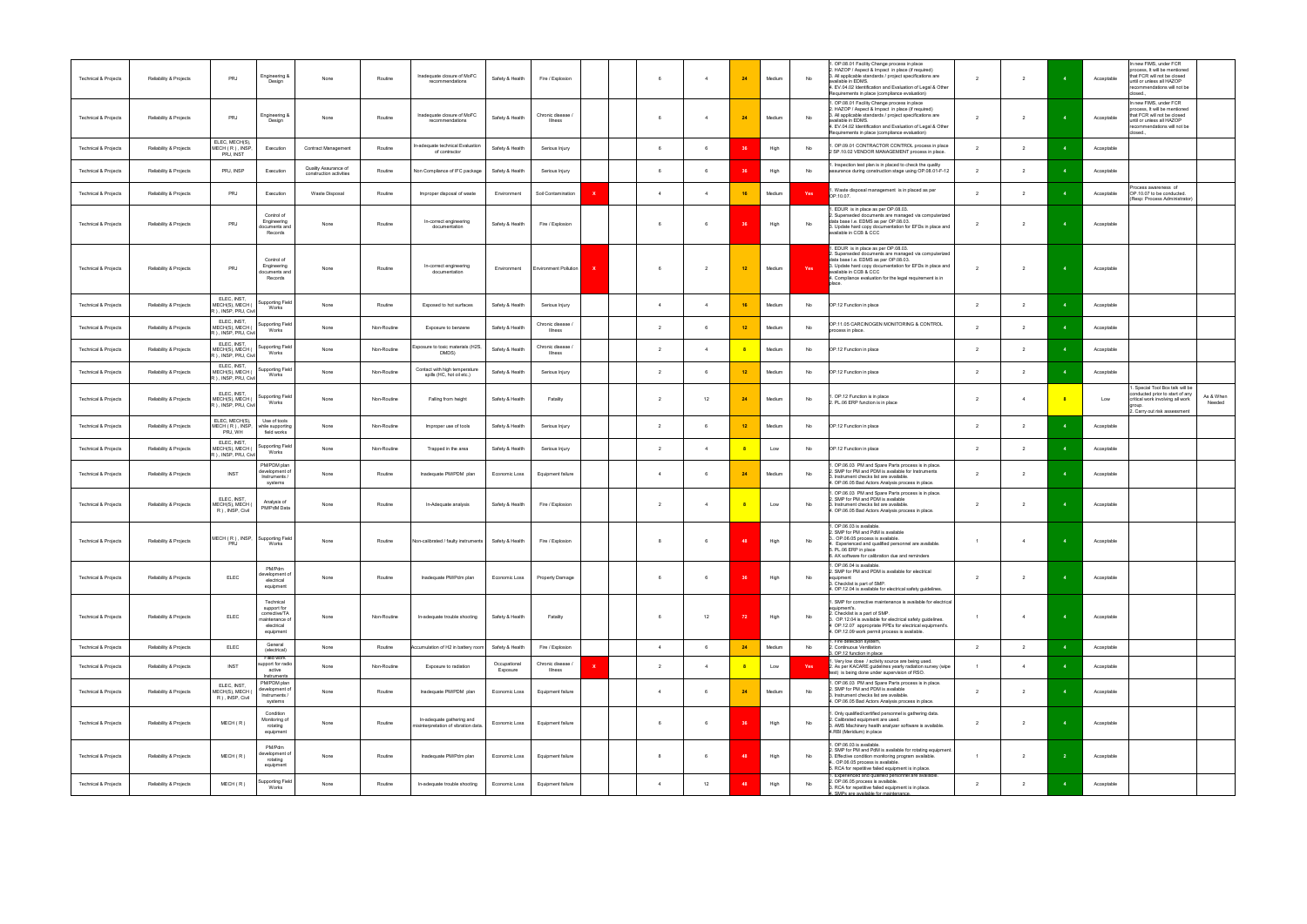| Technical & Projects            | Reliability & Projects | PRJ                                                     | Engineering &<br>Design                                                                | None                                            | Routine     | Inadequate closure of MoFC<br>recommendations                     | Safety & Health          | Fire / Explosion             |          | 6              | $\overline{4}$ | 24 | Medium | No  | I. OP.08.01 Facility Change process in place<br>: HAZOP / Aspect & Impact in place (if required)<br>3. All applicable standards / project specifications are<br>available in EDMS.<br>4. EV.04.02 Identification and Evaluation of Legal & Other<br>Requirements in place (compliance evaluation) | $\overline{2}$ | $\overline{2}$           |                | Acceptable | n new FIMS, under FCR<br>process, It will be mentioned<br>that FCR will not be closed<br>until or unless all HAZOP<br>recommendations will not be<br>closed. |                     |
|---------------------------------|------------------------|---------------------------------------------------------|----------------------------------------------------------------------------------------|-------------------------------------------------|-------------|-------------------------------------------------------------------|--------------------------|------------------------------|----------|----------------|----------------|----|--------|-----|---------------------------------------------------------------------------------------------------------------------------------------------------------------------------------------------------------------------------------------------------------------------------------------------------|----------------|--------------------------|----------------|------------|--------------------------------------------------------------------------------------------------------------------------------------------------------------|---------------------|
| Technical & Projects            | Reliability & Projects | PRJ                                                     | Engineering &<br>Design                                                                | None                                            | Routine     | Inadequate closure of MoFC<br>recommendations                     | Safety & Health          | Chronic disease /<br>Illness |          | - 6            |                |    | Medium | No  | I. OP.08.01 Facility Change process in place<br>. HAZOP / Aspect & Impact in place (if required)<br>3. All applicable standards / project specifications are<br>available in EDMS.<br>4. EV.04.02 Identification and Evaluation of Legal & Other<br>Requirements in place (compliance evaluation) | $\overline{2}$ | $\overline{2}$           |                | Acceptable | n new FIMS, under FCR<br>process, It will be mentioned<br>that FCR will not be closed<br>until or unless all HAZOP<br>ecommendations will not be<br>closed   |                     |
| Technical & Projects            | Reliability & Projects | ELEC, MECH(S),<br>MECH (R), INSP,<br>PRJ, INST          | Execution                                                                              | Contract Management                             | Routine     | In-adequate technical Evaluation<br>of contractor                 | Safety & Health          | Serious Injury               |          | 6              | - 6            |    | High   | No  | OP.09.01 CONTRACTOR CONTROL process in place<br>2 SP.10.02 VENDOR MANAGEMENT process in place.                                                                                                                                                                                                    | $\overline{2}$ | $\overline{2}$           |                | Acceptable |                                                                                                                                                              |                     |
| Technical & Projects            | Reliability & Projects | PRJ, INSP                                               | Execution                                                                              | Quality Assurance of<br>construction activities | Routine     | Non Compliance of IFC package                                     | Safety & Health          | Serious Injury               |          | 6              | - 6            | 36 | High   | No  | Inspection test plan is in placed to check the quality<br>assurance during construction stage using OP.08.01-F-12                                                                                                                                                                                 | $\overline{2}$ | $\overline{2}$           | $\overline{4}$ | Acceptable |                                                                                                                                                              |                     |
| Technical & Projects            | Reliability & Projects | PRJ                                                     | Execution                                                                              | Waste Disposal                                  | Routine     | Improper disposal of waste                                        | Environment              | Soil Contamination           |          | $\overline{4}$ | $\overline{4}$ | 16 | Medium | Yes | Waste disposal management is in placed as per<br>OP.10.07.                                                                                                                                                                                                                                        | $\overline{2}$ | $\overline{2}$           |                | Acceptable | ocess awareness of<br>OP.10.07 to be conducted.<br>(Resp: Process Administrator)                                                                             |                     |
| <b>Technical &amp; Projects</b> | Reliability & Projects | <b>PRJ</b>                                              | Control of<br>Engineering<br>documents and<br>Records                                  | None                                            | Routine     | In-correct engineering<br>documentation                           | Safety & Health          | Fire / Explosion             |          |                |                |    | High   | No  | EDUR is in place as per OP.08.03.<br>Superseded documents are managed via computerized<br>data base I.e. EDMS as per OP.08.03.<br>3. Update hard copy documentation for EFDs in place and<br>available in CCB & CCC                                                                               | $\overline{2}$ |                          |                | Acceptable |                                                                                                                                                              |                     |
| <b>Technical &amp; Projects</b> | Reliability & Projects | PRJ                                                     | Control of<br>Engineering<br>documents and<br>Records                                  | None                                            | Routine     | In-correct engineering<br>documentation                           | Environment              | Environment Pollution        | <b>x</b> | 6              | 2              | 12 | Medium | Yes | . EDUR is in place as per OP.08.03.<br>Superseded documents are managed via computerized<br>data base I.e. EDMS as per OP.08.03.<br>3. Update hard copy documentation for EFDs in place and<br>vailable in CCB & CCC<br>4. Compliance evaluation for the legal requirement is in<br>place.        | $\overline{2}$ | $\overline{2}$           |                | Acceptable |                                                                                                                                                              |                     |
| <b>Technical &amp; Projects</b> | Reliability & Projects | ELEC, INST,<br>MECH(S), MECH (<br>R ), INSP, PRJ, Civil | Supporting Field<br>Works                                                              | None                                            | Routine     | Exposed to hot surfaces                                           | Safety & Health          | Serious Injury               |          | $\overline{4}$ | $\overline{4}$ |    | Medium | No  | OP.12 Function in place                                                                                                                                                                                                                                                                           | $\overline{2}$ | $\overline{2}$           |                | Acceptable |                                                                                                                                                              |                     |
| Technical & Projects            | Reliability & Projects | ELEC, INST.<br>MECH(S), MECH (<br>R ), INSP, PRJ, Civil | Supporting Field<br>Works                                                              | None                                            | Non-Routine | Exposure to benzene                                               | Safety & Health          | Chronic disease /<br>Illness |          | $\overline{2}$ | 6              | 12 | Medium | No  | OP.11.05 CARCINOGEN MONITORING & CONTROL<br>process in place.                                                                                                                                                                                                                                     | 2              | $\overline{2}$           |                | Acceptable |                                                                                                                                                              |                     |
| Technical & Projects            | Reliability & Projects | ELEC, INST.<br>MECH(S), MECH (<br>R ), INSP, PRJ, Civil | Supporting Field<br>Works                                                              | None                                            | Non-Routine | Exposure to toxic materials (H2S,<br>DMDS)                        | Safety & Health          | Chronic disease /<br>Illness |          | 2              | $\overline{4}$ |    | Medium | No  | OP.12 Function in place                                                                                                                                                                                                                                                                           | $\overline{2}$ | $\overline{2}$           |                | Acceptable |                                                                                                                                                              |                     |
| Technical & Projects            | Reliability & Projects | ELEC, INST.<br>MECH(S), MECH (<br>R ), INSP, PRJ, Civil | Supporting Field<br>Works                                                              | None                                            | Non-Routine | Contact with high temperature<br>spills (HC, hot oil etc.)        | Safety & Health          | Serious Injury               |          | 2              |                | 12 | Medium | No  | OP.12 Function in place                                                                                                                                                                                                                                                                           | $\overline{2}$ | $\overline{2}$           |                | Acceptable |                                                                                                                                                              |                     |
| Technical & Projects            | Reliability & Projects | ELEC, INST.<br>MECH(S), MECH (<br>R ), INSP, PRJ, Civil | <b>Supporting Field</b><br>Works                                                       | None                                            | Non-Routine | Falling from height                                               | Safety & Health          | Fatality                     |          | $\overline{2}$ | 12             | 24 | Medium | No  | OP.12 Function is in place<br>2. PL.06 ERP function is in place                                                                                                                                                                                                                                   | $\overline{2}$ |                          | $_{\rm 8}$     | Low        | Special Tool Box talk will be<br>conducted prior to start of any<br>critical work involving all work<br>2. Carry out risk assessment                         | As & When<br>Needed |
| Technical & Projects            | Reliability & Projects | ELEC, MECH(S),<br>MECH (R), INSP.<br>PRJ, WH            | Use of tools<br>while supporting<br>field works                                        | None                                            | Non-Routine | Improper use of tools                                             | Safety & Health          | Serious Injury               |          | $\overline{2}$ |                | 12 | Medium | No  | OP.12 Function in place                                                                                                                                                                                                                                                                           | $\overline{2}$ |                          |                | Acceptable |                                                                                                                                                              |                     |
| Technical & Projects            | Reliability & Projects | ELEC, INST.<br>MECH(S), MECH (<br>R), INSP, PRJ, Civil  | Supporting Field<br>Works                                                              | None                                            | Non-Routine | Trapped in the area                                               | Safety & Health          | Serious Injury               |          | $\overline{2}$ | $\overline{a}$ |    | Low    | No  | OP.12 Function in place                                                                                                                                                                                                                                                                           | $\overline{2}$ | $\overline{2}$           |                | Acceptable |                                                                                                                                                              |                     |
| <b>Technical &amp; Projects</b> | Reliability & Projects | <b>INST</b>                                             | PM/PDM plan<br>development of<br>Instruments /<br>systems                              | None                                            | Routine     | Inadequate PM/PDM plan                                            | Economic Loss            | Equipment failure            |          | $\overline{4}$ | 6              | 24 | Medium | No  | 1. OP.06.03 PM and Spare Parts process is in place.<br>SMP for PM and PDM is available for Instruments<br>. Instrument checks list are available.<br>4. OP.06.05 Bad Actors Analysis process in place.                                                                                            | $\overline{2}$ | $\overline{2}$           |                | Acceptable |                                                                                                                                                              |                     |
| Technical & Projects            | Reliability & Projects | ELEC, INST.<br>MECH(S), MECH (<br>R ), INSP, Civil      | Analysis of<br>PM/PdM Data                                                             | None                                            | Routine     | In-Adequate analysis                                              | Safety & Health          | Fire / Explosion             |          | $\overline{2}$ |                |    | Low    | No  | 1. OP.06.03 PM and Spare Parts process is in place.<br>SMP for PM and PDM is available<br>3. Instrument checks list are available.<br>4. OP.06.05 Bad Actors Analysis process in place.                                                                                                           | $\overline{2}$ | $\overline{\phantom{a}}$ |                | Acceptable |                                                                                                                                                              |                     |
| <b>Technical &amp; Projects</b> | Reliability & Projects | MECH (R), INSP, Supporting Field<br>PRJ                 | Works                                                                                  | None                                            | Routine     | Non-calibrated / faulty instruments Safety & Health               |                          | Fire / Explosion             |          | -8             |                |    | High   | No  | OP.06.03 is available.<br>SMP for PM and PdM is available<br>OP.06.05 process is available.<br>Experienced and qualified personnel are available.<br>. PL.06 ERP in place<br>6. AX software for calibration due and reminders                                                                     | $\overline{1}$ |                          |                | Acceptable |                                                                                                                                                              |                     |
| Technical & Projects            | Reliability & Projects | <b>ELEC</b>                                             | PM/Pdm<br>development of<br>electrical<br>equipment                                    | None                                            | Routine     | Inadequate PM/Pdm plan                                            | Economic Loss            | Property Damage              |          | 6              | 6              | 36 | High   | No  | 1. OP.06.04 is available.<br>2. SMP for PM and PDM is available for electrical<br>equipment<br>3. Checklist is part of SMP.<br>4. OP.12.04 is available for electrical safety guidelines.                                                                                                         | $\overline{2}$ | $\overline{2}$           |                | Acceptable |                                                                                                                                                              |                     |
| Technical & Projects            | Reliability & Projects | ELEC                                                    | Technical<br>support for<br>corrective/TA<br>maintenance of<br>electrical<br>equipment | None                                            | Non-Routine | In-adequate trouble shooting                                      | Safety & Health          | Fatality                     |          | 6              | 12             | 72 | High   | No  | . SMP for corrective maintenance is available for electrical<br>equipment's.<br>2. Checklist is a part of SMP.<br>3. OP.12.04 is available for electrical safety guidelines.<br>1 OP.12.07 appropriate PPEs for electrical equipment's.<br>4. OP.12.09 work permit process is available.          | $\overline{1}$ |                          |                | Acceptable |                                                                                                                                                              |                     |
| Technical & Projects            | Reliability & Projects | ELEC                                                    | General<br>(electrical)                                                                | None                                            | Routine     | Accumulation of H2 in battery room                                | Safety & Health          | Fire / Explosion             |          | $\overline{4}$ | 6              | 24 | Medium | No  | Fire detection system,<br>2. Continuous Ventilation<br>OP.12 function in place                                                                                                                                                                                                                    | $\overline{2}$ | $\overline{2}$           |                | Acceptable |                                                                                                                                                              |                     |
| <b>Technical &amp; Projects</b> | Reliability & Projects | <b>INST</b>                                             | Filed work<br>support for radio<br>active<br>Instruments                               | None                                            | Non-Routine | Exposure to radiation                                             | Occupational<br>Exposure | Chronic disease /<br>Illness |          | $\overline{2}$ | $\overline{4}$ |    | Low    | Yes | Very low dose / activity source are being used.<br>2. As per KACARE guidelines yearly radiation survey (wipe<br>test) is being done under supervision of RSO.                                                                                                                                     | 1              | $\overline{4}$           |                | Acceptable |                                                                                                                                                              |                     |
| Technical & Projects            | Reliability & Projects | ELEC, INST,<br>MECH(S), MECH (<br>R ), INSP, Civil      | PM/PDM plan<br>levelopment of<br>Instruments /<br>systems                              | None                                            | Routine     | Inadequate PM/PDM plan                                            | Economic Loss            | Equipment failure            |          | $\overline{4}$ | 6              | 24 | Medium | No  | . OP.06.03 PM and Spare Parts process is in place.<br>. SMP for PM and PDM is available<br>. Instrument checks list are available.<br>4. OP.06.05 Bad Actors Analysis process in place.                                                                                                           | $\overline{2}$ | $\overline{2}$           |                | Acceptable |                                                                                                                                                              |                     |
| <b>Technical &amp; Projects</b> | Reliability & Projects | MECH(R)                                                 | Condition<br>Monitoring of<br>rotating<br>equipment                                    | None                                            | Routine     | In-adequate gathering and<br>misinterpretation of vibration data. | Economic Loss            | Equipment failure            |          | 6              | 6              |    | High   | No  | Only qualified/certified personnel is gathering data.<br>. Calibrated equipment are used.<br>. AMS Machinery health analyzer software is available.<br>4.RBI (Meridium) in place                                                                                                                  | $\overline{2}$ | $\overline{2}$           |                | Acceptable |                                                                                                                                                              |                     |
| Technical & Projects            | Reliability & Projects | MECH (R)                                                | PM/Pdm<br>levelopment of<br>rotating<br>equipment                                      | None                                            | Routine     | Inadequate PM/Pdm plan                                            | Economic Loss            | Equipment failure            |          | 8              | 6              | 48 | High   | No  | I. OP.06.03 is available.<br>SMP for PM and PdM is available for rotating equipment.<br>3. Effective condition monitoring program available.<br>4. OP.06.05 process is available.<br>5. RCA for repetitive failed equipment is in place.                                                          | $\overline{1}$ | $\overline{2}$           |                | Acceptable |                                                                                                                                                              |                     |
| <b>Technical &amp; Projects</b> | Reliability & Projects | MECH(R)                                                 | Supporting Field<br>Works                                                              | None                                            | Routine     | In-adequate trouble shooting                                      | Economic Loss            | Equipment failure            |          | $\overline{4}$ | 12             | 48 | High   | No  | Experienced and qualified personnel are available.<br>. OP.06.05 process is available.<br>3. RCA for repetitive failed equipment is in place.<br>4. SMPs are available for maintenance.                                                                                                           | $\overline{2}$ | $\overline{2}$           |                | Acceptable |                                                                                                                                                              |                     |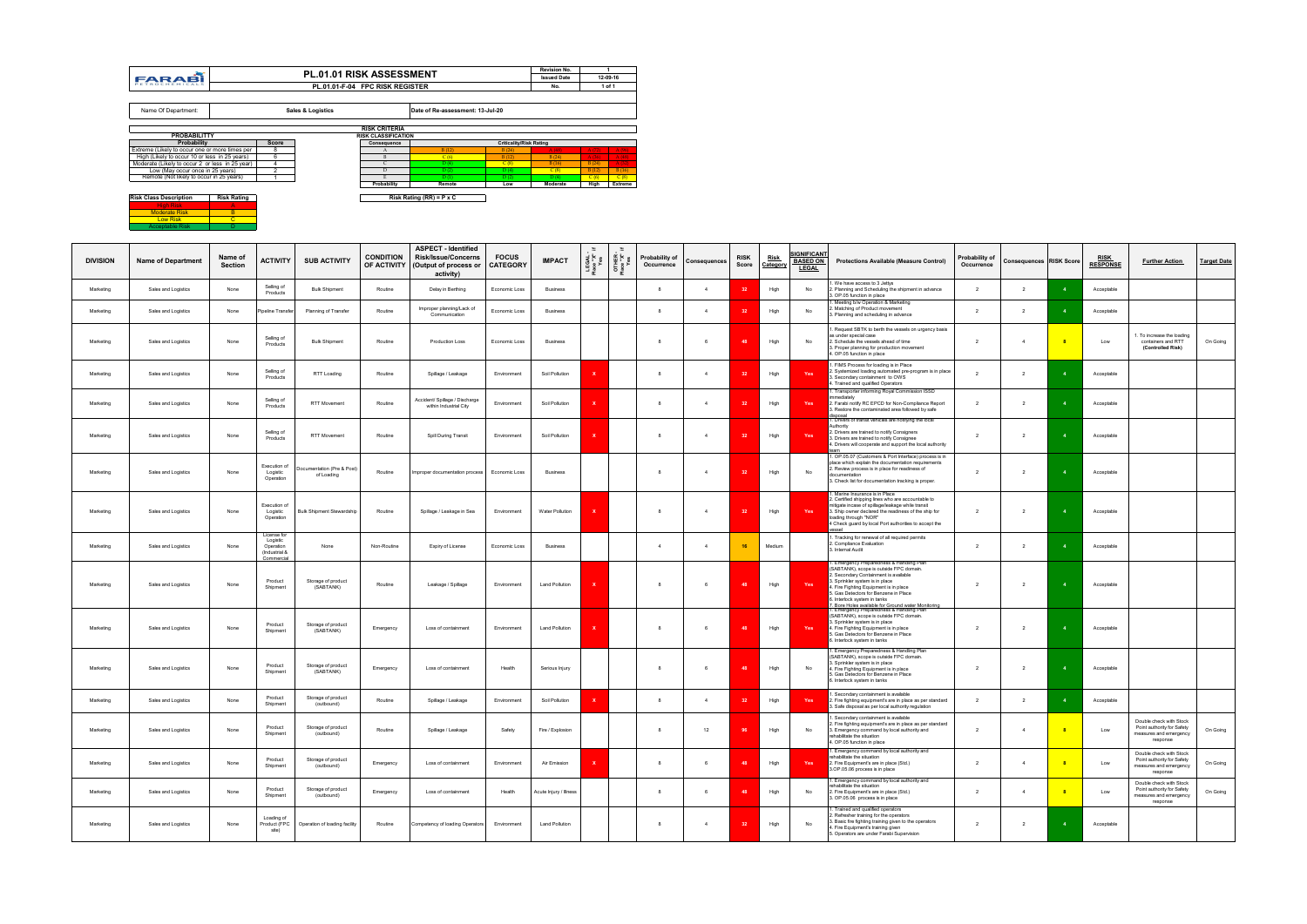**Risk Class Description Risk Rating** <u>High Risk Boots Boots A</u><br>Moderate Risk Boots Boots Boots<br>Boots Risk C Acceptable Risk D

| <b>DIVISION</b> | <b>Name of Department</b> | Name of<br>Section | ACTIVITY                                                            | <b>SUB ACTIVITY</b>                      | <b>CONDITION</b> | <b>ASPECT - Identified</b><br><b>Risk/Issue/Concerns</b><br>OF ACTIVITY   (Output of process or<br>activity) | <b>FOCUS</b><br><b>CATEGORY</b> | <b>IMPACT</b>          | LEGAL<br>Place "X"<br>Yes | OTHER<br>Place "X"<br>Yes | Probability of<br>Occurrence | Consequences   | <b>RISK</b><br>Score | <u>Risk</u><br>Category | <b>SIGNIFICANT</b><br><b>BASED ON</b><br><b>LEGAL</b> | <b>Protections Available (Measure Control)</b>                                                                                                                                                                                                                                                    | Probability of<br>Occurrence | <b>Consequences RISK Score</b> | <b>RISK</b><br><b>RESPONSE</b> | <b>Further Action</b>                                                                       | <b>Target Date</b> |
|-----------------|---------------------------|--------------------|---------------------------------------------------------------------|------------------------------------------|------------------|--------------------------------------------------------------------------------------------------------------|---------------------------------|------------------------|---------------------------|---------------------------|------------------------------|----------------|----------------------|-------------------------|-------------------------------------------------------|---------------------------------------------------------------------------------------------------------------------------------------------------------------------------------------------------------------------------------------------------------------------------------------------------|------------------------------|--------------------------------|--------------------------------|---------------------------------------------------------------------------------------------|--------------------|
| Marketing       | Sales and Logistics       | None               | Selling of<br>Products                                              | <b>Bulk Shipment</b>                     | Routine          | Delay in Berthing                                                                                            | Economic Loss                   | <b>Business</b>        |                           |                           |                              |                |                      | High                    | No                                                    | . We have access to 3 Jettys<br>2. Planning and Scheduling the shipment in advance<br>3. OP.05 function in place                                                                                                                                                                                  | $\overline{2}$               | $\overline{2}$                 | Acceptable                     |                                                                                             |                    |
| Marketing       | Sales and Logistics       | None               | Pipeline Transfer                                                   | Planning of Transfer                     | Routine          | Improper planning/Lack of<br>Communication                                                                   | Economic Loss                   | <b>Business</b>        |                           |                           |                              | $\overline{4}$ | 32                   | High                    | No                                                    | Meeting b/w Operation & Marketing<br>. Matching of Product movement<br>3. Planning and scheduling in advance                                                                                                                                                                                      | $\overline{2}$               | $\overline{2}$                 | Acceptable                     |                                                                                             |                    |
| Marketing       | Sales and Logistics       | None               | Selling of<br>Products                                              | <b>Bulk Shipment</b>                     | Routine          | Production Loss                                                                                              | Economic Loss                   | <b>Business</b>        |                           |                           |                              |                |                      | High                    | No                                                    | . Request SBTK to berth the vessels on urgency basis<br>as under special case<br>2. Schedule the vessels ahead of time<br>3. Proper planning for production movement<br>4. OP.05 function in place                                                                                                | $\overline{2}$               | $\overline{4}$                 | Low                            | . To increase the loading<br>containers and RTT<br>(Controlled Risk)                        | On Going           |
| Marketing       | Sales and Logistics       | None               | Selling of<br>Products                                              | RTT Loading                              | Routine          | Spillage / Leakage                                                                                           | Environment                     | Soil Pollution         |                           |                           |                              | $\overline{4}$ |                      | High                    | Yes                                                   | I. FIMS Process for loading is in Place<br>2. Systemized loading automated pre-program is in place<br>Secondary containment to OWS<br>1. Trained and qualified Operators                                                                                                                          | $\overline{2}$               | $\overline{2}$                 | Acceptable                     |                                                                                             |                    |
| Marketing       | Sales and Logistics       | None               | Selling of<br>Products                                              | <b>RTT Movement</b>                      | Routine          | Accident/ Spillage / Discharge<br>within Industrial City                                                     | Environment                     | Soil Pollution         |                           |                           |                              | $\overline{4}$ |                      | High                    | Yes                                                   | 1. Transporter informing Royal Commission ISSD<br>immediately<br>2. Farabi notify RC EPCD for Non-Compliance Report<br>. Restore the contaminated area followed by safe                                                                                                                           | $\overline{2}$               | $\overline{2}$                 | Acceptable                     |                                                                                             |                    |
| Marketing       | Sales and Logistics       | None               | Selling of<br>Products                                              | RTT Movement                             | Routine          | Spill During Transit                                                                                         | Environment                     | Soil Pollution         |                           |                           |                              | $\overline{4}$ | -32                  | High                    | Yes                                                   | <u>lisposal</u><br>1. Drivers of transit vehicles are notifying the local<br>Authority<br>2. Drivers are trained to notify Consigners<br>3. Drivers are trained to notify Consignee<br>4. Drivers will cooperate and support the local authority                                                  | $\overline{2}$               | $\overline{2}$                 | Acceptable                     |                                                                                             |                    |
| Marketing       | Sales and Logistics       | None               | Execution of<br>Logistic<br>Operation                               | Oocumentation (Pre & Post)<br>of Loading | Routine          | Improper documentation process Economic Loss                                                                 |                                 | <b>Business</b>        |                           |                           |                              |                |                      | High                    | No                                                    | 1. OP.05.07 (Customers & Port Interface) process is in<br>place which explain the documentation requirements<br>. Review process is in place for readiness of<br>documentation<br>3. Check list for documentation tracking is proper.                                                             | $\overline{2}$               | $\overline{\phantom{a}}$       | Acceptable                     |                                                                                             |                    |
| Marketing       | Sales and Logistics       | None               | Execution of<br>Logistic<br>Operation                               | <b>Bulk Shipment Stewardship</b>         | Routine          | Spillage / Leakage in Sea                                                                                    | Environment                     | Water Pollution        |                           |                           |                              |                |                      | High                    | Yes                                                   | Marine Insurance is in Place<br>2. Certified shipping lines who are accountable to<br>mitigate incase of spillage/leakage while transit<br>3. Ship owner declared the readiness of the ship for<br>loading through "NOR"<br>4 Check guard by local Port authorities to accept the                 | $\overline{2}$               | $\overline{2}$                 | Acceptable                     |                                                                                             |                    |
| Marketing       | Sales and Logistics       | None               | License for<br>Logistic<br>Operation<br>(Industrial &<br>Commercial | None                                     | Non-Routine      | Expiry of License                                                                                            | Economic Loss                   | <b>Business</b>        |                           |                           |                              |                | 16                   | Medium                  |                                                       | . Tracking for renewal of all required permits<br>2. Compliance Evaluation<br>3. Internal Audit                                                                                                                                                                                                   | $\overline{2}$               | $\overline{2}$                 | Acceptable                     |                                                                                             |                    |
| Marketing       | Sales and Logistics       | None               | Product<br>Shipment                                                 | Storage of product<br>(SABTANK)          | Routine          | Leakage / Spillage                                                                                           | Environment                     | <b>Land Pollution</b>  |                           |                           |                              | 6              |                      | High                    | Yes                                                   | 1. Emergency Preparedness & Handling Plan<br>(SABTANK), scope is outside FPC domain.<br>2. Secondary Containment is available<br>3. Sprinkler system is in place<br>4. Fire Fighting Equipment is in place<br>5. Gas Detectors for Benzene in Place<br>6. Interlock system in tanks               | $\overline{2}$               | $\overline{2}$                 | Acceptable                     |                                                                                             |                    |
| Marketing       | Sales and Logistics       | None               | Product<br>Shipment                                                 | Storage of product<br>(SABTANK)          | Emergency        | Loss of containment                                                                                          | Environment                     | Land Pollution         |                           |                           |                              |                | <b>AS</b>            | High                    | Yes                                                   | 7. Bore Holes available for Ground water Monitoring<br>1. Emergency Preparedness & Handling Plan<br>(SABTANK), scope is outside FPC domain.<br>3. Sprinkler system is in place<br>4. Fire Fighting Equipment is in place<br>5. Gas Detectors for Benzene in Place<br>3. Interlock system in tanks | $\overline{2}$               | $\overline{2}$                 | Acceptable                     |                                                                                             |                    |
| Marketing       | Sales and Logistics       | None               | Product<br>Shipment                                                 | Storage of product<br>(SABTANK)          | Emergency        | Loss of containment                                                                                          | Health                          | Serious Injury         |                           |                           |                              |                | <b>AS</b>            | High                    | No                                                    | Emergency Preparedness & Handling Plan<br>(SABTANK), scope is outside FPC domain.<br>3. Sprinkler system is in place<br>4. Fire Fighting Equipment is in place<br>5. Gas Detectors for Benzene in Place<br>6. Interlock system in tanks                                                           | $\overline{2}$               | $\overline{2}$                 | Acceptable                     |                                                                                             |                    |
| Marketing       | Sales and Logistics       | None               | Product<br>Shipment                                                 | Storage of product<br>(outbound)         | Routine          | Spillage / Leakage                                                                                           | Environment                     | Soil Pollution         |                           |                           |                              |                |                      | High                    | Yes                                                   | . Secondary containment is available<br>2. Fire fighting equipment's are in place as per standard<br>3. Safe disposal as per local authority regulation                                                                                                                                           | $\overline{2}$               | $\overline{2}$                 | Acceptable                     |                                                                                             |                    |
| Marketing       | Sales and Logistics       | None               | Product<br>Shipment                                                 | Storage of product<br>(outbound)         | Routine          | Spillage / Leakage                                                                                           | Safety                          | Fire / Explosion       |                           |                           |                              | 12             |                      | High                    | No                                                    | . Secondary containment is available<br>2. Fire fighting equipment's are in place as per standard<br>3. Emergency command by local authority and<br>rehabilitate the situation<br>4. OP.05 function in place                                                                                      | $\overline{2}$               | 4                              | Low                            | Double check with Stock<br>Point authority for Safety<br>measures and emergency<br>response | On Going           |
| Marketing       | Sales and Logistics       | None               | Product<br>Shipment                                                 | Storage of product<br>(outbound)         | Emergency        | Loss of containment                                                                                          | Environment                     | Air Emission           |                           |                           |                              | 6              | $\overline{A}$       | High                    | Yes                                                   | I. Emergency command by local authority and<br>rehabilitate the situation<br>2. Fire Equipment's are in place (Std.)<br>3.OP.05.06 process is in place                                                                                                                                            | $\overline{2}$               | 4                              | Low                            | Double check with Stock<br>Point authority for Safety<br>measures and emergency<br>response | On Going           |
| Marketing       | Sales and Logistics       | None               | Product<br>Shipment                                                 | Storage of product<br>(outbound)         | Emergency        | Loss of containment                                                                                          | Health                          | Acute Injury / Illness |                           |                           | -8                           | -6             |                      | High                    | No                                                    | Emergency command by local authority and<br>rehabilitate the situation<br>2. Fire Equipment's are in place (Std.)<br>3. OP.05.06 process is in place                                                                                                                                              | $\overline{2}$               | $\overline{4}$                 | Low                            | Double check with Stock<br>Point authority for Safety<br>measures and emergency<br>response | On Going           |
| Marketing       | Sales and Logistics       | None               | Loading of<br>Product (FPC<br>site)                                 | Operation of loading facility            | Routine          | Competency of loading Operators                                                                              | Environment                     | <b>Land Pollution</b>  |                           |                           |                              | 4              | 32                   | High                    | No                                                    | . Trained and qualified operators<br>. Refresher training for the operators<br>3. Basic fire fighting training given to the operators<br>4. Fire Equipment's training given<br>5. Operators are under Farabi Supervision                                                                          | $\overline{2}$               | $\overline{2}$                 | Acceptable                     |                                                                                             |                    |

|                                                     |              |                                 |                            |                                  |                                | <b>Revision No.</b> |       |          |
|-----------------------------------------------------|--------------|---------------------------------|----------------------------|----------------------------------|--------------------------------|---------------------|-------|----------|
| FARABI                                              |              | <b>PL.01.01 RISK ASSESSMENT</b> |                            |                                  |                                | <b>Issued Date</b>  |       | 12-09-16 |
| PETROCHEMICALS                                      |              | PL.01.01-F-04 FPC RISK REGISTER |                            |                                  |                                | No.                 |       | 1 of 1   |
|                                                     |              |                                 |                            |                                  |                                |                     |       |          |
| Name Of Department:                                 |              | Sales & Logistics               |                            | Date of Re-assessment: 13-Jul-20 |                                |                     |       |          |
|                                                     |              |                                 | <b>RISK CRITERIA</b>       |                                  |                                |                     |       |          |
| <b>PROBABILITTY</b>                                 |              |                                 | <b>RISK CLASSIFICATION</b> |                                  |                                |                     |       |          |
| Probability                                         | <b>Score</b> |                                 | Consequence                |                                  | <b>Criticality/Risk Rating</b> |                     |       |          |
| Extreme (Likely to occur one or more times per      | 8            |                                 | A                          | B(12)                            | B(24)                          | A(48)               | A(72) | A(96)    |
| High (Likely to occur 10 or less in 25 years)       | 6            |                                 | $\mathbf{B}$               | C(6)                             | B(12)                          | B(24)               | A(36) | A(48)    |
| Moderate (Likely to occur 2 or less in 25 year)     | 4            |                                 | $\subset$                  | D(4)                             | C(8)                           | B(16)               | B(24) | A(32)    |
| Low (May occur once in 25 years)                    | $\sqrt{2}$   |                                 | D                          | D(2)                             | D(4)                           | C(8)                | B(12) | B(16)    |
| Remote (Not likely to occur in 25 years)            |              |                                 |                            | D(1)                             | D(2)                           | D(4)                | C(6)  | C(8)     |
|                                                     |              |                                 | Probability                | Remote                           | Low                            | Moderate            | High  | Extreme  |
| <b>Risk Class Description</b><br><b>Risk Rating</b> |              |                                 |                            | Risk Rating $(RR) = P \times C$  |                                |                     |       |          |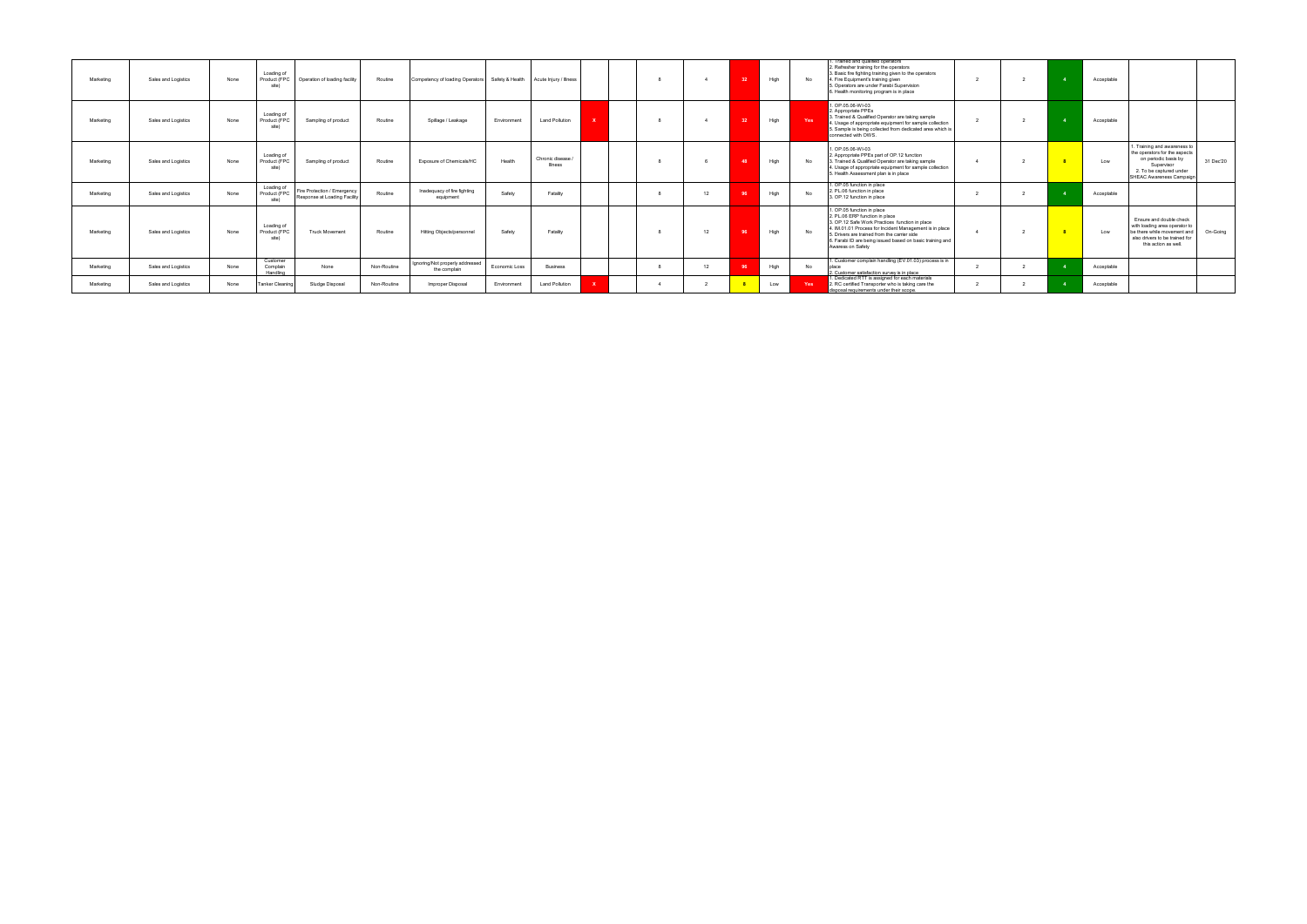| Marketing | Sales and Logistics | None | Loading of<br>Product (FPC<br>site) | Operation of loading facility                               | Routine     | Competency of loading Operators Safety & Health Acute Injury / Illness |               |                                     |  |    | $-32$          | High | No  | Trained and qualified operators<br>2. Refresher training for the operators<br>3. Basic fire fighting training given to the operators<br>4. Fire Equipment's training given<br>. Operators are under Farabi Supervision<br>. Health monitoring program is in place                                           |  | Acceptable |                                                                                                                                                                        |
|-----------|---------------------|------|-------------------------------------|-------------------------------------------------------------|-------------|------------------------------------------------------------------------|---------------|-------------------------------------|--|----|----------------|------|-----|-------------------------------------------------------------------------------------------------------------------------------------------------------------------------------------------------------------------------------------------------------------------------------------------------------------|--|------------|------------------------------------------------------------------------------------------------------------------------------------------------------------------------|
| Marketing | Sales and Logistics | None | Loading of<br>Product (FPC<br>site) | Sampling of product                                         | Routine     | Spillage / Leakage                                                     | Environment   | <b>Land Pollution</b>               |  |    | 32             | High | Yes | 1. OP 05 06-WI-03<br>2. Appropriate PPEs<br>1. Trained & Qualified Operator are taking sample<br>. Usage of appropriate equipment for sample collection<br>5. Sample is being collected from dedicated area which is<br>connected with OWS.                                                                 |  | Acceptable |                                                                                                                                                                        |
| Marketing | Sales and Logistics | None | Loading of<br>Product (FPC<br>site) | Sampling of product                                         | Routine     | Exposure of Chemicals/HC                                               | Health        | Chronic disease /<br><b>Illness</b> |  |    | $\overline{A}$ | High | No  | 1. OP.05.06-WI-03<br>2. Appropriate PPEs part of OP.12 function<br>3. Trained & Qualified Operator are taking sample<br>4. Usage of appropriate equipment for sample collection<br>5. Health Assessment plan is in place                                                                                    |  | Low        | . Training and awareness to<br>the operators for the aspects<br>on periodic basis by<br>31 Dec'20<br>Supervisor<br>2. To be captured under<br>SHEAC Awareness Campaign |
| Marketing | Sales and Logistics | None | Loading of<br>Product (FPC<br>site) | Fire Protection / Emergency<br>Response at Loading Facility | Routine     | Inadequacy of fire fighting<br>equipment                               | Safety        | Fatality                            |  | 12 |                | High | No  | 1. OP.05 function in place<br>2. PL.06 function in place<br>3. OP.12 function in place                                                                                                                                                                                                                      |  | Acceptable |                                                                                                                                                                        |
| Marketing | Sales and Logistics | None | Loading of<br>Product (FPC<br>site) | <b>Truck Movement</b>                                       | Routine     | Hitting Objects/personnel                                              | Safety        | Fatality                            |  | 12 | - Qi           | High | No  | I. OP.05 function in place<br>2. PL.06 ERP function in place<br>3. OP.12 Safe Work Practices function in place<br>4. IM.01.01 Process for Incident Management is in place<br>5. Drivers are trained from the carrier side<br>6. Farabi ID are being issued based on basic training and<br>Awaress on Safety |  | Low        | Ensure and double check<br>with loading area operator to<br>be there while movement and<br>On-Going<br>also drivers to be trained fo<br>this action as well.           |
| Marketing | Sales and Logistics | None | Customer<br>Complain<br>Handling    | None                                                        | Non-Routine | Ignoring/Not properly addressed<br>the complain                        | Economic Loss | <b>Business</b>                     |  | 12 |                | High | No  | . Customer complain handling (EV.01.03) process is in<br>place<br>2. Customer satisfaction survey is in place                                                                                                                                                                                               |  | Acceptable |                                                                                                                                                                        |
| Marketing | Sales and Logistics | None | Tanker Cleaning                     | Sludge Disposal                                             | Non-Routine | Improper Disposal                                                      | Environment   | <b>Land Pollution</b>               |  |    |                | Low  | Yes | . Dedicated RTT is assigned for each materials<br>2. RC certified Transporter who is taking care the<br>disposal requirements under their scope                                                                                                                                                             |  | Acceptable |                                                                                                                                                                        |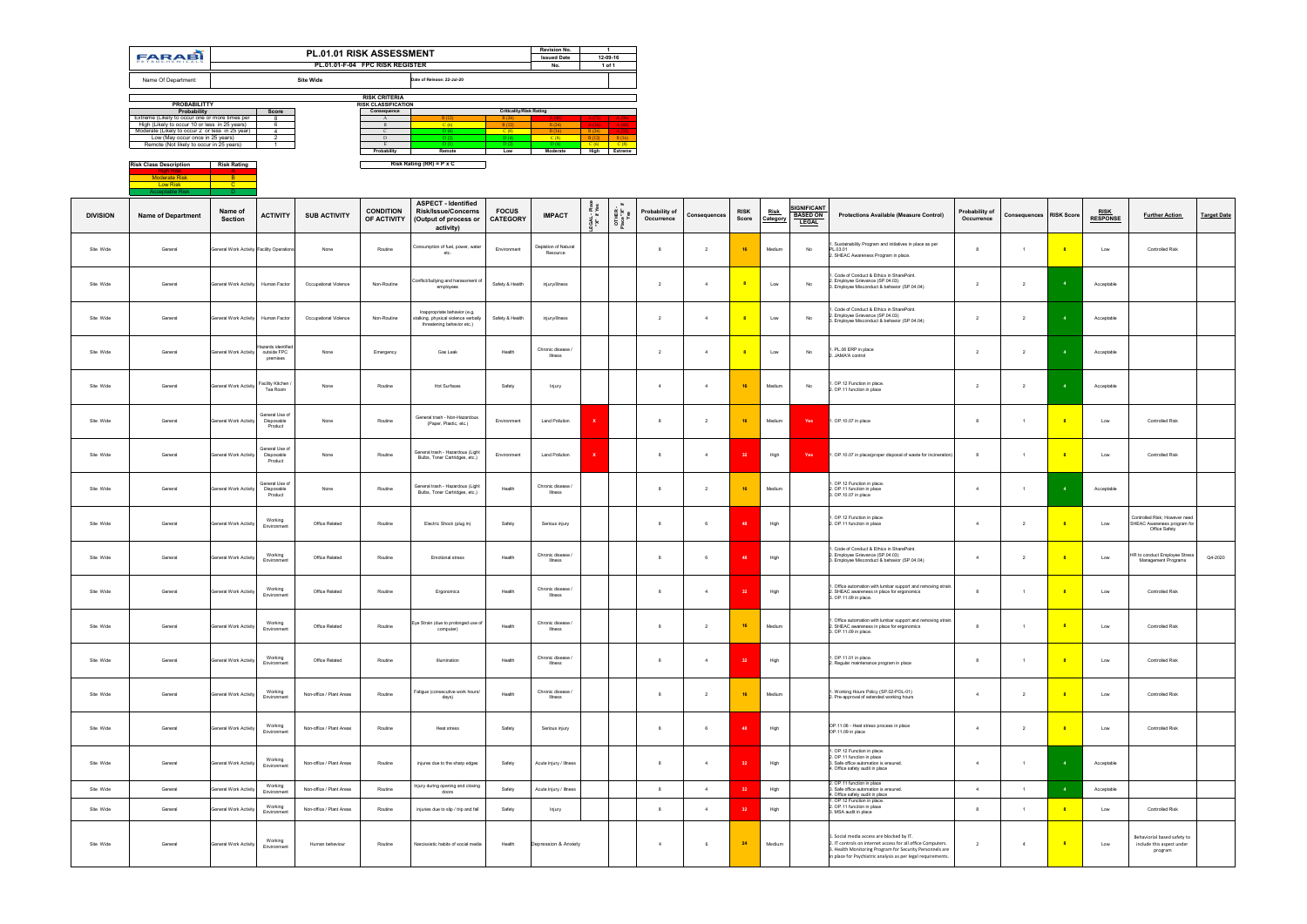|                 | <b>FARABI</b>                                                                                    |                                           |                                               | PL.01.01 RISK ASSESSMENT | PL.01.01-F-04 FPC RISK REGISTER                    |                                                                                                    |                                         | <b>Revision No.</b><br><b>Issued Date</b><br>No. | $\overline{1}$<br>12-09-16<br>1 of 1                      |                                         |                              |                |                         |                         |                                                      |                                                                                                                                                                                                                                  |                              |                         |                |                                |                                                                               |                    |
|-----------------|--------------------------------------------------------------------------------------------------|-------------------------------------------|-----------------------------------------------|--------------------------|----------------------------------------------------|----------------------------------------------------------------------------------------------------|-----------------------------------------|--------------------------------------------------|-----------------------------------------------------------|-----------------------------------------|------------------------------|----------------|-------------------------|-------------------------|------------------------------------------------------|----------------------------------------------------------------------------------------------------------------------------------------------------------------------------------------------------------------------------------|------------------------------|-------------------------|----------------|--------------------------------|-------------------------------------------------------------------------------|--------------------|
|                 | Name Of Department:                                                                              |                                           |                                               | <b>Site Wide</b>         |                                                    | Date of Release: 22-Jul-20                                                                         |                                         |                                                  |                                                           |                                         |                              |                |                         |                         |                                                      |                                                                                                                                                                                                                                  |                              |                         |                |                                |                                                                               |                    |
|                 | <b>PROBABILITTY</b>                                                                              |                                           |                                               |                          | <b>RISK CRITERIA</b><br><b>RISK CLASSIFICATION</b> |                                                                                                    |                                         |                                                  |                                                           |                                         |                              |                |                         |                         |                                                      |                                                                                                                                                                                                                                  |                              |                         |                |                                |                                                                               |                    |
|                 | Probability<br>Extreme (Likely to occur one or more times per                                    |                                           | Score<br>-8                                   |                          | Consequence<br>$\mathbf{A}$                        | B(12)                                                                                              | <b>Criticality/Risk Rating</b><br>B(24) |                                                  |                                                           |                                         |                              |                |                         |                         |                                                      |                                                                                                                                                                                                                                  |                              |                         |                |                                |                                                                               |                    |
|                 | High (Likely to occur 10 or less in 25 years)<br>Moderate (Likely to occur 2 or less in 25 year) |                                           | 6<br>$\overline{4}$                           |                          | $\mathbf{B}$<br>$\mathsf{C}$                       | C(6)<br>D(4)                                                                                       | B(12)<br>C(8)                           | B(24)<br>B(16)                                   | B(24)                                                     |                                         |                              |                |                         |                         |                                                      |                                                                                                                                                                                                                                  |                              |                         |                |                                |                                                                               |                    |
|                 | Low (May occur once in 25 years)<br>Remote (Not likely to occur in 25 years)                     |                                           | 1                                             |                          | D<br>Probability                                   | D(2)<br>D(1)<br>Remote                                                                             | D(4)<br>D(2)<br>Low                     | C(8)<br>D(4)                                     | $B(12)$ $B(16)$<br>$C(6)$ $C(8)$<br>Moderate High Extreme |                                         |                              |                |                         |                         |                                                      |                                                                                                                                                                                                                                  |                              |                         |                |                                |                                                                               |                    |
|                 | <b>Risk Class Description</b>                                                                    | <b>Risk Rating</b>                        |                                               |                          |                                                    | Risk Rating $(RR) = P \times C$                                                                    |                                         |                                                  |                                                           |                                         |                              |                |                         |                         |                                                      |                                                                                                                                                                                                                                  |                              |                         |                |                                |                                                                               |                    |
|                 | <b>Moderate Risk</b><br><b>Low Risk</b>                                                          | $\overline{B}$<br><b>C</b>                |                                               |                          |                                                    |                                                                                                    |                                         |                                                  |                                                           |                                         |                              |                |                         |                         |                                                      |                                                                                                                                                                                                                                  |                              |                         |                |                                |                                                                               |                    |
|                 |                                                                                                  |                                           |                                               |                          |                                                    |                                                                                                    |                                         |                                                  |                                                           |                                         |                              |                |                         |                         |                                                      |                                                                                                                                                                                                                                  |                              |                         |                |                                |                                                                               |                    |
| <b>DIVISION</b> | <b>Name of Department</b>                                                                        | Name of<br><b>Section</b>                 | <b>ACTIVITY</b>                               | <b>SUB ACTIVITY</b>      | <b>CONDITION</b><br>OF ACTIVITY                    | <b>ASPECT - Identified</b><br><b>Risk/Issue/Concerns</b><br>(Output of process or<br>activity)     | <b>FOCUS</b><br><b>CATEGORY</b>         | <b>IMPACT</b>                                    | "X" if Yes                                                | $\equiv$<br>OTHER -<br>Place "X"<br>Yes | Probability of<br>Occurrence | Consequences   | <b>RISK</b><br>Score    | <u>Risk</u><br>Category | <b>IGNIFICANT</b><br><b>BASED ON</b><br><b>LEGAL</b> | <b>Protections Available (Measure Control)</b>                                                                                                                                                                                   | Probability of<br>Occurrence | Consequences RISK Score |                | <b>RISK</b><br><b>RESPONSE</b> | <b>Further Action</b>                                                         | <b>Target Date</b> |
| Site Wide       | General                                                                                          | General Work Activity Facility Operations |                                               | None                     | Routine                                            | Consumption of fuel, power, water<br>etc.                                                          | Environment                             | Depletion of Natural<br>Resource                 |                                                           |                                         | 8                            | $\overline{2}$ | 16                      | Medium                  | No                                                   | Sustainability Program and initiatives in place as per<br>PL.03.01<br>2. SHEAC Awareness Program in place.                                                                                                                       | 8                            | $\overline{1}$          |                | Low                            | <b>Controlled Risk</b>                                                        |                    |
| Site Wide       | General                                                                                          | General Work Activity Human Factor        |                                               | Occupational Violence    | Non-Routine                                        | Conflict/bullying and harassment of<br>employees                                                   | Safety & Health                         | injury/illness                                   |                                                           |                                         | 2                            | $\overline{4}$ | 8                       | Low                     | No                                                   | Code of Conduct & Ethics in SharePoint.<br>2. Employee Grievance (SP.04.03)<br>3. Employee Misconduct & behavior (SP.04.04)                                                                                                      | $\overline{2}$               | $\overline{2}$          | $\overline{4}$ | Acceptable                     |                                                                               |                    |
| Site Wide       | General                                                                                          | General Work Activity Human Factor        |                                               | Occupational Violence    | Non-Routine                                        | Inappropriate behavior (e.g.<br>stalking, physical violence verbally<br>threatening behavior etc.) | Safety & Health                         | injury/illness                                   |                                                           |                                         | $\overline{2}$               | $\overline{a}$ | $\overline{\mathbf{8}}$ | Low                     | No                                                   | Code of Conduct & Ethics in SharePoint.<br>2. Employee Grievance (SP.04.03)<br>3. Employee Misconduct & behavior (SP.04.04)                                                                                                      | $\overline{2}$               | $\overline{2}$          | $\overline{4}$ | Acceptable                     |                                                                               |                    |
| Site Wide       | General                                                                                          | General Work Activity                     | lazards identified<br>outside FPC<br>premises | None                     | Emergency                                          | Gas Leak                                                                                           | Health                                  | Chronic disease<br>Illness                       |                                                           |                                         | 2                            | $\overline{4}$ |                         | Low                     | No                                                   | PL.06 ERP in place<br>JAMA'A control                                                                                                                                                                                             | $\overline{2}$               | $\overline{2}$          |                | Acceptable                     |                                                                               |                    |
| Site Wide       | General                                                                                          | General Work Activity                     | Facility Kitchen<br>Tea Room                  | None                     | Routine                                            | Hot Surfaces                                                                                       | Safety                                  | Injury                                           |                                                           |                                         | $\overline{4}$               | $\overline{a}$ | 16                      | Medium                  | No                                                   | OP.12 Function in place.<br>. OP.11 function in place                                                                                                                                                                            | $\overline{2}$               | $\overline{2}$          | $\overline{4}$ | Acceptable                     |                                                                               |                    |
| Site Wide       | General                                                                                          | General Work Activity                     | General Use of<br>Disposable<br>Product       | None                     | Routine                                            | General trash - Non-Hazardous<br>(Paper, Plastic, etc.)                                            | Environment                             | Land Pollution                                   |                                                           |                                         | 8                            | $\overline{2}$ | 16                      | Medium                  | Yes                                                  | 1. OP.10.07 in place                                                                                                                                                                                                             | 8                            | $\overline{1}$          |                | Low                            | <b>Controlled Risk</b>                                                        |                    |
| Site Wide       | General                                                                                          | General Work Activity                     | General Use of<br>Disposable<br>Product       | None                     | Routine                                            | General trash - Hazardous (Light<br>Bulbs, Toner Cartridges, etc.)                                 | Environment                             | Land Pollution                                   | $\mathbf x$                                               |                                         | 8                            | $\overline{4}$ | 32                      | High                    | Yes                                                  | 1. OP.10.07 in place(proper disposal of waste for incineration)                                                                                                                                                                  | 8                            | $\overline{1}$          | $^{\circ}$ 8   | Low                            | <b>Controlled Risk</b>                                                        |                    |
| Site Wide       | General                                                                                          | General Work Activity                     | General Use of<br>Disposable<br>Product       | None                     | Routine                                            | General trash - Hazardous (Light<br>Bulbs, Toner Cartridges, etc.)                                 | Health                                  | Chronic disease /<br><b>Illness</b>              |                                                           |                                         | 8                            | $\overline{2}$ | 16                      | Medium                  |                                                      | 1. OP.12 Function in place.<br>2. OP.11 function in place<br>3. OP.10.07 in place                                                                                                                                                | $\overline{4}$               | $\blacksquare$          | $\overline{4}$ | Acceptable                     |                                                                               |                    |
| Site Wide       | General                                                                                          | General Work Activity                     | Working<br>Environment                        | Office Related           | Routine                                            | Electric Shock (plug in)                                                                           | Safety                                  | Serious injury                                   |                                                           |                                         | 8                            | 6              | 48                      | High                    |                                                      | . OP.12 Function in place.<br>2. OP.11 function in place                                                                                                                                                                         | $\overline{4}$               | $\overline{2}$          |                | Low                            | Controlled Risk; However need<br>SHEAC Awareness program for<br>Office Safety |                    |
| Site Wide       | General                                                                                          | General Work Activity                     | Working<br>Environment                        | Office Related           | Routine                                            | <b>Emotional stress</b>                                                                            | Health                                  | Chronic disease /<br><b>Illness</b>              |                                                           |                                         | 8                            | 6              |                         | High                    |                                                      | . Code of Conduct & Ethics in SharePoint.<br>2. Employee Grievance (SP.04.03)<br>3. Employee Misconduct & behavior (SP.04.04)                                                                                                    | $\overline{4}$               | $\overline{2}$          | - 8            | Low                            | HR to conduct Employee Stress<br>Management Programs                          | Q4-2020            |
| Site Wide       | General                                                                                          | General Work Activity                     | Working<br>Environment                        | Office Related           | Routine                                            | Ergonomics                                                                                         | Health                                  | Chronic disease /<br>Illness                     |                                                           |                                         | 8                            | $\overline{4}$ |                         | High                    |                                                      | . Office automation with lumbar support and removing strain.<br>2. SHEAC awareness in place for ergonomics<br>3. OP.11.09 in place.                                                                                              | 8                            | $\overline{1}$          | $^{\circ}$ 8   | Low                            | <b>Controlled Risk</b>                                                        |                    |
| Site Wide       | General                                                                                          | General Work Activity                     | Working<br>Environment                        | Office Related           | Routine                                            | Eye Strain (due to prolonged use of<br>computer)                                                   | Health                                  | Chronic disease /<br>Illness                     |                                                           |                                         | 8                            | $\overline{2}$ | <b>16</b>               | Medium                  |                                                      | . Office automation with lumbar support and removing strain.<br>2. SHEAC awareness in place for ergonomics<br>3. OP.11.09 in place.                                                                                              | 8                            | $\overline{1}$          |                | Low                            | <b>Controlled Risk</b>                                                        |                    |
| Site Wide       | General                                                                                          | General Work Activity                     | Working<br>Environment                        | Office Related           | Routine                                            | Illumination                                                                                       | Health                                  | Chronic disease /<br>Illness                     |                                                           |                                         | 8                            | $\overline{a}$ |                         | High                    |                                                      | 1. OP.11.01 in place.<br>2. Regular maintenance program in place                                                                                                                                                                 | 8                            | $\overline{1}$          |                | Low                            | <b>Controlled Risk</b>                                                        |                    |
| Site Wide       | General                                                                                          | General Work Activity                     | Working<br>Environment                        | Non-office / Plant Areas | Routine                                            | atigue (consecutive work hours/<br>days)                                                           | Health                                  | Chronic disease /<br>Illness                     |                                                           |                                         | 8                            | 2              | <b>16</b>               | Medium                  |                                                      | Working Hours Policy (SP.02-POL-01)<br>2. Pre-approval of extended working hours                                                                                                                                                 | 4                            | $\overline{2}$          | - 8            | Low                            | <b>Controlled Risk</b>                                                        |                    |
| Site Wide       | General                                                                                          | General Work Activity                     | Working<br>Environment                        | Non-office / Plant Areas | Routine                                            | Heat stress                                                                                        | Safety                                  | Serious injury                                   |                                                           |                                         | 8                            | 6              |                         | High                    |                                                      | OP.11.06 - Heat stress process in place<br>OP.11.09 in place                                                                                                                                                                     | $\overline{4}$               | $\overline{2}$          |                | Low                            | <b>Controlled Risk</b>                                                        |                    |
| Site Wide       | General                                                                                          | General Work Activity                     | Working<br>Environment                        | Non-office / Plant Areas | Routine                                            | injures due to the sharp edges                                                                     | Safety                                  | Acute Injury / Illness                           |                                                           |                                         | 8                            | 4              |                         | High                    |                                                      | . OP.12 Function in place.<br>2. OP.11 function in place<br>3. Safe office automation is ensured.<br>4. Office safety audit in place                                                                                             | $\overline{4}$               | $\overline{1}$          | $\overline{4}$ | Acceptable                     |                                                                               |                    |
| Site Wide       | General                                                                                          | General Work Activity                     | Working<br>Environment                        | Non-office / Plant Areas | Routine                                            | Injury during opening and closing<br>doors                                                         | Safety                                  | Acute Injury / Illness                           |                                                           |                                         | 8                            | $\overline{a}$ |                         | High                    |                                                      | 2. OP.11 function in place<br>3. Safe office automation is ensured.<br>4. Office safety audit in place                                                                                                                           | $\overline{4}$               | $\blacksquare$          |                | Acceptable                     |                                                                               |                    |
| Site Wide       | General                                                                                          | General Work Activity                     | Working<br>Environment                        | Non-office / Plant Areas | Routine                                            | injuries due to slip / trip and fall                                                               | Safety                                  | Injury                                           |                                                           |                                         | 8                            | $\overline{4}$ | 32                      | High                    |                                                      | 1. OP.12 Function in place.<br>2. OP.11 function in place<br>3. MSA audit in place                                                                                                                                               | 8                            | $-1$                    | - 8            | Low                            | <b>Controlled Risk</b>                                                        |                    |
| Site Wide       | General                                                                                          | General Work Activity                     | Working<br>Environment                        | Human behaviour          | Routine                                            | Narcissistic habits of social media                                                                | Health                                  | Depression & Anxiety                             |                                                           |                                         | $\overline{a}$               | 6              | 24                      | Medium                  |                                                      | Social media access are blocked by IT.<br>2. IT controls on internet access for all office Computers.<br>. Health Monitoring Program for Security Personnels are<br>in place for Psychiatric analysis as per legal requirements. | $\overline{2}$               | $\overline{a}$          |                | Low                            | Behaviorial based safety to<br>include this aspect under<br>program           |                    |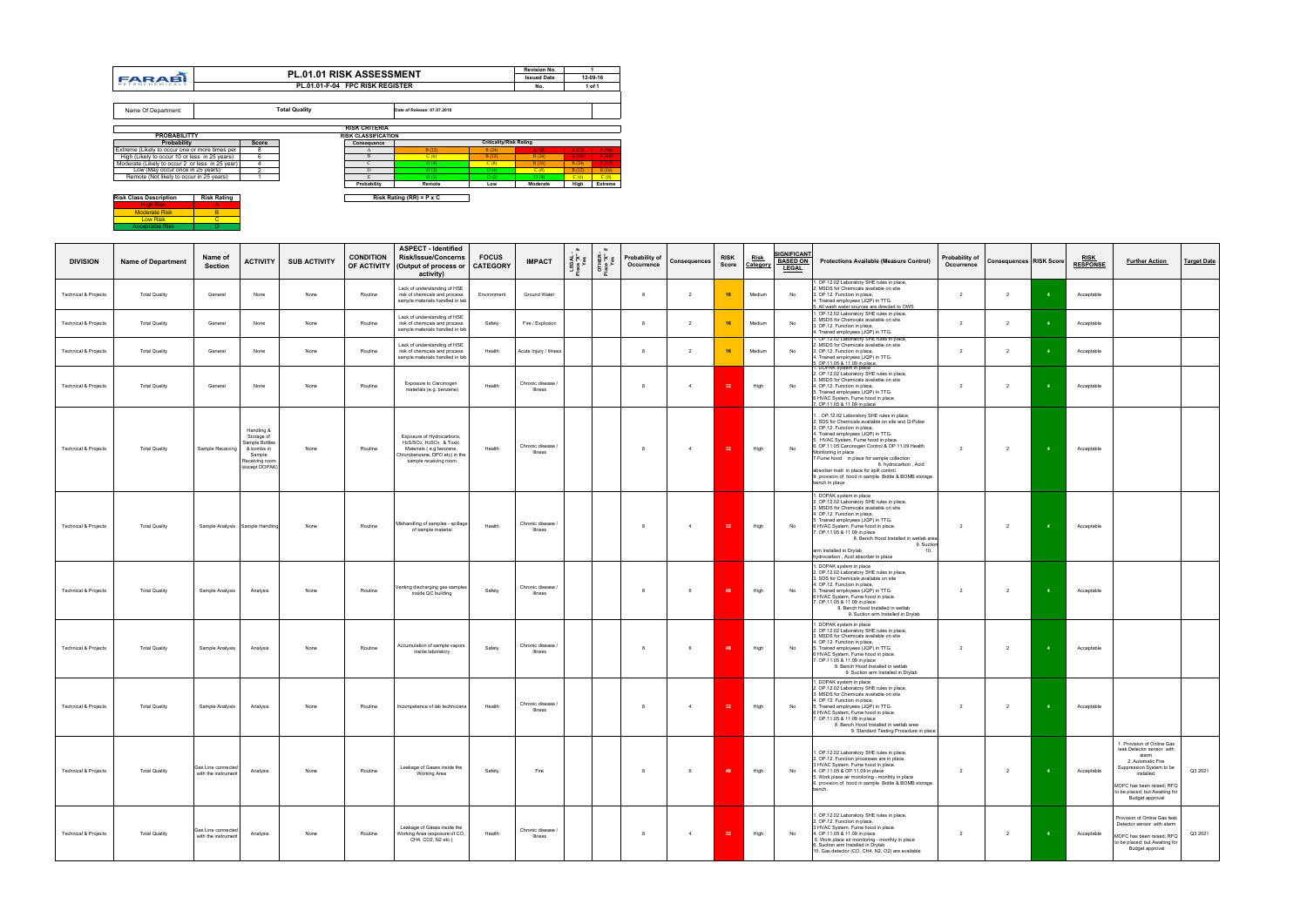| <b>NOW ORDS DUSCHIPHON</b> | . |
|----------------------------|---|
| <b>High Risk</b>           |   |
| <b>Moderate Risk</b>       |   |
| <b>Low Risk</b>            |   |
| <b>Acceptable Risk</b>     |   |

| <b>DIVISION</b>                 | <b>Name of Department</b> | Name of<br><b>Section</b>                 | <b>ACTIVITY</b>                                                                                        | <b>SUB ACTIVITY</b> | <b>CONDITION</b><br>OF ACTIVITY | <b>ASPECT - Identified</b><br><b>Risk/Issue/Concerns</b><br>(Output of process or<br>activity)                                             | <b>FOCUS</b><br><b>CATEGORY</b> | <b>IMPACT</b>                | sex<br>LAS:<br>Sex | OTHER<br>Jace "X"<br>Yes | Probability of<br>Occurrence | Consequences   | <b>RISK</b><br>Score | <u>Risk</u><br>Category | <b>IGNIFICANT</b><br><b>BASED ON</b><br><b>LEGAL</b> | <b>Protections Available (Measure Control)</b>                                                                                                                                                                                                                                                                                                                                                                                                                                        | Probability of<br>Occurrence | <b>Consequences RISK Score</b> |                         | <u>RISK</u><br><b>RESPONSE</b> | <b>Further Action</b>                                                                                                                                                                                             | <b>Target Date</b> |
|---------------------------------|---------------------------|-------------------------------------------|--------------------------------------------------------------------------------------------------------|---------------------|---------------------------------|--------------------------------------------------------------------------------------------------------------------------------------------|---------------------------------|------------------------------|--------------------|--------------------------|------------------------------|----------------|----------------------|-------------------------|------------------------------------------------------|---------------------------------------------------------------------------------------------------------------------------------------------------------------------------------------------------------------------------------------------------------------------------------------------------------------------------------------------------------------------------------------------------------------------------------------------------------------------------------------|------------------------------|--------------------------------|-------------------------|--------------------------------|-------------------------------------------------------------------------------------------------------------------------------------------------------------------------------------------------------------------|--------------------|
| <b>Technical &amp; Projects</b> | <b>Total Quality</b>      | General                                   | None                                                                                                   | None                | Routine                         | Lack of understanding of HSE<br>risk of chemicals and process<br>sample materials handled in lab                                           | Environment                     | Ground Water                 |                    |                          | 8                            | $\overline{2}$ | 16                   | Medium                  | No                                                   | 1. OP.12.02 Laboratory SHE rules in place,<br>2. MSDS for Chemicals available on site<br>3. OP.12. Function in place,<br>. Trained employees (JQP) in TTG.<br>. All wash water sources are directed to OWS                                                                                                                                                                                                                                                                            | 2                            | 2                              |                         | Acceptable                     |                                                                                                                                                                                                                   |                    |
| <b>Technical &amp; Projects</b> | <b>Total Quality</b>      | General                                   | None                                                                                                   | None                | Routine                         | Lack of understanding of HSE<br>risk of chemicals and process<br>sample materials handled in lab                                           | Safety                          | Fire / Explosion             |                    |                          | 8                            | $\overline{2}$ | 16                   | Medium                  | No                                                   | 1. OP.12.02 Laboratory SHE rules in place,<br>2. MSDS for Chemicals available on site<br>3. OP.12. Function in place,<br>1. Trained employees (JQP) in TTG.<br>. OP.12.02 Laboratory SHE rules in place,                                                                                                                                                                                                                                                                              | $\overline{2}$               | $\overline{2}$                 |                         | Acceptable                     |                                                                                                                                                                                                                   |                    |
| <b>Technical &amp; Projects</b> | <b>Total Quality</b>      | General                                   | None                                                                                                   | None                | Routine                         | Lack of understanding of HSE<br>risk of chemicals and process<br>sample materials handled in lab                                           | Health                          | Acute Injury / Illness       |                    |                          | 8                            | $\overline{2}$ | 16                   | Medium                  | No                                                   | . MSDS for Chemicals available on site<br>3. OP.12. Function in place,<br>4. Trained employees (JQP) in TTG.<br>5. OP.11.05 & 11.09 in place.<br>1. DOPAK system in place                                                                                                                                                                                                                                                                                                             | $\overline{2}$               | $\overline{2}$                 | $\overline{4}$          | Acceptable                     |                                                                                                                                                                                                                   |                    |
| <b>Technical &amp; Projects</b> | <b>Total Quality</b>      | General                                   | None                                                                                                   | None                | Routine                         | Exposure to Carcinogen<br>materials (e.g. benzene)                                                                                         | Health                          | Chronic disease /<br>Illness |                    |                          | 8                            | $\overline{4}$ | 32                   | High                    | No                                                   | 2. OP.12.02 Laboratory SHE rules in place,<br>3. MSDS for Chemicals available on site<br>4. OP.12. Function in place,<br>5. Trained employees (JQP) in TTG.<br>6 HVAC System, Fume hood in place.<br>7. OP.11.05 & 11.09 in place                                                                                                                                                                                                                                                     | $\overline{2}$               | $\overline{2}$                 |                         | Acceptable                     |                                                                                                                                                                                                                   |                    |
| <b>Technical &amp; Projects</b> | <b>Total Quality</b>      | Sample Receiving                          | Handling &<br>Storage of<br>Sample Bottles<br>& bombs in<br>Sample<br>Receiving room<br>(except DOPAK) | None                | Routine                         | Exposure of Hydrocarbons,<br>H2S/SO2, H2SO4, & Toxic<br>Materials (e.g benzene,<br>Chlorobenzene, DPO etc) in the<br>sample receiving room | Health                          | Chronic disease /<br>Illness |                    |                          | 8                            | $\overline{4}$ | 32                   | High                    | No                                                   | . OP.12.02 Laboratory SHE rules in place,<br>2. SDS for Chemicals available on site and Q-Pulse<br>3. OP.12. Function in place,<br>4. Trained employees (JQP) in TTG.<br>5. HVAC System, Fume hood in place.<br>6. OP.11.05 Carcinogen Control & OP.11.09 Health<br>Monitoring in place<br>7. Fume hood in place for sample collection<br>8. hydrocarbon, Acid<br>absorber matt in place for spill control.<br>9. provision of hood in sample Bottle & BOMB storage<br>bench in place | 2                            | 2                              |                         | Acceptable                     |                                                                                                                                                                                                                   |                    |
| <b>Technical &amp; Projects</b> | <b>Total Quality</b>      |                                           | Sample Analysis Sample Handling                                                                        | None                | Routine                         | Mishandling of samples - spillage<br>of sample material                                                                                    | Health                          | Chronic disease /<br>Illness |                    |                          | $\mathbf{a}$                 | $\overline{4}$ | 32                   | High                    | No                                                   | 1. DOPAK system in place<br>2. OP.12.02 Laboratory SHE rules in place,<br>3. MSDS for Chemicals available on site<br>4. OP.12. Function in place,<br>5. Trained employees (JQP) in TTG.<br>6 HVAC System, Fume hood in place.<br>7. OP.11.05 & 11.09 in place<br>8. Bench Hood Installed in wetlab area<br>9. Suction<br>arm Installed in Drylab<br>hydrocarbon, Acid absorber in place                                                                                               | 2                            | $\overline{2}$                 | $\overline{4}$          | Acceptable                     |                                                                                                                                                                                                                   |                    |
| <b>Technical &amp; Projects</b> | <b>Total Quality</b>      | Sample Analysis                           | Analysis                                                                                               | None                | Routine                         | Venting discharging gas samples<br>inside QC building                                                                                      | Safety                          | Chronic disease /<br>Illness |                    |                          | 8                            | 6              | 48                   | High                    | No                                                   | I. DOPAK system in place<br>2. OP.12.02 Laboratory SHE rules in place,<br>3. SDS for Chemicals available on site<br>4. OP.12. Function in place,<br>5. Trained employees (JQP) in TTG.<br>6 HVAC System, Fume hood in place.<br>7. OP.11.05 & 11.09 in place<br>8. Bench Hood Installed in wetlab<br>9. Suction arm Installed in Drylab                                                                                                                                               | $\overline{2}$               | $\overline{2}$                 |                         | Acceptable                     |                                                                                                                                                                                                                   |                    |
| <b>Technical &amp; Projects</b> | <b>Total Quality</b>      | Sample Analysis                           | Analysis                                                                                               | None                | Routine                         | Accumulation of sample vapors<br>inside laboratory                                                                                         | Safety                          | Chronic disease /<br>Illness |                    |                          | $\mathbf{8}$                 | 6              | 48                   | High                    | No                                                   | 1. DOPAK system in place<br>2. OP.12.02 Laboratory SHE rules in place,<br>3. MSDS for Chemicals available on site<br>4. OP.12. Function in place,<br>5. Trained employees (JQP) in TTG.<br>6 HVAC System, Fume hood in place.<br>7. OP.11.05 & 11.09 in place<br>8. Bench Hood Installed in wetlab<br>9. Suction arm Installed in Drylab                                                                                                                                              | $\overline{2}$               | $\overline{2}$                 | $\overline{\mathbf{4}}$ | Acceptable                     |                                                                                                                                                                                                                   |                    |
| <b>Technical &amp; Projects</b> | <b>Total Quality</b>      | Sample Analysis                           | Analysis                                                                                               | None                | Routine                         | Incompetence of lab technicians                                                                                                            | Health                          | Chronic disease<br>Illness   |                    |                          | 8                            | $\overline{4}$ | 32                   | High                    | No                                                   | 1. DOPAK system in place<br>2. OP.12.02 Laboratory SHE rules in place,<br>3. MSDS for Chemicals available on site<br>1. OP.12. Function in place,<br>5. Trained employees (JQP) in TTG.<br>6 HVAC System, Fume hood in place.<br>7. OP.11.05 & 11.09 in place<br>8. Bench Hood Installed in wetlab area<br>9. Standard Testing Procedure in place                                                                                                                                     | $\overline{2}$               | $\overline{2}$                 | $-4$                    | Acceptable                     |                                                                                                                                                                                                                   |                    |
| <b>Technical &amp; Projects</b> | <b>Total Quality</b>      | Gas Line connected<br>with the instrument | Analysis                                                                                               | None                | Routine                         | Leakage of Gases inside the<br>Working Area                                                                                                | Safety                          | Fire                         |                    |                          | 8                            | 6              | 48                   | High                    | No                                                   | 1. OP.12.02 Laboratory SHE rules in place,<br>2. OP.12. Function processes are in place,<br>3 HVAC System, Fume hood in place.<br>4. OP.11.05 & OP.11.09 in place<br>5. Work place air monitoring - monthly in place<br>6. provision of hood in sample Bottle & BOMB storage<br>bench.                                                                                                                                                                                                | $\overline{2}$               | $\overline{2}$                 | $-4$                    | Acceptable                     | 1. Provision of Online Gas<br>leak Detector sensor with<br>alarm<br>2. Automatic Fire<br>Suppression System to be<br>installed.<br>MOFC has been raised; RFQ<br>to be placed; but Awaiting for<br>Budget approval | Q3 2021            |
| <b>Technical &amp; Projects</b> | <b>Total Quality</b>      | Gas Line connected<br>with the instrument | Analysis                                                                                               | None                | Routine                         | Leakage of Gases inside the<br>Working Area (exposure of CO,<br>CH4, CO2, N2 etc.)                                                         | Health                          | Chronic disease<br>Illness   |                    |                          | 8                            | $\overline{4}$ | 32                   | High                    | No                                                   | 1. OP.12.02 Laboratory SHE rules in place,<br>2. OP.12. Function in place,<br>3 HVAC System, Fume hood in place.<br>4. OP.11.05 & 11.09 in place<br>5. Work place air monitoring - monthly in place<br>3. Suction arm Installed in Drylab<br>10. Gas detector (CO, CH4, N2, O2) are available                                                                                                                                                                                         | $\overline{2}$               | $\overline{2}$                 | $\overline{\mathbf{4}}$ | Acceptable                     | Provision of Online Gas leak<br>Detector sensor with alarm<br>MOFC has been raised; RFQ<br>to be placed; but Awaiting for<br>Budget approval                                                                      | Q3 2021            |

|                                                 |                    |                         |                                 |                            |                                 |                                | <b>Revision No.</b> |       |          |
|-------------------------------------------------|--------------------|-------------------------|---------------------------------|----------------------------|---------------------------------|--------------------------------|---------------------|-------|----------|
| <b>FARABI</b>                                   |                    |                         | <b>PL.01.01 RISK ASSESSMENT</b> |                            |                                 |                                | <b>Issued Date</b>  |       | 12-09-16 |
| PETROCHEMICALS                                  |                    |                         | PL.01.01-F-04 FPC RISK REGISTER |                            |                                 |                                | No.                 |       | 1 of 1   |
|                                                 |                    |                         |                                 |                            |                                 |                                |                     |       |          |
| Name Of Department:                             |                    |                         | <b>Total Quality</b>            |                            | Date of Release: 07.07.2018     |                                |                     |       |          |
|                                                 |                    |                         |                                 | <b>RISK CRITERIA</b>       |                                 |                                |                     |       |          |
| <b>PROBABILITTY</b>                             |                    |                         |                                 | <b>RISK CLASSIFICATION</b> |                                 |                                |                     |       |          |
| Probability                                     |                    | Score                   |                                 | Consequence                |                                 | <b>Criticality/Risk Rating</b> |                     |       |          |
| Extreme (Likely to occur one or more times per  |                    | 8                       |                                 | A                          | B(12)                           | B(24)                          | A(48)               | A(72) | A(96)    |
| High (Likely to occur 10 or less in 25 years)   |                    | 6                       |                                 | B                          | C(6)                            | B(12)                          | B(24)               | A(36) | A(48)    |
| Moderate (Likely to occur 2 or less in 25 year) |                    | $\overline{\mathbf{4}}$ |                                 | C                          | D(4)                            | C(8)                           | B(16)               | B(24) | A(32)    |
| Low (May occur once in 25 years)                |                    | 2                       |                                 | D                          | D(2)                            | D(4)                           | C(8)                | B(12) | B(16)    |
| Remote (Not likely to occur in 25 years)        |                    |                         |                                 | E                          | D(1)                            | D(2)                           | D(4)                | C(6)  | C(8)     |
|                                                 |                    |                         |                                 | Probability                | Remote                          | Low                            | Moderate            | High  | Extreme  |
| <b>Risk Class Description</b>                   | <b>Risk Rating</b> |                         |                                 |                            | Risk Rating (RR) = $P \times C$ |                                |                     |       |          |